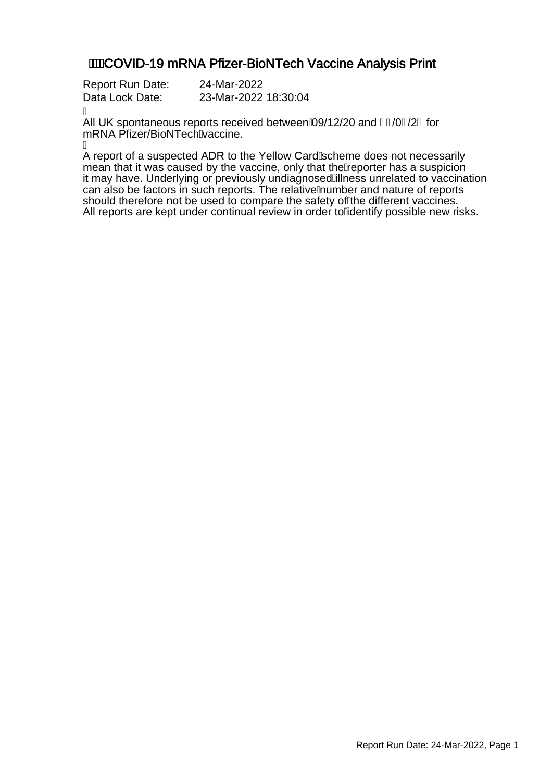### **//WCOVID-19 mRNA Pfizer-BioNTech Vaccine Analysis Print**

| <b>Report Run Date:</b> | 24-Mar-2022          |
|-------------------------|----------------------|
| Data Lock Date:         | 23-Mar-2022 18:30:04 |

Á

All UK spontaneous reports received between $\hat{A}9/12/20$  and GH0H2Gfor mRNA Pfizer/BioNTechAaccine.

A

A report of a suspected ADR to the Yellow CardAcheme does not necessarily mean that it was caused by the vaccine, only that the Aeporter has a suspicion it may have. Underlying or previously undiagnosed Alness unrelated to vaccination can also be factors in such reports. The relative humber and nature of reports should therefore not be used to compare the safety of the different vaccines. All reports are kept under continual review in order to Adentify possible new risks.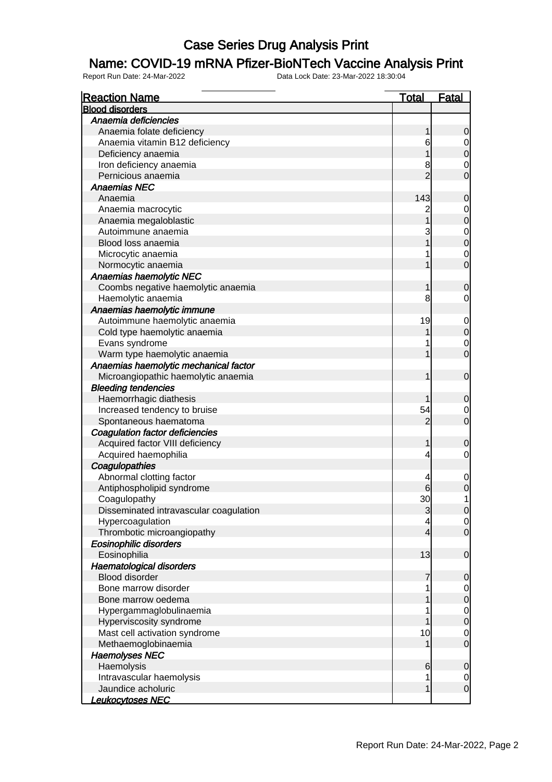#### Name: COVID-19 mRNA Pfizer-BioNTech Vaccine Analysis Print

| <b>Reaction Name</b>                   | <u>Total</u>   | <u>Fatal</u>                         |
|----------------------------------------|----------------|--------------------------------------|
| <b>Blood disorders</b>                 |                |                                      |
| Anaemia deficiencies                   |                |                                      |
| Anaemia folate deficiency              | 1              | 0                                    |
| Anaemia vitamin B12 deficiency         | 6              | $\begin{matrix} 0 \\ 0 \end{matrix}$ |
| Deficiency anaemia                     |                |                                      |
| Iron deficiency anaemia                | 8              | $\begin{matrix} 0 \\ 0 \end{matrix}$ |
| Pernicious anaemia                     | $\overline{2}$ |                                      |
| <b>Anaemias NEC</b>                    |                |                                      |
| Anaemia                                | 143            | $\mathbf 0$                          |
| Anaemia macrocytic                     |                | $\begin{matrix}0\\0\end{matrix}$     |
| Anaemia megaloblastic                  | $\overline{1}$ |                                      |
| Autoimmune anaemia                     | 3              |                                      |
| Blood loss anaemia                     |                | $\begin{matrix}0\\0\end{matrix}$     |
| Microcytic anaemia                     |                | $\begin{matrix} 0 \\ 0 \end{matrix}$ |
| Normocytic anaemia                     |                |                                      |
| Anaemias haemolytic NEC                |                |                                      |
| Coombs negative haemolytic anaemia     | 1              | $\mathbf 0$                          |
| Haemolytic anaemia                     | 8              | $\overline{0}$                       |
| Anaemias haemolytic immune             |                |                                      |
| Autoimmune haemolytic anaemia          | 19             | $\begin{matrix} 0 \\ 0 \end{matrix}$ |
| Cold type haemolytic anaemia           |                |                                      |
| Evans syndrome                         |                | $\begin{matrix} 0 \\ 0 \end{matrix}$ |
| Warm type haemolytic anaemia           | 1              |                                      |
| Anaemias haemolytic mechanical factor  |                |                                      |
| Microangiopathic haemolytic anaemia    | 1              | $\mathbf 0$                          |
| <b>Bleeding tendencies</b>             |                |                                      |
| Haemorrhagic diathesis                 |                | $\mathbf 0$                          |
| Increased tendency to bruise           | 54             | $\begin{matrix} 0 \\ 0 \end{matrix}$ |
| Spontaneous haematoma                  | 2              |                                      |
| Coagulation factor deficiencies        |                |                                      |
| Acquired factor VIII deficiency        | 1              | 0                                    |
| Acquired haemophilia                   | 4              | $\mathbf 0$                          |
| Coagulopathies                         |                |                                      |
| Abnormal clotting factor               | 4              | $\mathbf 0$                          |
| Antiphospholipid syndrome              |                | $\overline{0}$                       |
| Coagulopathy                           | 30             |                                      |
| Disseminated intravascular coagulation | 3              | $\overline{0}$                       |
| Hypercoagulation                       | 4              | $\begin{matrix} 0 \\ 0 \end{matrix}$ |
| Thrombotic microangiopathy             | 4              |                                      |
| Eosinophilic disorders                 |                |                                      |
| Eosinophilia                           | 13             | $\mathbf 0$                          |
| <b>Haematological disorders</b>        |                |                                      |
| <b>Blood disorder</b>                  | 7              | $\mathbf 0$                          |
| Bone marrow disorder                   | 1              | $0\atop 0$                           |
| Bone marrow oedema                     |                |                                      |
| Hypergammaglobulinaemia                |                | $\begin{matrix} 0 \\ 0 \end{matrix}$ |
| Hyperviscosity syndrome                |                |                                      |
| Mast cell activation syndrome          | 10             | $\begin{matrix} 0 \\ 0 \end{matrix}$ |
| Methaemoglobinaemia                    |                |                                      |
| <b>Haemolyses NEC</b>                  |                |                                      |
| Haemolysis                             | 6              | $\mathbf 0$                          |
| Intravascular haemolysis               | 1              | $\overline{0}$                       |
| Jaundice acholuric                     | 1              | $\overline{0}$                       |
| <u> Leukocytoses NEC</u>               |                |                                      |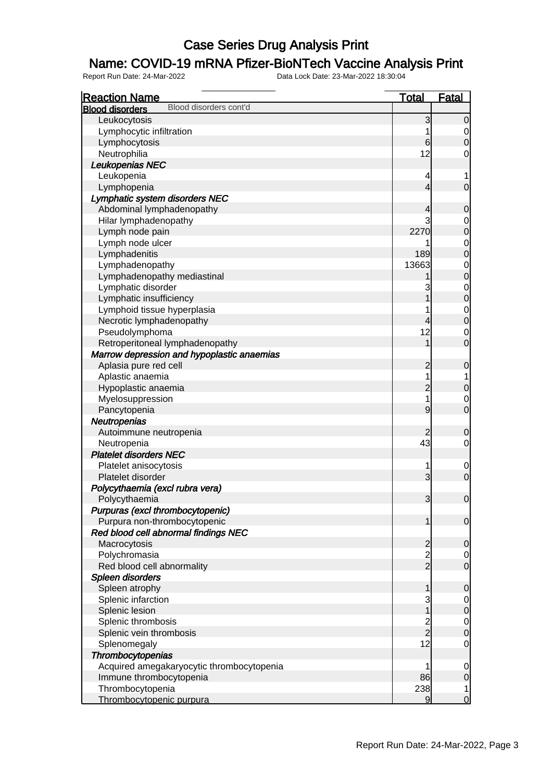### Name: COVID-19 mRNA Pfizer-BioNTech Vaccine Analysis Print

| <b>Reaction Name</b>                             | <b>Total</b>   | <b>Fatal</b>                     |
|--------------------------------------------------|----------------|----------------------------------|
| Blood disorders cont'd<br><b>Blood disorders</b> |                |                                  |
| Leukocytosis                                     | 3              | $\mathbf 0$                      |
| Lymphocytic infiltration                         | 1              | $\mathbf 0$                      |
| Lymphocytosis                                    | $6 \,$         | $\overline{0}$                   |
| Neutrophilia                                     | 12             | 0                                |
| Leukopenias NEC                                  |                |                                  |
| Leukopenia                                       | 4              | 1                                |
| Lymphopenia                                      | $\overline{4}$ | $\overline{0}$                   |
| Lymphatic system disorders NEC                   |                |                                  |
| Abdominal lymphadenopathy                        | 4              | $\mathbf 0$                      |
| Hilar lymphadenopathy                            | 3              | $\mathbf{0}$                     |
| Lymph node pain                                  | 2270           | $\overline{0}$                   |
| Lymph node ulcer                                 |                |                                  |
| Lymphadenitis                                    | 189            | $0\atop 0$                       |
| Lymphadenopathy                                  | 13663          |                                  |
| Lymphadenopathy mediastinal                      |                | $0\atop 0$                       |
| Lymphatic disorder                               | 3              |                                  |
| Lymphatic insufficiency                          | 1              | $\begin{matrix}0\\0\end{matrix}$ |
| Lymphoid tissue hyperplasia                      | 1              |                                  |
| Necrotic lymphadenopathy                         | 4              | $0\atop 0$                       |
| Pseudolymphoma                                   | 12             | $\mathbf 0$                      |
| Retroperitoneal lymphadenopathy                  | 1              | $\overline{0}$                   |
| Marrow depression and hypoplastic anaemias       |                |                                  |
| Aplasia pure red cell                            | $\overline{c}$ | $\mathbf 0$                      |
| Aplastic anaemia                                 | 1              | $\overline{1}$                   |
| Hypoplastic anaemia                              | $\overline{c}$ | $\mathbf 0$                      |
| Myelosuppression                                 | $\overline{1}$ | $\mathbf 0$                      |
| Pancytopenia                                     | 9              | $\overline{0}$                   |
| Neutropenias                                     |                |                                  |
| Autoimmune neutropenia                           | 2              | $\mathbf 0$                      |
| Neutropenia                                      | 43             | $\mathbf 0$                      |
| <b>Platelet disorders NEC</b>                    |                |                                  |
| Platelet anisocytosis                            | 1              | $\mathbf 0$                      |
| Platelet disorder                                | 3              | $\overline{0}$                   |
| Polycythaemia (excl rubra vera)                  |                |                                  |
| Polycythaemia                                    | 3              | $\mathbf 0$                      |
| Purpuras (excl thrombocytopenic)                 |                |                                  |
| Purpura non-thrombocytopenic                     | 1              | $\mathbf 0$                      |
| Red blood cell abnormal findings NEC             |                |                                  |
| Macrocytosis                                     | $\overline{c}$ | $\mathbf 0$                      |
| Polychromasia                                    |                | $\overline{0}$                   |
| Red blood cell abnormality                       | $\frac{2}{2}$  | $\overline{0}$                   |
| Spleen disorders                                 |                |                                  |
| Spleen atrophy                                   | 1              | $\mathbf 0$                      |
| Splenic infarction                               | 3              | $\mathbf 0$                      |
| Splenic lesion                                   | $\overline{1}$ | $\overline{0}$                   |
| Splenic thrombosis                               |                | $\overline{0}$                   |
| Splenic vein thrombosis                          | $\frac{2}{2}$  | $\overline{0}$                   |
| Splenomegaly                                     | 12             | $\mathsf{O}\xspace$              |
| Thrombocytopenias                                |                |                                  |
|                                                  | 1              |                                  |
| Acquired amegakaryocytic thrombocytopenia        | 86             | $\mathbf 0$                      |
| Immune thrombocytopenia<br>Thrombocytopenia      | 238            | $\mathbf 0$                      |
|                                                  |                | $\overline{\mathbf{1}}$          |
| Thrombocytopenic purpura                         | $\overline{9}$ | $\overline{O}$                   |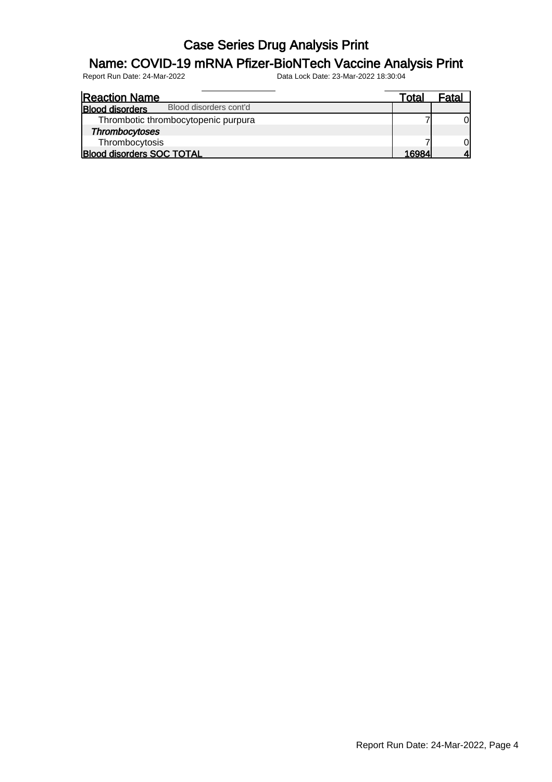### Name: COVID-19 mRNA Pfizer-BioNTech Vaccine Analysis Print

| <b>Reaction Name</b>                             | Total | Fatal |
|--------------------------------------------------|-------|-------|
| Blood disorders cont'd<br><b>Blood disorders</b> |       |       |
| Thrombotic thrombocytopenic purpura              |       | Οl    |
| <b>Thrombocytoses</b>                            |       |       |
| Thrombocytosis                                   |       | 0l    |
| <b>Blood disorders SOC TOTAL</b>                 | 16984 |       |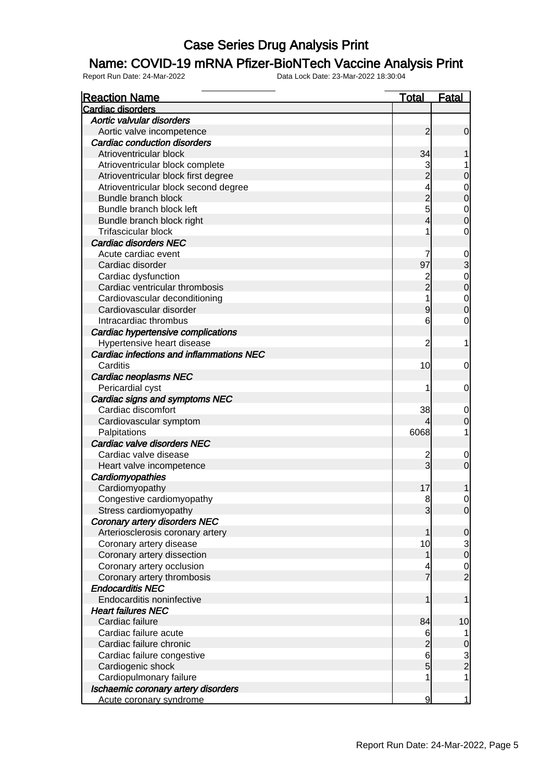#### Name: COVID-19 mRNA Pfizer-BioNTech Vaccine Analysis Print

| <b>Reaction Name</b>                     | Total                   | <b>Fatal</b>  |
|------------------------------------------|-------------------------|---------------|
| Cardiac disorders                        |                         |               |
| Aortic valvular disorders                |                         |               |
| Aortic valve incompetence                | 2                       | $\mathbf 0$   |
| <b>Cardiac conduction disorders</b>      |                         |               |
| Atrioventricular block                   | 34                      |               |
| Atrioventricular block complete          | 3                       |               |
| Atrioventricular block first degree      |                         | 0             |
| Atrioventricular block second degree     | 4                       | $\mathbf 0$   |
| Bundle branch block                      | $\overline{2}$          | 0             |
| Bundle branch block left                 | 5                       | $\mathbf 0$   |
| Bundle branch block right                | 4                       | 0             |
| <b>Trifascicular block</b>               | 1                       | 0             |
| <b>Cardiac disorders NEC</b>             |                         |               |
| Acute cardiac event                      | 7                       | $\mathbf 0$   |
| Cardiac disorder                         | 97                      | 3             |
| Cardiac dysfunction                      | $\overline{c}$          | $\mathbf 0$   |
| Cardiac ventricular thrombosis           | $\overline{2}$          | 0             |
| Cardiovascular deconditioning            | 1                       | $\mathbf 0$   |
| Cardiovascular disorder                  | 9                       | 0             |
| Intracardiac thrombus                    | 6                       | 0             |
| Cardiac hypertensive complications       |                         |               |
| Hypertensive heart disease               | 2                       | 1             |
| Cardiac infections and inflammations NEC |                         |               |
| Carditis                                 | 10                      | 0             |
| <b>Cardiac neoplasms NEC</b>             |                         |               |
| Pericardial cyst                         | 1                       | 0             |
| Cardiac signs and symptoms NEC           |                         |               |
| Cardiac discomfort                       | 38                      | 0             |
| Cardiovascular symptom                   |                         |               |
| Palpitations                             | 6068                    |               |
| Cardiac valve disorders NEC              |                         |               |
| Cardiac valve disease                    | $\overline{\mathbf{c}}$ | 0             |
| Heart valve incompetence                 | 3                       | 0             |
| Cardiomyopathies                         |                         |               |
| Cardiomyopathy                           | 17                      |               |
| Congestive cardiomyopathy                | 8                       | 0             |
| Stress cardiomyopathy                    | 3                       | 0             |
| Coronary artery disorders NEC            |                         |               |
| Arteriosclerosis coronary artery         |                         | $\Omega$      |
| Coronary artery disease                  | 10                      |               |
| Coronary artery dissection               | 1                       | $\frac{3}{0}$ |
| Coronary artery occlusion                | 4                       |               |
| Coronary artery thrombosis               | 7                       | $\frac{0}{2}$ |
| <b>Endocarditis NEC</b>                  |                         |               |
| Endocarditis noninfective                | 1                       |               |
| <b>Heart failures NEC</b>                |                         |               |
| Cardiac failure                          | 84                      | 10            |
| Cardiac failure acute                    | 6                       |               |
| Cardiac failure chronic                  | $\overline{2}$          | 0             |
| Cardiac failure congestive               | 6                       |               |
| Cardiogenic shock                        | 5                       | $\frac{3}{2}$ |
| Cardiopulmonary failure                  | 1                       | 1             |
| Ischaemic coronary artery disorders      |                         |               |
| Acute coronary syndrome                  | 9                       | 1             |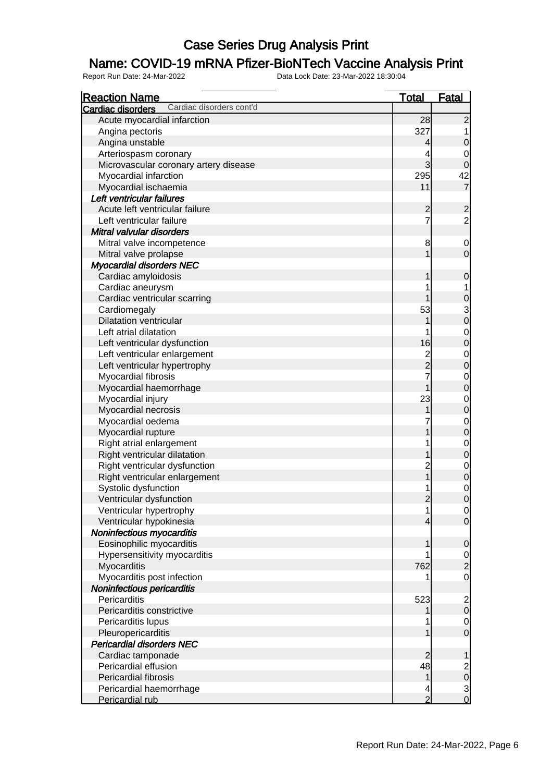### Name: COVID-19 mRNA Pfizer-BioNTech Vaccine Analysis Print

| <b>Reaction Name</b>                          | <b>Total</b>                               | <b>Fatal</b>                           |
|-----------------------------------------------|--------------------------------------------|----------------------------------------|
| Cardiac disorders cont'd<br>Cardiac disorders |                                            |                                        |
| Acute myocardial infarction                   | 28                                         | $\overline{c}$                         |
| Angina pectoris                               | 327                                        |                                        |
| Angina unstable                               | $\overline{4}$                             | $\boldsymbol{0}$                       |
| Arteriospasm coronary                         | 4                                          | 0                                      |
| Microvascular coronary artery disease         | $\overline{3}$                             | $\mathbf 0$                            |
| Myocardial infarction                         | 295                                        | 42                                     |
| Myocardial ischaemia                          | 11                                         | $\overline{7}$                         |
| Left ventricular failures                     |                                            |                                        |
| Acute left ventricular failure                | $\overline{c}$                             |                                        |
| Left ventricular failure                      | $\overline{7}$                             | $\frac{2}{2}$                          |
| Mitral valvular disorders                     |                                            |                                        |
| Mitral valve incompetence                     | 8                                          | $\mathbf 0$                            |
| Mitral valve prolapse                         | $\mathbf 1$                                | $\mathbf 0$                            |
| <b>Myocardial disorders NEC</b>               |                                            |                                        |
| Cardiac amyloidosis                           | 1                                          | $\mathbf 0$                            |
| Cardiac aneurysm                              | 1                                          |                                        |
| Cardiac ventricular scarring                  | 1                                          | $\boldsymbol{0}$                       |
| Cardiomegaly                                  | 53                                         |                                        |
| <b>Dilatation ventricular</b>                 | 1                                          | $\begin{bmatrix} 3 \\ 0 \end{bmatrix}$ |
| Left atrial dilatation                        | 1                                          | $\mathbf 0$                            |
| Left ventricular dysfunction                  | 16                                         | $\overline{0}$                         |
| Left ventricular enlargement                  |                                            | $\mathbf 0$                            |
| Left ventricular hypertrophy                  | $\begin{array}{c} 2 \\ 2 \\ 7 \end{array}$ | $\overline{0}$                         |
| Myocardial fibrosis                           |                                            | $\mathbf 0$                            |
| Myocardial haemorrhage                        | $\overline{1}$                             | $\overline{0}$                         |
| Myocardial injury                             | 23                                         | $\mathbf 0$                            |
| Myocardial necrosis                           | 1                                          | $\overline{0}$                         |
| Myocardial oedema                             | 7                                          | $\mathbf{0}$                           |
| Myocardial rupture                            | 1                                          | $\overline{0}$                         |
| Right atrial enlargement                      | 1                                          | $\mathbf{0}$                           |
| Right ventricular dilatation                  | 1                                          | $\overline{0}$                         |
| Right ventricular dysfunction                 |                                            |                                        |
| Right ventricular enlargement                 | $\frac{2}{1}$                              | $\begin{matrix} 0 \\ 0 \end{matrix}$   |
| Systolic dysfunction                          |                                            | $\mathbf{0}$                           |
| Ventricular dysfunction                       | $\overline{2}$                             | $\overline{0}$                         |
| Ventricular hypertrophy                       | 1                                          |                                        |
| Ventricular hypokinesia                       | $\overline{4}$                             | 0 <br>$\overline{0}$                   |
| Noninfectious myocarditis                     |                                            |                                        |
| Eosinophilic myocarditis                      | 1                                          | $\mathbf 0$                            |
| Hypersensitivity myocarditis                  | 1                                          |                                        |
| Myocarditis                                   | 762                                        | $\frac{0}{2}$                          |
| Myocarditis post infection                    | 1                                          | $\mathbf 0$                            |
| Noninfectious pericarditis                    |                                            |                                        |
| Pericarditis                                  | 523                                        |                                        |
| Pericarditis constrictive                     | 1                                          | $\begin{array}{c} 2 \\ 0 \end{array}$  |
| Pericarditis lupus                            |                                            | $\overline{0}$                         |
| Pleuropericarditis                            | 1                                          | $\overline{0}$                         |
| <b>Pericardial disorders NEC</b>              |                                            |                                        |
| Cardiac tamponade                             | $\overline{2}$                             | 1                                      |
| Pericardial effusion                          | 48                                         |                                        |
| Pericardial fibrosis                          | $\mathbf{1}$                               | $\begin{array}{c} 2 \\ 0 \end{array}$  |
| Pericardial haemorrhage                       | 4                                          |                                        |
| Pericardial rub                               | $\overline{2}$                             | $\frac{3}{0}$                          |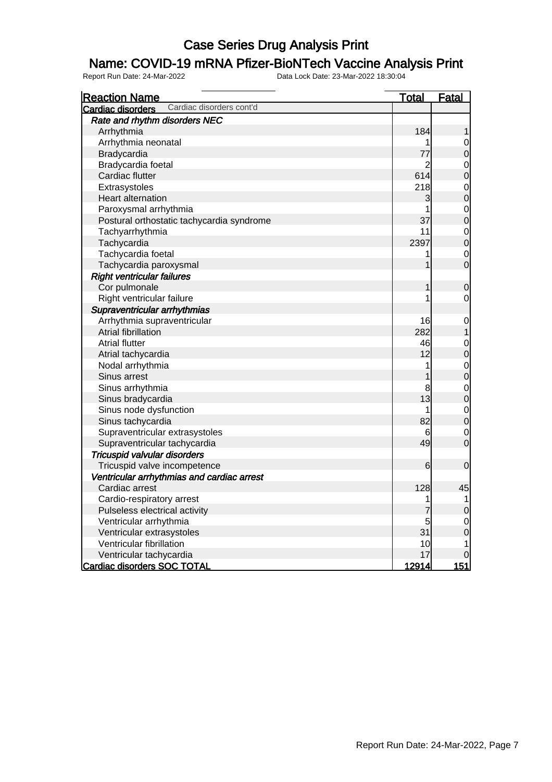### Name: COVID-19 mRNA Pfizer-BioNTech Vaccine Analysis Print

| <b>Reaction Name</b>                          | <u>Total</u>   | <b>Fatal</b>                     |
|-----------------------------------------------|----------------|----------------------------------|
| Cardiac disorders cont'd<br>Cardiac disorders |                |                                  |
| Rate and rhythm disorders NEC                 |                |                                  |
| Arrhythmia                                    | 184            | 1                                |
| Arrhythmia neonatal                           | 1              | $\mathbf 0$                      |
| Bradycardia                                   | 77             | $\overline{0}$                   |
| Bradycardia foetal                            | $\overline{2}$ |                                  |
| Cardiac flutter                               | 614            | $\begin{matrix}0\\0\end{matrix}$ |
| Extrasystoles                                 | 218            |                                  |
| <b>Heart alternation</b>                      | 3              | $\begin{matrix}0\\0\end{matrix}$ |
| Paroxysmal arrhythmia                         | 1              |                                  |
| Postural orthostatic tachycardia syndrome     | 37             | 000                              |
| Tachyarrhythmia                               | 11             |                                  |
| Tachycardia                                   | 2397           |                                  |
| Tachycardia foetal                            | 1              | $\overline{0}$                   |
| Tachycardia paroxysmal                        | 1              | $\overline{0}$                   |
| <b>Right ventricular failures</b>             |                |                                  |
| Cor pulmonale                                 | 1              | $\mathbf 0$                      |
| Right ventricular failure                     | 1              | $\mathbf 0$                      |
| Supraventricular arrhythmias                  |                |                                  |
| Arrhythmia supraventricular                   | 16             | $\mathbf 0$                      |
| Atrial fibrillation                           | 282            | $\mathbf{1}$                     |
| <b>Atrial flutter</b>                         | 46             |                                  |
| Atrial tachycardia                            | 12             | $\begin{matrix}0\\0\end{matrix}$ |
| Nodal arrhythmia                              | 1              |                                  |
| Sinus arrest                                  | 1              | $\begin{matrix}0\\0\end{matrix}$ |
| Sinus arrhythmia                              | 8              | $\begin{matrix}0\\0\end{matrix}$ |
| Sinus bradycardia                             | 13             |                                  |
| Sinus node dysfunction                        | 1              |                                  |
| Sinus tachycardia                             | 82             | $\begin{matrix}0\\0\end{matrix}$ |
| Supraventricular extrasystoles                | 6              | $\overline{0}$                   |
| Supraventricular tachycardia                  | 49             | $\overline{0}$                   |
| Tricuspid valvular disorders                  |                |                                  |
| Tricuspid valve incompetence                  | 6              | $\mathbf 0$                      |
| Ventricular arrhythmias and cardiac arrest    |                |                                  |
| Cardiac arrest                                | 128            | 45                               |
| Cardio-respiratory arrest                     | 1              | $\overline{1}$                   |
| Pulseless electrical activity                 | 7              | $\overline{0}$                   |
| Ventricular arrhythmia                        | 5              | $\mathbf 0$                      |
| Ventricular extrasystoles                     | 31             | $\overline{0}$                   |
| Ventricular fibrillation                      | 10             | 1                                |
| Ventricular tachycardia                       | 17             | 0                                |
| Cardiac disorders SOC TOTAL                   | 12914          | 151                              |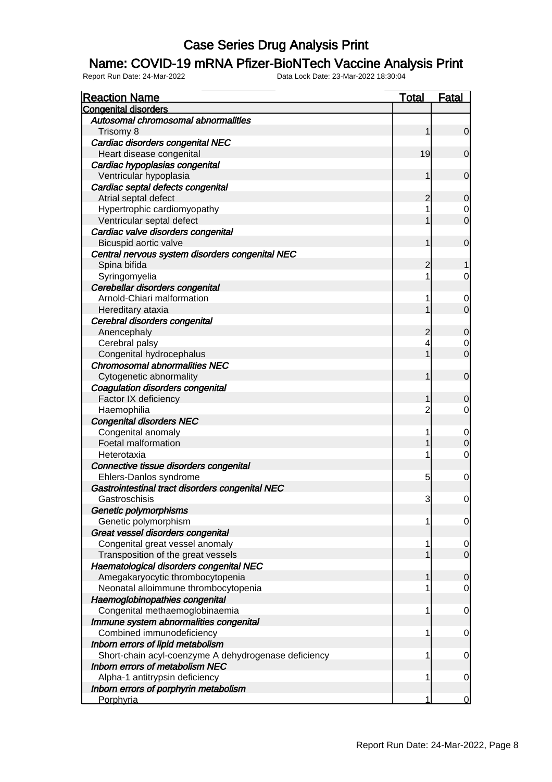#### Name: COVID-19 mRNA Pfizer-BioNTech Vaccine Analysis Print

| <b>Reaction Name</b>                                 | <b>Total</b>   | <b>Fatal</b>   |
|------------------------------------------------------|----------------|----------------|
| <b>Congenital disorders</b>                          |                |                |
| Autosomal chromosomal abnormalities                  |                |                |
| Trisomy 8                                            | 1              | $\overline{0}$ |
| Cardiac disorders congenital NEC                     |                |                |
| Heart disease congenital                             | 19             | $\mathbf 0$    |
| Cardiac hypoplasias congenital                       |                |                |
| Ventricular hypoplasia                               | 1              | $\mathbf 0$    |
| Cardiac septal defects congenital                    |                |                |
| Atrial septal defect                                 | $\overline{c}$ | $\mathbf 0$    |
| Hypertrophic cardiomyopathy                          | 1              | $\mathbf 0$    |
| Ventricular septal defect                            | 1              | $\overline{0}$ |
| Cardiac valve disorders congenital                   |                |                |
| Bicuspid aortic valve                                | 1              | $\mathbf 0$    |
| Central nervous system disorders congenital NEC      |                |                |
| Spina bifida                                         | 2              | 1              |
| Syringomyelia                                        | 1              | 0              |
| Cerebellar disorders congenital                      |                |                |
| Arnold-Chiari malformation                           | 1              | $\mathbf 0$    |
| Hereditary ataxia                                    | 1              | $\overline{0}$ |
| Cerebral disorders congenital                        |                |                |
| Anencephaly                                          | 2              | $\mathbf 0$    |
| Cerebral palsy                                       | 4              | $\mathbf 0$    |
| Congenital hydrocephalus                             | 1              | $\overline{0}$ |
| <b>Chromosomal abnormalities NEC</b>                 |                |                |
| Cytogenetic abnormality                              | 1              | $\mathbf 0$    |
| Coagulation disorders congenital                     |                |                |
| Factor IX deficiency                                 | 1              | 0              |
| Haemophilia                                          | $\overline{2}$ | $\mathbf 0$    |
| <b>Congenital disorders NEC</b>                      |                |                |
| Congenital anomaly                                   | 1              | $\mathbf 0$    |
| Foetal malformation                                  | 1              | $\mathbf 0$    |
| Heterotaxia                                          | 1              | $\mathbf 0$    |
| Connective tissue disorders congenital               |                |                |
| Ehlers-Danlos syndrome                               | 5              | $\mathbf 0$    |
| Gastrointestinal tract disorders congenital NEC      |                |                |
| Gastroschisis                                        | 3              | $\mathbf 0$    |
| Genetic polymorphisms                                |                |                |
| Genetic polymorphism                                 | 1              | $\overline{0}$ |
| Great vessel disorders congenital                    |                |                |
| Congenital great vessel anomaly                      | 1              | $\mathbf 0$    |
| Transposition of the great vessels                   | 1              | $\mathbf 0$    |
| Haematological disorders congenital NEC              |                |                |
| Amegakaryocytic thrombocytopenia                     | 1              | $\mathbf 0$    |
| Neonatal alloimmune thrombocytopenia                 | 1              | $\mathbf 0$    |
| Haemoglobinopathies congenital                       |                |                |
| Congenital methaemoglobinaemia                       | 1              | $\mathbf 0$    |
| Immune system abnormalities congenital               |                |                |
| Combined immunodeficiency                            | 1              | 0              |
| Inborn errors of lipid metabolism                    |                |                |
| Short-chain acyl-coenzyme A dehydrogenase deficiency | 1              | 0              |
| <b>Inborn errors of metabolism NEC</b>               |                |                |
| Alpha-1 antitrypsin deficiency                       | 1              | 0              |
| Inborn errors of porphyrin metabolism                |                |                |
| Porphyria                                            | 1              | $\overline{0}$ |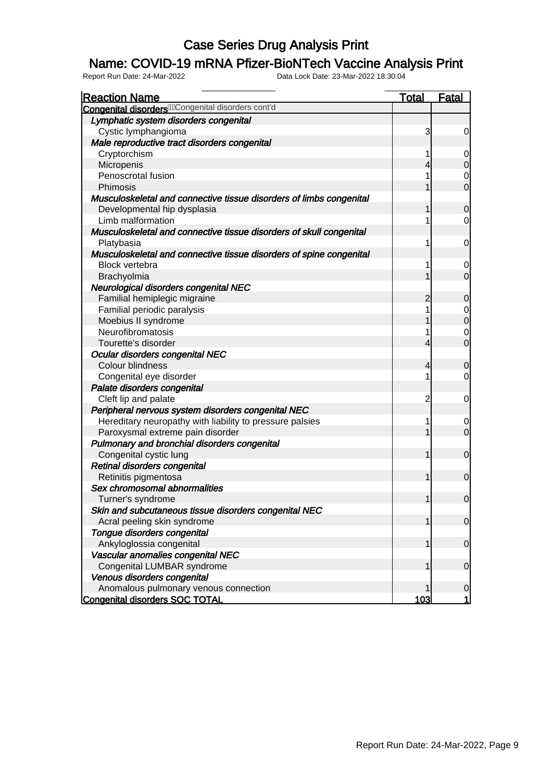### Name: COVID-19 mRNA Pfizer-BioNTech Vaccine Analysis Print

| <b>Reaction Name</b>                                                | <u>Total</u>   | <b>Fatal</b>   |
|---------------------------------------------------------------------|----------------|----------------|
| <b>Congenital disorders MC</b> ongenital disorders cont'd           |                |                |
| Lymphatic system disorders congenital                               |                |                |
| Cystic lymphangioma                                                 | 3              | $\mathbf 0$    |
| Male reproductive tract disorders congenital                        |                |                |
| Cryptorchism                                                        | 1              | $\overline{0}$ |
| Micropenis                                                          | 4              | $\overline{0}$ |
| Penoscrotal fusion                                                  |                | $\mathbf 0$    |
| Phimosis                                                            |                | $\overline{0}$ |
| Musculoskeletal and connective tissue disorders of limbs congenital |                |                |
| Developmental hip dysplasia                                         | 1              | $\overline{0}$ |
| Limb malformation                                                   | 1              | 0              |
| Musculoskeletal and connective tissue disorders of skull congenital |                |                |
| Platybasia                                                          | 1              | $\mathbf 0$    |
| Musculoskeletal and connective tissue disorders of spine congenital |                |                |
| <b>Block vertebra</b>                                               | 1              | $\mathbf 0$    |
| Brachyolmia                                                         | 1              | $\overline{0}$ |
| Neurological disorders congenital NEC                               |                |                |
| Familial hemiplegic migraine                                        | $\overline{2}$ | $\mathbf 0$    |
| Familial periodic paralysis                                         | 1              | $\mathbf{0}$   |
| Moebius II syndrome                                                 | 1              | $\mathbf 0$    |
| Neurofibromatosis                                                   | 1              | $\mathbf 0$    |
| Tourette's disorder                                                 | 4              | $\overline{0}$ |
| Ocular disorders congenital NEC                                     |                |                |
| Colour blindness                                                    | 4              | $\mathbf 0$    |
| Congenital eye disorder                                             | 1              | $\overline{0}$ |
| Palate disorders congenital                                         |                |                |
| Cleft lip and palate                                                | $\overline{c}$ | $\mathbf 0$    |
| Peripheral nervous system disorders congenital NEC                  |                |                |
| Hereditary neuropathy with liability to pressure palsies            | 1              | $\mathbf 0$    |
| Paroxysmal extreme pain disorder                                    | 1              | $\overline{0}$ |
| Pulmonary and bronchial disorders congenital                        |                |                |
| Congenital cystic lung                                              | 1              | $\overline{0}$ |
| Retinal disorders congenital                                        |                |                |
| Retinitis pigmentosa                                                | 1              | $\overline{0}$ |
| Sex chromosomal abnormalities                                       |                |                |
| Turner's syndrome                                                   | $\mathbf{1}$   | $\overline{0}$ |
| Skin and subcutaneous tissue disorders congenital NEC               |                |                |
| Acral peeling skin syndrome                                         | 1              | $\overline{0}$ |
| Tongue disorders congenital                                         |                |                |
| Ankyloglossia congenital                                            | 1              | $\mathbf 0$    |
| Vascular anomalies congenital NEC                                   |                |                |
| Congenital LUMBAR syndrome                                          | 1              | $\mathbf 0$    |
| Venous disorders congenital                                         |                |                |
| Anomalous pulmonary venous connection                               |                | $\mathbf 0$    |
| <b>Congenital disorders SOC TOTAL</b>                               | 103            | 1              |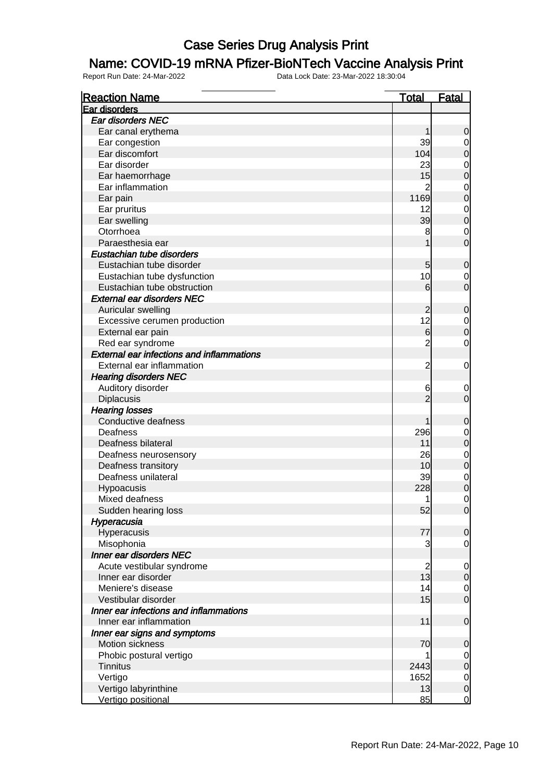#### Name: COVID-19 mRNA Pfizer-BioNTech Vaccine Analysis Print

| <b>Reaction Name</b>                             | <u>Total</u>    | <u>Fatal</u>                     |
|--------------------------------------------------|-----------------|----------------------------------|
| Ear disorders                                    |                 |                                  |
| <b>Ear disorders NEC</b>                         |                 |                                  |
| Ear canal erythema                               | 1               | $\mathbf 0$                      |
| Ear congestion                                   | 39              | $\overline{0}$                   |
| Ear discomfort                                   | 104             | $\mathbf 0$                      |
| Ear disorder                                     | 23              | $\mathbf 0$                      |
| Ear haemorrhage                                  | 15              | $\overline{0}$                   |
| Ear inflammation                                 | $\overline{2}$  | $\mathbf{0}$                     |
| Ear pain                                         | 1169            | $\overline{0}$                   |
| Ear pruritus                                     | 12              | $\mathbf{0}$                     |
| Ear swelling                                     | 39              | $\overline{0}$                   |
| Otorrhoea                                        | 8               | $\mathbf 0$                      |
| Paraesthesia ear                                 | 1               | $\overline{0}$                   |
| Eustachian tube disorders                        |                 |                                  |
| Eustachian tube disorder                         | 5               | $\mathbf 0$                      |
| Eustachian tube dysfunction                      | 10              | $\mathbf 0$                      |
| Eustachian tube obstruction                      | 6               | $\overline{0}$                   |
| <b>External ear disorders NEC</b>                |                 |                                  |
| Auricular swelling                               | $\overline{2}$  | $\mathbf 0$                      |
| Excessive cerumen production                     | 12              |                                  |
| External ear pain                                | $6 \overline{}$ | $\begin{matrix}0\\0\end{matrix}$ |
| Red ear syndrome                                 | $\overline{2}$  | $\mathbf 0$                      |
| <b>External ear infections and inflammations</b> |                 |                                  |
| External ear inflammation                        | $\overline{c}$  | $\mathbf 0$                      |
| <b>Hearing disorders NEC</b>                     |                 |                                  |
| Auditory disorder                                | 6               | $\mathbf 0$                      |
| Diplacusis                                       | $\overline{2}$  | $\mathbf 0$                      |
| <b>Hearing losses</b>                            |                 |                                  |
| Conductive deafness                              | 1               | $\mathbf 0$                      |
| Deafness                                         | 296             | $\mathbf 0$                      |
| Deafness bilateral                               | 11              | $\overline{0}$                   |
| Deafness neurosensory                            | 26              |                                  |
| Deafness transitory                              | 10              | $\begin{matrix}0\\0\end{matrix}$ |
| Deafness unilateral                              | 39              |                                  |
| Hypoacusis                                       | 228             | $\begin{matrix}0\\0\end{matrix}$ |
| Mixed deafness                                   | 1               | $\mathbf 0$                      |
| Sudden hearing loss                              | 52              | 0                                |
| Hyperacusia                                      |                 |                                  |
| Hyperacusis                                      | 77              | $\overline{0}$                   |
| Misophonia                                       | 3               | $\mathbf 0$                      |
| <b>Inner ear disorders NEC</b>                   |                 |                                  |
| Acute vestibular syndrome                        | $\overline{c}$  | $\mathbf 0$                      |
| Inner ear disorder                               | 13              | $\mathbf 0$                      |
| Meniere's disease                                | 14              | $\overline{0}$                   |
| Vestibular disorder                              | 15              | $\overline{0}$                   |
| Inner ear infections and inflammations           |                 |                                  |
| Inner ear inflammation                           | 11              | $\mathbf 0$                      |
| Inner ear signs and symptoms                     |                 |                                  |
| Motion sickness                                  | 70              | $\mathbf 0$                      |
| Phobic postural vertigo                          | 1               | $\overline{0}$                   |
| <b>Tinnitus</b>                                  | 2443            | $\mathbf 0$                      |
| Vertigo                                          | 1652            | $\mathbf 0$                      |
| Vertigo labyrinthine                             | 13              | $\pmb{0}$                        |
| Vertigo positional                               | 85              | $\overline{0}$                   |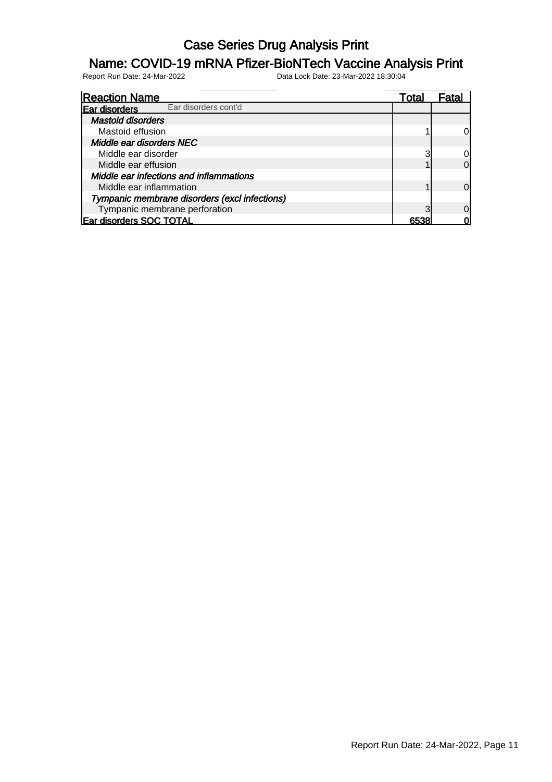### Name: COVID-19 mRNA Pfizer-BioNTech Vaccine Analysis Print

| <b>Reaction Name</b>                          | l otal | Fata |
|-----------------------------------------------|--------|------|
| Ear disorders cont'd<br>Ear disorders         |        |      |
| <b>Mastoid disorders</b>                      |        |      |
| Mastoid effusion                              |        |      |
| Middle ear disorders NEC                      |        |      |
| Middle ear disorder                           |        |      |
| Middle ear effusion                           |        | ი    |
| Middle ear infections and inflammations       |        |      |
| Middle ear inflammation                       |        |      |
| Tympanic membrane disorders (excl infections) |        |      |
| Tympanic membrane perforation                 |        |      |
| <b>Ear disorders SOC TOTAL</b>                |        |      |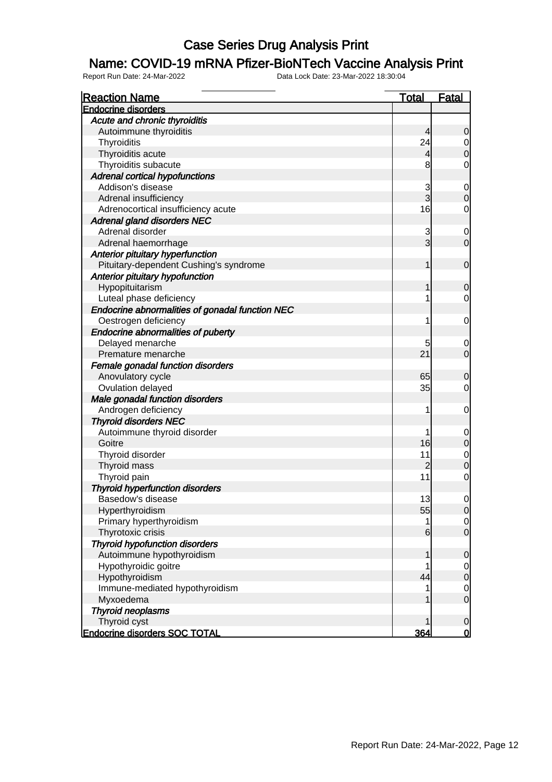#### Name: COVID-19 mRNA Pfizer-BioNTech Vaccine Analysis Print

| <b>Reaction Name</b>                            | <b>Total</b>         | <b>Fatal</b>                   |
|-------------------------------------------------|----------------------|--------------------------------|
| <b>Endocrine disorders</b>                      |                      |                                |
| Acute and chronic thyroiditis                   |                      |                                |
| Autoimmune thyroiditis                          | $\overline{4}$       | $\mathbf 0$                    |
| Thyroiditis                                     | 24                   | $\overline{0}$                 |
| Thyroiditis acute                               | $\overline{4}$       | $\mathbf 0$                    |
| Thyroiditis subacute                            | 8                    | $\mathbf 0$                    |
| <b>Adrenal cortical hypofunctions</b>           |                      |                                |
| Addison's disease                               | 3                    | $\mathbf 0$                    |
| Adrenal insufficiency                           | $\overline{3}$       | $\boldsymbol{0}$               |
| Adrenocortical insufficiency acute              | 16                   | $\mathbf 0$                    |
| <b>Adrenal gland disorders NEC</b>              |                      |                                |
| Adrenal disorder                                | 3                    | $\mathbf 0$                    |
| Adrenal haemorrhage                             | $\overline{3}$       | $\overline{0}$                 |
| <b>Anterior pituitary hyperfunction</b>         |                      |                                |
| Pituitary-dependent Cushing's syndrome          | 1                    | $\boldsymbol{0}$               |
| Anterior pituitary hypofunction                 |                      |                                |
| Hypopituitarism                                 | 1                    | $\mathbf 0$                    |
| Luteal phase deficiency                         | 1                    | $\mathbf 0$                    |
| Endocrine abnormalities of gonadal function NEC |                      |                                |
| Oestrogen deficiency                            | 1                    | $\mathbf 0$                    |
| <b>Endocrine abnormalities of puberty</b>       |                      |                                |
| Delayed menarche                                | 5                    | $\mathbf 0$                    |
| Premature menarche                              | 21                   | $\overline{0}$                 |
| Female gonadal function disorders               |                      |                                |
| Anovulatory cycle                               | 65                   | $\mathbf 0$                    |
| Ovulation delayed                               | 35                   | $\overline{0}$                 |
| Male gonadal function disorders                 |                      |                                |
| Androgen deficiency                             | 1                    | $\mathbf 0$                    |
| <b>Thyroid disorders NEC</b>                    |                      |                                |
| Autoimmune thyroid disorder                     | 1                    |                                |
| Goitre                                          | 16                   | $\mathbf 0$                    |
|                                                 |                      | $\pmb{0}$                      |
| Thyroid disorder                                | 11<br>$\overline{c}$ | $\mathbf{0}$<br>$\overline{0}$ |
| Thyroid mass                                    | 11                   |                                |
| Thyroid pain                                    |                      | $\mathbf 0$                    |
| <b>Thyroid hyperfunction disorders</b>          |                      |                                |
| Basedow's disease                               | 13                   | $\mathbf 0$                    |
| Hyperthyroidism                                 | 55                   | 0                              |
| Primary hyperthyroidism                         | 1                    | $\overline{0}$                 |
| Thyrotoxic crisis                               | 6                    | $\overline{O}$                 |
| <b>Thyroid hypofunction disorders</b>           |                      |                                |
| Autoimmune hypothyroidism                       | 1                    | $\mathbf 0$                    |
| Hypothyroidic goitre                            | 1                    | $\overline{0}$                 |
| Hypothyroidism                                  | 44                   | $\boldsymbol{0}$               |
| Immune-mediated hypothyroidism                  | 1                    | $\overline{0}$                 |
| Myxoedema                                       | 1                    | $\mathbf 0$                    |
| <b>Thyroid neoplasms</b>                        |                      |                                |
| Thyroid cyst                                    | 1                    | $\mathbf 0$                    |
| <b>Endocrine disorders SOC TOTAL</b>            | 364                  | 0                              |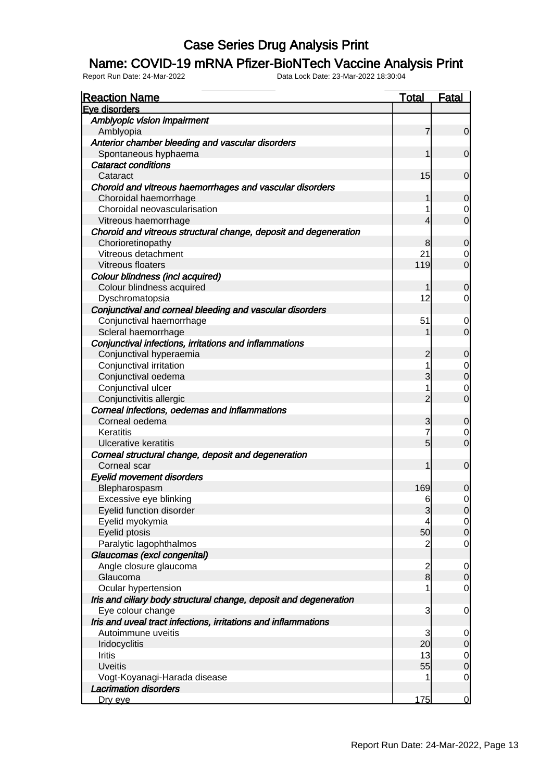#### Name: COVID-19 mRNA Pfizer-BioNTech Vaccine Analysis Print

| <b>Reaction Name</b>                                              | <b>Total</b>   | <b>Fatal</b>     |
|-------------------------------------------------------------------|----------------|------------------|
| Eve disorders                                                     |                |                  |
| Amblyopic vision impairment                                       |                |                  |
| Amblyopia                                                         | $\overline{7}$ | $\mathbf 0$      |
| Anterior chamber bleeding and vascular disorders                  |                |                  |
| Spontaneous hyphaema                                              | 1              | $\overline{0}$   |
| <b>Cataract conditions</b>                                        |                |                  |
| Cataract                                                          | 15             | $\mathbf 0$      |
| Choroid and vitreous haemorrhages and vascular disorders          |                |                  |
| Choroidal haemorrhage                                             | 1              | $\mathbf 0$      |
| Choroidal neovascularisation                                      | 1              | $\overline{0}$   |
| Vitreous haemorrhage                                              | $\overline{4}$ | $\overline{0}$   |
| Choroid and vitreous structural change, deposit and degeneration  |                |                  |
| Chorioretinopathy                                                 | 8              | $\mathbf 0$      |
| Vitreous detachment                                               | 21             | $\overline{0}$   |
| Vitreous floaters                                                 | 119            | $\overline{0}$   |
| Colour blindness (incl acquired)                                  |                |                  |
| Colour blindness acquired                                         | 1              | $\mathbf 0$      |
| Dyschromatopsia                                                   | 12             | $\overline{0}$   |
| Conjunctival and corneal bleeding and vascular disorders          |                |                  |
| Conjunctival haemorrhage                                          | 51             | $\mathbf 0$      |
| Scleral haemorrhage                                               | 1              | $\overline{O}$   |
| Conjunctival infections, irritations and inflammations            |                |                  |
| Conjunctival hyperaemia                                           | $\overline{c}$ | $\mathbf 0$      |
| Conjunctival irritation                                           | 1              | $\mathbf 0$      |
| Conjunctival oedema                                               | 3              | $\overline{0}$   |
| Conjunctival ulcer                                                | 1              | $\mathbf 0$      |
| Conjunctivitis allergic                                           | $\overline{2}$ | $\overline{0}$   |
| Corneal infections, oedemas and inflammations                     |                |                  |
| Corneal oedema                                                    | 3              | $\mathbf 0$      |
| Keratitis                                                         | $\overline{7}$ | $\overline{0}$   |
| <b>Ulcerative keratitis</b>                                       | $\overline{5}$ | $\overline{O}$   |
| Corneal structural change, deposit and degeneration               |                |                  |
| Corneal scar                                                      | 1              | $\boldsymbol{0}$ |
| <b>Eyelid movement disorders</b>                                  |                |                  |
| Blepharospasm                                                     | 169            | 0                |
| Excessive eye blinking                                            | 6              | $\overline{0}$   |
| Eyelid function disorder                                          | $\mathbf{3}$   | 0                |
| Eyelid myokymia                                                   | 4              | $\overline{0}$   |
| Eyelid ptosis                                                     | 50             | $\mathbf 0$      |
| Paralytic lagophthalmos                                           | $\overline{c}$ | $\overline{0}$   |
| Glaucomas (excl congenital)                                       |                |                  |
| Angle closure glaucoma                                            |                | $\overline{0}$   |
| Glaucoma                                                          | $\frac{2}{8}$  | $\pmb{0}$        |
| Ocular hypertension                                               | 1              | $\overline{0}$   |
| Iris and ciliary body structural change, deposit and degeneration |                |                  |
| Eye colour change                                                 | 3              | $\overline{0}$   |
| Iris and uveal tract infections, irritations and inflammations    |                |                  |
| Autoimmune uveitis                                                | 3              | $\overline{0}$   |
| Iridocyclitis                                                     | 20             | $\mathbf 0$      |
| <b>Iritis</b>                                                     | 13             | $\overline{0}$   |
| <b>Uveitis</b>                                                    | 55             | $\overline{0}$   |
| Vogt-Koyanagi-Harada disease                                      | 1              | $\overline{0}$   |
| <b>Lacrimation disorders</b>                                      |                |                  |
| Dry eye                                                           | 175            | $\overline{0}$   |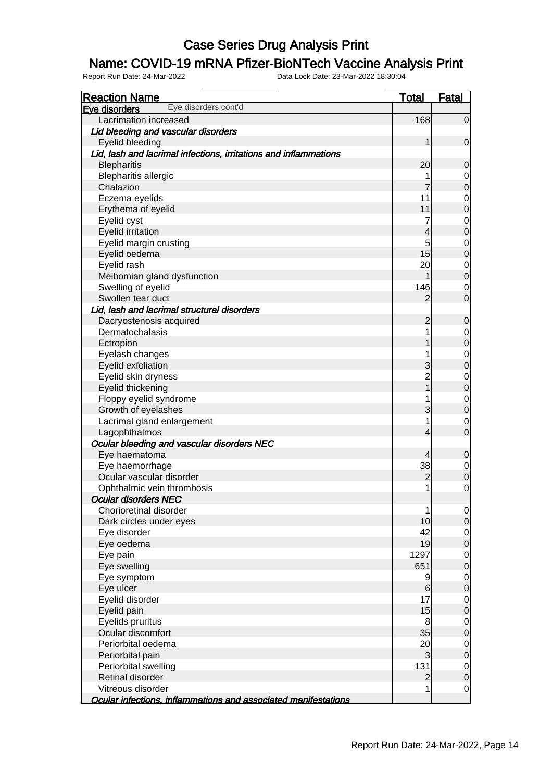### Name: COVID-19 mRNA Pfizer-BioNTech Vaccine Analysis Print

| <b>Reaction Name</b>                                             | <b>Total</b>   | <b>Fatal</b>                         |
|------------------------------------------------------------------|----------------|--------------------------------------|
| Eye disorders cont'd<br>Eye disorders                            |                |                                      |
| Lacrimation increased                                            | 168            | $\overline{0}$                       |
| Lid bleeding and vascular disorders                              |                |                                      |
| Eyelid bleeding                                                  | 1              | $\mathbf 0$                          |
| Lid, lash and lacrimal infections, irritations and inflammations |                |                                      |
| <b>Blepharitis</b>                                               | 20             | $\mathbf 0$                          |
| <b>Blepharitis allergic</b>                                      |                | $\overline{0}$                       |
| Chalazion                                                        | 7              | $\overline{0}$                       |
| Eczema eyelids                                                   | 11             | $\begin{matrix} 0 \\ 0 \end{matrix}$ |
| Erythema of eyelid                                               | 11             |                                      |
| Eyelid cyst                                                      | 7              | $0$<br>0                             |
| Eyelid irritation                                                | 4              |                                      |
| Eyelid margin crusting                                           | 5              | $\mathbf 0$                          |
| Eyelid oedema                                                    | 15             | $\overline{0}$                       |
| Eyelid rash                                                      | 20             | $\mathbf 0$                          |
| Meibomian gland dysfunction                                      |                | $\overline{0}$                       |
| Swelling of eyelid                                               | 146            | $\overline{0}$                       |
| Swollen tear duct                                                | 2              | $\overline{0}$                       |
| Lid, lash and lacrimal structural disorders                      |                |                                      |
| Dacryostenosis acquired                                          | $\overline{c}$ | $\mathbf 0$                          |
| Dermatochalasis                                                  |                | $\overline{0}$                       |
| Ectropion                                                        |                | $\overline{0}$                       |
| Eyelash changes                                                  |                | $\begin{matrix} 0 \\ 0 \end{matrix}$ |
| Eyelid exfoliation                                               | 3              |                                      |
| Eyelid skin dryness                                              | 2<br>1         | $0$<br>0                             |
| Eyelid thickening                                                |                |                                      |
| Floppy eyelid syndrome                                           |                | $\overline{0}$                       |
| Growth of eyelashes                                              | 3              | $\overline{0}$                       |
| Lacrimal gland enlargement                                       | 1              | $\overline{0}$                       |
| Lagophthalmos                                                    | 4              | $\overline{0}$                       |
| Ocular bleeding and vascular disorders NEC                       |                |                                      |
| Eye haematoma                                                    | 4              | $\mathbf 0$                          |
| Eye haemorrhage                                                  | 38             | $\overline{0}$                       |
| Ocular vascular disorder                                         | $\overline{c}$ | $\overline{0}$                       |
| Ophthalmic vein thrombosis                                       | 1              | $\mathbf 0$                          |
| <b>Ocular disorders NEC</b>                                      |                |                                      |
| Chorioretinal disorder                                           | 1              | $\overline{0}$                       |
| Dark circles under eyes                                          | 10             | $\overline{0}$                       |
| Eye disorder                                                     | 42             | $\overline{0}$                       |
| Eye oedema                                                       | 19             | $\overline{0}$                       |
| Eye pain                                                         | 1297           | $\overline{0}$                       |
| Eye swelling                                                     | 651            | $\overline{0}$                       |
| Eye symptom                                                      | 9              | $\overline{0}$                       |
| Eye ulcer                                                        | 6              | $\overline{0}$                       |
| Eyelid disorder                                                  | 17             | $\overline{0}$                       |
| Eyelid pain                                                      | 15             | $\overline{0}$                       |
| Eyelids pruritus                                                 | 8              | $\overline{0}$                       |
| Ocular discomfort                                                | 35             | $\overline{0}$                       |
| Periorbital oedema                                               | 20             | $\overline{0}$                       |
| Periorbital pain                                                 | 3              | $\overline{0}$                       |
| Periorbital swelling                                             | 131            | $\overline{O}$                       |
| Retinal disorder                                                 | $\overline{c}$ | $\overline{0}$                       |
| Vitreous disorder                                                | 1              | $\overline{0}$                       |
| Ocular infections, inflammations and associated manifestations   |                |                                      |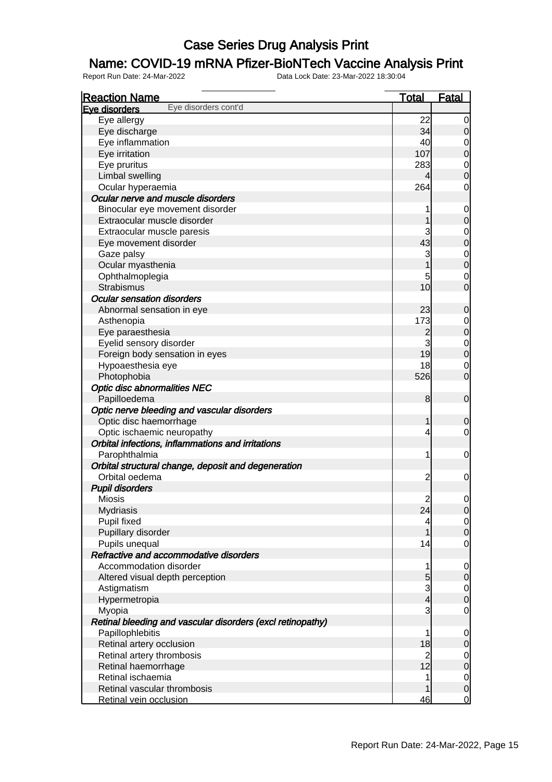### Name: COVID-19 mRNA Pfizer-BioNTech Vaccine Analysis Print

| <b>Reaction Name</b>                                       | <b>Total</b>   | <b>Fatal</b>                         |
|------------------------------------------------------------|----------------|--------------------------------------|
| Eye disorders cont'd<br>Eve disorders                      |                |                                      |
| Eye allergy                                                | 22             | $\overline{0}$                       |
| Eye discharge                                              | 34             | $\overline{0}$                       |
| Eye inflammation                                           | 40             | $\overline{0}$                       |
| Eye irritation                                             | 107            | $\overline{0}$                       |
| Eye pruritus                                               | 283            |                                      |
| Limbal swelling                                            | 4              | $\begin{matrix} 0 \\ 0 \end{matrix}$ |
| Ocular hyperaemia                                          | 264            | $\mathbf 0$                          |
| Ocular nerve and muscle disorders                          |                |                                      |
| Binocular eye movement disorder                            | 1              | $\mathbf 0$                          |
| Extraocular muscle disorder                                | 1              | $\pmb{0}$                            |
| Extraocular muscle paresis                                 | 3              | $\overline{0}$                       |
| Eye movement disorder                                      | 43             | $\overline{0}$                       |
| Gaze palsy                                                 | 3              |                                      |
| Ocular myasthenia                                          | $\overline{1}$ | $0$<br>0                             |
| Ophthalmoplegia                                            | 5              | $\mathbf 0$                          |
| <b>Strabismus</b>                                          | 10             | $\overline{0}$                       |
| <b>Ocular sensation disorders</b>                          |                |                                      |
| Abnormal sensation in eye                                  | 23             | $\mathbf 0$                          |
| Asthenopia                                                 | 173            |                                      |
| Eye paraesthesia                                           | $\overline{c}$ | $\mathbf{0}$<br>$\overline{0}$       |
| Eyelid sensory disorder                                    | 3              |                                      |
|                                                            | 19             | $\begin{matrix} 0 \\ 0 \end{matrix}$ |
| Foreign body sensation in eyes                             |                |                                      |
| Hypoaesthesia eye                                          | 18             | $\mathbf 0$<br>$\overline{O}$        |
| Photophobia                                                | 526            |                                      |
| <b>Optic disc abnormalities NEC</b>                        |                |                                      |
| Papilloedema                                               | 8              | $\boldsymbol{0}$                     |
| Optic nerve bleeding and vascular disorders                |                |                                      |
| Optic disc haemorrhage                                     | $\mathbf{1}$   | $\mathbf 0$                          |
| Optic ischaemic neuropathy                                 | 4              | $\mathbf 0$                          |
| Orbital infections, inflammations and irritations          |                |                                      |
| Parophthalmia                                              | 1              | $\mathbf 0$                          |
| Orbital structural change, deposit and degeneration        |                |                                      |
| Orbital oedema                                             | $\overline{c}$ | $\mathbf 0$                          |
| <b>Pupil disorders</b>                                     |                |                                      |
| <b>Miosis</b>                                              | $\mathbf{2}$   | $\mathbf 0$                          |
| <b>Mydriasis</b>                                           | 24             | 0                                    |
| Pupil fixed                                                | 4              | $\overline{0}$                       |
| Pupillary disorder                                         | 1              | $\pmb{0}$                            |
| Pupils unequal                                             | 14             | $\mathbf 0$                          |
| Refractive and accommodative disorders                     |                |                                      |
| Accommodation disorder                                     | 1              | $\overline{0}$                       |
| Altered visual depth perception                            | 5              | $\pmb{0}$                            |
| Astigmatism                                                | $\overline{3}$ | $\overline{0}$                       |
| Hypermetropia                                              | $\overline{4}$ | $\overline{0}$                       |
| Myopia                                                     | 3              | $\mathbf 0$                          |
| Retinal bleeding and vascular disorders (excl retinopathy) |                |                                      |
| Papillophlebitis                                           | 1              | $\mathbf 0$                          |
| Retinal artery occlusion                                   | 18             | $\pmb{0}$                            |
| Retinal artery thrombosis                                  | $\overline{2}$ | $\overline{0}$                       |
| Retinal haemorrhage                                        | 12             | $\mathbf 0$                          |
| Retinal ischaemia                                          | 1              | $\mathbf 0$                          |
| Retinal vascular thrombosis                                | 1              | $\pmb{0}$                            |
| Retinal vein occlusion                                     | 46             | $\overline{0}$                       |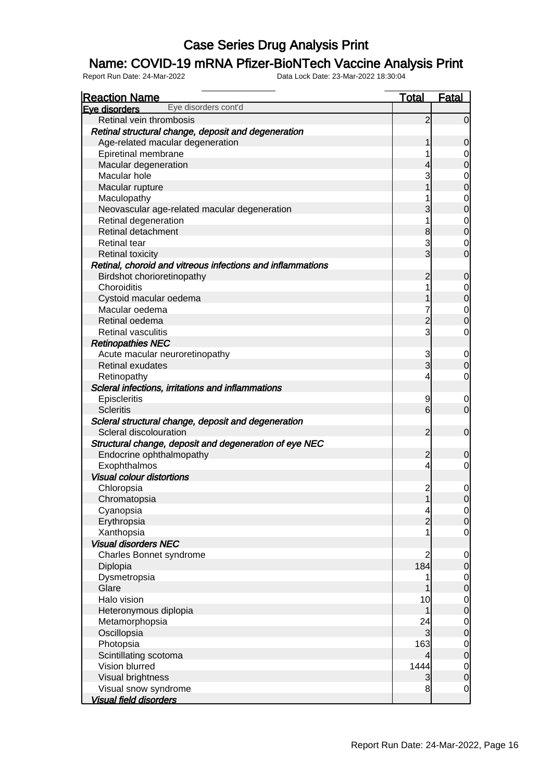### Name: COVID-19 mRNA Pfizer-BioNTech Vaccine Analysis Print

| <b>Reaction Name</b><br>Eye disorders cont'd               | <b>Total</b>             | <b>Fatal</b>   |
|------------------------------------------------------------|--------------------------|----------------|
| Eve disorders                                              |                          |                |
| Retinal vein thrombosis                                    | $\overline{2}$           | $\overline{0}$ |
| Retinal structural change, deposit and degeneration        |                          |                |
| Age-related macular degeneration                           |                          | 0              |
| Epiretinal membrane                                        |                          | 0              |
| Macular degeneration                                       | 4                        | 0              |
| Macular hole                                               | 3                        | 0              |
| Macular rupture                                            |                          | $\mathbf 0$    |
| Maculopathy                                                |                          | 0              |
| Neovascular age-related macular degeneration               | 3                        | $\mathbf 0$    |
| Retinal degeneration                                       |                          | 0              |
| Retinal detachment                                         | 8                        | $\mathbf 0$    |
| <b>Retinal tear</b>                                        | 3                        | 0              |
| <b>Retinal toxicity</b>                                    | 3                        | $\overline{0}$ |
| Retinal, choroid and vitreous infections and inflammations |                          |                |
| Birdshot chorioretinopathy                                 | $\overline{c}$           | 0              |
| Choroiditis                                                |                          | 0              |
| Cystoid macular oedema                                     |                          | $\overline{0}$ |
| Macular oedema                                             |                          | 0              |
| Retinal oedema                                             | $\overline{c}$           | $\mathbf 0$    |
| <b>Retinal vasculitis</b>                                  | $\overline{3}$           | 0              |
| <b>Retinopathies NEC</b>                                   |                          |                |
| Acute macular neuroretinopathy                             | 3                        | 0              |
| <b>Retinal exudates</b>                                    | $\overline{3}$           | $\mathbf 0$    |
| Retinopathy                                                | 4                        | 0              |
| Scleral infections, irritations and inflammations          |                          |                |
| Episcleritis                                               | 9                        | 0              |
| <b>Scleritis</b>                                           | $6 \overline{}$          | $\overline{0}$ |
| Scleral structural change, deposit and degeneration        |                          |                |
| Scleral discolouration                                     | $\overline{c}$           | $\mathbf 0$    |
| Structural change, deposit and degeneration of eye NEC     |                          |                |
| Endocrine ophthalmopathy                                   | $\overline{c}$           | 0              |
| Exophthalmos                                               | 4                        | $\overline{0}$ |
| <b>Visual colour distortions</b>                           |                          |                |
| Chloropsia                                                 | $\overline{c}$           | 0              |
| Chromatopsia                                               | $\overline{1}$           | $\mathbf 0$    |
| Cyanopsia                                                  | $\overline{\mathcal{A}}$ | $\overline{0}$ |
| Erythropsia                                                | $\overline{2}$           | $\overline{0}$ |
| Xanthopsia                                                 |                          | 0              |
| <b>Visual disorders NEC</b>                                |                          |                |
| Charles Bonnet syndrome                                    | 2                        | 0              |
| Diplopia                                                   | 184                      | $\overline{0}$ |
| Dysmetropsia                                               |                          | 0              |
| Glare                                                      |                          | $\mathbf 0$    |
| Halo vision                                                | 10                       | 0              |
| Heteronymous diplopia                                      |                          | $\mathbf 0$    |
| Metamorphopsia                                             | 24                       | 0              |
| Oscillopsia                                                | 3                        | $\mathbf 0$    |
| Photopsia                                                  | 163                      | 0              |
| Scintillating scotoma                                      | 4                        | $\mathbf 0$    |
| Vision blurred                                             | 1444                     | $\mathbf 0$    |
| Visual brightness                                          | 3                        | $\overline{0}$ |
| Visual snow syndrome                                       | 8                        | $\overline{0}$ |
| <b>Visual field disorders</b>                              |                          |                |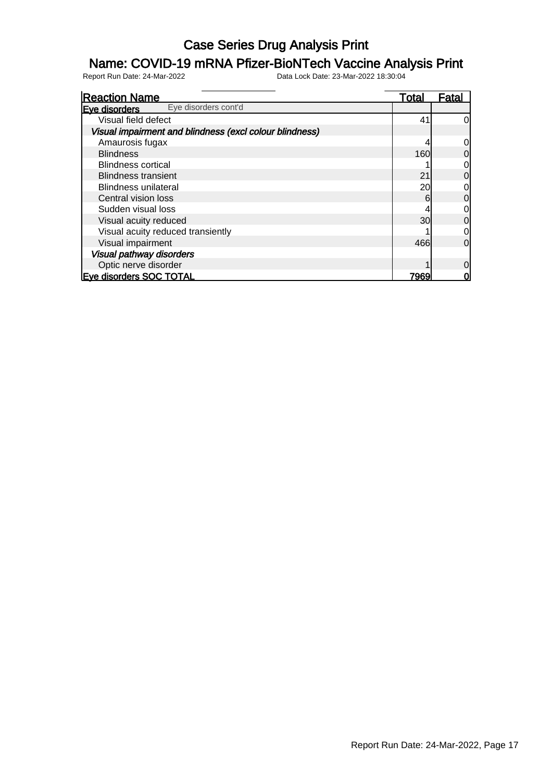### Name: COVID-19 mRNA Pfizer-BioNTech Vaccine Analysis Print

| <b>Reaction Name</b>                                    | Total           | Fatal    |
|---------------------------------------------------------|-----------------|----------|
| Eye disorders cont'd<br>Eve disorders                   |                 |          |
| Visual field defect                                     | 41              | 0        |
| Visual impairment and blindness (excl colour blindness) |                 |          |
| Amaurosis fugax                                         |                 |          |
| <b>Blindness</b>                                        | 160             | 0        |
| <b>Blindness cortical</b>                               |                 | 0        |
| <b>Blindness transient</b>                              | 21              | 0        |
| <b>Blindness unilateral</b>                             | 20              | 0        |
| Central vision loss                                     | 6               | 0        |
| Sudden visual loss                                      |                 | 0        |
| Visual acuity reduced                                   | 30 <sub>l</sub> | 0        |
| Visual acuity reduced transiently                       |                 | 0        |
| Visual impairment                                       | 466             | $\Omega$ |
| <b>Visual pathway disorders</b>                         |                 |          |
| Optic nerve disorder                                    |                 | 0        |
| <b>Eve disorders SOC TOTAL</b>                          | 7969            |          |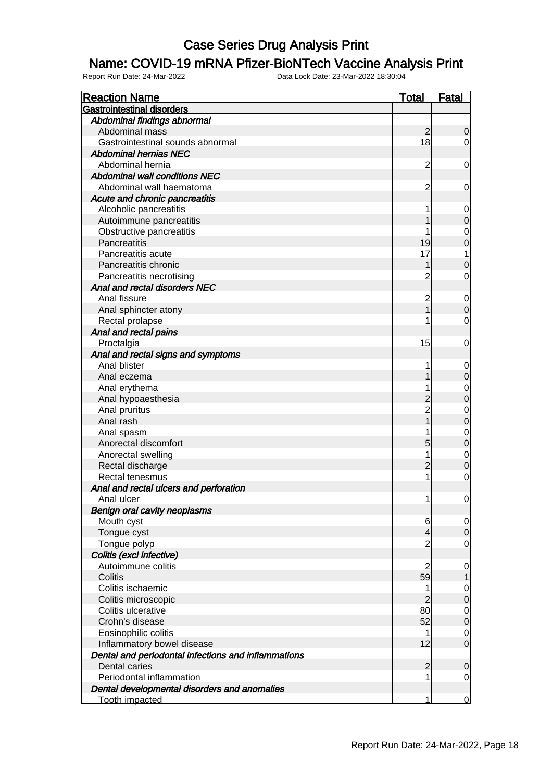#### Name: COVID-19 mRNA Pfizer-BioNTech Vaccine Analysis Print

| <b>Reaction Name</b>                                | <b>Total</b>   | <b>Fatal</b>                         |
|-----------------------------------------------------|----------------|--------------------------------------|
| <b>Gastrointestinal disorders</b>                   |                |                                      |
| Abdominal findings abnormal                         |                |                                      |
| Abdominal mass                                      | $\overline{c}$ | $\mathbf 0$                          |
| Gastrointestinal sounds abnormal                    | 18             | $\mathbf 0$                          |
| <b>Abdominal hernias NEC</b>                        |                |                                      |
| Abdominal hernia                                    | $\overline{c}$ | $\mathbf 0$                          |
| <b>Abdominal wall conditions NEC</b>                |                |                                      |
| Abdominal wall haematoma                            | $\overline{c}$ | 0                                    |
| Acute and chronic pancreatitis                      |                |                                      |
| Alcoholic pancreatitis                              |                | $\mathbf 0$                          |
| Autoimmune pancreatitis                             |                | $\mathbf 0$                          |
| Obstructive pancreatitis                            |                | $\overline{0}$                       |
| Pancreatitis                                        | 19             | $\mathbf{0}$                         |
| Pancreatitis acute                                  | 17             | 1                                    |
| Pancreatitis chronic                                |                | $\mathbf 0$                          |
| Pancreatitis necrotising                            | $\overline{c}$ | $\mathbf 0$                          |
| Anal and rectal disorders NEC                       |                |                                      |
| Anal fissure                                        | $\overline{c}$ | $\mathbf 0$                          |
| Anal sphincter atony                                | 1              | $\overline{0}$                       |
| Rectal prolapse                                     |                | $\mathbf 0$                          |
| Anal and rectal pains                               |                |                                      |
| Proctalgia                                          | 15             | $\mathbf 0$                          |
| Anal and rectal signs and symptoms                  |                |                                      |
| Anal blister                                        |                | $\mathbf 0$                          |
| Anal eczema                                         |                | $\mathbf 0$                          |
| Anal erythema                                       |                |                                      |
| Anal hypoaesthesia                                  |                | $0$ 0                                |
| Anal pruritus                                       | $\frac{2}{2}$  |                                      |
| Anal rash                                           | $\overline{1}$ | $\begin{matrix}0\\0\end{matrix}$     |
| Anal spasm                                          |                |                                      |
| Anorectal discomfort                                | 5              | $\begin{matrix}0\\0\end{matrix}$     |
| Anorectal swelling                                  | 1              |                                      |
| Rectal discharge                                    | $\overline{c}$ | $\begin{matrix}0\\0\end{matrix}$     |
| Rectal tenesmus                                     | 1              | $\overline{O}$                       |
| Anal and rectal ulcers and perforation              |                |                                      |
| Anal ulcer                                          | 1              | $\mathbf 0$                          |
| <b>Benign oral cavity neoplasms</b>                 |                |                                      |
| Mouth cyst                                          | 6              | $\overline{0}$                       |
| Tongue cyst                                         | 4              | $\boldsymbol{0}$                     |
| Tongue polyp                                        | $\overline{c}$ | $\overline{O}$                       |
| Colitis (excl infective)                            |                |                                      |
| Autoimmune colitis                                  | $\overline{2}$ | $\mathbf 0$                          |
| Colitis                                             | 59             | 1                                    |
| Colitis ischaemic                                   | 1              |                                      |
| Colitis microscopic                                 | $\overline{c}$ | $\begin{matrix} 0 \\ 0 \end{matrix}$ |
| Colitis ulcerative                                  | 80             |                                      |
| Crohn's disease                                     | 52             | $\begin{matrix} 0 \\ 0 \end{matrix}$ |
| Eosinophilic colitis                                | 1              | $\mathbf{0}$                         |
| Inflammatory bowel disease                          | 12             | $\overline{0}$                       |
| Dental and periodontal infections and inflammations |                |                                      |
| Dental caries                                       | $\overline{c}$ | $\mathbf 0$                          |
| Periodontal inflammation                            | 1              | $\overline{0}$                       |
| Dental developmental disorders and anomalies        |                |                                      |
| <b>Tooth impacted</b>                               | 1              | $\overline{0}$                       |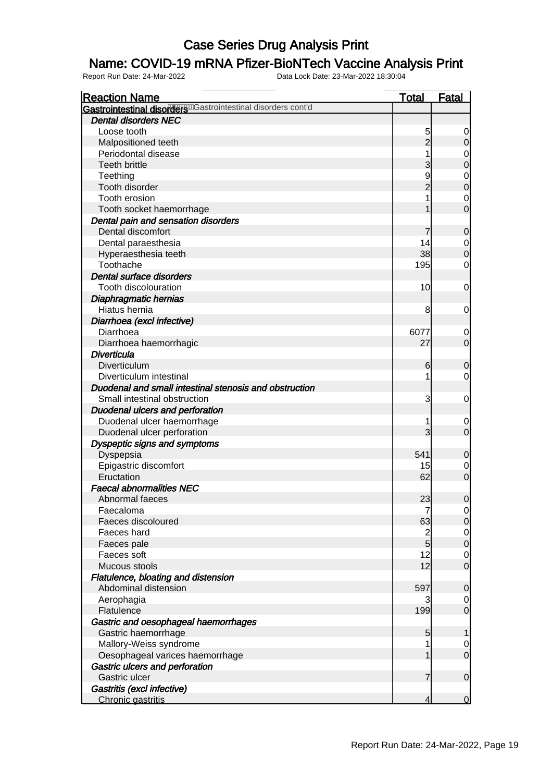### Name: COVID-19 mRNA Pfizer-BioNTech Vaccine Analysis Print

| <b>Reaction Name</b>                                         | <u>Total</u>        | <b>Fatal</b>     |
|--------------------------------------------------------------|---------------------|------------------|
| Gastrointestinal disorders Castrointestinal disorders cont'd |                     |                  |
| <b>Dental disorders NEC</b>                                  |                     |                  |
| Loose tooth                                                  | 5                   | 0                |
| Malpositioned teeth                                          | $\overline{2}$      | O                |
| Periodontal disease                                          |                     | 0                |
| <b>Teeth brittle</b>                                         |                     | 0                |
| Teething                                                     | 9                   | $\mathbf 0$      |
| Tooth disorder                                               |                     | 0                |
| Tooth erosion                                                |                     | $\mathbf 0$      |
| Tooth socket haemorrhage                                     |                     | 0                |
| Dental pain and sensation disorders                          |                     |                  |
| Dental discomfort                                            |                     | 0                |
| Dental paraesthesia                                          | 14                  | 0                |
| Hyperaesthesia teeth                                         | 38                  | 0                |
| Toothache                                                    | 195                 | 0                |
| Dental surface disorders                                     |                     |                  |
| Tooth discolouration                                         | 10                  | 0                |
| Diaphragmatic hernias                                        |                     |                  |
| Hiatus hernia                                                | 8                   | 0                |
| Diarrhoea (excl infective)                                   |                     |                  |
| Diarrhoea                                                    | 6077                | 0                |
| Diarrhoea haemorrhagic                                       | 27                  | $\overline{0}$   |
| <b>Diverticula</b>                                           |                     |                  |
| Diverticulum                                                 | 6                   | 0                |
| Diverticulum intestinal                                      | 1                   | 0                |
| Duodenal and small intestinal stenosis and obstruction       |                     |                  |
| Small intestinal obstruction                                 | 3                   | 0                |
| <b>Duodenal ulcers and perforation</b>                       |                     |                  |
| Duodenal ulcer haemorrhage                                   | 1                   | 0                |
| Duodenal ulcer perforation                                   | $\overline{3}$      | $\overline{0}$   |
| Dyspeptic signs and symptoms                                 |                     |                  |
| Dyspepsia                                                    | 541                 | 0                |
| Epigastric discomfort                                        | 15                  | 0                |
| Eructation                                                   | 62                  | $\mathbf 0$      |
| <b>Faecal abnormalities NEC</b>                              |                     |                  |
| Abnormal faeces                                              | 23                  | $\boldsymbol{0}$ |
| Faecaloma                                                    | $\sqrt{ }$          | $\overline{0}$   |
| Faeces discoloured                                           | 63                  | $\overline{0}$   |
| Faeces hard                                                  | $\overline{c}$<br>5 | 0                |
| Faeces pale<br>Faeces soft                                   | 12                  | $\boldsymbol{0}$ |
| Mucous stools                                                | 12                  | 0<br>$\mathbf 0$ |
| Flatulence, bloating and distension                          |                     |                  |
| Abdominal distension                                         | 597                 | 0                |
| Aerophagia                                                   | 3                   | 0                |
| Flatulence                                                   | 199                 | $\mathbf 0$      |
| Gastric and oesophageal haemorrhages                         |                     |                  |
| Gastric haemorrhage                                          | 5                   |                  |
| Mallory-Weiss syndrome                                       | 1                   | 0                |
| Oesophageal varices haemorrhage                              |                     | $\mathbf 0$      |
| Gastric ulcers and perforation                               |                     |                  |
| Gastric ulcer                                                | 7                   | $\mathbf 0$      |
| Gastritis (excl infective)                                   |                     |                  |
| Chronic gastritis                                            | 4                   | $\mathbf 0$      |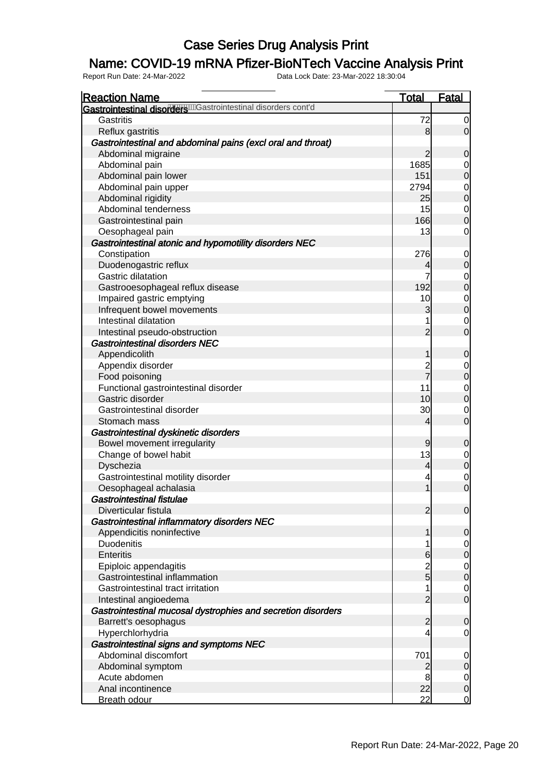### Name: COVID-19 mRNA Pfizer-BioNTech Vaccine Analysis Print

| <b>Reaction Name</b>                                         | <b>Total</b>   | <b>Fatal</b>                         |
|--------------------------------------------------------------|----------------|--------------------------------------|
| Gastrointestinal disordere mastrointestinal disorders cont'd |                |                                      |
| Gastritis                                                    | 72             | $\overline{0}$                       |
| Reflux gastritis                                             | 8              | $\overline{0}$                       |
| Gastrointestinal and abdominal pains (excl oral and throat)  |                |                                      |
| Abdominal migraine                                           | $\overline{2}$ | $\mathbf 0$                          |
| Abdominal pain                                               | 1685           | $\mathbf{0}$                         |
| Abdominal pain lower                                         | 151            | $\overline{0}$                       |
| Abdominal pain upper                                         | 2794           |                                      |
| Abdominal rigidity                                           | 25             | $\begin{matrix} 0 \\ 0 \end{matrix}$ |
| Abdominal tenderness                                         | 15             | $\overline{0}$                       |
| Gastrointestinal pain                                        | 166            | $\overline{0}$                       |
| Oesophageal pain                                             | 13             | $\mathbf 0$                          |
| Gastrointestinal atonic and hypomotility disorders NEC       |                |                                      |
| Constipation                                                 | 276            | $\overline{0}$                       |
| Duodenogastric reflux                                        | 4              | $\overline{0}$                       |
| <b>Gastric dilatation</b>                                    | $\overline{7}$ | $\overline{0}$                       |
| Gastrooesophageal reflux disease                             | 192            | $\overline{0}$                       |
| Impaired gastric emptying                                    | 10             |                                      |
| Infrequent bowel movements                                   | 3              | $\begin{matrix} 0 \\ 0 \end{matrix}$ |
| Intestinal dilatation                                        | 1              | $\mathbf 0$                          |
| Intestinal pseudo-obstruction                                | $\overline{2}$ | $\mathbf 0$                          |
| <b>Gastrointestinal disorders NEC</b>                        |                |                                      |
| Appendicolith                                                | 1              | $\mathbf 0$                          |
| Appendix disorder                                            |                | $\mathbf{0}$                         |
| Food poisoning                                               | $\frac{2}{7}$  | $\overline{0}$                       |
| Functional gastrointestinal disorder                         | 11             | $\overline{0}$                       |
| Gastric disorder                                             | 10             | $\overline{0}$                       |
| Gastrointestinal disorder                                    | 30             | $\overline{0}$                       |
| Stomach mass                                                 | $\overline{4}$ | $\mathbf 0$                          |
| Gastrointestinal dyskinetic disorders                        |                |                                      |
| Bowel movement irregularity                                  | 9              | $\mathbf 0$                          |
| Change of bowel habit                                        | 13             | $\mathbf{0}$                         |
| Dyschezia                                                    | $\overline{4}$ | $\overline{0}$                       |
| Gastrointestinal motility disorder                           | 4              |                                      |
| Oesophageal achalasia                                        | $\overline{1}$ | $\begin{matrix} 0 \\ 0 \end{matrix}$ |
| Gastrointestinal fistulae                                    |                |                                      |
| Diverticular fistula                                         | $\overline{2}$ | 0                                    |
| Gastrointestinal inflammatory disorders NEC                  |                |                                      |
| Appendicitis noninfective                                    | 1              | $\mathbf 0$                          |
| <b>Duodenitis</b>                                            | 1              | $\overline{0}$                       |
| <b>Enteritis</b>                                             | 6              | $\mathbf 0$                          |
| Epiploic appendagitis                                        |                | $\overline{0}$                       |
| Gastrointestinal inflammation                                | $\frac{2}{5}$  | $\mathbf 0$                          |
| Gastrointestinal tract irritation                            | 1              | $\overline{0}$                       |
| Intestinal angioedema                                        | $\overline{2}$ | $\mathbf 0$                          |
| Gastrointestinal mucosal dystrophies and secretion disorders |                |                                      |
| Barrett's oesophagus                                         | $\overline{a}$ | $\mathbf 0$                          |
| Hyperchlorhydria                                             | 4              | $\mathbf 0$                          |
| Gastrointestinal signs and symptoms NEC                      |                |                                      |
| Abdominal discomfort                                         | 701            | $\overline{0}$                       |
| Abdominal symptom                                            | $\overline{c}$ | $\pmb{0}$                            |
| Acute abdomen                                                | 8              | $\overline{0}$                       |
| Anal incontinence                                            | 22             | $\boldsymbol{0}$                     |
| <b>Breath odour</b>                                          | 22             | $\overline{0}$                       |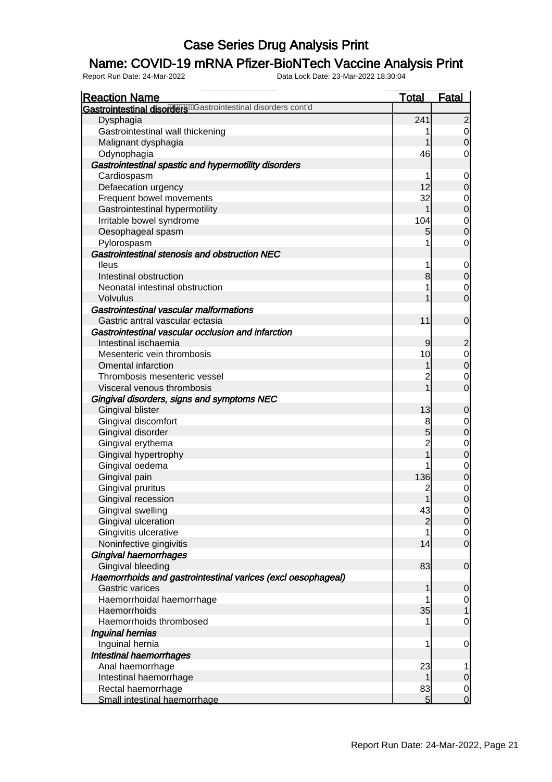### Name: COVID-19 mRNA Pfizer-BioNTech Vaccine Analysis Print

| <b>Reaction Name</b>                                          | <b>Total</b>   | <b>Fatal</b>                                  |
|---------------------------------------------------------------|----------------|-----------------------------------------------|
| Gastrointestinal disorderenderstrointestinal disorders cont'd |                |                                               |
| Dysphagia                                                     | 241            | $\overline{c}$                                |
| Gastrointestinal wall thickening                              |                | $\begin{matrix} 0 \\ 0 \end{matrix}$          |
| Malignant dysphagia                                           | 1              |                                               |
| Odynophagia                                                   | 46             | $\mathbf 0$                                   |
| Gastrointestinal spastic and hypermotility disorders          |                |                                               |
| Cardiospasm                                                   |                | $\mathbf 0$                                   |
| Defaecation urgency                                           | 12             | $\overline{0}$                                |
| Frequent bowel movements                                      | 32             | $\begin{matrix}0\\0\end{matrix}$              |
| Gastrointestinal hypermotility                                | 1              |                                               |
| Irritable bowel syndrome                                      | 104            | $\begin{matrix}0\\0\end{matrix}$              |
| Oesophageal spasm                                             | 5              |                                               |
| Pylorospasm                                                   | 1              | $\mathbf 0$                                   |
| Gastrointestinal stenosis and obstruction NEC                 |                |                                               |
| <b>lleus</b>                                                  | 1              | $\mathbf{0}$                                  |
| Intestinal obstruction                                        | 8              | $\overline{0}$                                |
| Neonatal intestinal obstruction                               | 1              | $\mathbf{0}$                                  |
| <b>Volvulus</b>                                               |                | $\overline{0}$                                |
| Gastrointestinal vascular malformations                       |                |                                               |
| Gastric antral vascular ectasia                               | 11             | $\boldsymbol{0}$                              |
| Gastrointestinal vascular occlusion and infarction            |                |                                               |
| Intestinal ischaemia                                          | 9              | $\overline{c}$                                |
| Mesenteric vein thrombosis                                    | 10             | $\begin{matrix}0\\0\end{matrix}$              |
| <b>Omental infarction</b>                                     | 1              |                                               |
| Thrombosis mesenteric vessel                                  | $\overline{c}$ | $\begin{matrix} 0 \\ 0 \end{matrix}$          |
| Visceral venous thrombosis                                    | $\overline{1}$ |                                               |
| Gingival disorders, signs and symptoms NEC                    |                |                                               |
| Gingival blister                                              | 13             | $\boldsymbol{0}$                              |
| Gingival discomfort                                           | 8              |                                               |
| Gingival disorder                                             | 5              | $0$ 0                                         |
| Gingival erythema                                             | $\overline{c}$ |                                               |
| Gingival hypertrophy                                          | $\overline{1}$ | $\begin{matrix}0\\0\end{matrix}$              |
| Gingival oedema                                               |                |                                               |
| Gingival pain                                                 | 136            | $\begin{smallmatrix}0\\0\\0\end{smallmatrix}$ |
| Gingival pruritus                                             | $\overline{c}$ |                                               |
| Gingival recession                                            | 1              |                                               |
| Gingival swelling                                             | 43             | $\Omega$                                      |
| Gingival ulceration                                           | $\overline{c}$ | $\overline{0}$                                |
| Gingivitis ulcerative                                         | 1              |                                               |
| Noninfective gingivitis                                       | 14             | $\begin{matrix} 0 \\ 0 \end{matrix}$          |
| <b>Gingival haemorrhages</b>                                  |                |                                               |
| Gingival bleeding                                             | 83             | $\mathbf 0$                                   |
| Haemorrhoids and gastrointestinal varices (excl oesophageal)  |                |                                               |
| <b>Gastric varices</b>                                        | 1              | $\mathbf 0$                                   |
| Haemorrhoidal haemorrhage                                     | 1              | $\overline{0}$                                |
| Haemorrhoids                                                  | 35             | $\overline{1}$                                |
| Haemorrhoids thrombosed                                       |                | $\mathbf 0$                                   |
| Inguinal hernias                                              |                |                                               |
| Inguinal hernia                                               | 1              | $\overline{0}$                                |
| Intestinal haemorrhages                                       |                |                                               |
| Anal haemorrhage                                              | 23             |                                               |
| Intestinal haemorrhage                                        | 1              | $\boldsymbol{0}$                              |
| Rectal haemorrhage                                            | 83             | $\overline{0}$                                |
| Small intestinal haemorrhage                                  | 5 <sup>1</sup> | $\mathbf 0$                                   |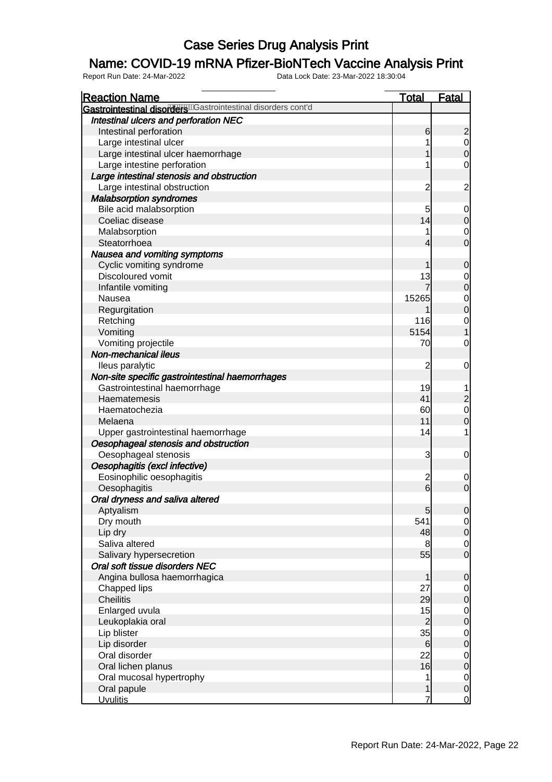### Name: COVID-19 mRNA Pfizer-BioNTech Vaccine Analysis Print

| <b>Reaction Name</b>                                         | <u>Total</u>   | <b>Fatal</b>                           |
|--------------------------------------------------------------|----------------|----------------------------------------|
| Gastrointestinal disorders Castrointestinal disorders cont'd |                |                                        |
| Intestinal ulcers and perforation NEC                        |                |                                        |
| Intestinal perforation                                       | 6              | $\overline{c}$                         |
| Large intestinal ulcer                                       |                | $\begin{matrix}0\\0\end{matrix}$       |
| Large intestinal ulcer haemorrhage                           |                |                                        |
| Large intestine perforation                                  |                | $\mathbf 0$                            |
| Large intestinal stenosis and obstruction                    |                |                                        |
| Large intestinal obstruction                                 | $\overline{c}$ | $\overline{\mathbf{c}}$                |
| <b>Malabsorption syndromes</b>                               |                |                                        |
| Bile acid malabsorption                                      | 5              | $\overline{0}$                         |
| Coeliac disease                                              | 14             | $\overline{0}$                         |
| Malabsorption                                                |                | $\mathbf 0$                            |
| Steatorrhoea                                                 | 4              | $\overline{0}$                         |
| Nausea and vomiting symptoms                                 |                |                                        |
| Cyclic vomiting syndrome                                     |                | $\mathbf 0$                            |
| Discoloured vomit                                            | 13             |                                        |
| Infantile vomiting                                           |                | $\begin{matrix} 0 \\ 0 \end{matrix}$   |
| Nausea                                                       | 15265          |                                        |
| Regurgitation                                                | 1              | $\begin{matrix} 0 \\ 0 \end{matrix}$   |
| Retching                                                     | 116            | $\mathbf{0}$                           |
| Vomiting                                                     | 5154           |                                        |
| Vomiting projectile                                          | 70             | $\mathbf 0$                            |
| <b>Non-mechanical ileus</b>                                  |                |                                        |
| lleus paralytic                                              | $\overline{2}$ | $\mathbf 0$                            |
| Non-site specific gastrointestinal haemorrhages              |                |                                        |
| Gastrointestinal haemorrhage                                 | 19             |                                        |
| Haematemesis                                                 | 41             | $\overline{a}$                         |
| Haematochezia                                                | 60             | $\mathbf 0$                            |
| Melaena                                                      | 11             | $\overline{0}$                         |
| Upper gastrointestinal haemorrhage                           | 14             |                                        |
| Oesophageal stenosis and obstruction                         |                |                                        |
| Oesophageal stenosis                                         | 3              | $\mathbf 0$                            |
| Oesophagitis (excl infective)                                |                |                                        |
| Eosinophilic oesophagitis                                    |                |                                        |
| Oesophagitis                                                 | $\frac{2}{6}$  | $\mathbf 0$<br>$\overline{O}$          |
|                                                              |                |                                        |
| Oral dryness and saliva altered                              |                |                                        |
| Aptyalism                                                    | 5<br>541       | $\overline{0}$                         |
| Dry mouth                                                    |                | $\begin{matrix} 0 \\ 0 \end{matrix}$   |
| Lip dry                                                      | 48             |                                        |
| Saliva altered                                               | 8              | $\begin{matrix} 0 \\ 0 \end{matrix}$   |
| Salivary hypersecretion                                      | 55             |                                        |
| Oral soft tissue disorders NEC                               |                |                                        |
| Angina bullosa haemorrhagica                                 |                | $\mathbf 0$                            |
| Chapped lips                                                 | 27             | $\begin{matrix} 0 \\ 0 \end{matrix}$   |
| <b>Cheilitis</b>                                             | 29             |                                        |
| Enlarged uvula                                               | 15             | $\begin{matrix} 0 \\ 0 \end{matrix}$   |
| Leukoplakia oral                                             | $\overline{c}$ |                                        |
| Lip blister                                                  | 35             | $\begin{matrix} 0 \\ 0 \end{matrix}$   |
| Lip disorder                                                 | 6              |                                        |
| Oral disorder                                                | 22             | $\begin{matrix}0\\0\end{matrix}$       |
| Oral lichen planus                                           | 16             |                                        |
| Oral mucosal hypertrophy                                     | 1              | $\begin{bmatrix} 0 \\ 0 \end{bmatrix}$ |
| Oral papule                                                  | 1              |                                        |
| <b>Uvulitis</b>                                              | 7              | $\overline{0}$                         |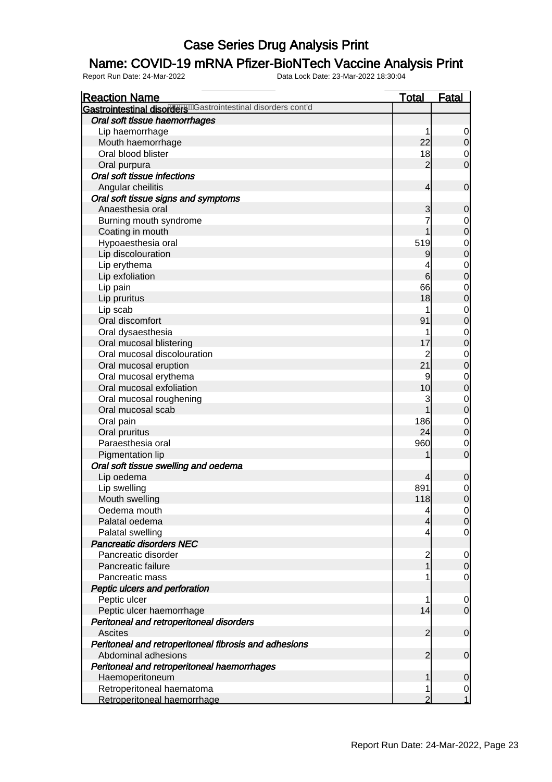### Name: COVID-19 mRNA Pfizer-BioNTech Vaccine Analysis Print

| <b>Reaction Name</b>                                         | <b>Total</b>   | <b>Fatal</b>                         |
|--------------------------------------------------------------|----------------|--------------------------------------|
| Gastrointestinal disorders Castrointestinal disorders cont'd |                |                                      |
| Oral soft tissue haemorrhages                                |                |                                      |
| Lip haemorrhage                                              | 1              | $\begin{matrix} 0 \\ 0 \end{matrix}$ |
| Mouth haemorrhage                                            | 22             |                                      |
| Oral blood blister                                           | 18             | $\begin{matrix} 0 \\ 0 \end{matrix}$ |
| Oral purpura                                                 | $\overline{2}$ |                                      |
| Oral soft tissue infections                                  |                |                                      |
| Angular cheilitis                                            | 4              | $\boldsymbol{0}$                     |
| Oral soft tissue signs and symptoms                          |                |                                      |
| Anaesthesia oral                                             | 3              | $\boldsymbol{0}$                     |
| Burning mouth syndrome                                       | 7              | $\begin{matrix}0\\0\end{matrix}$     |
| Coating in mouth                                             | 1              |                                      |
| Hypoaesthesia oral                                           | 519            | $0$ 0                                |
| Lip discolouration                                           | 9              |                                      |
| Lip erythema                                                 | 4              | $\begin{matrix}0\\0\end{matrix}$     |
| Lip exfoliation                                              | 6              |                                      |
| Lip pain                                                     | 66             | $0$<br>0                             |
| Lip pruritus                                                 | 18             |                                      |
| Lip scab                                                     | 1              |                                      |
| Oral discomfort                                              | 91             | $0$<br>0                             |
| Oral dysaesthesia                                            | 1              |                                      |
| Oral mucosal blistering                                      | 17             | $0$<br>0                             |
| Oral mucosal discolouration                                  |                |                                      |
| Oral mucosal eruption                                        | 21             | $0$<br>0                             |
| Oral mucosal erythema                                        | 9              |                                      |
| Oral mucosal exfoliation                                     | 10             | $0$<br>0                             |
| Oral mucosal roughening                                      | 3              |                                      |
| Oral mucosal scab                                            | 1              | $0$<br>0                             |
| Oral pain                                                    | 186            | $\begin{matrix}0\\0\end{matrix}$     |
| Oral pruritus                                                | 24             |                                      |
| Paraesthesia oral                                            | 960            | $\begin{matrix} 0 \\ 0 \end{matrix}$ |
| Pigmentation lip                                             |                |                                      |
| Oral soft tissue swelling and oedema                         |                |                                      |
| Lip oedema                                                   | 4              | $\mathbf 0$                          |
| Lip swelling                                                 | 891            |                                      |
| Mouth swelling                                               | 118            | $\begin{matrix} 0 \\ 0 \end{matrix}$ |
| Oedema mouth                                                 | 4              | 이                                    |
| Palatal oedema                                               | 4              | $\overline{0}$                       |
| Palatal swelling                                             | 4              | $\overline{O}$                       |
| Pancreatic disorders NEC                                     |                |                                      |
| Pancreatic disorder                                          | $\overline{c}$ | $\overline{0}$                       |
| Pancreatic failure                                           | 1              | $\overline{0}$                       |
| Pancreatic mass                                              | 1              | $\mathbf 0$                          |
| Peptic ulcers and perforation                                |                |                                      |
| Peptic ulcer                                                 | 1              | $\mathbf 0$                          |
| Peptic ulcer haemorrhage                                     | 14             | $\overline{O}$                       |
| Peritoneal and retroperitoneal disorders                     |                |                                      |
| <b>Ascites</b>                                               | $\overline{c}$ | $\mathbf 0$                          |
| Peritoneal and retroperitoneal fibrosis and adhesions        |                |                                      |
| Abdominal adhesions                                          | $\overline{2}$ | $\mathbf 0$                          |
| Peritoneal and retroperitoneal haemorrhages                  |                |                                      |
| Haemoperitoneum                                              | 1              | $\mathbf 0$                          |
| Retroperitoneal haematoma                                    | 1              | $\mathbf{0}$                         |
| Retroperitoneal haemorrhage                                  | $\overline{2}$ | $\overline{1}$                       |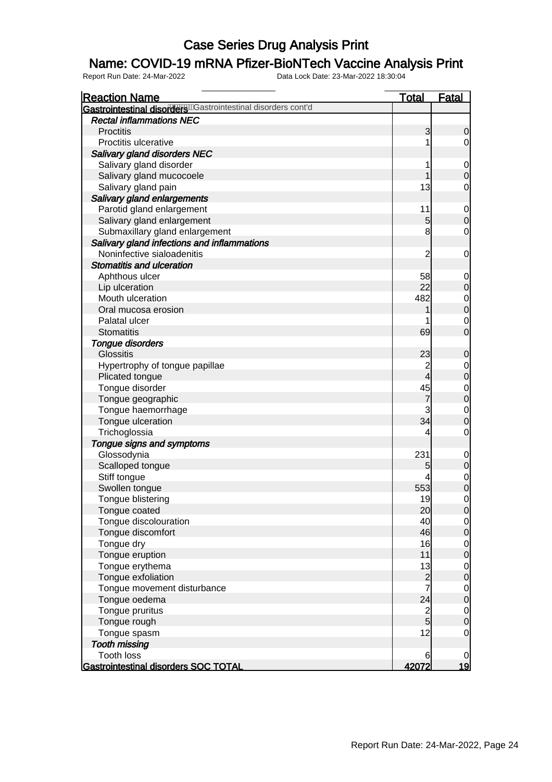### Name: COVID-19 mRNA Pfizer-BioNTech Vaccine Analysis Print

| <b>Reaction Name</b>                                          | <b>Total</b>    | <b>Fatal</b>                         |
|---------------------------------------------------------------|-----------------|--------------------------------------|
| Gastrointestinal disorderenderstrointestinal disorders cont'd |                 |                                      |
| <b>Rectal inflammations NEC</b>                               |                 |                                      |
| <b>Proctitis</b>                                              | 3               | $\mathbf 0$                          |
| Proctitis ulcerative                                          | 1               | $\overline{0}$                       |
| Salivary gland disorders NEC                                  |                 |                                      |
| Salivary gland disorder                                       | 1               | $\mathbf 0$                          |
| Salivary gland mucocoele                                      | 1               | $\overline{0}$                       |
| Salivary gland pain                                           | 13              | 0                                    |
| Salivary gland enlargements                                   |                 |                                      |
| Parotid gland enlargement                                     | 11              | $\mathbf 0$                          |
| Salivary gland enlargement                                    | $5\overline{)}$ | $\mathbf 0$                          |
| Submaxillary gland enlargement                                | 8               | 0                                    |
| Salivary gland infections and inflammations                   |                 |                                      |
| Noninfective sialoadenitis                                    | 2               | $\mathbf 0$                          |
| <b>Stomatitis and ulceration</b>                              |                 |                                      |
| Aphthous ulcer                                                | 58              | $\mathbf 0$                          |
| Lip ulceration                                                | 22              | $\mathbf 0$                          |
| Mouth ulceration                                              | 482             |                                      |
| Oral mucosa erosion                                           | 1               | $\begin{matrix} 0 \\ 0 \end{matrix}$ |
| Palatal ulcer                                                 |                 | $\mathbf 0$                          |
| <b>Stomatitis</b>                                             | 69              | $\overline{0}$                       |
| Tongue disorders                                              |                 |                                      |
| <b>Glossitis</b>                                              | 23              | $\mathbf 0$                          |
| Hypertrophy of tongue papillae                                | $\overline{c}$  | $\mathbf 0$                          |
| Plicated tongue                                               | $\overline{4}$  | $\overline{0}$                       |
| Tongue disorder                                               | 45              |                                      |
| Tongue geographic                                             | 7               | $0$ 0                                |
| Tongue haemorrhage                                            | 3               | $\mathbf{0}$                         |
| Tongue ulceration                                             | 34              | $\overline{0}$                       |
| Trichoglossia                                                 | 4               | 0                                    |
| Tongue signs and symptoms                                     |                 |                                      |
| Glossodynia                                                   | 231             | $\mathbf 0$                          |
| Scalloped tongue                                              | 5               | $\boldsymbol{0}$                     |
| Stiff tongue                                                  |                 |                                      |
| Swollen tongue                                                | 553             | $0$ 0                                |
| Tongue blistering                                             | 19              | $\mathbf 0$                          |
| Tongue coated                                                 | 20              | 0                                    |
| Tongue discolouration                                         | 40              | $\overline{0}$                       |
| Tongue discomfort                                             | 46              | $\overline{0}$                       |
| Tongue dry                                                    | 16              |                                      |
| Tongue eruption                                               | 11              | $\begin{matrix} 0 \\ 0 \end{matrix}$ |
| Tongue erythema                                               | 13              |                                      |
| Tongue exfoliation                                            |                 | $\begin{matrix}0\\0\end{matrix}$     |
| Tongue movement disturbance                                   | $\frac{2}{7}$   |                                      |
| Tongue oedema                                                 | 24              | $0$<br>0                             |
| Tongue pruritus                                               |                 |                                      |
| Tongue rough                                                  | $\frac{2}{5}$   | $\begin{matrix}0\\0\end{matrix}$     |
| Tongue spasm                                                  | 12              | $\mathbf 0$                          |
| <b>Tooth missing</b>                                          |                 |                                      |
| <b>Tooth loss</b>                                             | 6               | $\mathbf 0$                          |
| <b>Gastrointestinal disorders SOC TOTAL</b>                   | 42072           | <u> 19</u>                           |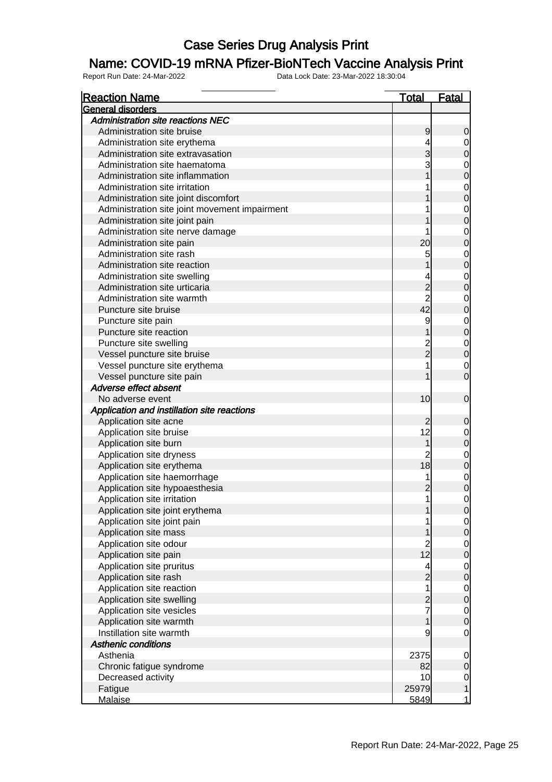#### Name: COVID-19 mRNA Pfizer-BioNTech Vaccine Analysis Print

| General disorders<br><b>Administration site reactions NEC</b><br>Administration site bruise<br>9<br>0<br>Administration site erythema<br>4<br>$\begin{matrix} 0 \\ 0 \end{matrix}$<br>3<br>Administration site extravasation<br>3<br>Administration site haematoma<br>$\begin{matrix}0\\0\end{matrix}$<br>Administration site inflammation<br>$\begin{matrix} 0 \\ 0 \end{matrix}$<br>Administration site irritation<br>Administration site joint discomfort<br>$\begin{matrix} 0 \\ 0 \end{matrix}$<br>Administration site joint movement impairment<br>Administration site joint pain<br>$\begin{matrix} 0 \\ 0 \end{matrix}$<br>Administration site nerve damage<br>20<br>Administration site pain<br>$\begin{matrix} 0 \\ 0 \end{matrix}$<br>Administration site rash<br>5<br>Administration site reaction<br>$\begin{matrix} 0 \\ 0 \end{matrix}$<br>Administration site swelling<br>$\frac{2}{2}$<br>Administration site urticaria<br>$\begin{matrix} 0 \\ 0 \end{matrix}$<br>Administration site warmth<br>42<br>Puncture site bruise<br>9<br>$\begin{matrix} 0 \\ 0 \end{matrix}$<br>Puncture site pain<br>Puncture site reaction<br>$\begin{matrix}0\\0\end{matrix}$<br>2<br>2<br>Puncture site swelling<br>Vessel puncture site bruise<br>Vessel puncture site erythema |
|-----------------------------------------------------------------------------------------------------------------------------------------------------------------------------------------------------------------------------------------------------------------------------------------------------------------------------------------------------------------------------------------------------------------------------------------------------------------------------------------------------------------------------------------------------------------------------------------------------------------------------------------------------------------------------------------------------------------------------------------------------------------------------------------------------------------------------------------------------------------------------------------------------------------------------------------------------------------------------------------------------------------------------------------------------------------------------------------------------------------------------------------------------------------------------------------------------------------------------------------------------------------------------------|
|                                                                                                                                                                                                                                                                                                                                                                                                                                                                                                                                                                                                                                                                                                                                                                                                                                                                                                                                                                                                                                                                                                                                                                                                                                                                                   |
|                                                                                                                                                                                                                                                                                                                                                                                                                                                                                                                                                                                                                                                                                                                                                                                                                                                                                                                                                                                                                                                                                                                                                                                                                                                                                   |
|                                                                                                                                                                                                                                                                                                                                                                                                                                                                                                                                                                                                                                                                                                                                                                                                                                                                                                                                                                                                                                                                                                                                                                                                                                                                                   |
|                                                                                                                                                                                                                                                                                                                                                                                                                                                                                                                                                                                                                                                                                                                                                                                                                                                                                                                                                                                                                                                                                                                                                                                                                                                                                   |
|                                                                                                                                                                                                                                                                                                                                                                                                                                                                                                                                                                                                                                                                                                                                                                                                                                                                                                                                                                                                                                                                                                                                                                                                                                                                                   |
|                                                                                                                                                                                                                                                                                                                                                                                                                                                                                                                                                                                                                                                                                                                                                                                                                                                                                                                                                                                                                                                                                                                                                                                                                                                                                   |
|                                                                                                                                                                                                                                                                                                                                                                                                                                                                                                                                                                                                                                                                                                                                                                                                                                                                                                                                                                                                                                                                                                                                                                                                                                                                                   |
|                                                                                                                                                                                                                                                                                                                                                                                                                                                                                                                                                                                                                                                                                                                                                                                                                                                                                                                                                                                                                                                                                                                                                                                                                                                                                   |
|                                                                                                                                                                                                                                                                                                                                                                                                                                                                                                                                                                                                                                                                                                                                                                                                                                                                                                                                                                                                                                                                                                                                                                                                                                                                                   |
|                                                                                                                                                                                                                                                                                                                                                                                                                                                                                                                                                                                                                                                                                                                                                                                                                                                                                                                                                                                                                                                                                                                                                                                                                                                                                   |
|                                                                                                                                                                                                                                                                                                                                                                                                                                                                                                                                                                                                                                                                                                                                                                                                                                                                                                                                                                                                                                                                                                                                                                                                                                                                                   |
|                                                                                                                                                                                                                                                                                                                                                                                                                                                                                                                                                                                                                                                                                                                                                                                                                                                                                                                                                                                                                                                                                                                                                                                                                                                                                   |
|                                                                                                                                                                                                                                                                                                                                                                                                                                                                                                                                                                                                                                                                                                                                                                                                                                                                                                                                                                                                                                                                                                                                                                                                                                                                                   |
|                                                                                                                                                                                                                                                                                                                                                                                                                                                                                                                                                                                                                                                                                                                                                                                                                                                                                                                                                                                                                                                                                                                                                                                                                                                                                   |
|                                                                                                                                                                                                                                                                                                                                                                                                                                                                                                                                                                                                                                                                                                                                                                                                                                                                                                                                                                                                                                                                                                                                                                                                                                                                                   |
|                                                                                                                                                                                                                                                                                                                                                                                                                                                                                                                                                                                                                                                                                                                                                                                                                                                                                                                                                                                                                                                                                                                                                                                                                                                                                   |
|                                                                                                                                                                                                                                                                                                                                                                                                                                                                                                                                                                                                                                                                                                                                                                                                                                                                                                                                                                                                                                                                                                                                                                                                                                                                                   |
|                                                                                                                                                                                                                                                                                                                                                                                                                                                                                                                                                                                                                                                                                                                                                                                                                                                                                                                                                                                                                                                                                                                                                                                                                                                                                   |
|                                                                                                                                                                                                                                                                                                                                                                                                                                                                                                                                                                                                                                                                                                                                                                                                                                                                                                                                                                                                                                                                                                                                                                                                                                                                                   |
|                                                                                                                                                                                                                                                                                                                                                                                                                                                                                                                                                                                                                                                                                                                                                                                                                                                                                                                                                                                                                                                                                                                                                                                                                                                                                   |
|                                                                                                                                                                                                                                                                                                                                                                                                                                                                                                                                                                                                                                                                                                                                                                                                                                                                                                                                                                                                                                                                                                                                                                                                                                                                                   |
|                                                                                                                                                                                                                                                                                                                                                                                                                                                                                                                                                                                                                                                                                                                                                                                                                                                                                                                                                                                                                                                                                                                                                                                                                                                                                   |
|                                                                                                                                                                                                                                                                                                                                                                                                                                                                                                                                                                                                                                                                                                                                                                                                                                                                                                                                                                                                                                                                                                                                                                                                                                                                                   |
|                                                                                                                                                                                                                                                                                                                                                                                                                                                                                                                                                                                                                                                                                                                                                                                                                                                                                                                                                                                                                                                                                                                                                                                                                                                                                   |
| $\begin{matrix} 0 \\ 0 \end{matrix}$<br>Vessel puncture site pain                                                                                                                                                                                                                                                                                                                                                                                                                                                                                                                                                                                                                                                                                                                                                                                                                                                                                                                                                                                                                                                                                                                                                                                                                 |
| Adverse effect absent                                                                                                                                                                                                                                                                                                                                                                                                                                                                                                                                                                                                                                                                                                                                                                                                                                                                                                                                                                                                                                                                                                                                                                                                                                                             |
| 10<br>$\mathbf 0$<br>No adverse event                                                                                                                                                                                                                                                                                                                                                                                                                                                                                                                                                                                                                                                                                                                                                                                                                                                                                                                                                                                                                                                                                                                                                                                                                                             |
| Application and instillation site reactions                                                                                                                                                                                                                                                                                                                                                                                                                                                                                                                                                                                                                                                                                                                                                                                                                                                                                                                                                                                                                                                                                                                                                                                                                                       |
| Application site acne<br>$\mathbf 0$                                                                                                                                                                                                                                                                                                                                                                                                                                                                                                                                                                                                                                                                                                                                                                                                                                                                                                                                                                                                                                                                                                                                                                                                                                              |
| 12<br>Application site bruise                                                                                                                                                                                                                                                                                                                                                                                                                                                                                                                                                                                                                                                                                                                                                                                                                                                                                                                                                                                                                                                                                                                                                                                                                                                     |
| $0$ 0<br>Application site burn<br>1                                                                                                                                                                                                                                                                                                                                                                                                                                                                                                                                                                                                                                                                                                                                                                                                                                                                                                                                                                                                                                                                                                                                                                                                                                               |
| $\overline{c}$<br>Application site dryness                                                                                                                                                                                                                                                                                                                                                                                                                                                                                                                                                                                                                                                                                                                                                                                                                                                                                                                                                                                                                                                                                                                                                                                                                                        |
| $\begin{matrix}0\\0\end{matrix}$<br>18<br>Application site erythema                                                                                                                                                                                                                                                                                                                                                                                                                                                                                                                                                                                                                                                                                                                                                                                                                                                                                                                                                                                                                                                                                                                                                                                                               |
| Application site haemorrhage<br>1                                                                                                                                                                                                                                                                                                                                                                                                                                                                                                                                                                                                                                                                                                                                                                                                                                                                                                                                                                                                                                                                                                                                                                                                                                                 |
| $\begin{matrix}0\\0\end{matrix}$<br>Application site hypoaesthesia                                                                                                                                                                                                                                                                                                                                                                                                                                                                                                                                                                                                                                                                                                                                                                                                                                                                                                                                                                                                                                                                                                                                                                                                                |
| 1<br>$\overline{0}$<br>Application site irritation                                                                                                                                                                                                                                                                                                                                                                                                                                                                                                                                                                                                                                                                                                                                                                                                                                                                                                                                                                                                                                                                                                                                                                                                                                |
| Application site joint erythema<br>$\overline{0}$<br>1                                                                                                                                                                                                                                                                                                                                                                                                                                                                                                                                                                                                                                                                                                                                                                                                                                                                                                                                                                                                                                                                                                                                                                                                                            |
| Application site joint pain<br>1                                                                                                                                                                                                                                                                                                                                                                                                                                                                                                                                                                                                                                                                                                                                                                                                                                                                                                                                                                                                                                                                                                                                                                                                                                                  |
| $\frac{0}{0}$<br>Application site mass                                                                                                                                                                                                                                                                                                                                                                                                                                                                                                                                                                                                                                                                                                                                                                                                                                                                                                                                                                                                                                                                                                                                                                                                                                            |
| $\overline{c}$<br>Application site odour                                                                                                                                                                                                                                                                                                                                                                                                                                                                                                                                                                                                                                                                                                                                                                                                                                                                                                                                                                                                                                                                                                                                                                                                                                          |
| $\begin{matrix} 0 \\ 0 \end{matrix}$<br>12<br>Application site pain                                                                                                                                                                                                                                                                                                                                                                                                                                                                                                                                                                                                                                                                                                                                                                                                                                                                                                                                                                                                                                                                                                                                                                                                               |
| Application site pruritus<br>4                                                                                                                                                                                                                                                                                                                                                                                                                                                                                                                                                                                                                                                                                                                                                                                                                                                                                                                                                                                                                                                                                                                                                                                                                                                    |
| $\begin{matrix} 0 \\ 0 \end{matrix}$<br>$\overline{c}$<br>Application site rash                                                                                                                                                                                                                                                                                                                                                                                                                                                                                                                                                                                                                                                                                                                                                                                                                                                                                                                                                                                                                                                                                                                                                                                                   |
| $\mathbf 1$<br>Application site reaction                                                                                                                                                                                                                                                                                                                                                                                                                                                                                                                                                                                                                                                                                                                                                                                                                                                                                                                                                                                                                                                                                                                                                                                                                                          |
| $\begin{matrix} 0 \\ 0 \end{matrix}$<br>Application site swelling                                                                                                                                                                                                                                                                                                                                                                                                                                                                                                                                                                                                                                                                                                                                                                                                                                                                                                                                                                                                                                                                                                                                                                                                                 |
| $\frac{2}{7}$<br>Application site vesicles                                                                                                                                                                                                                                                                                                                                                                                                                                                                                                                                                                                                                                                                                                                                                                                                                                                                                                                                                                                                                                                                                                                                                                                                                                        |
| $\begin{matrix} 0 \\ 0 \end{matrix}$<br>Application site warmth<br>1                                                                                                                                                                                                                                                                                                                                                                                                                                                                                                                                                                                                                                                                                                                                                                                                                                                                                                                                                                                                                                                                                                                                                                                                              |
| Instillation site warmth<br>9<br>$\mathbf 0$                                                                                                                                                                                                                                                                                                                                                                                                                                                                                                                                                                                                                                                                                                                                                                                                                                                                                                                                                                                                                                                                                                                                                                                                                                      |
| <b>Asthenic conditions</b>                                                                                                                                                                                                                                                                                                                                                                                                                                                                                                                                                                                                                                                                                                                                                                                                                                                                                                                                                                                                                                                                                                                                                                                                                                                        |
|                                                                                                                                                                                                                                                                                                                                                                                                                                                                                                                                                                                                                                                                                                                                                                                                                                                                                                                                                                                                                                                                                                                                                                                                                                                                                   |
| Asthenia<br>2375<br>$\overline{0}$<br>$\overline{0}$                                                                                                                                                                                                                                                                                                                                                                                                                                                                                                                                                                                                                                                                                                                                                                                                                                                                                                                                                                                                                                                                                                                                                                                                                              |
| Chronic fatigue syndrome<br>82                                                                                                                                                                                                                                                                                                                                                                                                                                                                                                                                                                                                                                                                                                                                                                                                                                                                                                                                                                                                                                                                                                                                                                                                                                                    |
| Decreased activity<br>10 <sup>1</sup><br>$\mathbf{0}$                                                                                                                                                                                                                                                                                                                                                                                                                                                                                                                                                                                                                                                                                                                                                                                                                                                                                                                                                                                                                                                                                                                                                                                                                             |
| $\overline{1}$<br>25979<br>Fatigue<br>1<br>5849<br><b>Malaise</b>                                                                                                                                                                                                                                                                                                                                                                                                                                                                                                                                                                                                                                                                                                                                                                                                                                                                                                                                                                                                                                                                                                                                                                                                                 |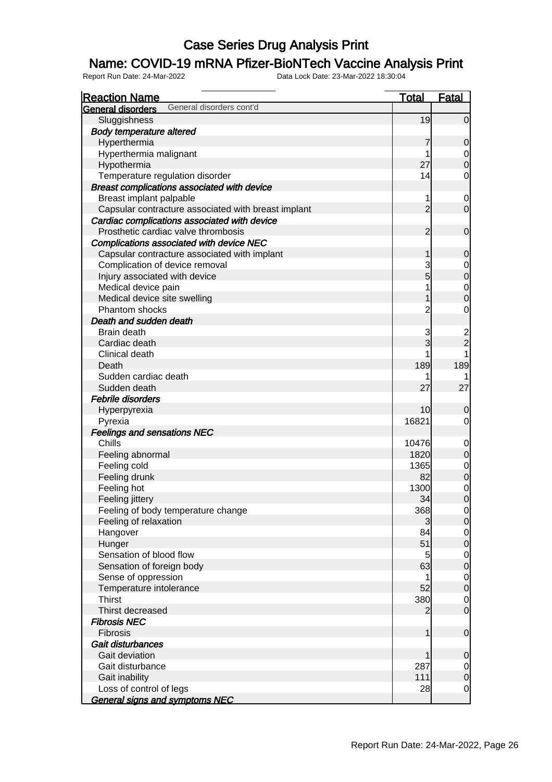### Name: COVID-19 mRNA Pfizer-BioNTech Vaccine Analysis Print

| <b>Reaction Name</b>                                 | <u>Total</u>   | <b>Fatal</b>                         |
|------------------------------------------------------|----------------|--------------------------------------|
| General disorders cont'd<br><b>General disorders</b> |                |                                      |
| Sluggishness                                         | 19             | $\overline{0}$                       |
| <b>Body temperature altered</b>                      |                |                                      |
| Hyperthermia                                         | 7              | $\mathbf 0$                          |
| Hyperthermia malignant                               | 1              | $\overline{0}$                       |
| Hypothermia                                          | 27             | $\overline{0}$                       |
| Temperature regulation disorder                      | 14             | $\mathbf 0$                          |
| Breast complications associated with device          |                |                                      |
| Breast implant palpable                              | 1              | $\overline{0}$                       |
| Capsular contracture associated with breast implant  | $\overline{2}$ | $\overline{O}$                       |
| Cardiac complications associated with device         |                |                                      |
| Prosthetic cardiac valve thrombosis                  | $\overline{2}$ | $\boldsymbol{0}$                     |
| Complications associated with device NEC             |                |                                      |
| Capsular contracture associated with implant         | 1              | $\mathbf 0$                          |
| Complication of device removal                       | 3              |                                      |
| Injury associated with device                        | 5              | $0\atop 0$                           |
| Medical device pain                                  | 1              | $\begin{matrix} 0 \\ 0 \end{matrix}$ |
| Medical device site swelling                         | 1              |                                      |
| Phantom shocks                                       | $\overline{c}$ | $\mathbf 0$                          |
| Death and sudden death                               |                |                                      |
| Brain death                                          | 3              |                                      |
| Cardiac death                                        | 3              | $\frac{2}{2}$                        |
| Clinical death                                       |                |                                      |
| Death                                                | 189            | 189                                  |
| Sudden cardiac death                                 |                |                                      |
| Sudden death                                         | 27             | 27                                   |
| Febrile disorders                                    |                |                                      |
| Hyperpyrexia                                         | 10             | 0                                    |
| Pyrexia                                              | 16821          | $\overline{0}$                       |
| <b>Feelings and sensations NEC</b>                   |                |                                      |
| Chills                                               | 10476          | $\overline{0}$                       |
| Feeling abnormal                                     | 1820           | $\mathbf 0$                          |
| Feeling cold                                         | 1365           | $\begin{matrix} 0 \\ 0 \end{matrix}$ |
| Feeling drunk                                        | 82             |                                      |
| Feeling hot                                          | 1300           | $\begin{matrix} 0 \\ 0 \end{matrix}$ |
| Feeling jittery                                      | 34             |                                      |
| Feeling of body temperature change                   | 368            | $\Omega$                             |
| Feeling of relaxation                                | 3              | $\overline{0}$                       |
| Hangover                                             | 84             | $\overline{0}$                       |
| Hunger                                               | 51             | $\mathbf 0$                          |
| Sensation of blood flow                              | 5              | $\overline{0}$                       |
| Sensation of foreign body                            | 63             | $\boldsymbol{0}$                     |
| Sense of oppression                                  | 1              | $\overline{0}$                       |
| Temperature intolerance                              | 52             | $\boldsymbol{0}$                     |
| <b>Thirst</b>                                        | 380            | $\overline{0}$                       |
| Thirst decreased                                     | 2              | $\mathbf 0$                          |
| <b>Fibrosis NEC</b>                                  |                |                                      |
| <b>Fibrosis</b>                                      | 1              | $\mathbf 0$                          |
| Gait disturbances                                    |                |                                      |
| Gait deviation                                       | 1              | $\mathbf 0$                          |
| Gait disturbance                                     | 287            | $\overline{0}$                       |
| Gait inability                                       | 111            | $\boldsymbol{0}$                     |
| Loss of control of legs                              | 28             | $\overline{0}$                       |
| <b>General signs and symptoms NEC</b>                |                |                                      |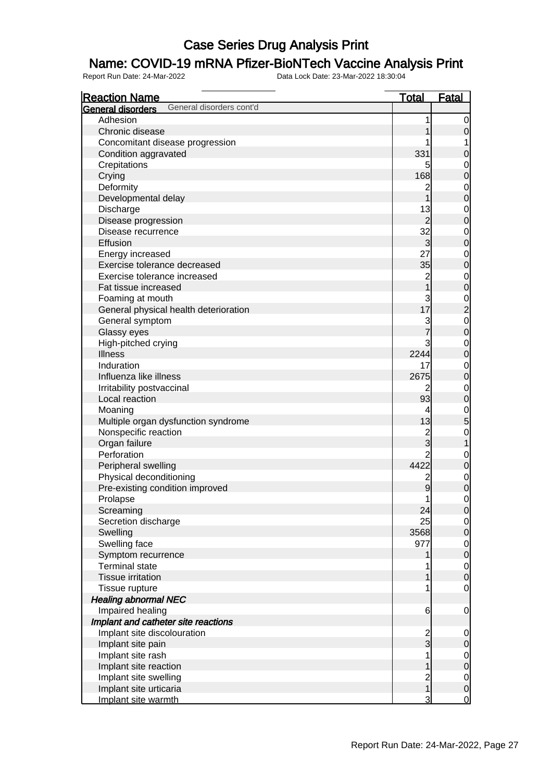### Name: COVID-19 mRNA Pfizer-BioNTech Vaccine Analysis Print

| <b>Reaction Name</b>                          | <u>Total</u>                          | <b>Fatal</b>                               |
|-----------------------------------------------|---------------------------------------|--------------------------------------------|
| General disorders cont'd<br>General disorders |                                       |                                            |
| Adhesion                                      | 1                                     | $\overline{0}$                             |
| Chronic disease                               | 1                                     | $\mathsf{O}\xspace$                        |
| Concomitant disease progression               |                                       | 1                                          |
| Condition aggravated                          | 331                                   | $\mathbf 0$                                |
| Crepitations                                  | 5                                     | $\overline{0}$                             |
| Crying                                        | 168                                   | $\overline{0}$                             |
| Deformity                                     | $\overline{c}$                        | $\mathbf{0}$                               |
| Developmental delay                           | $\overline{1}$                        | $\mathbf 0$                                |
| Discharge                                     | 13                                    |                                            |
| Disease progression                           | $\overline{2}$                        | $\begin{matrix} 0 \\ 0 \end{matrix}$       |
| Disease recurrence                            | 32                                    |                                            |
| Effusion                                      | 3                                     | $0$ 0                                      |
| Energy increased                              | 27                                    |                                            |
| Exercise tolerance decreased                  | 35                                    | $0$ 0                                      |
| Exercise tolerance increased                  |                                       |                                            |
|                                               | $\frac{2}{1}$                         | $\begin{matrix} 0 \\ 0 \end{matrix}$       |
| Fat tissue increased                          |                                       |                                            |
| Foaming at mouth                              | 3<br>17                               | $\begin{array}{c} 0 \\ 2 \\ 0 \end{array}$ |
| General physical health deterioration         |                                       |                                            |
| General symptom                               | $rac{3}{7}$                           |                                            |
| Glassy eyes                                   |                                       |                                            |
| High-pitched crying                           | 3                                     | $\begin{matrix}0\\0\end{matrix}$           |
| <b>Illness</b>                                | 2244                                  |                                            |
| Induration                                    | 17                                    | $\mathbf{0}$                               |
| Influenza like illness                        | 2675                                  | $\overline{0}$                             |
| Irritability postvaccinal                     | 2                                     | $\overline{0}$                             |
| Local reaction                                | 93                                    | $\mathbf 0$                                |
| Moaning                                       | 4                                     | $\frac{0}{5}$                              |
| Multiple organ dysfunction syndrome           | 13                                    |                                            |
| Nonspecific reaction                          | $\frac{2}{3}$                         | $\mathbf{0}$                               |
| Organ failure                                 |                                       | $\overline{1}$                             |
| Perforation                                   | $\overline{2}$                        | $\mathbf{0}$                               |
| Peripheral swelling                           | 4422                                  | $\mathbf 0$                                |
| Physical deconditioning                       | $\overline{\mathbf{c}}$               | $\overline{0}$                             |
| Pre-existing condition improved               | 9                                     | $\overline{0}$                             |
| Prolapse                                      | $\mathbf{1}$                          | $\mathbf 0$                                |
| Screaming                                     | 24                                    | 0                                          |
| Secretion discharge                           | 25                                    | $\overline{0}$                             |
| Swelling                                      | 3568                                  | $\overline{0}$                             |
| Swelling face                                 | 977                                   |                                            |
| Symptom recurrence                            | 1                                     | $\begin{matrix} 0 \\ 0 \end{matrix}$       |
| <b>Terminal state</b>                         |                                       | $\overline{0}$                             |
| <b>Tissue irritation</b>                      | 1                                     | $\overline{0}$                             |
| Tissue rupture                                | 1                                     | $\mathbf 0$                                |
| <b>Healing abnormal NEC</b>                   |                                       |                                            |
| Impaired healing                              | 6                                     | $\overline{0}$                             |
| Implant and catheter site reactions           |                                       |                                            |
| Implant site discolouration                   |                                       | $\boldsymbol{0}$                           |
| Implant site pain                             | $\frac{2}{3}$                         | $\mathbf 0$                                |
| Implant site rash                             | 1                                     | $\overline{0}$                             |
| Implant site reaction                         | 1                                     | $\mathbf 0$                                |
| Implant site swelling                         |                                       | $\overline{0}$                             |
| Implant site urticaria                        | $\begin{array}{c} 2 \\ 1 \end{array}$ | $\mathbf 0$                                |
| Implant site warmth                           | 3                                     | <u>0</u>                                   |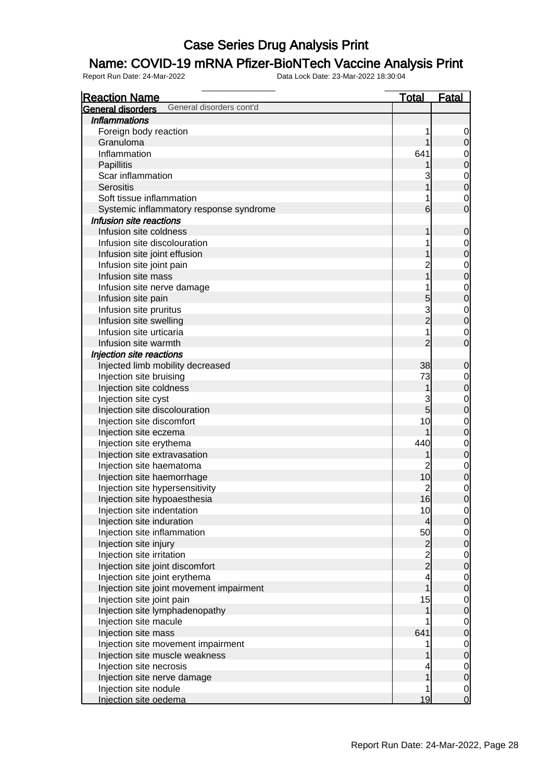### Name: COVID-19 mRNA Pfizer-BioNTech Vaccine Analysis Print

| <b>Reaction Name</b>                          | <u>Total</u>                               | Fatal                                |
|-----------------------------------------------|--------------------------------------------|--------------------------------------|
| General disorders cont'd<br>General disorders |                                            |                                      |
| <b>Inflammations</b>                          |                                            |                                      |
| Foreign body reaction                         | 1                                          | $\overline{0}$                       |
| Granuloma                                     | 1                                          | $\mathbf 0$                          |
| Inflammation                                  | 641                                        | $\mathbf{0}$                         |
| Papillitis                                    | 1                                          | $\overline{0}$                       |
| Scar inflammation                             | 3                                          |                                      |
| <b>Serositis</b>                              | $\overline{1}$                             | $\begin{matrix} 0 \\ 0 \end{matrix}$ |
| Soft tissue inflammation                      | 1                                          | $\mathbf{0}$                         |
| Systemic inflammatory response syndrome       | $6 \overline{}$                            | $\overline{0}$                       |
| Infusion site reactions                       |                                            |                                      |
| Infusion site coldness                        | 1                                          | $\mathbf 0$                          |
| Infusion site discolouration                  | 1                                          | $\mathbf{0}$                         |
| Infusion site joint effusion                  | 1                                          | $\overline{0}$                       |
| Infusion site joint pain                      | $\overline{2}$                             |                                      |
| Infusion site mass                            | $\overline{1}$                             | $0$<br>0                             |
| Infusion site nerve damage                    | 1                                          |                                      |
| Infusion site pain                            | 5                                          | $\begin{matrix}0\\0\end{matrix}$     |
| Infusion site pruritus                        | $\frac{3}{2}$                              |                                      |
| Infusion site swelling                        |                                            | $\begin{matrix} 0 \\ 0 \end{matrix}$ |
| Infusion site urticaria                       | 1                                          | $\mathbf{0}$                         |
| Infusion site warmth                          | $\overline{2}$                             | $\overline{0}$                       |
| Injection site reactions                      |                                            |                                      |
| Injected limb mobility decreased              | 38                                         | $\mathbf 0$                          |
| Injection site bruising                       | 73                                         | $\mathbf{0}$                         |
| Injection site coldness                       | $\mathbf 1$                                | $\overline{0}$                       |
| Injection site cyst                           | 3                                          |                                      |
| Injection site discolouration                 | $\overline{5}$                             | $\begin{matrix}0\\0\end{matrix}$     |
| Injection site discomfort                     | 10                                         | $\mathbf{0}$                         |
| Injection site eczema                         | 1                                          | $\overline{0}$                       |
| Injection site erythema                       | 440                                        |                                      |
| Injection site extravasation                  |                                            | $0$<br>0                             |
| Injection site haematoma                      | $\overline{2}$                             |                                      |
| Injection site haemorrhage                    | 10                                         | $\begin{matrix} 0 \\ 0 \end{matrix}$ |
| Injection site hypersensitivity               | $\overline{2}$                             |                                      |
| Injection site hypoaesthesia                  | 16                                         | $\begin{matrix}0\\0\end{matrix}$     |
| Injection site indentation                    | 10                                         | $\Omega$                             |
| Injection site induration                     | $\overline{4}$                             | $\overline{O}$                       |
| Injection site inflammation                   | 50                                         |                                      |
| Injection site injury                         |                                            | $\begin{matrix} 0 \\ 0 \end{matrix}$ |
| Injection site irritation                     | $\begin{array}{c} 2 \\ 2 \\ 2 \end{array}$ |                                      |
| Injection site joint discomfort               |                                            | $\begin{matrix} 0 \\ 0 \end{matrix}$ |
| Injection site joint erythema                 | $\overline{\mathbf{4}}$                    |                                      |
| Injection site joint movement impairment      | $\overline{1}$                             | $\begin{matrix} 0 \\ 0 \end{matrix}$ |
| Injection site joint pain                     | 15                                         |                                      |
| Injection site lymphadenopathy                | 1                                          | $\begin{matrix} 0 \\ 0 \end{matrix}$ |
| Injection site macule                         |                                            |                                      |
| Injection site mass                           | 641                                        | $\begin{matrix} 0 \\ 0 \end{matrix}$ |
| Injection site movement impairment            | 1                                          |                                      |
| Injection site muscle weakness                | 1                                          | $\begin{matrix} 0 \\ 0 \end{matrix}$ |
| Injection site necrosis                       | 4                                          | $\overline{0}$                       |
| Injection site nerve damage                   | $\overline{1}$                             | $\overline{0}$                       |
| Injection site nodule                         | 1                                          |                                      |
| Injection site oedema                         | 19                                         | $\begin{matrix} 0 \\ 0 \end{matrix}$ |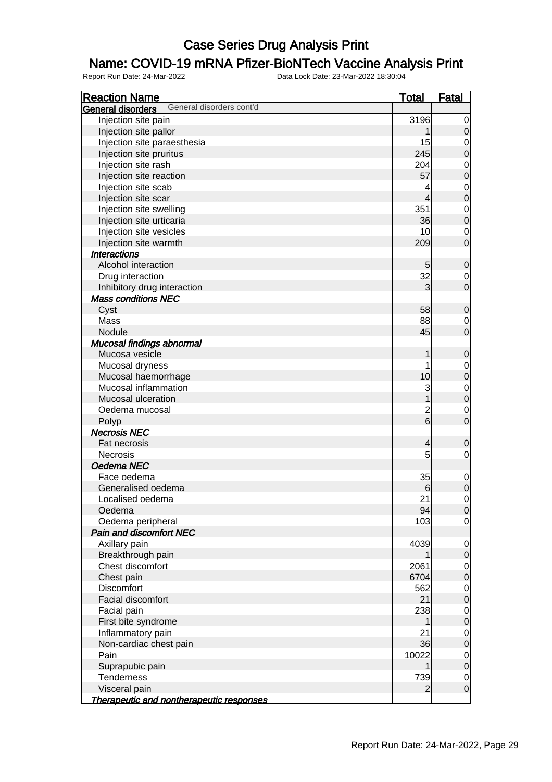### Name: COVID-19 mRNA Pfizer-BioNTech Vaccine Analysis Print

| <b>Reaction Name</b>                                 | <u>Total</u>   | <u>Fatal</u>                         |
|------------------------------------------------------|----------------|--------------------------------------|
| General disorders cont'd<br><b>General disorders</b> |                |                                      |
| Injection site pain                                  | 3196           | $\overline{0}$                       |
| Injection site pallor                                |                | $\mathbf 0$                          |
| Injection site paraesthesia                          | 15             | $\begin{matrix} 0 \\ 0 \end{matrix}$ |
| Injection site pruritus                              | 245            |                                      |
| Injection site rash                                  | 204            | $\begin{matrix} 0 \\ 0 \end{matrix}$ |
| Injection site reaction                              | 57             |                                      |
| Injection site scab                                  | 4              | $\begin{matrix} 0 \\ 0 \end{matrix}$ |
| Injection site scar                                  | 4              |                                      |
| Injection site swelling                              | 351            | $\begin{matrix} 0 \\ 0 \end{matrix}$ |
| Injection site urticaria                             | 36             |                                      |
| Injection site vesicles                              | 10             | $\begin{matrix} 0 \\ 0 \end{matrix}$ |
| Injection site warmth                                | 209            |                                      |
| <b>Interactions</b>                                  |                |                                      |
| Alcohol interaction                                  | 5              | $\mathbf 0$                          |
| Drug interaction                                     | 32             | $\begin{matrix} 0 \\ 0 \end{matrix}$ |
| Inhibitory drug interaction                          | 3              |                                      |
| <b>Mass conditions NEC</b>                           |                |                                      |
| Cyst                                                 | 58             | $\mathbf 0$                          |
| Mass                                                 | 88             |                                      |
| Nodule                                               | 45             | $\begin{matrix} 0 \\ 0 \end{matrix}$ |
| Mucosal findings abnormal                            |                |                                      |
| Mucosa vesicle                                       | 1              | $\mathbf 0$                          |
| Mucosal dryness                                      | 1              |                                      |
| Mucosal haemorrhage                                  | 10             | $\begin{matrix} 0 \\ 0 \end{matrix}$ |
| Mucosal inflammation                                 | 3              |                                      |
| Mucosal ulceration                                   |                | $\begin{matrix} 0 \\ 0 \end{matrix}$ |
| Oedema mucosal                                       |                |                                      |
| Polyp                                                | $\frac{2}{6}$  | $\begin{matrix} 0 \\ 0 \end{matrix}$ |
| <b>Necrosis NEC</b>                                  |                |                                      |
| Fat necrosis                                         | 4              | 0                                    |
| <b>Necrosis</b>                                      | 5              | $\mathbf 0$                          |
| Oedema NEC                                           |                |                                      |
| Face oedema                                          | 35             | $\overline{0}$                       |
| Generalised oedema                                   | 6              | $\overline{0}$                       |
| Localised oedema                                     | 21             | $\mathbf 0$                          |
| Oedema                                               | 94             | $\overline{0}$                       |
| Oedema peripheral                                    | 103            | $\overline{0}$                       |
| <b>Pain and discomfort NEC</b>                       |                |                                      |
| Axillary pain                                        | 4039           | $\overline{0}$                       |
| Breakthrough pain                                    |                | $\mathbf 0$                          |
| Chest discomfort                                     | 2061           | $\mathbf 0$                          |
| Chest pain                                           | 6704           | $\mathbf 0$                          |
| Discomfort                                           | 562            | $\overline{0}$                       |
| <b>Facial discomfort</b>                             | 21             | $\mathbf 0$                          |
| Facial pain                                          | 238            | $\overline{0}$                       |
| First bite syndrome                                  |                | $\mathbf 0$                          |
| Inflammatory pain                                    | 21             | $\overline{0}$                       |
| Non-cardiac chest pain                               | 36             | $\mathbf 0$                          |
| Pain                                                 | 10022          | $\overline{0}$                       |
| Suprapubic pain                                      |                | $\mathbf 0$                          |
| Tenderness                                           | 739            | $\overline{0}$                       |
| Visceral pain                                        | $\overline{2}$ | $\mathbf 0$                          |
| Therapeutic and nontherapeutic responses             |                |                                      |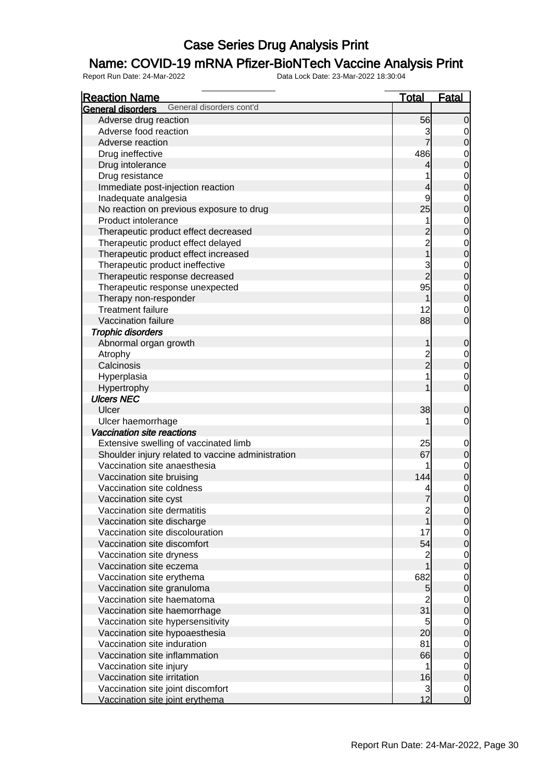### Name: COVID-19 mRNA Pfizer-BioNTech Vaccine Analysis Print

| <b>Reaction Name</b>                                 | <b>Total</b>             | <b>Fatal</b>                         |
|------------------------------------------------------|--------------------------|--------------------------------------|
| General disorders cont'd<br><b>General disorders</b> |                          |                                      |
| Adverse drug reaction                                | 56                       | $\overline{0}$                       |
| Adverse food reaction                                | 3                        | 0                                    |
| Adverse reaction                                     | $\overline{7}$           | $\mathbf 0$                          |
| Drug ineffective                                     | 486                      | $\mathbf 0$                          |
| Drug intolerance                                     | 4                        | $\overline{0}$                       |
| Drug resistance                                      | 1                        | $\mathbf 0$                          |
| Immediate post-injection reaction                    | $\overline{\mathcal{L}}$ | $\overline{0}$                       |
| Inadequate analgesia                                 | 9                        | $\mathbf 0$                          |
| No reaction on previous exposure to drug             | 25                       | $\overline{0}$                       |
| Product intolerance                                  | 1                        |                                      |
| Therapeutic product effect decreased                 | $\overline{c}$           | $\begin{matrix} 0 \\ 0 \end{matrix}$ |
| Therapeutic product effect delayed                   |                          |                                      |
| Therapeutic product effect increased                 | $\frac{2}{1}$            | $0\atop 0$                           |
| Therapeutic product ineffective                      |                          |                                      |
| Therapeutic response decreased                       | $\frac{3}{2}$            | $0\atop 0$                           |
|                                                      | 95                       |                                      |
| Therapeutic response unexpected                      | 1                        | $\overline{0}$<br>$\overline{0}$     |
| Therapy non-responder<br><b>Treatment failure</b>    | 12                       |                                      |
|                                                      |                          | $\mathbf 0$<br>$\mathbf 0$           |
| Vaccination failure                                  | 88                       |                                      |
| <b>Trophic disorders</b>                             |                          |                                      |
| Abnormal organ growth                                | 1                        | $\mathbf 0$                          |
| Atrophy                                              | $\frac{2}{2}$            | $\overline{0}$                       |
| Calcinosis                                           |                          | $\overline{0}$                       |
| Hyperplasia                                          | 1                        | $\mathbf 0$                          |
| Hypertrophy                                          | 1                        | $\overline{0}$                       |
| <b>Ulcers NEC</b>                                    |                          |                                      |
| Ulcer                                                | 38                       | $\mathbf 0$                          |
| Ulcer haemorrhage                                    | 1                        | $\mathbf 0$                          |
| Vaccination site reactions                           |                          |                                      |
| Extensive swelling of vaccinated limb                | 25                       | $\mathbf 0$                          |
| Shoulder injury related to vaccine administration    | 67                       | $\pmb{0}$                            |
| Vaccination site anaesthesia                         |                          | $\begin{matrix} 0 \\ 0 \end{matrix}$ |
| Vaccination site bruising                            | 144                      |                                      |
| Vaccination site coldness                            |                          | $\mathbf{0}$                         |
| Vaccination site cyst                                | 7                        | $\overline{0}$                       |
| Vaccination site dermatitis                          | $\frac{2}{1}$            | $\overline{0}$                       |
| Vaccination site discharge                           |                          | 0                                    |
| Vaccination site discolouration                      | 17                       | $\begin{matrix} 0 \\ 0 \end{matrix}$ |
| Vaccination site discomfort                          | 54                       |                                      |
| Vaccination site dryness                             | $\frac{2}{1}$            | $\overline{0}$                       |
| Vaccination site eczema                              |                          | $\overline{0}$                       |
| Vaccination site erythema                            | 682                      | $\mathbf 0$                          |
| Vaccination site granuloma                           | 5                        | $\overline{0}$                       |
| Vaccination site haematoma                           | $\overline{c}$           | $\mathbf 0$                          |
| Vaccination site haemorrhage                         | 31                       | $\overline{0}$                       |
| Vaccination site hypersensitivity                    | 5                        | $\mathbf 0$                          |
| Vaccination site hypoaesthesia                       | 20                       | $\overline{0}$                       |
| Vaccination site induration                          | 81                       | $\mathbf 0$                          |
| Vaccination site inflammation                        | 66                       | $\overline{0}$                       |
| Vaccination site injury                              | 1                        | $\mathbf 0$                          |
| Vaccination site irritation                          | 16                       | $\overline{0}$                       |
| Vaccination site joint discomfort                    | 3                        | $\mathbf 0$                          |
| Vaccination site joint erythema                      | 12                       | $\overline{O}$                       |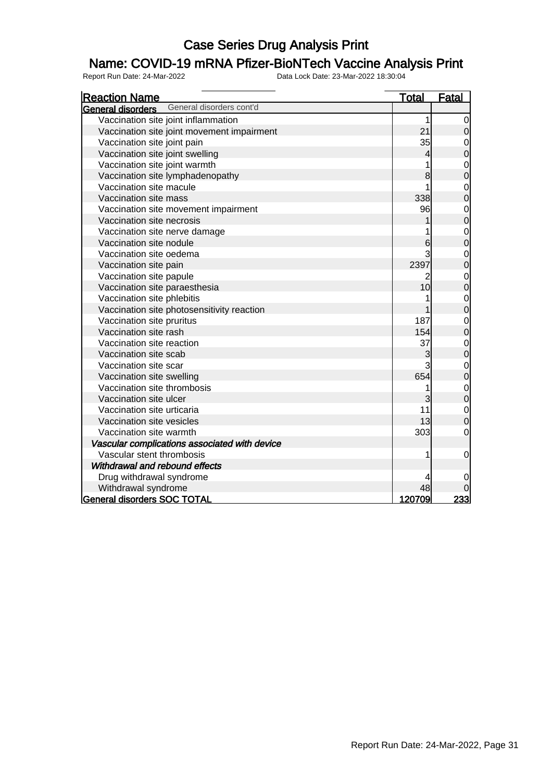### Name: COVID-19 mRNA Pfizer-BioNTech Vaccine Analysis Print

| <b>Reaction Name</b>                          | <u>Total</u> | <b>Fatal</b>                          |
|-----------------------------------------------|--------------|---------------------------------------|
| General disorders cont'd<br>General disorders |              |                                       |
| Vaccination site joint inflammation           |              | 1<br>$\mathbf 0$                      |
| Vaccination site joint movement impairment    | 21           | $\mathsf{O}\xspace$                   |
| Vaccination site joint pain                   | 35           | $\boldsymbol{0}$                      |
| Vaccination site joint swelling               |              | $\mathbf 0$<br>4                      |
| Vaccination site joint warmth                 |              | 1                                     |
| Vaccination site lymphadenopathy              |              | $0\atop 0$<br>8                       |
| Vaccination site macule                       |              | $\mathbf{0}$<br>1                     |
| Vaccination site mass                         | 338          | $\overline{0}$                        |
| Vaccination site movement impairment          | 96           |                                       |
| Vaccination site necrosis                     |              | $0\atop 0$                            |
| Vaccination site nerve damage                 |              | $0\atop 0$                            |
| Vaccination site nodule                       |              | 6                                     |
| Vaccination site oedema                       |              | 3<br>$\mathbf{0}$                     |
| Vaccination site pain                         | 2397         | $\overline{0}$                        |
| Vaccination site papule                       |              | $0\atop 0$<br>2                       |
| Vaccination site paraesthesia                 | 10           |                                       |
| Vaccination site phlebitis                    |              | $\begin{matrix}0\\0\end{matrix}$<br>1 |
| Vaccination site photosensitivity reaction    |              |                                       |
| Vaccination site pruritus                     | 187          | $\mathbf{0}$                          |
| Vaccination site rash                         | 154          | $\overline{0}$                        |
| Vaccination site reaction                     | 37           | $0\atop 0$                            |
| Vaccination site scab                         |              | 3                                     |
| Vaccination site scar                         |              | 3<br>$\begin{matrix}0\\0\end{matrix}$ |
| Vaccination site swelling                     | 654          |                                       |
| Vaccination site thrombosis                   |              | $\begin{matrix}0\\0\end{matrix}$<br>1 |
| Vaccination site ulcer                        |              | 3                                     |
| Vaccination site urticaria                    | 11           | $\mathbf{0}$                          |
| Vaccination site vesicles                     | 13           | $\overline{0}$                        |
| Vaccination site warmth                       | 303          | $\mathbf 0$                           |
| Vascular complications associated with device |              |                                       |
| Vascular stent thrombosis                     |              | $\mathbf 0$<br>1                      |
| Withdrawal and rebound effects                |              |                                       |
| Drug withdrawal syndrome                      |              | 4<br>0                                |
| Withdrawal syndrome                           | 48           |                                       |
| <b>General disorders SOC TOTAL</b>            | 120709       | 233                                   |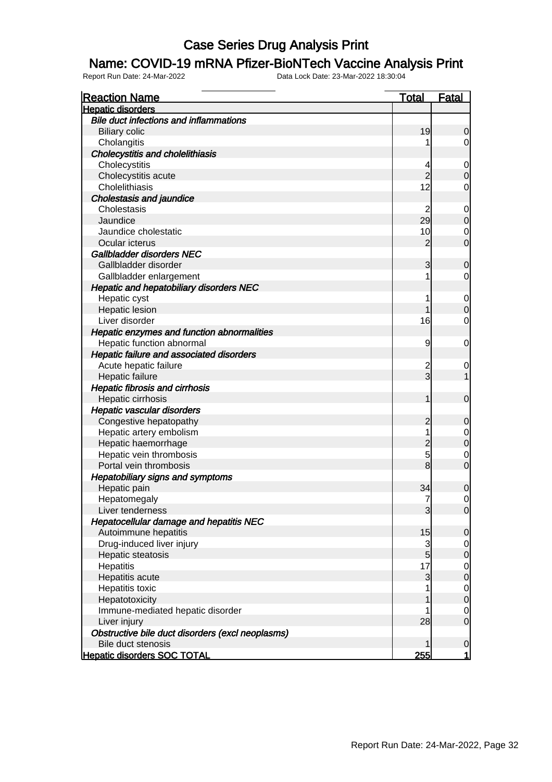#### Name: COVID-19 mRNA Pfizer-BioNTech Vaccine Analysis Print

| <b>Reaction Name</b>                             | <u>Total</u>        | <u>Fatal</u>                         |
|--------------------------------------------------|---------------------|--------------------------------------|
| <b>Hepatic disorders</b>                         |                     |                                      |
| <b>Bile duct infections and inflammations</b>    |                     |                                      |
| <b>Biliary colic</b>                             | 19                  | $\overline{0}$                       |
| Cholangitis                                      |                     | $\overline{0}$                       |
| <b>Cholecystitis and cholelithiasis</b>          |                     |                                      |
| Cholecystitis                                    | 4                   | $\mathbf 0$                          |
| Cholecystitis acute                              | $\overline{2}$      | $\overline{0}$                       |
| Cholelithiasis                                   | 12                  | 0                                    |
| <b>Cholestasis and jaundice</b>                  |                     |                                      |
| Cholestasis                                      | 2                   | $\mathbf 0$                          |
| Jaundice                                         | 29                  | $\mathbf 0$                          |
| Jaundice cholestatic                             | 10                  | $\overline{0}$                       |
| Ocular icterus                                   | $\overline{c}$      | $\mathbf 0$                          |
| Gallbladder disorders NEC                        |                     |                                      |
| Gallbladder disorder                             | 3                   | 0                                    |
| Gallbladder enlargement                          | 1                   | $\overline{0}$                       |
| Hepatic and hepatobiliary disorders NEC          |                     |                                      |
| Hepatic cyst                                     | 1                   | $\mathbf 0$                          |
| <b>Hepatic lesion</b>                            |                     | $\mathbf 0$                          |
| Liver disorder                                   | 16                  | $\mathbf 0$                          |
| Hepatic enzymes and function abnormalities       |                     |                                      |
| Hepatic function abnormal                        | 9                   | $\mathbf 0$                          |
| Hepatic failure and associated disorders         |                     |                                      |
|                                                  |                     |                                      |
| Acute hepatic failure                            | $\overline{c}$<br>3 | $\mathbf 0$<br>1                     |
| Hepatic failure                                  |                     |                                      |
| <b>Hepatic fibrosis and cirrhosis</b>            |                     |                                      |
| Hepatic cirrhosis                                | 1                   | $\mathbf 0$                          |
| Hepatic vascular disorders                       |                     |                                      |
| Congestive hepatopathy                           | 2                   | 0                                    |
| Hepatic artery embolism                          | 1                   | $\begin{matrix} 0 \\ 0 \end{matrix}$ |
| Hepatic haemorrhage                              | $\overline{c}$      |                                      |
| Hepatic vein thrombosis                          | 5                   | $\mathbf 0$                          |
| Portal vein thrombosis                           | 8                   | $\mathbf 0$                          |
| <b>Hepatobiliary signs and symptoms</b>          |                     |                                      |
| Hepatic pain                                     | 34                  | 0                                    |
| Hepatomegaly                                     | 7                   | $\mathbf 0$                          |
| Liver tenderness                                 | 3                   | 0                                    |
| Hepatocellular damage and hepatitis NEC          |                     |                                      |
| Autoimmune hepatitis                             | 15                  | $\overline{0}$                       |
| Drug-induced liver injury                        | 3                   | $\overline{0}$                       |
| Hepatic steatosis                                | $\overline{5}$      | $\mathbf 0$                          |
| Hepatitis                                        | 17                  | $\overline{0}$                       |
| Hepatitis acute                                  | 3                   | $\mathbf 0$                          |
| Hepatitis toxic                                  | 1                   | $\overline{0}$                       |
| Hepatotoxicity                                   |                     | $\boldsymbol{0}$                     |
| Immune-mediated hepatic disorder                 |                     | $\overline{0}$                       |
| Liver injury                                     | 28                  | $\mathbf 0$                          |
| Obstructive bile duct disorders (excl neoplasms) |                     |                                      |
| Bile duct stenosis                               | 1                   | $\mathbf 0$                          |
| <b>Hepatic disorders SOC TOTAL</b>               | 255                 | $\mathbf{1}$                         |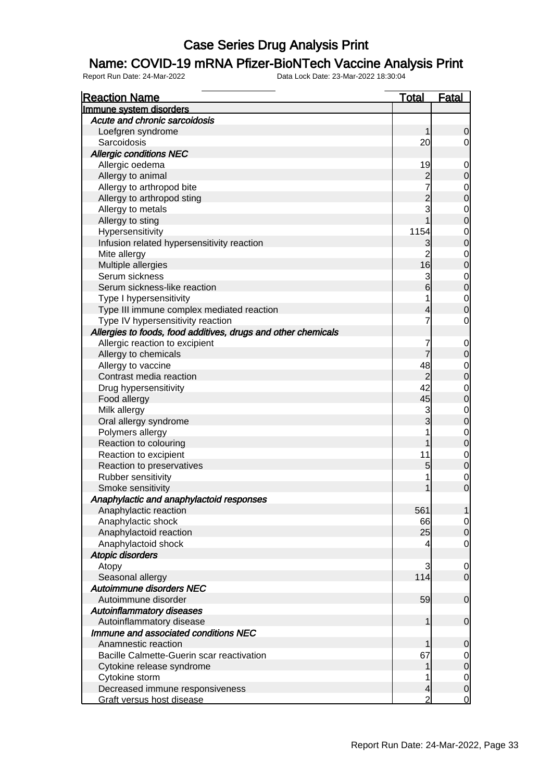#### Name: COVID-19 mRNA Pfizer-BioNTech Vaccine Analysis Print

| <b>Reaction Name</b>                                          | <b>Total</b>         | <b>Fatal</b>                         |
|---------------------------------------------------------------|----------------------|--------------------------------------|
| Immune system disorders                                       |                      |                                      |
| Acute and chronic sarcoidosis                                 |                      |                                      |
| Loefgren syndrome                                             | 1                    | $\mathbf 0$                          |
| Sarcoidosis                                                   | 20                   | $\overline{0}$                       |
| <b>Allergic conditions NEC</b>                                |                      |                                      |
| Allergic oedema                                               | 19                   | $\mathbf{0}$                         |
| Allergy to animal                                             |                      | $\mathbf 0$                          |
| Allergy to arthropod bite                                     | $\frac{2}{7}$        |                                      |
| Allergy to arthropod sting                                    |                      | $\begin{matrix}0\\0\end{matrix}$     |
| Allergy to metals                                             | $\frac{2}{3}$        |                                      |
| Allergy to sting                                              | $\overline{1}$       | $\begin{matrix}0\\0\end{matrix}$     |
| Hypersensitivity                                              | 1154                 |                                      |
| Infusion related hypersensitivity reaction                    | 3                    | $0$<br>0                             |
| Mite allergy                                                  | $\overline{2}$       |                                      |
| Multiple allergies                                            | 16                   | $\begin{matrix}0\\0\end{matrix}$     |
| Serum sickness                                                | 3                    |                                      |
| Serum sickness-like reaction                                  | $6\overline{6}$      | $\begin{matrix}0\\0\end{matrix}$     |
| Type I hypersensitivity                                       | 1                    |                                      |
| Type III immune complex mediated reaction                     | 4                    | $\begin{matrix}0\\0\end{matrix}$     |
| Type IV hypersensitivity reaction                             | 7                    | $\mathbf 0$                          |
| Allergies to foods, food additives, drugs and other chemicals |                      |                                      |
| Allergic reaction to excipient                                | 7                    |                                      |
|                                                               | 7                    | $0\atop 0$                           |
| Allergy to chemicals                                          |                      |                                      |
| Allergy to vaccine                                            | 48                   | $\begin{matrix}0\\0\end{matrix}$     |
| Contrast media reaction                                       | $\overline{2}$<br>42 |                                      |
| Drug hypersensitivity                                         |                      | $\begin{matrix}0\\0\end{matrix}$     |
| Food allergy                                                  | 45                   |                                      |
| Milk allergy                                                  | 3<br>$\overline{3}$  | $\begin{matrix}0\\0\end{matrix}$     |
| Oral allergy syndrome                                         |                      |                                      |
| Polymers allergy                                              | 1                    | $\begin{matrix}0\\0\end{matrix}$     |
| Reaction to colouring                                         | 1                    |                                      |
| Reaction to excipient                                         | 11                   | $\begin{matrix}0\\0\end{matrix}$     |
| Reaction to preservatives                                     | $\overline{5}$       |                                      |
| Rubber sensitivity                                            | 1                    | $\begin{matrix} 0 \\ 0 \end{matrix}$ |
| Smoke sensitivity                                             | 1                    |                                      |
| Anaphylactic and anaphylactoid responses                      |                      |                                      |
| Anaphylactic reaction                                         | 561                  | $\mathbf{1}$                         |
| Anaphylactic shock                                            | 66                   | $\begin{matrix} 0 \\ 0 \end{matrix}$ |
| Anaphylactoid reaction                                        | 25                   |                                      |
| Anaphylactoid shock                                           |                      | $\overline{O}$                       |
| <b>Atopic disorders</b>                                       |                      |                                      |
| Atopy                                                         | 3                    | $\overline{0}$                       |
| Seasonal allergy                                              | 114                  | $\overline{0}$                       |
| Autoimmune disorders NEC                                      |                      |                                      |
| Autoimmune disorder                                           | 59                   | $\mathbf 0$                          |
| <b>Autoinflammatory diseases</b>                              |                      |                                      |
| Autoinflammatory disease                                      | 1                    | $\mathbf 0$                          |
| Immune and associated conditions NEC                          |                      |                                      |
| Anamnestic reaction                                           | 1                    | $\mathbf 0$                          |
| Bacille Calmette-Guerin scar reactivation                     | 67                   |                                      |
| Cytokine release syndrome                                     | 1                    | $\begin{matrix} 0 \\ 0 \end{matrix}$ |
| Cytokine storm                                                | 1                    |                                      |
| Decreased immune responsiveness                               | 4                    | $\begin{matrix} 0 \\ 0 \end{matrix}$ |
| Graft versus host disease                                     | $\overline{2}$       | <sub>0</sub>                         |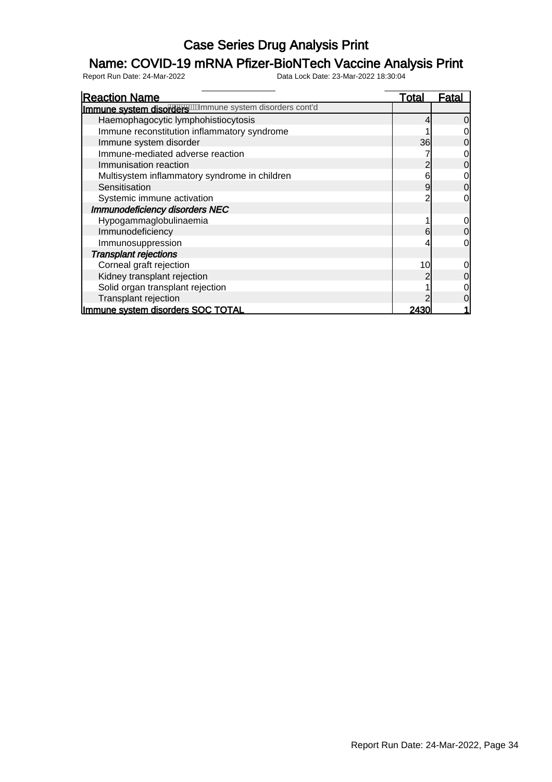### Name: COVID-19 mRNA Pfizer-BioNTech Vaccine Analysis Print

| <b>Reaction Name</b>                                    | Total | Fatal |
|---------------------------------------------------------|-------|-------|
| Immune system disorders mannune system disorders cont'd |       |       |
| Haemophagocytic lymphohistiocytosis                     |       |       |
| Immune reconstitution inflammatory syndrome             |       |       |
| Immune system disorder                                  | 36    |       |
| Immune-mediated adverse reaction                        |       |       |
| Immunisation reaction                                   |       |       |
| Multisystem inflammatory syndrome in children           | 6     |       |
| Sensitisation                                           | 9     | 0     |
| Systemic immune activation                              |       |       |
| Immunodeficiency disorders NEC                          |       |       |
| Hypogammaglobulinaemia                                  |       |       |
| Immunodeficiency                                        | 6     |       |
| Immunosuppression                                       |       |       |
| <b>Transplant rejections</b>                            |       |       |
| Corneal graft rejection                                 | 10    |       |
| Kidney transplant rejection                             |       |       |
| Solid organ transplant rejection                        |       |       |
| Transplant rejection                                    |       |       |
| Immune system disorders SOC TOTAL                       | 2430  |       |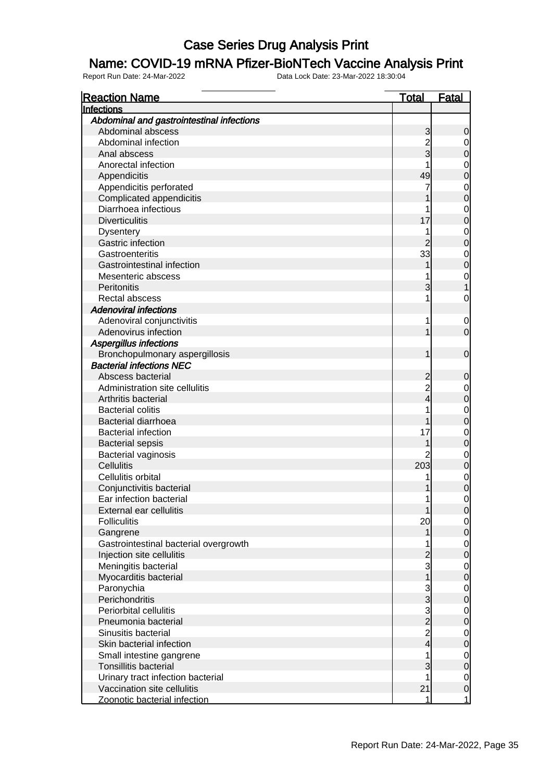#### Name: COVID-19 mRNA Pfizer-BioNTech Vaccine Analysis Print

| <b>Reaction Name</b>                      | <u>Total</u>             | <b>Fatal</b>   |
|-------------------------------------------|--------------------------|----------------|
| Infections                                |                          |                |
| Abdominal and gastrointestinal infections |                          |                |
| Abdominal abscess                         | 3                        | 0              |
| Abdominal infection                       | $\overline{c}$           | 0              |
| Anal abscess                              | 3                        | 0              |
| Anorectal infection                       |                          | 0              |
| Appendicitis                              | 49                       | 0              |
| Appendicitis perforated                   | 7                        | 0              |
| Complicated appendicitis                  |                          | 0              |
| Diarrhoea infectious                      |                          | 0              |
| <b>Diverticulitis</b>                     | 17                       | 0              |
| <b>Dysentery</b>                          | 1                        | 0              |
| Gastric infection                         |                          | 0              |
| Gastroenteritis                           | 33                       | $\mathbf 0$    |
| Gastrointestinal infection                |                          | 0              |
| Mesenteric abscess                        |                          | $\mathbf 0$    |
| Peritonitis                               | 3                        |                |
| Rectal abscess                            | 1                        | 0              |
| <b>Adenoviral infections</b>              |                          |                |
| Adenoviral conjunctivitis                 | 1                        | 0              |
| Adenovirus infection                      |                          | 0              |
| <b>Aspergillus infections</b>             |                          |                |
| Bronchopulmonary aspergillosis            | 1                        | 0              |
| <b>Bacterial infections NEC</b>           |                          |                |
| Abscess bacterial                         | 2                        | 0              |
| Administration site cellulitis            | $\overline{c}$           | 0              |
| Arthritis bacterial                       | 4                        | 0              |
| <b>Bacterial colitis</b>                  |                          | $\mathbf 0$    |
| <b>Bacterial diarrhoea</b>                |                          | 0              |
| <b>Bacterial infection</b>                | 17                       | 0              |
| <b>Bacterial sepsis</b>                   |                          | 0              |
| <b>Bacterial vaginosis</b>                |                          | 0              |
| <b>Cellulitis</b>                         | 203                      | 0              |
| Cellulitis orbital                        | 1                        | $\mathbf 0$    |
| Conjunctivitis bacterial                  |                          | 0              |
| Ear infection bacterial                   | 1                        | 0              |
| External ear cellulitis                   |                          | $\Omega$       |
| <b>Folliculitis</b>                       | 20                       | $\overline{0}$ |
| Gangrene                                  | 1                        | 0              |
| Gastrointestinal bacterial overgrowth     | 1                        | $\mathbf 0$    |
| Injection site cellulitis                 | 2                        | $\overline{0}$ |
| Meningitis bacterial                      | $\mathbf{3}$             | $\mathbf 0$    |
| Myocarditis bacterial                     | $\mathbf 1$              | 0              |
| Paronychia                                |                          | $\mathbf 0$    |
| Perichondritis                            | $\frac{3}{3}$            | 0              |
| <b>Periorbital cellulitis</b>             |                          | $\mathbf 0$    |
| Pneumonia bacterial                       | $\frac{3}{2}$            | $\overline{0}$ |
| Sinusitis bacterial                       | $\overline{2}$           | $\mathbf 0$    |
| Skin bacterial infection                  | $\overline{\mathcal{L}}$ | 0              |
| Small intestine gangrene                  | 1                        | $\mathbf 0$    |
| <b>Tonsillitis bacterial</b>              | $\overline{3}$           | $\overline{0}$ |
| Urinary tract infection bacterial         | 1                        | $\mathbf 0$    |
| Vaccination site cellulitis               | 21                       | $\overline{0}$ |
| Zoonotic bacterial infection              | 1                        | 1              |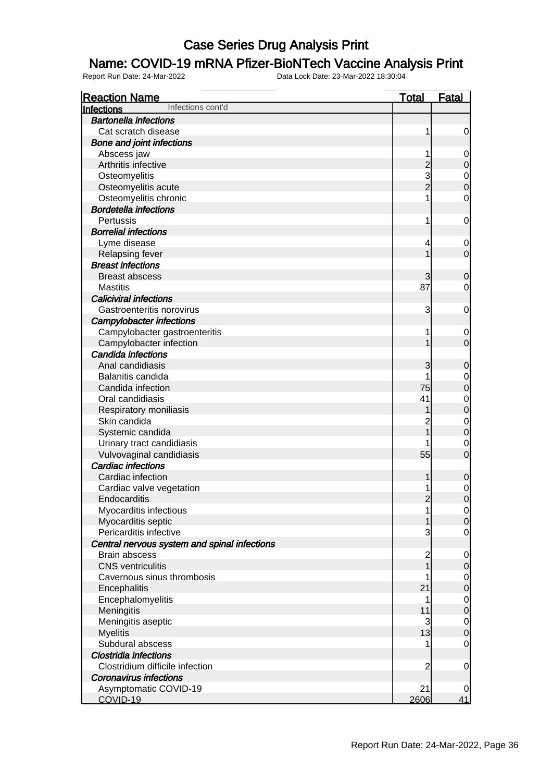### Name: COVID-19 mRNA Pfizer-BioNTech Vaccine Analysis Print

| <b>Reaction Name</b>                         | <b>Total</b>            | Fatal          |
|----------------------------------------------|-------------------------|----------------|
| Infections cont'd<br><b>Infections</b>       |                         |                |
| <b>Bartonella infections</b>                 |                         |                |
| Cat scratch disease                          | 1                       | 0              |
| <b>Bone and joint infections</b>             |                         |                |
| Abscess jaw                                  | 1                       | $\mathbf 0$    |
| Arthritis infective                          | $\overline{c}$          | $\overline{0}$ |
| Osteomyelitis                                | 3                       | $\mathbf{0}$   |
| Osteomyelitis acute                          | $\overline{2}$          | $\overline{0}$ |
| Osteomyelitis chronic                        | 1                       | $\overline{0}$ |
| <b>Bordetella infections</b>                 |                         |                |
| Pertussis                                    | 1                       | $\mathbf{0}$   |
| <b>Borrelial infections</b>                  |                         |                |
| Lyme disease                                 | 4                       | $\mathbf 0$    |
| Relapsing fever                              | 1                       | $\overline{0}$ |
| <b>Breast infections</b>                     |                         |                |
| <b>Breast abscess</b>                        | 3                       | $\mathbf 0$    |
| <b>Mastitis</b>                              | 87                      | 0              |
| <b>Caliciviral infections</b>                |                         |                |
| Gastroenteritis norovirus                    | 3                       | $\mathbf{0}$   |
| <b>Campylobacter infections</b>              |                         |                |
| Campylobacter gastroenteritis                | 1                       | $\mathbf 0$    |
| Campylobacter infection                      | 1                       | $\overline{0}$ |
| Candida infections                           |                         |                |
| Anal candidiasis                             | 3                       | 0              |
| Balanitis candida                            | 1                       | $\mathbf 0$    |
| Candida infection                            | 75                      | $\overline{0}$ |
| Oral candidiasis                             | 41                      | $\mathbf 0$    |
| Respiratory moniliasis                       | 1                       | $\overline{0}$ |
| Skin candida                                 | $\overline{c}$          | $\mathbf 0$    |
| Systemic candida                             | $\overline{1}$          | $\overline{0}$ |
| Urinary tract candidiasis                    |                         | $\mathbf 0$    |
| Vulvovaginal candidiasis                     | 55                      | $\overline{0}$ |
| <b>Cardiac infections</b>                    |                         |                |
| Cardiac infection                            | 1                       | $\mathbf 0$    |
| Cardiac valve vegetation                     | 1                       | $\mathbf{0}$   |
| Endocarditis                                 | $\overline{2}$          | $\overline{0}$ |
| Myocarditis infectious                       | 1                       | $\overline{0}$ |
| Myocarditis septic                           | 1                       | $\overline{O}$ |
| Pericarditis infective                       | 3                       | 0              |
| Central nervous system and spinal infections |                         |                |
| <b>Brain abscess</b>                         | $\overline{\mathbf{c}}$ | $\mathbf 0$    |
| <b>CNS</b> ventriculitis                     | $\overline{1}$          | $\pmb{0}$      |
| Cavernous sinus thrombosis                   | 1                       | $\overline{0}$ |
| Encephalitis                                 | 21                      | $\mathbf 0$    |
| Encephalomyelitis                            | 1                       | $\overline{0}$ |
| Meningitis                                   | 11                      | $\overline{0}$ |
| Meningitis aseptic                           | 3                       | $\overline{0}$ |
| <b>Myelitis</b>                              | 13                      | $\overline{0}$ |
| Subdural abscess                             | 1                       | $\mathbf 0$    |
| <b>Clostridia infections</b>                 |                         |                |
| Clostridium difficile infection              | $\overline{c}$          | $\mathbf 0$    |
| <b>Coronavirus infections</b>                |                         |                |
| Asymptomatic COVID-19                        | 21                      | 0              |
| COVID-19                                     | 2606                    | 41             |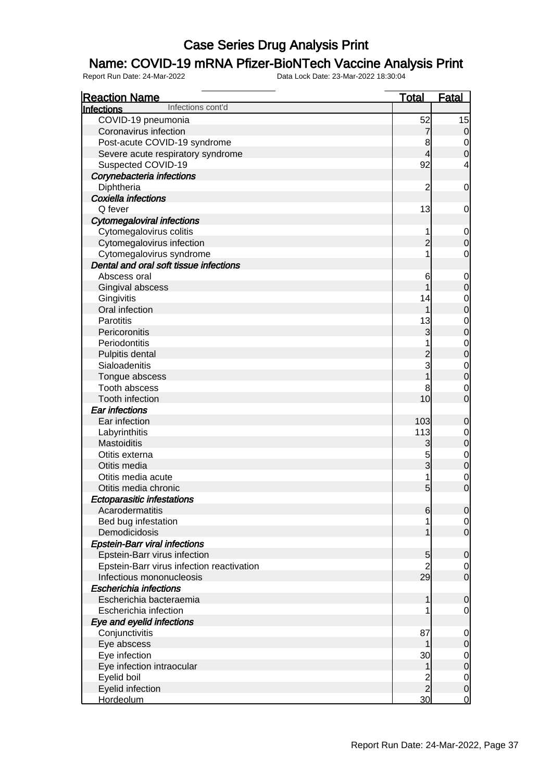### Name: COVID-19 mRNA Pfizer-BioNTech Vaccine Analysis Print

| <b>Reaction Name</b>                      | <b>Total</b>            | <b>Fatal</b>                         |
|-------------------------------------------|-------------------------|--------------------------------------|
| Infections cont'd<br><b>Infections</b>    |                         |                                      |
| COVID-19 pneumonia                        | 52                      | 15                                   |
| Coronavirus infection                     | $\overline{7}$          | $\mathbf 0$                          |
| Post-acute COVID-19 syndrome              | 8                       |                                      |
| Severe acute respiratory syndrome         | $\overline{\mathbf{4}}$ | $\begin{matrix}0\\0\end{matrix}$     |
| Suspected COVID-19                        | 92                      | 4                                    |
| Corynebacteria infections                 |                         |                                      |
| Diphtheria                                | $\overline{c}$          | $\mathbf 0$                          |
| <b>Coxiella infections</b>                |                         |                                      |
| Q fever                                   | 13                      | $\mathbf 0$                          |
| <b>Cytomegaloviral infections</b>         |                         |                                      |
| Cytomegalovirus colitis                   | 1                       | $\boldsymbol{0}$                     |
| Cytomegalovirus infection                 | $\overline{c}$          | $\overline{0}$                       |
| Cytomegalovirus syndrome                  | 1                       | $\mathbf 0$                          |
| Dental and oral soft tissue infections    |                         |                                      |
| Abscess oral                              | 6                       | $\boldsymbol{0}$                     |
| Gingival abscess                          | 1                       | $\overline{0}$                       |
| Gingivitis                                | 14                      |                                      |
| Oral infection                            | 1                       | $\begin{matrix}0\\0\end{matrix}$     |
| <b>Parotitis</b>                          | 13                      |                                      |
| Pericoronitis                             | 3                       | $\begin{matrix}0\\0\end{matrix}$     |
| Periodontitis                             | 1                       |                                      |
| Pulpitis dental                           |                         | $\begin{matrix}0\\0\end{matrix}$     |
| Sialoadenitis                             | 2<br>3                  |                                      |
| Tongue abscess                            |                         | $\begin{matrix}0\\0\end{matrix}$     |
| Tooth abscess                             | 8                       |                                      |
| Tooth infection                           | 10                      | $\begin{matrix} 0 \\ 0 \end{matrix}$ |
| <b>Ear infections</b>                     |                         |                                      |
| Ear infection                             | 103                     | $\mathbf 0$                          |
| Labyrinthitis                             | 113                     |                                      |
| Mastoiditis                               | 3                       | $0$ 0                                |
| Otitis externa                            | 5                       |                                      |
| Otitis media                              | $\overline{3}$          | $\begin{matrix}0\\0\end{matrix}$     |
| Otitis media acute                        | 1                       |                                      |
| Otitis media chronic                      | $5\overline{)}$         | $\begin{matrix} 0 \\ 0 \end{matrix}$ |
| <b>Ectoparasitic infestations</b>         |                         |                                      |
| Acarodermatitis                           | 6                       | 0                                    |
| Bed bug infestation                       |                         | $\overline{0}$                       |
| Demodicidosis                             |                         | $\overline{0}$                       |
| <b>Epstein-Barr viral infections</b>      |                         |                                      |
| Epstein-Barr virus infection              | 5                       | $\mathbf 0$                          |
| Epstein-Barr virus infection reactivation | $\overline{2}$          | $\overline{0}$                       |
| Infectious mononucleosis                  | 29                      | $\overline{0}$                       |
| <b>Escherichia infections</b>             |                         |                                      |
| Escherichia bacteraemia                   | 1                       | $\mathbf 0$                          |
| Escherichia infection                     |                         | 0                                    |
| Eye and eyelid infections                 |                         |                                      |
| Conjunctivitis                            | 87                      | $\mathbf 0$                          |
| Eye abscess                               | 1                       | $\mathbf 0$                          |
| Eye infection                             | 30                      |                                      |
| Eye infection intraocular                 | 1                       | $\begin{matrix} 0 \\ 0 \end{matrix}$ |
| Eyelid boil                               | $\overline{c}$          | $\begin{matrix}0\\0\end{matrix}$     |
| Eyelid infection                          | $\overline{2}$          |                                      |
| Hordeolum                                 | 30                      | $\overline{0}$                       |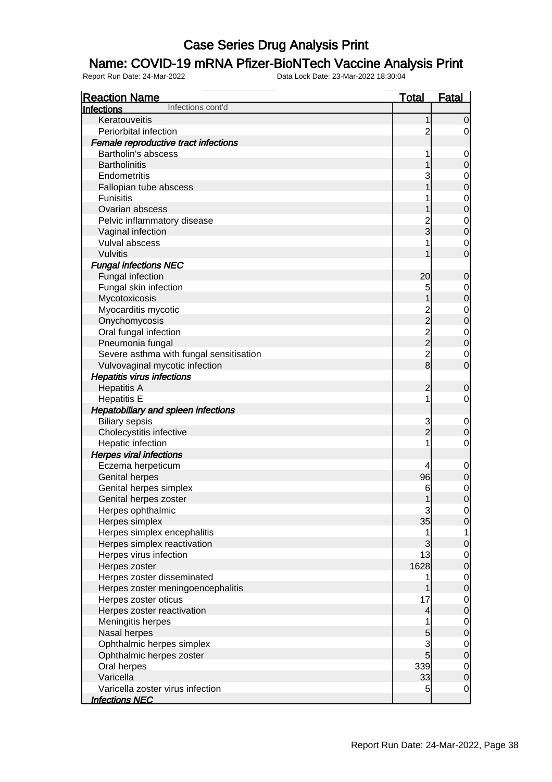### Name: COVID-19 mRNA Pfizer-BioNTech Vaccine Analysis Print

| <b>Reaction Name</b>                       | <b>Total</b>   | <b>Fatal</b>                         |
|--------------------------------------------|----------------|--------------------------------------|
| Infections cont'd<br><b>Infections</b>     |                |                                      |
| Keratouveitis                              | 1              | $\mathbf 0$                          |
| Periorbital infection                      | $\overline{c}$ | 0                                    |
| Female reproductive tract infections       |                |                                      |
| Bartholin's abscess                        | 1              | $\mathbf 0$                          |
| <b>Bartholinitis</b>                       | 1              | $\mathbf 0$                          |
| Endometritis                               | 3              | $\mathbf 0$                          |
| Fallopian tube abscess                     | 1              | $\mathbf 0$                          |
| <b>Funisitis</b>                           |                | $\mathbf 0$                          |
| Ovarian abscess                            |                | $\overline{0}$                       |
| Pelvic inflammatory disease                |                | $\mathbf 0$                          |
| Vaginal infection                          | $\frac{2}{3}$  | $\overline{0}$                       |
| Vulval abscess                             | 1              | $\mathbf 0$                          |
| Vulvitis                                   | 1              | $\mathbf 0$                          |
| <b>Fungal infections NEC</b>               |                |                                      |
| Fungal infection                           | 20             | $\mathbf 0$                          |
| Fungal skin infection                      | 5              | $\mathbf 0$                          |
| Mycotoxicosis                              | 1              | $\pmb{0}$                            |
| Myocarditis mycotic                        |                | $\mathbf 0$                          |
| Onychomycosis                              |                | $\overline{0}$                       |
| Oral fungal infection                      |                | $\mathbf 0$                          |
| Pneumonia fungal                           |                | $\mathbf 0$                          |
| Severe asthma with fungal sensitisation    |                | 0                                    |
| Vulvovaginal mycotic infection             |                | $\mathbf 0$                          |
| <b>Hepatitis virus infections</b>          |                |                                      |
| <b>Hepatitis A</b>                         | $\overline{2}$ | $\mathbf 0$                          |
| <b>Hepatitis E</b>                         | 1              | $\mathbf 0$                          |
| <b>Hepatobiliary and spleen infections</b> |                |                                      |
| <b>Biliary sepsis</b>                      | $\mathbf{3}$   | $\mathbf 0$                          |
| Cholecystitis infective                    | $\overline{2}$ | $\boldsymbol{0}$                     |
| Hepatic infection                          | 1              | 0                                    |
| <b>Herpes viral infections</b>             |                |                                      |
| Eczema herpeticum                          | 4              | $\mathbf 0$                          |
| <b>Genital herpes</b>                      | 96             | $\mathbf 0$                          |
| Genital herpes simplex                     | 6              | $\mathbf 0$                          |
| Genital herpes zoster                      | 1              | $\overline{0}$                       |
| Herpes ophthalmic                          | $\mathbf{3}$   | $\overline{0}$                       |
| Herpes simplex                             | 35             | $\overline{0}$                       |
| Herpes simplex encephalitis                | 1              | 1                                    |
| Herpes simplex reactivation                | 3              | $\mathbf 0$                          |
| Herpes virus infection                     | 13             | $\overline{0}$                       |
| Herpes zoster                              | 1628           | $\overline{0}$                       |
| Herpes zoster disseminated                 | 1              |                                      |
| Herpes zoster meningoencephalitis          | 1              | $0\atop 0$                           |
| Herpes zoster oticus                       | 17             |                                      |
| Herpes zoster reactivation                 | $\overline{4}$ | $\begin{matrix}0\\0\end{matrix}$     |
| Meningitis herpes                          | 1              |                                      |
| Nasal herpes                               | 5              | $\begin{matrix} 0 \\ 0 \end{matrix}$ |
| Ophthalmic herpes simplex                  | 3              |                                      |
| Ophthalmic herpes zoster                   | $\overline{5}$ | $\begin{matrix} 0 \\ 0 \end{matrix}$ |
| Oral herpes                                | 339            |                                      |
| Varicella                                  | 33             | $\begin{matrix} 0 \\ 0 \end{matrix}$ |
| Varicella zoster virus infection           | 5              | $\overline{0}$                       |
| <b>Infections NEC</b>                      |                |                                      |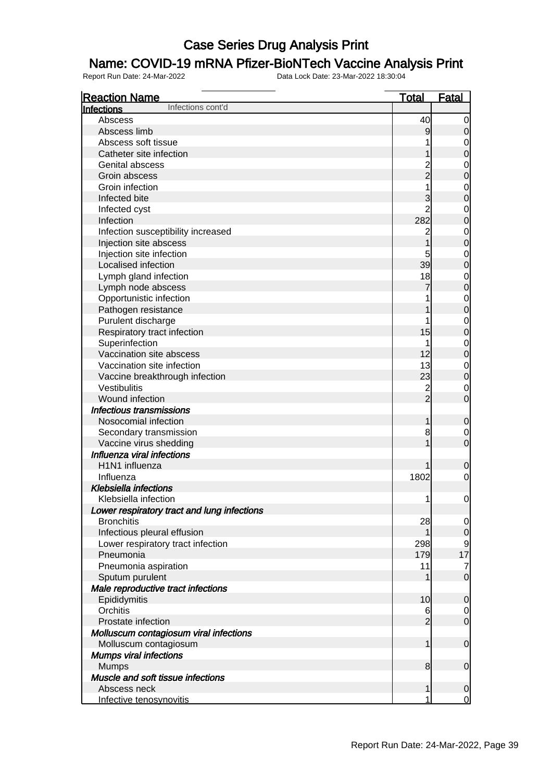### Name: COVID-19 mRNA Pfizer-BioNTech Vaccine Analysis Print

| <b>Reaction Name</b>                           | <u>Total</u>   | <u>Fatal</u>                     |
|------------------------------------------------|----------------|----------------------------------|
| Infections cont'd<br>Infections                |                |                                  |
| Abscess                                        | 40             | $\overline{0}$                   |
| Abscess limb                                   | 9              | 0                                |
| Abscess soft tissue                            | 1              | $\mathbf 0$                      |
| Catheter site infection                        |                | $\mathbf 0$                      |
| Genital abscess                                |                | $\mathbf 0$                      |
| Groin abscess                                  | 2<br>2         | $\mathbf 0$                      |
| Groin infection                                | 1              | $\mathbf 0$                      |
| Infected bite                                  | 3              | $\overline{0}$                   |
| Infected cyst                                  | $\overline{2}$ | $\mathbf 0$                      |
| Infection                                      | 282            | $\overline{0}$                   |
| Infection susceptibility increased             | $\overline{c}$ | $\mathbf 0$                      |
| Injection site abscess                         | 1              | $\overline{0}$                   |
| Injection site infection                       | 5              | $\mathbf 0$                      |
| Localised infection                            | 39             | $\overline{0}$                   |
| Lymph gland infection                          | 18             | $\mathbf 0$                      |
| Lymph node abscess                             | 7              | $\overline{0}$                   |
| Opportunistic infection                        | 1              |                                  |
| Pathogen resistance                            | 1              | $\begin{matrix}0\\0\end{matrix}$ |
| Purulent discharge                             | 1              | $\mathbf 0$                      |
| Respiratory tract infection                    | 15             | $\overline{0}$                   |
| Superinfection                                 | 1              | $\mathbf 0$                      |
| Vaccination site abscess                       | 12             | $\overline{0}$                   |
| Vaccination site infection                     | 13             | $\mathbf 0$                      |
| Vaccine breakthrough infection                 | 23             | $\overline{0}$                   |
| Vestibulitis                                   |                | $\mathbf 0$                      |
| Wound infection                                | $\frac{2}{2}$  | $\overline{0}$                   |
| <b>Infectious transmissions</b>                |                |                                  |
| Nosocomial infection                           | 1              | $\mathbf 0$                      |
| Secondary transmission                         | 8              | $\mathbf 0$                      |
| Vaccine virus shedding                         | $\mathbf 1$    | $\overline{0}$                   |
| Influenza viral infections                     |                |                                  |
| H1N1 influenza                                 | 1              | $\mathbf 0$                      |
| Influenza                                      | 1802           | $\mathbf 0$                      |
| <b>Klebsiella infections</b>                   |                |                                  |
| Klebsiella infection                           | 1              |                                  |
| Lower respiratory tract and lung infections    |                | $\mathbf 0$                      |
| <b>Bronchitis</b>                              | 28             |                                  |
|                                                | 1              | $\overline{0}$<br>$\overline{0}$ |
| Infectious pleural effusion                    |                |                                  |
| Lower respiratory tract infection<br>Pneumonia | 298<br>179     | 9<br>17                          |
|                                                | 11             |                                  |
| Pneumonia aspiration                           | 1              | $\overline{7}$<br>$\overline{0}$ |
| Sputum purulent                                |                |                                  |
| Male reproductive tract infections             |                |                                  |
| Epididymitis                                   | 10             | $\mathbf 0$                      |
| Orchitis                                       | 6              | $\overline{0}$<br>$\overline{O}$ |
| Prostate infection                             | $\overline{2}$ |                                  |
| Molluscum contagiosum viral infections         |                |                                  |
| Molluscum contagiosum                          | 1              | $\boldsymbol{0}$                 |
| <b>Mumps viral infections</b>                  |                |                                  |
| <b>Mumps</b>                                   | 8              | $\boldsymbol{0}$                 |
| Muscle and soft tissue infections              |                |                                  |
| Abscess neck                                   | 1              | 0                                |
| Infective tenosynovitis                        | 1              | $\overline{0}$                   |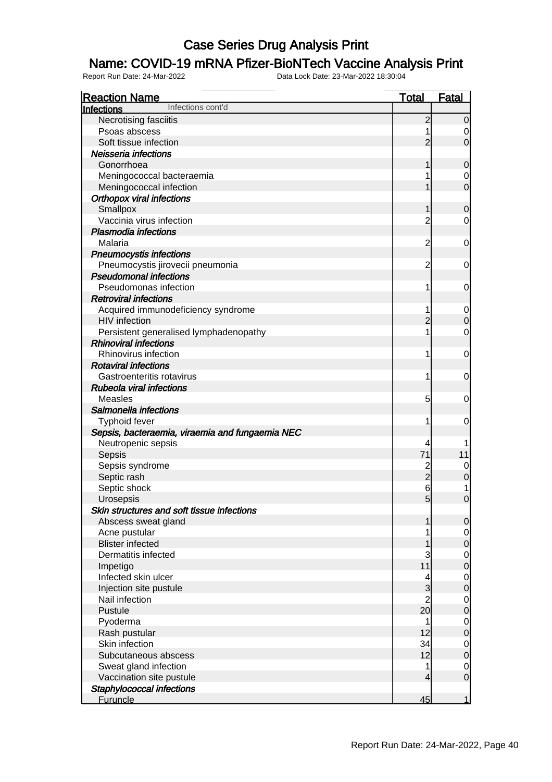### Name: COVID-19 mRNA Pfizer-BioNTech Vaccine Analysis Print

| <b>Reaction Name</b>                            | <u>Total</u>   | Fatal          |
|-------------------------------------------------|----------------|----------------|
| Infections cont'd<br>Infections                 |                |                |
| Necrotising fasciitis                           | $\overline{2}$ | $\mathbf 0$    |
| Psoas abscess                                   |                | 0              |
| Soft tissue infection                           | $\overline{2}$ | $\mathbf 0$    |
| Neisseria infections                            |                |                |
| Gonorrhoea                                      | 1              | $\mathbf 0$    |
| Meningococcal bacteraemia                       |                | 0              |
| Meningococcal infection                         | 1              | $\mathbf 0$    |
| <b>Orthopox viral infections</b>                |                |                |
| Smallpox                                        | 1              | $\mathbf 0$    |
| Vaccinia virus infection                        | $\overline{c}$ | 0              |
| <b>Plasmodia infections</b>                     |                |                |
| Malaria                                         | $\overline{c}$ | $\mathbf 0$    |
| <b>Pneumocystis infections</b>                  |                |                |
| Pneumocystis jirovecii pneumonia                | $\overline{c}$ | 0              |
| <b>Pseudomonal infections</b>                   |                |                |
| Pseudomonas infection                           | 1              | $\mathbf 0$    |
| <b>Retroviral infections</b>                    |                |                |
| Acquired immunodeficiency syndrome              | 1              | $\mathbf 0$    |
| <b>HIV</b> infection                            | $\overline{2}$ | $\mathbf 0$    |
| Persistent generalised lymphadenopathy          | 1              | 0              |
| <b>Rhinoviral infections</b>                    |                |                |
| Rhinovirus infection                            | 1              | $\mathbf 0$    |
| <b>Rotaviral infections</b>                     |                |                |
| Gastroenteritis rotavirus                       | 1              | $\mathbf 0$    |
| <b>Rubeola viral infections</b>                 |                |                |
| <b>Measles</b>                                  | 5              |                |
| Salmonella infections                           |                | $\mathbf 0$    |
|                                                 |                |                |
| Typhoid fever                                   | 1              | 0              |
| Sepsis, bacteraemia, viraemia and fungaemia NEC |                |                |
| Neutropenic sepsis                              | 4<br>71        |                |
| Sepsis                                          |                | 11             |
| Sepsis syndrome                                 | $\overline{2}$ | 0              |
| Septic rash                                     |                | $\mathbf 0$    |
| Septic shock                                    | 6              |                |
| Urosepsis                                       | 5 <sup>1</sup> | $\mathbf 0$    |
| Skin structures and soft tissue infections      |                |                |
| Abscess sweat gland                             | 1              | $\overline{0}$ |
| Acne pustular                                   |                | $\overline{0}$ |
| <b>Blister infected</b>                         |                | $\mathbf 0$    |
| Dermatitis infected                             | 3              | $0$ 0          |
| Impetigo                                        | 11             |                |
| Infected skin ulcer                             | 4              | $\mathbf{0}$   |
| Injection site pustule                          | $\overline{3}$ | $\overline{0}$ |
| Nail infection                                  | $\overline{c}$ | $\mathbf 0$    |
| Pustule                                         | 20             | $\overline{0}$ |
| Pyoderma                                        | 1              | $\mathbf 0$    |
| Rash pustular                                   | 12             | $\overline{0}$ |
| Skin infection                                  | 34             | $\overline{0}$ |
| Subcutaneous abscess                            | 12             | $\mathbf 0$    |
| Sweat gland infection                           | 1              | $\overline{0}$ |
| Vaccination site pustule                        | $\overline{4}$ | $\overline{0}$ |
| Staphylococcal infections                       |                |                |
| <b>Furuncle</b>                                 | 45             | $\overline{1}$ |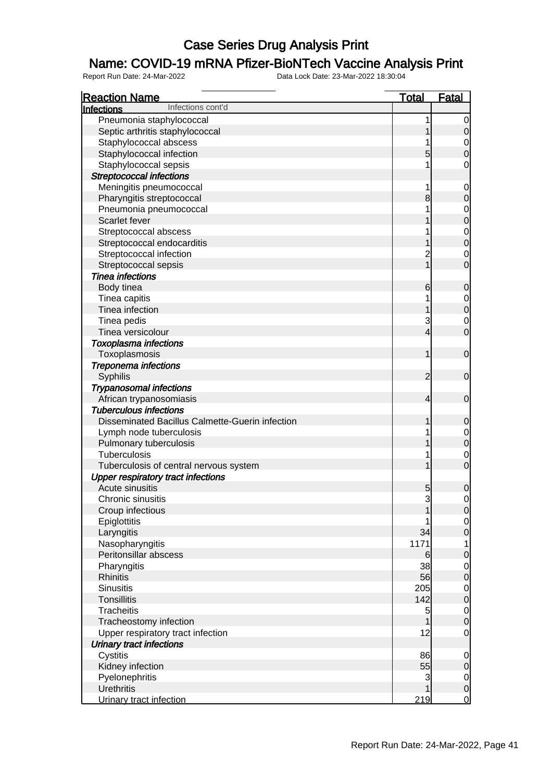### Name: COVID-19 mRNA Pfizer-BioNTech Vaccine Analysis Print

| <b>Reaction Name</b>                            | <b>Total</b>                  | <b>Fatal</b>                     |
|-------------------------------------------------|-------------------------------|----------------------------------|
| Infections cont'd<br>Infections                 |                               |                                  |
| Pneumonia staphylococcal                        | 1                             | $\mathbf 0$                      |
| Septic arthritis staphylococcal                 | 1                             | $\mathbf 0$                      |
| Staphylococcal abscess                          | 1                             |                                  |
| Staphylococcal infection                        | 5                             | $\begin{matrix}0\\0\end{matrix}$ |
| Staphylococcal sepsis                           | 1                             | 0                                |
| <b>Streptococcal infections</b>                 |                               |                                  |
| Meningitis pneumococcal                         | 1                             | $\mathbf 0$                      |
| Pharyngitis streptococcal                       | 8                             | $\pmb{0}$                        |
| Pneumonia pneumococcal                          | 1                             |                                  |
| Scarlet fever                                   |                               | $\begin{matrix}0\\0\end{matrix}$ |
| Streptococcal abscess                           |                               |                                  |
| Streptococcal endocarditis                      | 1                             | $\begin{matrix}0\\0\end{matrix}$ |
| Streptococcal infection                         | $\overline{c}$                | $\mathbf 0$                      |
| Streptococcal sepsis                            | $\overline{1}$                | $\overline{0}$                   |
| <b>Tinea infections</b>                         |                               |                                  |
| Body tinea                                      | 6                             | $\mathbf 0$                      |
| Tinea capitis                                   | 1                             |                                  |
| Tinea infection                                 | 1                             | $\overline{0}$<br>$\overline{0}$ |
|                                                 |                               |                                  |
| Tinea pedis<br>Tinea versicolour                | 3<br>$\overline{\mathcal{L}}$ | $\mathbf 0$<br>$\overline{0}$    |
|                                                 |                               |                                  |
| <b>Toxoplasma infections</b>                    |                               |                                  |
| Toxoplasmosis                                   | 1                             | $\boldsymbol{0}$                 |
| <b>Treponema infections</b>                     |                               |                                  |
| Syphilis                                        | $\overline{2}$                | $\mathbf 0$                      |
| <b>Trypanosomal infections</b>                  |                               |                                  |
| African trypanosomiasis                         | $\overline{4}$                | $\boldsymbol{0}$                 |
| <b>Tuberculous infections</b>                   |                               |                                  |
| Disseminated Bacillus Calmette-Guerin infection | 1                             | $\mathbf 0$                      |
| Lymph node tuberculosis                         |                               | $\mathbf 0$                      |
| Pulmonary tuberculosis                          | 1                             | $\overline{0}$                   |
| <b>Tuberculosis</b>                             | 1                             | $\mathbf 0$                      |
| Tuberculosis of central nervous system          | 1                             | $\overline{0}$                   |
| <b>Upper respiratory tract infections</b>       |                               |                                  |
| Acute sinusitis                                 | 5                             | 0                                |
| Chronic sinusitis                               | 3                             | 0                                |
| Croup infectious                                | 1                             | 0                                |
| Epiglottitis                                    |                               | $\overline{0}$                   |
| Laryngitis                                      | 34                            | $\overline{0}$                   |
| Nasopharyngitis                                 | 1171                          | 1                                |
| Peritonsillar abscess                           | 6                             | $\mathbf 0$                      |
| Pharyngitis                                     | 38                            | $\mathbf 0$                      |
| <b>Rhinitis</b>                                 | 56                            | $\mathbf 0$                      |
| <b>Sinusitis</b>                                | 205                           | $\mathbf 0$                      |
| <b>Tonsillitis</b>                              | 142                           | $\mathbf 0$                      |
| <b>Tracheitis</b>                               | 5                             | $\mathbf 0$                      |
| Tracheostomy infection                          | $\mathbf{1}$                  | $\overline{0}$                   |
| Upper respiratory tract infection               | 12                            | $\mathbf 0$                      |
| <b>Urinary tract infections</b>                 |                               |                                  |
| Cystitis                                        | 86                            | $\mathbf 0$                      |
| Kidney infection                                | 55                            | $\pmb{0}$                        |
| Pyelonephritis                                  | 3                             | $\overline{0}$                   |
| <b>Urethritis</b>                               | 1                             | $\boldsymbol{0}$                 |
| Urinary tract infection                         | 219                           | $\overline{0}$                   |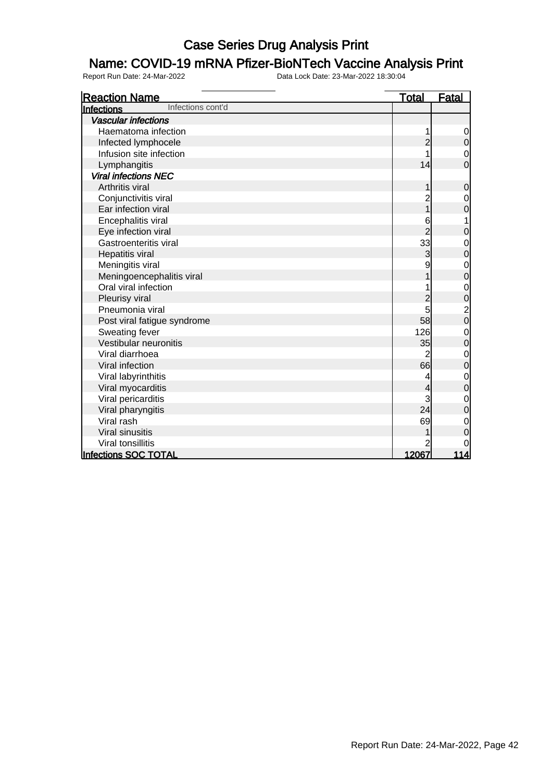### Name: COVID-19 mRNA Pfizer-BioNTech Vaccine Analysis Print

| <b>Reaction Name</b>                   | <u>Total</u>   | <b>Fatal</b>                     |
|----------------------------------------|----------------|----------------------------------|
| Infections cont'd<br><b>Infections</b> |                |                                  |
| <b>Vascular infections</b>             |                |                                  |
| Haematoma infection                    | 1              | $\overline{0}$                   |
| Infected lymphocele                    | $\overline{2}$ | $\mathbf 0$                      |
| Infusion site infection                |                | $\overline{0}$                   |
| Lymphangitis                           | 14             | $\overline{0}$                   |
| <b>Viral infections NEC</b>            |                |                                  |
| Arthritis viral                        | 1              | $\pmb{0}$                        |
| Conjunctivitis viral                   | $\overline{c}$ | $\mathbf 0$                      |
| Ear infection viral                    | $\overline{1}$ | $\overline{0}$                   |
| Encephalitis viral                     | 6              | 1                                |
| Eye infection viral                    | $\overline{2}$ | $\mathbf 0$                      |
| Gastroenteritis viral                  | 33             | $\mathbf 0$                      |
| Hepatitis viral                        | 3              | $\overline{0}$                   |
| Meningitis viral                       | 9              | $\begin{matrix}0\\0\end{matrix}$ |
| Meningoencephalitis viral              | 1              |                                  |
| Oral viral infection                   |                | $\mathbf{0}$                     |
| Pleurisy viral                         | 2              | $\overline{0}$                   |
| Pneumonia viral                        | 5              | $\frac{2}{0}$                    |
| Post viral fatigue syndrome            | 58             |                                  |
| Sweating fever                         | 126            | $\mathbf{0}$                     |
| Vestibular neuronitis                  | 35             | $\overline{0}$                   |
| Viral diarrhoea                        | 2              | $\begin{matrix}0\\0\end{matrix}$ |
| Viral infection                        | 66             |                                  |
| Viral labyrinthitis                    | 4              | $\mathbf{0}$                     |
| Viral myocarditis                      | 4              | $\overline{0}$                   |
| Viral pericarditis                     | 3              | $\begin{matrix}0\\0\end{matrix}$ |
| Viral pharyngitis                      | 24             |                                  |
| Viral rash                             | 69             | $\mathbf 0$                      |
| Viral sinusitis                        |                | $\overline{0}$                   |
| Viral tonsillitis                      |                | 0                                |
| Infections SOC TOTAL                   | 12067          | 114                              |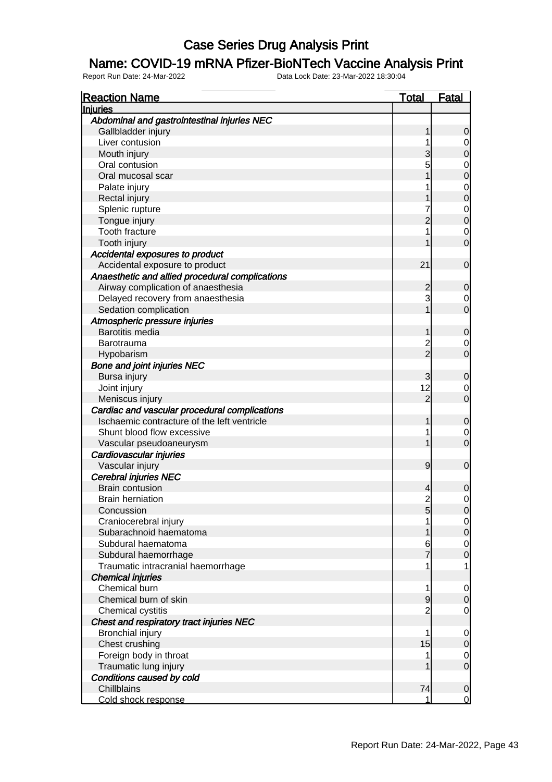#### Name: COVID-19 mRNA Pfizer-BioNTech Vaccine Analysis Print

| <b>Reaction Name</b>                                                                                               | Total          | <b>Fatal</b>                                                   |
|--------------------------------------------------------------------------------------------------------------------|----------------|----------------------------------------------------------------|
| <b>Injuries</b>                                                                                                    |                |                                                                |
| Abdominal and gastrointestinal injuries NEC                                                                        |                |                                                                |
| Gallbladder injury                                                                                                 |                |                                                                |
| Liver contusion                                                                                                    |                | 0                                                              |
| Mouth injury                                                                                                       |                | 0                                                              |
| Oral contusion                                                                                                     | 5              | $\mathbf 0$                                                    |
| Oral mucosal scar                                                                                                  |                | $\overline{0}$                                                 |
| Palate injury                                                                                                      |                |                                                                |
| Rectal injury                                                                                                      |                | $\begin{matrix} 0 \\ 0 \end{matrix}$                           |
| Splenic rupture                                                                                                    |                |                                                                |
| Tongue injury                                                                                                      |                | $\begin{matrix} 0 \\ 0 \end{matrix}$                           |
| Tooth fracture                                                                                                     |                | $\mathbf{0}$                                                   |
| Tooth injury                                                                                                       |                | O                                                              |
| Accidental exposures to product                                                                                    |                |                                                                |
| Accidental exposure to product                                                                                     | 21             | 0                                                              |
| Anaesthetic and allied procedural complications                                                                    |                |                                                                |
| Airway complication of anaesthesia                                                                                 | 2              | 0                                                              |
| Delayed recovery from anaesthesia                                                                                  | 3              | 0                                                              |
| Sedation complication                                                                                              |                | O                                                              |
| Atmospheric pressure injuries                                                                                      |                |                                                                |
| <b>Barotitis media</b>                                                                                             |                | 0                                                              |
| Barotrauma                                                                                                         | 2              | 0                                                              |
| Hypobarism                                                                                                         | $\overline{2}$ | O                                                              |
| <b>Bone and joint injuries NEC</b>                                                                                 |                |                                                                |
| Bursa injury                                                                                                       | 3              | 0                                                              |
| Joint injury                                                                                                       | 12             | 0                                                              |
| Meniscus injury                                                                                                    | 2              | O                                                              |
| Cardiac and vascular procedural complications                                                                      |                |                                                                |
| Ischaemic contracture of the left ventricle                                                                        |                | 0                                                              |
| Shunt blood flow excessive                                                                                         |                | 0                                                              |
| Vascular pseudoaneurysm                                                                                            |                | O                                                              |
| Cardiovascular injuries                                                                                            |                |                                                                |
| Vascular injury                                                                                                    | 9              | $\mathbf 0$                                                    |
| <b>Cerebral injuries NEC</b>                                                                                       |                |                                                                |
| <b>Brain contusion</b>                                                                                             |                | 0                                                              |
| <b>Brain herniation</b>                                                                                            | $\overline{c}$ | 0                                                              |
| Concussion                                                                                                         |                |                                                                |
| Craniocerebral injury                                                                                              | 5              | <sup>o</sup><br>$\overline{0}$                                 |
| Subarachnoid haematoma                                                                                             |                | $\overline{0}$                                                 |
| Subdural haematoma                                                                                                 | 6              |                                                                |
| Subdural haemorrhage                                                                                               |                | $\begin{matrix}0\\0\end{matrix}$                               |
| Traumatic intracranial haemorrhage                                                                                 | 1              | 1                                                              |
| <b>Chemical injuries</b>                                                                                           |                |                                                                |
| Chemical burn                                                                                                      | 1              |                                                                |
| Chemical burn of skin                                                                                              | 9              | $\mathbf 0$<br>$\mathbf 0$                                     |
| Chemical cystitis                                                                                                  | 2              | $\mathbf 0$                                                    |
| Chest and respiratory tract injuries NEC                                                                           |                |                                                                |
| <b>Bronchial injury</b>                                                                                            | 1              |                                                                |
| Chest crushing                                                                                                     | 15             | $\overline{0}$<br>$\mathbf 0$                                  |
|                                                                                                                    |                |                                                                |
|                                                                                                                    |                |                                                                |
|                                                                                                                    |                |                                                                |
|                                                                                                                    |                |                                                                |
|                                                                                                                    |                |                                                                |
| Foreign body in throat<br>Traumatic lung injury<br>Conditions caused by cold<br>Chillblains<br>Cold shock response | 1<br>74<br>1   | $\mathbf 0$<br>$\overline{0}$<br>$\mathbf 0$<br>$\overline{0}$ |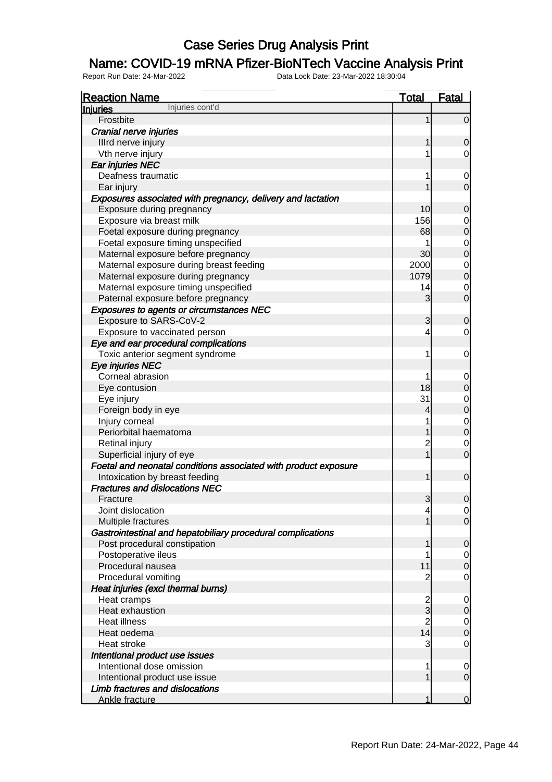### Name: COVID-19 mRNA Pfizer-BioNTech Vaccine Analysis Print

| <b>Reaction Name</b>                                            | <u>Total</u>   | <b>Fatal</b>                     |
|-----------------------------------------------------------------|----------------|----------------------------------|
| Injuries cont'd<br><b>Injuries</b>                              |                |                                  |
| Frostbite                                                       | 1              | $\mathbf 0$                      |
| Cranial nerve injuries                                          |                |                                  |
| Illrd nerve injury                                              | 1              | 0                                |
| Vth nerve injury                                                | 1              | 0                                |
| Ear injuries NEC                                                |                |                                  |
| Deafness traumatic                                              | 1              | $\mathbf 0$                      |
| Ear injury                                                      |                | $\overline{0}$                   |
| Exposures associated with pregnancy, delivery and lactation     |                |                                  |
| Exposure during pregnancy                                       | 10             | 0                                |
| Exposure via breast milk                                        | 156            | $\mathbf{0}$                     |
| Foetal exposure during pregnancy                                | 68             | $\overline{0}$                   |
| Foetal exposure timing unspecified                              | 1              | $\begin{matrix}0\\0\end{matrix}$ |
| Maternal exposure before pregnancy                              | 30             |                                  |
| Maternal exposure during breast feeding                         | 2000           | $\begin{matrix}0\\0\end{matrix}$ |
| Maternal exposure during pregnancy                              | 1079           |                                  |
| Maternal exposure timing unspecified                            | 14             | $\mathbf 0$                      |
| Paternal exposure before pregnancy                              | 3              | $\overline{0}$                   |
| <b>Exposures to agents or circumstances NEC</b>                 |                |                                  |
| Exposure to SARS-CoV-2                                          | 3              | 0                                |
| Exposure to vaccinated person                                   | 4              | 0                                |
| Eye and ear procedural complications                            |                |                                  |
| Toxic anterior segment syndrome                                 | 1              | 0                                |
| Eye injuries NEC                                                |                |                                  |
| Corneal abrasion                                                | 1              | $\mathbf 0$                      |
| Eye contusion                                                   | 18             | $\overline{0}$                   |
| Eye injury                                                      | 31             | $\begin{matrix}0\\0\end{matrix}$ |
| Foreign body in eye                                             | 4              |                                  |
| Injury corneal                                                  | 1              | $\begin{matrix}0\\0\end{matrix}$ |
| Periorbital haematoma                                           | 1              |                                  |
| Retinal injury                                                  | $\overline{2}$ | $\mathbf 0$                      |
| Superficial injury of eye                                       | $\overline{1}$ | $\overline{0}$                   |
| Foetal and neonatal conditions associated with product exposure |                |                                  |
| Intoxication by breast feeding                                  | 1              | $\mathbf 0$                      |
| <b>Fractures and dislocations NEC</b>                           |                |                                  |
| Fracture                                                        | 3              | $\mathbf 0$                      |
| Joint dislocation                                               | $\overline{a}$ | $\overline{0}$                   |
| Multiple fractures                                              | 1              | $\overline{O}$                   |
| Gastrointestinal and hepatobiliary procedural complications     |                |                                  |
| Post procedural constipation                                    | 1              | $\mathbf 0$                      |
| Postoperative ileus                                             | 1              | $\mathbf 0$                      |
| Procedural nausea                                               | 11             | $\overline{0}$                   |
| Procedural vomiting                                             | 2              | $\mathbf 0$                      |
| Heat injuries (excl thermal burns)                              |                |                                  |
| Heat cramps                                                     | $\frac{2}{3}$  | $\mathbf 0$                      |
| Heat exhaustion                                                 |                | $\boldsymbol{0}$                 |
| <b>Heat illness</b>                                             | $\overline{2}$ | $\boldsymbol{0}$                 |
| Heat oedema                                                     | 14             | $\overline{0}$                   |
| Heat stroke                                                     | 3              | $\mathbf 0$                      |
| Intentional product use issues                                  |                |                                  |
| Intentional dose omission                                       | 1              | 0                                |
| Intentional product use issue                                   | 1              | $\mathbf 0$                      |
| Limb fractures and dislocations                                 |                |                                  |
| Ankle fracture                                                  |                | $\overline{0}$                   |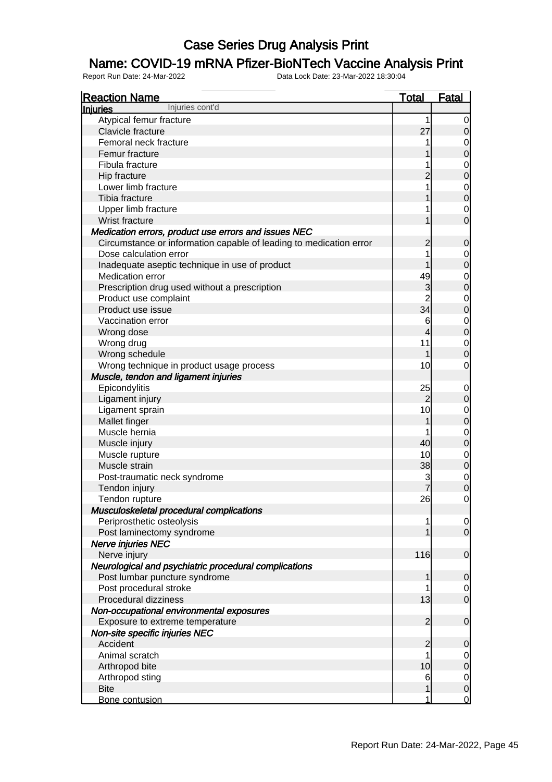### Name: COVID-19 mRNA Pfizer-BioNTech Vaccine Analysis Print

| <b>Reaction Name</b>                                                   | <b>Total</b>             | <b>Fatal</b>                     |
|------------------------------------------------------------------------|--------------------------|----------------------------------|
| Injuries cont'd<br><b>Injuries</b>                                     |                          |                                  |
| Atypical femur fracture                                                | 1                        | $\overline{0}$                   |
| Clavicle fracture                                                      | 27                       | $\mathbf 0$                      |
| Femoral neck fracture                                                  | 1                        | $\overline{0}$                   |
| Femur fracture                                                         | 1                        | $\boldsymbol{0}$                 |
| Fibula fracture                                                        | 1                        | $\mathbf{0}$                     |
| Hip fracture                                                           | $\overline{2}$           | $\overline{0}$                   |
| Lower limb fracture                                                    | 1                        |                                  |
| Tibia fracture                                                         | 1                        | $0$<br>0                         |
| Upper limb fracture                                                    | 1                        | $\mathbf 0$                      |
| Wrist fracture                                                         | 1                        | $\overline{0}$                   |
| Medication errors, product use errors and issues NEC                   |                          |                                  |
| Circumstance or information capable of leading to medication error     | $\overline{c}$           | $\mathbf 0$                      |
| Dose calculation error                                                 | 1                        |                                  |
| Inadequate aseptic technique in use of product                         | 1                        | $\overline{0}$<br>$\overline{0}$ |
| Medication error                                                       | 49                       |                                  |
|                                                                        | 3                        | $\mathbf{0}$<br>$\overline{0}$   |
| Prescription drug used without a prescription<br>Product use complaint | $\overline{2}$           |                                  |
|                                                                        | 34                       | $\mathbf{0}$                     |
| Product use issue                                                      |                          | $\overline{0}$                   |
| Vaccination error                                                      | 6                        | $0$<br>0                         |
| Wrong dose                                                             | $\overline{\mathcal{L}}$ |                                  |
| Wrong drug                                                             | 11                       | $\overline{0}$                   |
| Wrong schedule                                                         | 1                        | $\overline{0}$                   |
| Wrong technique in product usage process                               | 10                       | $\mathbf 0$                      |
| Muscle, tendon and ligament injuries                                   |                          |                                  |
| Epicondylitis                                                          | 25                       | $\mathbf 0$                      |
| Ligament injury                                                        | $\overline{2}$           | $\pmb{0}$                        |
| Ligament sprain                                                        | 10                       | $\mathbf{0}$                     |
| Mallet finger                                                          | 1                        | $\overline{0}$                   |
| Muscle hernia                                                          | 1                        | $\mathbf{0}$                     |
| Muscle injury                                                          | 40                       | $\overline{0}$                   |
| Muscle rupture                                                         | 10                       | $\mathbf{0}$                     |
| Muscle strain                                                          | 38                       | $\mathbf 0$                      |
| Post-traumatic neck syndrome                                           | 3                        | $0$<br>0                         |
| Tendon injury                                                          |                          |                                  |
| Tendon rupture                                                         | 26                       | $\mathbf 0$                      |
| Musculoskeletal procedural complications                               |                          |                                  |
| Periprosthetic osteolysis                                              | 1                        | 이                                |
| Post laminectomy syndrome                                              | 1                        | $\overline{O}$                   |
| Nerve injuries NEC                                                     |                          |                                  |
| Nerve injury                                                           | 116                      | $\boldsymbol{0}$                 |
| Neurological and psychiatric procedural complications                  |                          |                                  |
| Post lumbar puncture syndrome                                          | 1                        | $\mathbf 0$                      |
| Post procedural stroke                                                 | 1                        | $\overline{0}$                   |
| Procedural dizziness                                                   | 13                       | $\mathbf 0$                      |
| Non-occupational environmental exposures                               |                          |                                  |
| Exposure to extreme temperature                                        | $\overline{2}$           | $\mathbf 0$                      |
| Non-site specific injuries NEC                                         |                          |                                  |
| Accident                                                               | $\overline{c}$           | $\mathbf 0$                      |
| Animal scratch                                                         | 1                        | $\mathbf 0$                      |
| Arthropod bite                                                         | 10                       | $\boldsymbol{0}$                 |
| Arthropod sting                                                        | 6                        | $\mathbf 0$                      |
| <b>Bite</b>                                                            | 1                        | $\pmb{0}$                        |
| Bone contusion                                                         | 1                        | $\overline{0}$                   |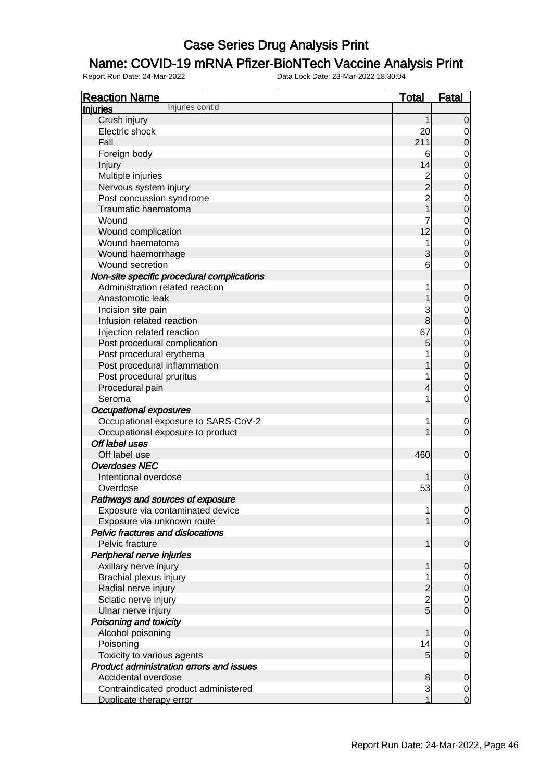### Name: COVID-19 mRNA Pfizer-BioNTech Vaccine Analysis Print

| <b>Reaction Name</b>                            | <b>Total</b>            | <b>Fatal</b>   |
|-------------------------------------------------|-------------------------|----------------|
| Injuries cont'd<br><b>Injuries</b>              |                         |                |
| Crush injury                                    |                         | 0              |
| Electric shock                                  | 20                      | 0              |
| Fall                                            | 211                     | 0              |
| Foreign body                                    | 6                       | $\mathbf 0$    |
| Injury                                          | 14                      | 0              |
| Multiple injuries                               | $\overline{\mathbf{c}}$ | $\mathbf 0$    |
| Nervous system injury                           | $\overline{2}$          | 0              |
| Post concussion syndrome                        | $\overline{c}$          | $\mathbf 0$    |
| Traumatic haematoma                             | 1                       | 0              |
| Wound                                           | 7                       | $\mathbf 0$    |
| Wound complication                              | 12                      | $\overline{0}$ |
| Wound haematoma                                 | 1                       | $\mathbf 0$    |
| Wound haemorrhage                               | 3                       | 0              |
| Wound secretion                                 | 6                       | 0              |
| Non-site specific procedural complications      |                         |                |
| Administration related reaction                 | 1                       | $\mathbf 0$    |
| Anastomotic leak                                |                         | 0              |
| Incision site pain                              | 3                       | $\mathbf 0$    |
| Infusion related reaction                       | 8                       | 0              |
| Injection related reaction                      | 67                      | $\mathbf 0$    |
| Post procedural complication                    | 5                       | $\overline{0}$ |
| Post procedural erythema                        |                         | $\mathbf 0$    |
| Post procedural inflammation                    |                         | 0              |
| Post procedural pruritus                        | 1                       | $\mathbf 0$    |
| Procedural pain                                 |                         | 0              |
| Seroma                                          | 1                       | $\mathbf 0$    |
| <b>Occupational exposures</b>                   |                         |                |
| Occupational exposure to SARS-CoV-2             | 1                       | $\mathbf 0$    |
| Occupational exposure to product                |                         | $\overline{0}$ |
| Off label uses                                  |                         |                |
| Off label use                                   | 460                     | $\mathbf 0$    |
| <b>Overdoses NEC</b>                            |                         |                |
| Intentional overdose                            |                         | 0              |
| Overdose                                        | 53                      | $\mathbf 0$    |
| Pathways and sources of exposure                |                         |                |
| Exposure via contaminated device                |                         | $\Omega$       |
| Exposure via unknown route                      |                         | $\overline{O}$ |
| <b>Pelvic fractures and dislocations</b>        |                         |                |
| Pelvic fracture                                 | 1                       | $\mathbf 0$    |
| Peripheral nerve injuries                       |                         |                |
| Axillary nerve injury                           |                         | 0              |
| Brachial plexus injury                          |                         | $\mathbf 0$    |
| Radial nerve injury                             | $\overline{c}$          | $\mathbf 0$    |
| Sciatic nerve injury                            |                         | 0              |
| Ulnar nerve injury                              | $\frac{2}{5}$           | $\mathbf 0$    |
| Poisoning and toxicity                          |                         |                |
| Alcohol poisoning                               |                         | 0              |
| Poisoning                                       | 14                      | $\mathbf 0$    |
| Toxicity to various agents                      | 5                       | $\mathbf 0$    |
| <b>Product administration errors and issues</b> |                         |                |
| Accidental overdose                             | 8                       | 0              |
| Contraindicated product administered            | $\mathbf{3}$            | $\mathbf 0$    |
| Duplicate therapy error                         | 1                       | $\overline{0}$ |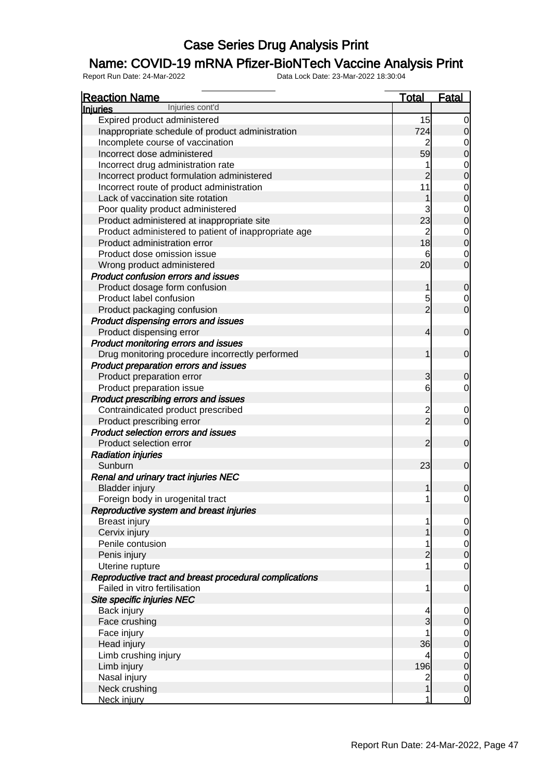### Name: COVID-19 mRNA Pfizer-BioNTech Vaccine Analysis Print

| <b>Reaction Name</b>                                   | <b>Total</b>            | <b>Fatal</b>                         |
|--------------------------------------------------------|-------------------------|--------------------------------------|
| Injuries cont'd<br><b>Injuries</b>                     |                         |                                      |
| Expired product administered                           | 15                      | $\overline{0}$                       |
| Inappropriate schedule of product administration       | 724                     | $\mathbf 0$                          |
| Incomplete course of vaccination                       |                         |                                      |
| Incorrect dose administered                            | 59                      | $\begin{matrix}0\\0\end{matrix}$     |
| Incorrect drug administration rate                     | 1                       |                                      |
| Incorrect product formulation administered             | $\overline{2}$          | $\begin{matrix}0\\0\end{matrix}$     |
| Incorrect route of product administration              | 11                      |                                      |
| Lack of vaccination site rotation                      | 1                       | $\begin{matrix} 0 \\ 0 \end{matrix}$ |
| Poor quality product administered                      | 3                       |                                      |
| Product administered at inappropriate site             | 23                      | $\begin{matrix} 0 \\ 0 \end{matrix}$ |
| Product administered to patient of inappropriate age   | $\overline{2}$          |                                      |
| Product administration error                           | 18                      | $\begin{matrix}0\\0\end{matrix}$     |
| Product dose omission issue                            | 6                       |                                      |
| Wrong product administered                             | 20                      | $\begin{matrix} 0 \\ 0 \end{matrix}$ |
| <b>Product confusion errors and issues</b>             |                         |                                      |
| Product dosage form confusion                          | 1                       |                                      |
| Product label confusion                                |                         | $\mathbf 0$                          |
|                                                        | 5<br>$\overline{2}$     | $\begin{matrix} 0 \\ 0 \end{matrix}$ |
| Product packaging confusion                            |                         |                                      |
| Product dispensing errors and issues                   |                         |                                      |
| Product dispensing error                               | 4                       | $\mathbf 0$                          |
| Product monitoring errors and issues                   |                         |                                      |
| Drug monitoring procedure incorrectly performed        | 1                       | $\mathbf 0$                          |
| Product preparation errors and issues                  |                         |                                      |
| Product preparation error                              | 3                       | $\mathbf 0$                          |
| Product preparation issue                              | 6                       | $\overline{O}$                       |
| Product prescribing errors and issues                  |                         |                                      |
| Contraindicated product prescribed                     | $\frac{2}{2}$           | $\begin{matrix} 0 \\ 0 \end{matrix}$ |
| Product prescribing error                              |                         |                                      |
| Product selection errors and issues                    |                         |                                      |
| Product selection error                                | $\overline{2}$          | $\mathbf 0$                          |
| <b>Radiation injuries</b>                              |                         |                                      |
| Sunburn                                                | 23                      | $\mathbf 0$                          |
| Renal and urinary tract injuries NEC                   |                         |                                      |
| <b>Bladder injury</b>                                  | 1                       | $\mathbf 0$                          |
| Foreign body in urogenital tract                       | 1                       | $\mathsf{O}\xspace$                  |
| Reproductive system and breast injuries                |                         |                                      |
| <b>Breast injury</b>                                   | 1                       | $\begin{matrix} 0 \\ 0 \end{matrix}$ |
| Cervix injury                                          | 1                       |                                      |
| Penile contusion                                       | 1                       | $\begin{matrix} 0 \\ 0 \end{matrix}$ |
| Penis injury                                           | $\overline{c}$          |                                      |
| Uterine rupture                                        | 1                       | $\mathbf 0$                          |
| Reproductive tract and breast procedural complications |                         |                                      |
| Failed in vitro fertilisation                          | 1                       | $\mathbf 0$                          |
| Site specific injuries NEC                             |                         |                                      |
| Back injury                                            | 4                       | $\mathbf{0}$                         |
| Face crushing                                          | 3                       | $\mathbf{0}$                         |
| Face injury                                            |                         |                                      |
| Head injury                                            | 36                      | $\begin{matrix}0\\0\end{matrix}$     |
| Limb crushing injury                                   | 4                       |                                      |
| Limb injury                                            | 196                     | $\begin{matrix}0\\0\end{matrix}$     |
| Nasal injury                                           | $\overline{\mathbf{c}}$ |                                      |
| Neck crushing                                          | $\overline{1}$          | $\begin{matrix}0\\0\end{matrix}$     |
| Neck injury                                            | 1                       | $\overline{0}$                       |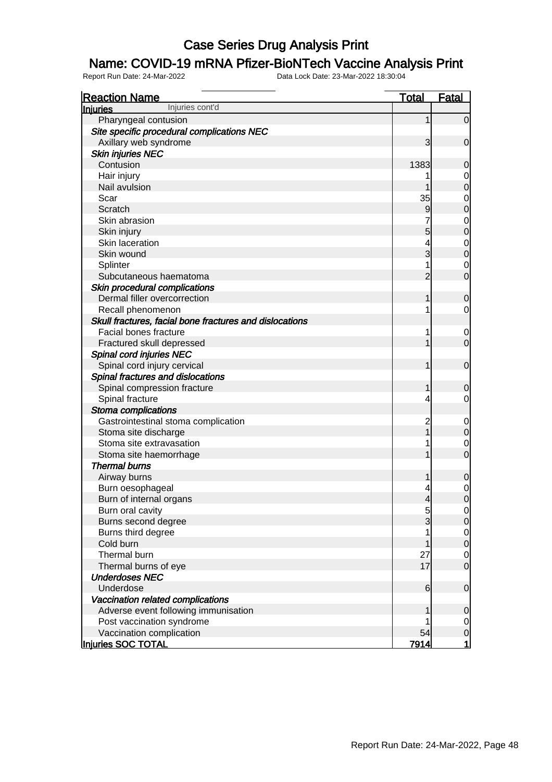#### Name: COVID-19 mRNA Pfizer-BioNTech Vaccine Analysis Print

| <b>Reaction Name</b>                                    | <b>Total</b>             | <b>Fatal</b>                         |
|---------------------------------------------------------|--------------------------|--------------------------------------|
| Injuries cont'd<br><b>Injuries</b>                      |                          |                                      |
| Pharyngeal contusion                                    | 1                        | $\overline{0}$                       |
| Site specific procedural complications NEC              |                          |                                      |
| Axillary web syndrome                                   | 3                        | $\mathbf 0$                          |
| <b>Skin injuries NEC</b>                                |                          |                                      |
| Contusion                                               | 1383                     | 0                                    |
| Hair injury                                             |                          | 0                                    |
| Nail avulsion                                           |                          | $\mathbf 0$                          |
| Scar                                                    | 35                       | $\mathbf 0$                          |
| Scratch                                                 | 9                        | $\mathbf 0$                          |
| Skin abrasion                                           |                          | $\mathbf 0$                          |
| Skin injury                                             | 5                        | $\mathbf 0$                          |
| Skin laceration                                         | 4                        | $\mathbf 0$                          |
| Skin wound                                              | 3                        | $\mathbf 0$                          |
| Splinter                                                |                          | 0                                    |
| Subcutaneous haematoma                                  | $\overline{2}$           | $\overline{0}$                       |
| Skin procedural complications                           |                          |                                      |
| Dermal filler overcorrection                            |                          | $\mathbf 0$                          |
| Recall phenomenon                                       |                          | $\overline{0}$                       |
| Skull fractures, facial bone fractures and dislocations |                          |                                      |
| Facial bones fracture                                   |                          | 0                                    |
| Fractured skull depressed                               |                          | $\overline{0}$                       |
| Spinal cord injuries NEC                                |                          |                                      |
| Spinal cord injury cervical                             |                          | $\mathbf 0$                          |
| Spinal fractures and dislocations                       |                          |                                      |
| Spinal compression fracture                             |                          | $\mathbf 0$                          |
| Spinal fracture                                         | 4                        | $\overline{0}$                       |
| Stoma complications                                     |                          |                                      |
| Gastrointestinal stoma complication                     | 2                        | 0                                    |
| Stoma site discharge                                    |                          | $\mathbf 0$                          |
| Stoma site extravasation                                |                          | 0                                    |
| Stoma site haemorrhage                                  |                          | $\overline{0}$                       |
| <b>Thermal burns</b>                                    |                          |                                      |
| Airway burns                                            |                          | $\mathbf 0$                          |
| Burn oesophageal                                        |                          | $\mathbf 0$                          |
| Burn of internal organs                                 | $\overline{\mathcal{A}}$ | $\mathbf 0$                          |
| Burn oral cavity                                        | 5                        | $\overline{0}$                       |
| Burns second degree                                     | 3                        | 0                                    |
| Burns third degree                                      |                          |                                      |
| Cold burn                                               |                          | $\begin{matrix} 0 \\ 0 \end{matrix}$ |
| Thermal burn                                            | 27                       | $\overline{0}$                       |
| Thermal burns of eye                                    | 17                       | $\overline{O}$                       |
| <b>Underdoses NEC</b>                                   |                          |                                      |
| Underdose                                               | 6                        | $\mathbf 0$                          |
| Vaccination related complications                       |                          |                                      |
| Adverse event following immunisation                    |                          | $\mathbf 0$                          |
| Post vaccination syndrome                               |                          | $\overline{0}$                       |
| Vaccination complication                                | 54                       | $\mathsf{O}$                         |
| <b>Injuries SOC TOTAL</b>                               | 7914                     | $\mathbf{1}$                         |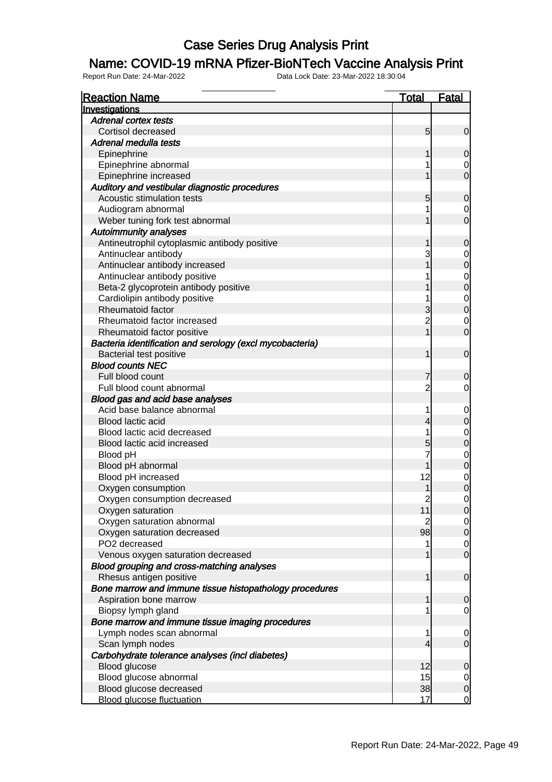#### Name: COVID-19 mRNA Pfizer-BioNTech Vaccine Analysis Print

| Investigations<br><b>Adrenal cortex tests</b><br>Cortisol decreased<br>$5\overline{)}$<br>Adrenal medulla tests<br>Epinephrine<br>1<br>Epinephrine abnormal<br>Epinephrine increased<br>1<br>Auditory and vestibular diagnostic procedures<br>Acoustic stimulation tests<br>5<br>Audiogram abnormal<br>Weber tuning fork test abnormal<br>1<br><b>Autoimmunity analyses</b><br>Antineutrophil cytoplasmic antibody positive<br>1<br>3<br>Antinuclear antibody<br>Antinuclear antibody increased<br>1<br>Antinuclear antibody positive<br>Beta-2 glycoprotein antibody positive<br>Cardiolipin antibody positive<br>Rheumatoid factor<br>3<br>$\overline{c}$<br>Rheumatoid factor increased<br>$\overline{1}$<br>Rheumatoid factor positive<br>Bacteria identification and serology (excl mycobacteria)<br><b>Bacterial test positive</b> |
|------------------------------------------------------------------------------------------------------------------------------------------------------------------------------------------------------------------------------------------------------------------------------------------------------------------------------------------------------------------------------------------------------------------------------------------------------------------------------------------------------------------------------------------------------------------------------------------------------------------------------------------------------------------------------------------------------------------------------------------------------------------------------------------------------------------------------------------|
|                                                                                                                                                                                                                                                                                                                                                                                                                                                                                                                                                                                                                                                                                                                                                                                                                                          |
|                                                                                                                                                                                                                                                                                                                                                                                                                                                                                                                                                                                                                                                                                                                                                                                                                                          |
|                                                                                                                                                                                                                                                                                                                                                                                                                                                                                                                                                                                                                                                                                                                                                                                                                                          |
|                                                                                                                                                                                                                                                                                                                                                                                                                                                                                                                                                                                                                                                                                                                                                                                                                                          |
|                                                                                                                                                                                                                                                                                                                                                                                                                                                                                                                                                                                                                                                                                                                                                                                                                                          |
|                                                                                                                                                                                                                                                                                                                                                                                                                                                                                                                                                                                                                                                                                                                                                                                                                                          |
|                                                                                                                                                                                                                                                                                                                                                                                                                                                                                                                                                                                                                                                                                                                                                                                                                                          |
|                                                                                                                                                                                                                                                                                                                                                                                                                                                                                                                                                                                                                                                                                                                                                                                                                                          |
|                                                                                                                                                                                                                                                                                                                                                                                                                                                                                                                                                                                                                                                                                                                                                                                                                                          |
|                                                                                                                                                                                                                                                                                                                                                                                                                                                                                                                                                                                                                                                                                                                                                                                                                                          |
|                                                                                                                                                                                                                                                                                                                                                                                                                                                                                                                                                                                                                                                                                                                                                                                                                                          |
|                                                                                                                                                                                                                                                                                                                                                                                                                                                                                                                                                                                                                                                                                                                                                                                                                                          |
|                                                                                                                                                                                                                                                                                                                                                                                                                                                                                                                                                                                                                                                                                                                                                                                                                                          |
|                                                                                                                                                                                                                                                                                                                                                                                                                                                                                                                                                                                                                                                                                                                                                                                                                                          |
|                                                                                                                                                                                                                                                                                                                                                                                                                                                                                                                                                                                                                                                                                                                                                                                                                                          |
|                                                                                                                                                                                                                                                                                                                                                                                                                                                                                                                                                                                                                                                                                                                                                                                                                                          |
|                                                                                                                                                                                                                                                                                                                                                                                                                                                                                                                                                                                                                                                                                                                                                                                                                                          |
|                                                                                                                                                                                                                                                                                                                                                                                                                                                                                                                                                                                                                                                                                                                                                                                                                                          |
|                                                                                                                                                                                                                                                                                                                                                                                                                                                                                                                                                                                                                                                                                                                                                                                                                                          |
|                                                                                                                                                                                                                                                                                                                                                                                                                                                                                                                                                                                                                                                                                                                                                                                                                                          |
|                                                                                                                                                                                                                                                                                                                                                                                                                                                                                                                                                                                                                                                                                                                                                                                                                                          |
|                                                                                                                                                                                                                                                                                                                                                                                                                                                                                                                                                                                                                                                                                                                                                                                                                                          |
| 1                                                                                                                                                                                                                                                                                                                                                                                                                                                                                                                                                                                                                                                                                                                                                                                                                                        |
| <b>Blood counts NEC</b>                                                                                                                                                                                                                                                                                                                                                                                                                                                                                                                                                                                                                                                                                                                                                                                                                  |
| Full blood count<br>7                                                                                                                                                                                                                                                                                                                                                                                                                                                                                                                                                                                                                                                                                                                                                                                                                    |
| $\overline{2}$<br>Full blood count abnormal                                                                                                                                                                                                                                                                                                                                                                                                                                                                                                                                                                                                                                                                                                                                                                                              |
| Blood gas and acid base analyses                                                                                                                                                                                                                                                                                                                                                                                                                                                                                                                                                                                                                                                                                                                                                                                                         |
| Acid base balance abnormal<br>1                                                                                                                                                                                                                                                                                                                                                                                                                                                                                                                                                                                                                                                                                                                                                                                                          |
| Blood lactic acid<br>4                                                                                                                                                                                                                                                                                                                                                                                                                                                                                                                                                                                                                                                                                                                                                                                                                   |
| Blood lactic acid decreased<br>1                                                                                                                                                                                                                                                                                                                                                                                                                                                                                                                                                                                                                                                                                                                                                                                                         |
| Blood lactic acid increased<br>5                                                                                                                                                                                                                                                                                                                                                                                                                                                                                                                                                                                                                                                                                                                                                                                                         |
| Blood pH                                                                                                                                                                                                                                                                                                                                                                                                                                                                                                                                                                                                                                                                                                                                                                                                                                 |
| 1<br>Blood pH abnormal                                                                                                                                                                                                                                                                                                                                                                                                                                                                                                                                                                                                                                                                                                                                                                                                                   |
| 12<br>Blood pH increased                                                                                                                                                                                                                                                                                                                                                                                                                                                                                                                                                                                                                                                                                                                                                                                                                 |
| Oxygen consumption                                                                                                                                                                                                                                                                                                                                                                                                                                                                                                                                                                                                                                                                                                                                                                                                                       |
| Oxygen consumption decreased<br>$\overline{c}$                                                                                                                                                                                                                                                                                                                                                                                                                                                                                                                                                                                                                                                                                                                                                                                           |
| 11<br>Oxygen saturation                                                                                                                                                                                                                                                                                                                                                                                                                                                                                                                                                                                                                                                                                                                                                                                                                  |
| Oxygen saturation abnormal<br>2                                                                                                                                                                                                                                                                                                                                                                                                                                                                                                                                                                                                                                                                                                                                                                                                          |
| 98<br>Oxygen saturation decreased                                                                                                                                                                                                                                                                                                                                                                                                                                                                                                                                                                                                                                                                                                                                                                                                        |
| PO2 decreased<br>1                                                                                                                                                                                                                                                                                                                                                                                                                                                                                                                                                                                                                                                                                                                                                                                                                       |
| Venous oxygen saturation decreased<br>1                                                                                                                                                                                                                                                                                                                                                                                                                                                                                                                                                                                                                                                                                                                                                                                                  |
| Blood grouping and cross-matching analyses                                                                                                                                                                                                                                                                                                                                                                                                                                                                                                                                                                                                                                                                                                                                                                                               |
| Rhesus antigen positive<br>1                                                                                                                                                                                                                                                                                                                                                                                                                                                                                                                                                                                                                                                                                                                                                                                                             |
| Bone marrow and immune tissue histopathology procedures                                                                                                                                                                                                                                                                                                                                                                                                                                                                                                                                                                                                                                                                                                                                                                                  |
| 1<br>Aspiration bone marrow                                                                                                                                                                                                                                                                                                                                                                                                                                                                                                                                                                                                                                                                                                                                                                                                              |
| Biopsy lymph gland                                                                                                                                                                                                                                                                                                                                                                                                                                                                                                                                                                                                                                                                                                                                                                                                                       |
| Bone marrow and immune tissue imaging procedures                                                                                                                                                                                                                                                                                                                                                                                                                                                                                                                                                                                                                                                                                                                                                                                         |
| Lymph nodes scan abnormal<br>1                                                                                                                                                                                                                                                                                                                                                                                                                                                                                                                                                                                                                                                                                                                                                                                                           |
|                                                                                                                                                                                                                                                                                                                                                                                                                                                                                                                                                                                                                                                                                                                                                                                                                                          |
| Scan lymph nodes<br>4                                                                                                                                                                                                                                                                                                                                                                                                                                                                                                                                                                                                                                                                                                                                                                                                                    |
| Carbohydrate tolerance analyses (incl diabetes)<br>12                                                                                                                                                                                                                                                                                                                                                                                                                                                                                                                                                                                                                                                                                                                                                                                    |
| Blood glucose                                                                                                                                                                                                                                                                                                                                                                                                                                                                                                                                                                                                                                                                                                                                                                                                                            |
| 15<br>Blood glucose abnormal                                                                                                                                                                                                                                                                                                                                                                                                                                                                                                                                                                                                                                                                                                                                                                                                             |
| Blood glucose decreased<br>38<br>17<br><b>Blood glucose fluctuation</b>                                                                                                                                                                                                                                                                                                                                                                                                                                                                                                                                                                                                                                                                                                                                                                  |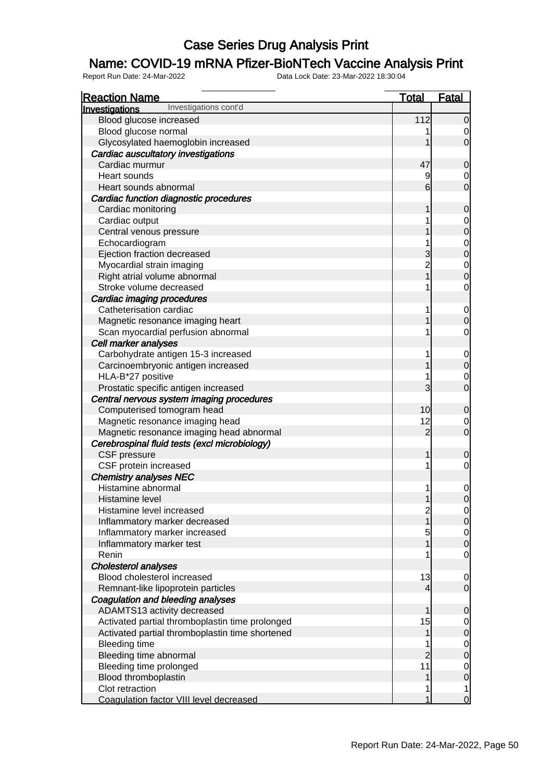### Name: COVID-19 mRNA Pfizer-BioNTech Vaccine Analysis Print

| <b>Reaction Name</b>                            | <b>Total</b>            | <b>Fatal</b>                         |
|-------------------------------------------------|-------------------------|--------------------------------------|
| Investigations cont'd<br>Investigations         |                         |                                      |
| Blood glucose increased                         | 112                     | $\mathbf 0$                          |
| Blood glucose normal                            |                         | $\mathbf 0$                          |
| Glycosylated haemoglobin increased              |                         | $\overline{0}$                       |
| Cardiac auscultatory investigations             |                         |                                      |
| Cardiac murmur                                  | 47                      | $\mathbf 0$                          |
| Heart sounds                                    | 9                       | $\overline{0}$                       |
| Heart sounds abnormal                           | 6                       | $\overline{0}$                       |
| Cardiac function diagnostic procedures          |                         |                                      |
| Cardiac monitoring                              |                         | $\mathbf 0$                          |
| Cardiac output                                  |                         |                                      |
| Central venous pressure                         |                         | $\begin{matrix} 0 \\ 0 \end{matrix}$ |
| Echocardiogram                                  |                         |                                      |
| Ejection fraction decreased                     | 3                       | $\begin{matrix}0\\0\end{matrix}$     |
| Myocardial strain imaging                       | $\overline{2}$          |                                      |
| Right atrial volume abnormal                    | $\overline{1}$          | $\begin{matrix} 0 \\ 0 \end{matrix}$ |
| Stroke volume decreased                         |                         | $\mathbf 0$                          |
| Cardiac imaging procedures                      |                         |                                      |
| Catheterisation cardiac                         | 1                       | $\mathbf 0$                          |
| Magnetic resonance imaging heart                |                         | $\overline{0}$                       |
| Scan myocardial perfusion abnormal              |                         | $\mathbf 0$                          |
| <b>Cell marker analyses</b>                     |                         |                                      |
| Carbohydrate antigen 15-3 increased             |                         |                                      |
| Carcinoembryonic antigen increased              |                         | $\begin{matrix} 0 \\ 0 \end{matrix}$ |
| HLA-B*27 positive                               |                         | $\mathbf 0$                          |
| Prostatic specific antigen increased            | 3                       | $\overline{0}$                       |
| Central nervous system imaging procedures       |                         |                                      |
| Computerised tomogram head                      | 10                      | $\mathbf 0$                          |
| Magnetic resonance imaging head                 | 12                      | $\overline{0}$                       |
| Magnetic resonance imaging head abnormal        | $\overline{2}$          | $\overline{0}$                       |
| Cerebrospinal fluid tests (excl microbiology)   |                         |                                      |
| CSF pressure                                    | 1                       | $\mathbf 0$                          |
| CSF protein increased                           | 1                       | $\mathbf 0$                          |
| <b>Chemistry analyses NEC</b>                   |                         |                                      |
| Histamine abnormal                              |                         | $\mathbf 0$                          |
| Histamine level                                 | 1                       | $\overline{0}$                       |
| Histamine level increased                       | $\overline{\mathbf{c}}$ |                                      |
| Inflammatory marker decreased                   | $\overline{1}$          | $\begin{matrix} 0 \\ 0 \end{matrix}$ |
| Inflammatory marker increased                   | 5                       |                                      |
| Inflammatory marker test                        |                         | $\begin{matrix} 0 \\ 0 \end{matrix}$ |
| Renin                                           |                         | $\overline{O}$                       |
| Cholesterol analyses                            |                         |                                      |
| Blood cholesterol increased                     | 13                      | $\overline{0}$                       |
| Remnant-like lipoprotein particles              | 4                       | $\overline{0}$                       |
| Coagulation and bleeding analyses               |                         |                                      |
| ADAMTS13 activity decreased                     |                         | $\mathbf 0$                          |
| Activated partial thromboplastin time prolonged | 15                      |                                      |
| Activated partial thromboplastin time shortened | 1                       | $\begin{matrix} 0 \\ 0 \end{matrix}$ |
| <b>Bleeding time</b>                            |                         |                                      |
| Bleeding time abnormal                          | $\overline{2}$          | $\begin{matrix} 0 \\ 0 \end{matrix}$ |
| Bleeding time prolonged                         | 11                      |                                      |
| Blood thromboplastin                            |                         | $\begin{matrix} 0 \\ 0 \end{matrix}$ |
| Clot retraction                                 |                         | 1                                    |
| Coagulation factor VIII level decreased         |                         | $\overline{0}$                       |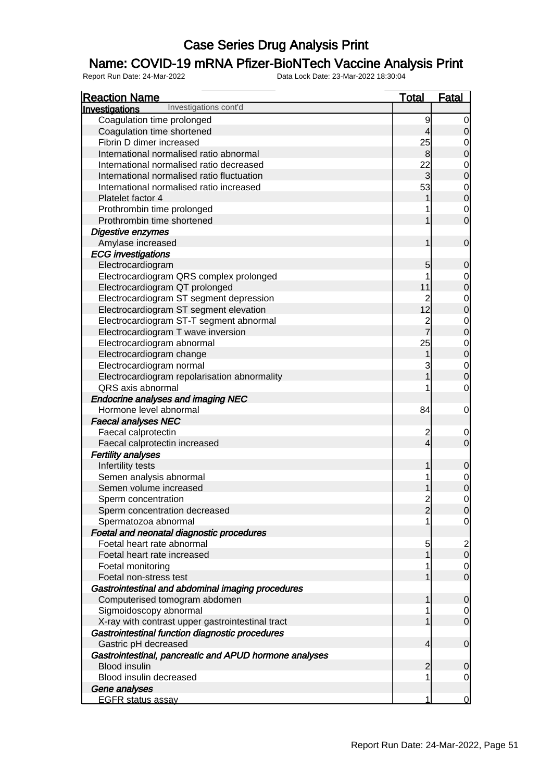### Name: COVID-19 mRNA Pfizer-BioNTech Vaccine Analysis Print

| <b>Reaction Name</b>                                                    | <b>Total</b>                           | <b>Fatal</b>                  |
|-------------------------------------------------------------------------|----------------------------------------|-------------------------------|
| Investigations cont'd<br>Investigations                                 |                                        |                               |
| Coagulation time prolonged                                              | 9                                      | 0                             |
| Coagulation time shortened                                              | $\overline{\mathbf{r}}$                | $\overline{0}$                |
| Fibrin D dimer increased                                                | 25                                     | 0                             |
| International normalised ratio abnormal                                 | $\mathbf{8}$                           | $\mathbf 0$                   |
| International normalised ratio decreased                                | 22                                     | $\mathbf 0$                   |
| International normalised ratio fluctuation                              | $\mathbf{3}$                           | $\mathbf 0$                   |
| International normalised ratio increased                                | 53                                     | $\overline{0}$                |
| Platelet factor 4                                                       |                                        | $\overline{0}$                |
| Prothrombin time prolonged                                              |                                        | $\overline{0}$                |
| Prothrombin time shortened                                              |                                        | $\overline{0}$                |
| Digestive enzymes                                                       |                                        |                               |
| Amylase increased                                                       | 1                                      | $\overline{0}$                |
| <b>ECG</b> investigations                                               |                                        |                               |
| Electrocardiogram                                                       | 5                                      | $\mathbf 0$                   |
| Electrocardiogram QRS complex prolonged                                 | 1                                      | 0                             |
| Electrocardiogram QT prolonged                                          | 11                                     | $\mathbf 0$                   |
| Electrocardiogram ST segment depression                                 |                                        | $\mathbf 0$                   |
| Electrocardiogram ST segment elevation                                  | $\begin{array}{c} 2 \\ 12 \end{array}$ | $\overline{0}$                |
| Electrocardiogram ST-T segment abnormal                                 |                                        | $\mathbf 0$                   |
| Electrocardiogram T wave inversion                                      | $\frac{2}{7}$                          | $\overline{0}$                |
| Electrocardiogram abnormal                                              | 25                                     | $\mathbf 0$                   |
| Electrocardiogram change                                                | 1                                      | $\overline{0}$                |
| Electrocardiogram normal                                                | 3                                      | $\mathbf 0$                   |
| Electrocardiogram repolarisation abnormality                            | 1                                      | $\overline{0}$                |
| QRS axis abnormal                                                       |                                        | $\overline{0}$                |
| <b>Endocrine analyses and imaging NEC</b>                               |                                        |                               |
| Hormone level abnormal                                                  | 84                                     | $\mathbf 0$                   |
| <b>Faecal analyses NEC</b>                                              |                                        |                               |
| Faecal calprotectin                                                     |                                        | $\mathbf 0$                   |
| Faecal calprotectin increased                                           | $\frac{2}{4}$                          | $\overline{0}$                |
| <b>Fertility analyses</b>                                               |                                        |                               |
| Infertility tests                                                       | 1                                      | $\mathbf 0$                   |
| Semen analysis abnormal                                                 | 1                                      |                               |
| Semen volume increased                                                  |                                        | $\mathbf 0$<br>$\overline{0}$ |
|                                                                         | $\overline{2}$                         | $\mathbf 0$                   |
| Sperm concentration                                                     |                                        |                               |
| Sperm concentration decreased                                           | $\overline{2}$                         | $\overline{0}$                |
| Spermatozoa abnormal                                                    |                                        | $\overline{0}$                |
| Foetal and neonatal diagnostic procedures<br>Foetal heart rate abnormal |                                        |                               |
|                                                                         | 5<br>1                                 | $\frac{2}{0}$                 |
| Foetal heart rate increased                                             |                                        |                               |
| Foetal monitoring                                                       |                                        | $\overline{0}$                |
| Foetal non-stress test                                                  |                                        | $\overline{O}$                |
| Gastrointestinal and abdominal imaging procedures                       |                                        |                               |
| Computerised tomogram abdomen                                           | 1                                      | $\overline{0}$                |
| Sigmoidoscopy abnormal                                                  |                                        | $\overline{0}$                |
| X-ray with contrast upper gastrointestinal tract                        |                                        | $\overline{0}$                |
| Gastrointestinal function diagnostic procedures                         |                                        |                               |
| Gastric pH decreased                                                    | $\overline{4}$                         | $\overline{0}$                |
| Gastrointestinal, pancreatic and APUD hormone analyses                  |                                        |                               |
| <b>Blood insulin</b>                                                    | $\overline{2}$                         | $\mathbf 0$                   |
| Blood insulin decreased                                                 | 1                                      | $\overline{0}$                |
| Gene analyses                                                           |                                        |                               |
| <b>EGFR status assay</b>                                                | 1                                      | <u>0</u>                      |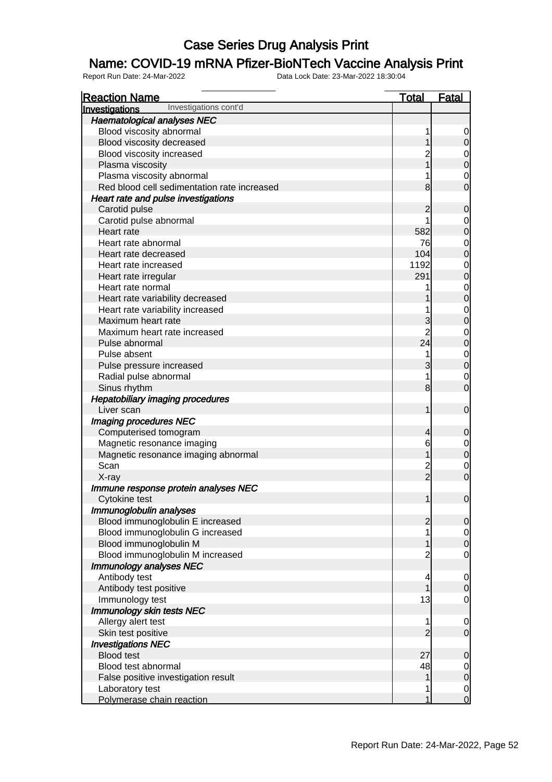### Name: COVID-19 mRNA Pfizer-BioNTech Vaccine Analysis Print

| <b>Reaction Name</b>                        | <b>Total</b>   | <b>Fatal</b>                         |
|---------------------------------------------|----------------|--------------------------------------|
| Investigations cont'd<br>Investigations     |                |                                      |
| <b>Haematological analyses NEC</b>          |                |                                      |
| Blood viscosity abnormal                    | 1              | $\mathbf 0$                          |
| Blood viscosity decreased                   | 1              | $\mathbf 0$                          |
| Blood viscosity increased                   | $\overline{c}$ |                                      |
| Plasma viscosity                            | $\overline{1}$ | $\begin{matrix} 0 \\ 0 \end{matrix}$ |
| Plasma viscosity abnormal                   |                |                                      |
| Red blood cell sedimentation rate increased | 8              | $\begin{matrix} 0 \\ 0 \end{matrix}$ |
| Heart rate and pulse investigations         |                |                                      |
| Carotid pulse                               | $\overline{c}$ | $\mathbf 0$                          |
| Carotid pulse abnormal                      | 1              |                                      |
| Heart rate                                  | 582            | $0$ 0                                |
| Heart rate abnormal                         | 76             | $\begin{matrix}0\\0\end{matrix}$     |
| Heart rate decreased                        | 104            |                                      |
| Heart rate increased                        | 1192           | $\begin{matrix}0\\0\end{matrix}$     |
| Heart rate irregular                        | 291            |                                      |
| Heart rate normal                           |                |                                      |
| Heart rate variability decreased            |                | $\begin{matrix}0\\0\end{matrix}$     |
| Heart rate variability increased            |                |                                      |
| Maximum heart rate                          | 3              | $\begin{matrix}0\\0\end{matrix}$     |
| Maximum heart rate increased                | $\overline{2}$ | $\begin{matrix}0\\0\end{matrix}$     |
| Pulse abnormal                              | 24             |                                      |
| Pulse absent                                | 1              | $\begin{matrix}0\\0\end{matrix}$     |
| Pulse pressure increased                    | 3              |                                      |
| Radial pulse abnormal                       | 1              | $\begin{matrix} 0 \\ 0 \end{matrix}$ |
| Sinus rhythm                                | 8              |                                      |
| <b>Hepatobiliary imaging procedures</b>     |                |                                      |
| Liver scan                                  | 1              | $\boldsymbol{0}$                     |
| <b>Imaging procedures NEC</b>               |                |                                      |
| Computerised tomogram                       | 4              | $\mathbf 0$                          |
| Magnetic resonance imaging                  | 6              |                                      |
| Magnetic resonance imaging abnormal         | 1              | $\begin{matrix} 0 \\ 0 \end{matrix}$ |
| Scan                                        | $\frac{2}{2}$  | $\begin{matrix} 0 \\ 0 \end{matrix}$ |
| X-ray                                       |                |                                      |
| Immune response protein analyses NEC        |                |                                      |
| <b>Cytokine test</b>                        | 1              | $\mathbf 0$                          |
| Immunoglobulin analyses                     |                |                                      |
| Blood immunoglobulin E increased            | $\overline{c}$ | 0                                    |
| Blood immunoglobulin G increased            | 1              | $\begin{matrix} 0 \\ 0 \end{matrix}$ |
| Blood immunoglobulin M                      | 1              |                                      |
| Blood immunoglobulin M increased            | $\overline{c}$ | $\overline{0}$                       |
| Immunology analyses NEC                     |                |                                      |
| Antibody test                               | 4              | $\mathbf{0}$                         |
| Antibody test positive                      | 1              | $\overline{0}$                       |
| Immunology test                             | 13             | $\overline{O}$                       |
| Immunology skin tests NEC                   |                |                                      |
| Allergy alert test                          | 1              | $\mathbf 0$                          |
| Skin test positive                          | $\overline{2}$ | $\overline{0}$                       |
| <b>Investigations NEC</b>                   |                |                                      |
| <b>Blood test</b>                           | 27             | $\mathbf 0$                          |
| Blood test abnormal                         | 48             | $0$ 0                                |
| False positive investigation result         | 1              |                                      |
| Laboratory test                             | 1              | $\begin{matrix} 0 \\ 0 \end{matrix}$ |
| Polymerase chain reaction                   | 1              |                                      |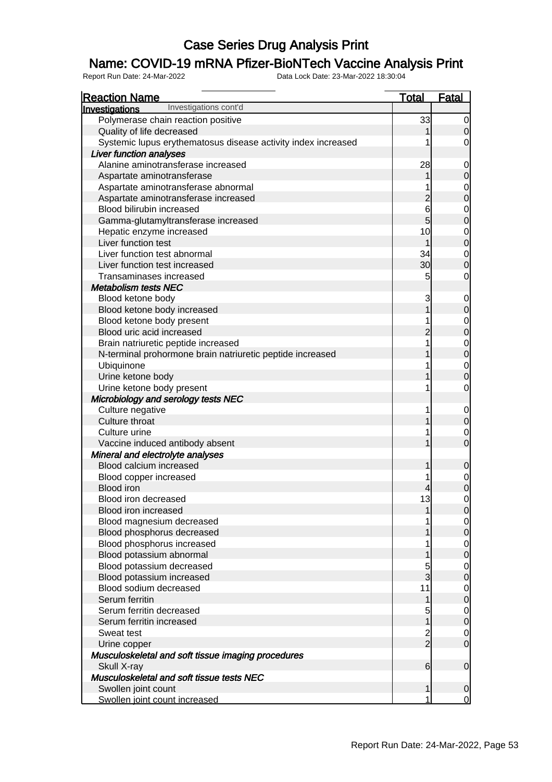### Name: COVID-19 mRNA Pfizer-BioNTech Vaccine Analysis Print

| <b>Reaction Name</b>                                          | <b>Total</b>   | <b>Fatal</b>   |
|---------------------------------------------------------------|----------------|----------------|
| Investigations cont'd<br>Investigations                       |                |                |
| Polymerase chain reaction positive                            | 33             | 0              |
| Quality of life decreased                                     |                | $\overline{0}$ |
| Systemic lupus erythematosus disease activity index increased |                | 0              |
| Liver function analyses                                       |                |                |
| Alanine aminotransferase increased                            | 28             |                |
| Aspartate aminotransferase                                    |                | $\mathbf 0$    |
| Aspartate aminotransferase abnormal                           |                |                |
| Aspartate aminotransferase increased                          | $\overline{c}$ | $\mathbf 0$    |
| Blood bilirubin increased                                     | 6              | 0              |
| Gamma-glutamyltransferase increased                           | 5              | $\mathbf 0$    |
| Hepatic enzyme increased                                      | 10             | 0              |
| Liver function test                                           |                | $\overline{0}$ |
| Liver function test abnormal                                  | 34             | 0              |
| Liver function test increased                                 | 30             | $\mathbf 0$    |
| Transaminases increased                                       | 5              | 0              |
| <b>Metabolism tests NEC</b>                                   |                |                |
| Blood ketone body                                             | 3              | 0              |
| Blood ketone body increased                                   |                | $\mathbf 0$    |
| Blood ketone body present                                     |                | 0              |
| Blood uric acid increased                                     | $\overline{c}$ | $\mathbf 0$    |
| Brain natriuretic peptide increased                           |                | 0              |
| N-terminal prohormone brain natriuretic peptide increased     |                | $\overline{0}$ |
| Ubiquinone                                                    |                | 0              |
| Urine ketone body                                             |                | $\mathbf 0$    |
| Urine ketone body present                                     |                | 0              |
| Microbiology and serology tests NEC                           |                |                |
| Culture negative                                              |                |                |
| Culture throat                                                |                | $\mathbf 0$    |
| Culture urine                                                 |                | 0              |
| Vaccine induced antibody absent                               |                | $\overline{0}$ |
| Mineral and electrolyte analyses                              |                |                |
| Blood calcium increased                                       |                |                |
|                                                               |                | 0              |
| Blood copper increased<br><b>Blood</b> iron                   |                |                |
|                                                               |                | 0              |
| Blood iron decreased<br><b>Blood iron increased</b>           | 13             | 0              |
|                                                               |                | $\overline{0}$ |
| Blood magnesium decreased                                     |                |                |
| Blood phosphorus decreased                                    |                | $\overline{0}$ |
| Blood phosphorus increased                                    |                |                |
| Blood potassium abnormal                                      |                | $\mathbf 0$    |
| Blood potassium decreased                                     |                | 0              |
| Blood potassium increased                                     | 3              | $\mathbf 0$    |
| Blood sodium decreased                                        | 11             | 0              |
| Serum ferritin                                                |                | $\mathbf 0$    |
| Serum ferritin decreased                                      | 5              | 0              |
| Serum ferritin increased                                      |                | $\mathbf 0$    |
| Sweat test                                                    | $\overline{c}$ | 0              |
| Urine copper                                                  | $\overline{2}$ | $\overline{0}$ |
| Musculoskeletal and soft tissue imaging procedures            |                |                |
| Skull X-ray                                                   | 6              | $\overline{0}$ |
| Musculoskeletal and soft tissue tests NEC                     |                |                |
| Swollen joint count                                           |                | $\mathbf 0$    |
| Swollen joint count increased                                 |                | $\overline{0}$ |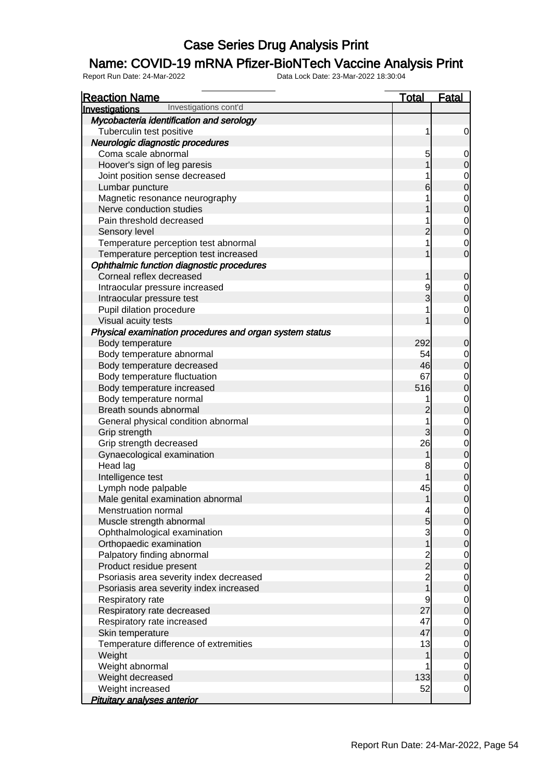### Name: COVID-19 mRNA Pfizer-BioNTech Vaccine Analysis Print

| <b>Reaction Name</b>                                    | <u>Total</u>                                   | <b>Fatal</b>                         |
|---------------------------------------------------------|------------------------------------------------|--------------------------------------|
| Investigations cont'd<br>Investigations                 |                                                |                                      |
| Mycobacteria identification and serology                |                                                |                                      |
| Tuberculin test positive                                | 1                                              | $\overline{0}$                       |
| Neurologic diagnostic procedures                        |                                                |                                      |
| Coma scale abnormal                                     | 5                                              | $\overline{0}$                       |
| Hoover's sign of leg paresis                            | 1                                              | $\pmb{0}$                            |
| Joint position sense decreased                          | 1                                              |                                      |
| Lumbar puncture                                         | 6                                              | $0$ 0                                |
| Magnetic resonance neurography                          | 1                                              |                                      |
| Nerve conduction studies                                | 1                                              | $\begin{matrix}0\\0\end{matrix}$     |
| Pain threshold decreased                                | 1                                              |                                      |
| Sensory level                                           | $\overline{2}$                                 | $\begin{matrix}0\\0\end{matrix}$     |
| Temperature perception test abnormal                    | 1                                              | $\begin{matrix} 0 \\ 0 \end{matrix}$ |
| Temperature perception test increased                   | 1                                              |                                      |
| Ophthalmic function diagnostic procedures               |                                                |                                      |
| Corneal reflex decreased                                | 1                                              | $\boldsymbol{0}$                     |
| Intraocular pressure increased                          | 9                                              |                                      |
| Intraocular pressure test                               | 3                                              | $0\atop 0$                           |
| Pupil dilation procedure                                | 1                                              | $\begin{matrix} 0 \\ 0 \end{matrix}$ |
| Visual acuity tests                                     | 1                                              |                                      |
| Physical examination procedures and organ system status |                                                |                                      |
| Body temperature                                        | 292                                            | $\boldsymbol{0}$                     |
| Body temperature abnormal                               | 54                                             | $0\atop 0$                           |
| Body temperature decreased                              | 46                                             |                                      |
| Body temperature fluctuation                            | 67                                             | $0$ 0                                |
| Body temperature increased                              | 516                                            |                                      |
| Body temperature normal                                 | 1                                              | $\begin{matrix}0\\0\end{matrix}$     |
| Breath sounds abnormal                                  | $\overline{c}$                                 |                                      |
| General physical condition abnormal                     | $\overline{1}$                                 | $\begin{matrix}0\\0\end{matrix}$     |
| Grip strength                                           | $\overline{3}$                                 |                                      |
| Grip strength decreased                                 | 26                                             | $0$ 0                                |
| Gynaecological examination                              | 1                                              |                                      |
| Head lag                                                | 8                                              | $\begin{matrix}0\\0\end{matrix}$     |
| Intelligence test                                       | 1                                              |                                      |
| Lymph node palpable                                     | 45                                             | $\begin{matrix}0\\0\end{matrix}$     |
| Male genital examination abnormal                       | 1                                              |                                      |
| Menstruation normal                                     | $\overline{a}$                                 | $\Omega$                             |
| Muscle strength abnormal                                | $\overline{5}$                                 | $\overline{0}$                       |
| Ophthalmological examination                            | $\overline{3}$                                 | $\begin{matrix} 0 \\ 0 \end{matrix}$ |
| Orthopaedic examination                                 | $\overline{1}$                                 |                                      |
| Palpatory finding abnormal                              |                                                | $\begin{matrix} 0 \\ 0 \end{matrix}$ |
| Product residue present                                 | $\begin{array}{c}\n 2 \\ 2 \\ 1\n \end{array}$ |                                      |
| Psoriasis area severity index decreased                 |                                                | $0$ 0                                |
| Psoriasis area severity index increased                 |                                                |                                      |
| Respiratory rate                                        | 9                                              | $\begin{matrix} 0 \\ 0 \end{matrix}$ |
| Respiratory rate decreased                              | 27                                             |                                      |
| Respiratory rate increased                              | 47                                             | $\begin{matrix} 0 \\ 0 \end{matrix}$ |
| Skin temperature                                        | 47                                             |                                      |
| Temperature difference of extremities                   | 13                                             | $0$<br>0                             |
| Weight                                                  | 1                                              |                                      |
| Weight abnormal                                         | 1                                              | $\overline{0}$                       |
| Weight decreased                                        | 133                                            | $\overline{0}$                       |
| Weight increased                                        | 52                                             | $\overline{O}$                       |
| <b>Pituitary analyses anterior</b>                      |                                                |                                      |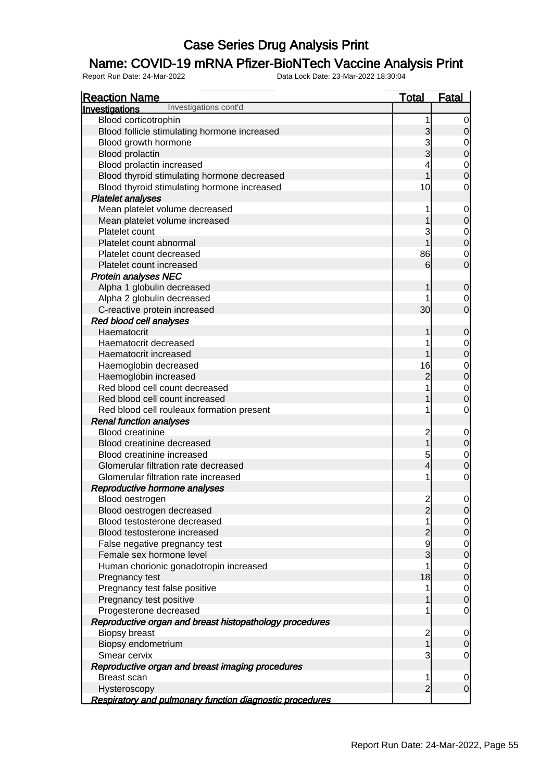### Name: COVID-19 mRNA Pfizer-BioNTech Vaccine Analysis Print

| <b>Reaction Name</b>                                     | <b>Total</b>            | <b>Fatal</b>                         |
|----------------------------------------------------------|-------------------------|--------------------------------------|
| Investigations cont'd<br>Investigations                  |                         |                                      |
| Blood corticotrophin                                     | 1                       | $\overline{0}$                       |
| Blood follicle stimulating hormone increased             | 3                       | $\mathbf 0$                          |
| Blood growth hormone                                     | 3                       |                                      |
| <b>Blood prolactin</b>                                   | $\overline{3}$          | $0\atop 0$                           |
| Blood prolactin increased                                |                         |                                      |
| Blood thyroid stimulating hormone decreased              |                         | $\begin{matrix}0\\0\end{matrix}$     |
| Blood thyroid stimulating hormone increased              | 10                      | $\mathbf 0$                          |
| <b>Platelet analyses</b>                                 |                         |                                      |
| Mean platelet volume decreased                           |                         | $\overline{0}$                       |
| Mean platelet volume increased                           |                         | $\overline{0}$                       |
| Platelet count                                           | 3                       |                                      |
| Platelet count abnormal                                  | 1                       | $0$<br>0                             |
| Platelet count decreased                                 | 86                      | $\mathbf 0$                          |
| Platelet count increased                                 | 6                       | $\overline{0}$                       |
| <b>Protein analyses NEC</b>                              |                         |                                      |
| Alpha 1 globulin decreased                               |                         | $\mathbf 0$                          |
| Alpha 2 globulin decreased                               |                         | 0                                    |
| C-reactive protein increased                             | 30                      | $\overline{0}$                       |
| Red blood cell analyses                                  |                         |                                      |
| Haematocrit                                              |                         | $\mathbf 0$                          |
| Haematocrit decreased                                    |                         |                                      |
| Haematocrit increased                                    |                         | $0\atop 0$                           |
| Haemoglobin decreased                                    | 16                      |                                      |
| Haemoglobin increased                                    | $\overline{c}$          | $0$ 0                                |
| Red blood cell count decreased                           |                         |                                      |
| Red blood cell count increased                           |                         | $\begin{matrix} 0 \\ 0 \end{matrix}$ |
| Red blood cell rouleaux formation present                |                         | $\mathbf 0$                          |
| <b>Renal function analyses</b>                           |                         |                                      |
| <b>Blood creatinine</b>                                  | $\overline{\mathbf{c}}$ | $\mathbf 0$                          |
| Blood creatinine decreased                               | $\overline{1}$          | $\overline{0}$                       |
| Blood creatinine increased                               | 5                       |                                      |
| Glomerular filtration rate decreased                     | 4                       | $0$<br>0                             |
| Glomerular filtration rate increased                     | 1                       | $\overline{O}$                       |
| Reproductive hormone analyses                            |                         |                                      |
| Blood oestrogen                                          | $\overline{c}$          | $\overline{0}$                       |
| Blood oestrogen decreased                                | $\overline{a}$          | $\overline{0}$                       |
| Blood testosterone decreased                             | 1                       | $\overline{0}$                       |
| Blood testosterone increased                             | $\overline{c}$          | $\overline{0}$                       |
| False negative pregnancy test                            | 9                       |                                      |
| Female sex hormone level                                 | 3                       | $\frac{0}{0}$                        |
| Human chorionic gonadotropin increased                   | 1                       |                                      |
| Pregnancy test                                           | 18                      | $\begin{matrix} 0 \\ 0 \end{matrix}$ |
| Pregnancy test false positive                            | 1                       |                                      |
| Pregnancy test positive                                  |                         | $\begin{matrix} 0 \\ 0 \end{matrix}$ |
| Progesterone decreased                                   | 1                       | $\overline{O}$                       |
| Reproductive organ and breast histopathology procedures  |                         |                                      |
| <b>Biopsy breast</b>                                     | $\overline{\mathbf{c}}$ | $\overline{0}$                       |
| Biopsy endometrium                                       | $\overline{1}$          | $\overline{0}$                       |
| Smear cervix                                             | 3                       | $\overline{O}$                       |
| Reproductive organ and breast imaging procedures         |                         |                                      |
| Breast scan                                              | 1                       | $\overline{0}$                       |
| Hysteroscopy                                             | $\overline{2}$          | $\overline{O}$                       |
| Respiratory and pulmonary function diagnostic procedures |                         |                                      |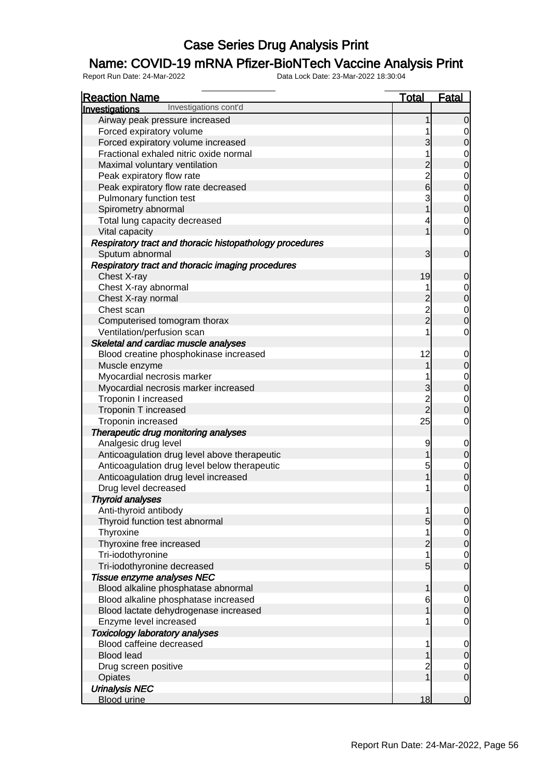### Name: COVID-19 mRNA Pfizer-BioNTech Vaccine Analysis Print

| <b>Reaction Name</b>                                     | <b>Total</b>   | <b>Fatal</b>                         |
|----------------------------------------------------------|----------------|--------------------------------------|
| Investigations cont'd<br>Investigations                  |                |                                      |
| Airway peak pressure increased                           |                | $\overline{0}$                       |
| Forced expiratory volume                                 |                |                                      |
| Forced expiratory volume increased                       | 3              | $\overline{0}$                       |
| Fractional exhaled nitric oxide normal                   | 1              |                                      |
| Maximal voluntary ventilation                            | $\overline{c}$ | $\begin{matrix}0\\0\end{matrix}$     |
| Peak expiratory flow rate                                |                |                                      |
| Peak expiratory flow rate decreased                      | $\frac{2}{6}$  | $\begin{matrix}0\\0\end{matrix}$     |
| Pulmonary function test                                  | 3              |                                      |
| Spirometry abnormal                                      | $\overline{1}$ | $\begin{matrix} 0 \\ 0 \end{matrix}$ |
| Total lung capacity decreased                            | 4              | $\mathbf 0$                          |
| Vital capacity                                           | 1              | $\overline{0}$                       |
| Respiratory tract and thoracic histopathology procedures |                |                                      |
| Sputum abnormal                                          | 3              | $\overline{0}$                       |
| Respiratory tract and thoracic imaging procedures        |                |                                      |
| Chest X-ray                                              | 19             | $\mathbf 0$                          |
| Chest X-ray abnormal                                     | 1              |                                      |
| Chest X-ray normal                                       | $\overline{c}$ | $\begin{matrix} 0 \\ 0 \end{matrix}$ |
| Chest scan                                               |                |                                      |
| Computerised tomogram thorax                             | $\frac{2}{2}$  | $\begin{matrix} 0 \\ 0 \end{matrix}$ |
|                                                          | 1              | $\overline{0}$                       |
| Ventilation/perfusion scan                               |                |                                      |
| Skeletal and cardiac muscle analyses                     |                |                                      |
| Blood creatine phosphokinase increased                   | 12             | $\overline{0}$<br>$\overline{0}$     |
| Muscle enzyme                                            | 1              |                                      |
| Myocardial necrosis marker                               |                | $\begin{matrix}0\\0\end{matrix}$     |
| Myocardial necrosis marker increased                     | 3              |                                      |
| Troponin I increased                                     | $\frac{2}{2}$  | $\begin{matrix} 0 \\ 0 \end{matrix}$ |
| Troponin T increased                                     |                |                                      |
| Troponin increased                                       | 25             | $\mathbf 0$                          |
| Therapeutic drug monitoring analyses                     |                |                                      |
| Analgesic drug level                                     | 9              | $\overline{0}$                       |
| Anticoagulation drug level above therapeutic             | $\overline{1}$ | $\overline{0}$                       |
| Anticoagulation drug level below therapeutic             | 5              | $\begin{matrix}0\\0\end{matrix}$     |
| Anticoagulation drug level increased                     | 1              |                                      |
| Drug level decreased                                     |                | $\mathbf 0$                          |
| <b>Thyroid analyses</b>                                  |                |                                      |
| Anti-thyroid antibody                                    |                | $\begin{matrix} 0 \\ 0 \end{matrix}$ |
| Thyroid function test abnormal                           | 5              |                                      |
| Thyroxine                                                |                | $\begin{matrix} 0 \\ 0 \end{matrix}$ |
| Thyroxine free increased                                 | $\overline{c}$ |                                      |
| Tri-iodothyronine                                        | 1              | $\begin{matrix} 0 \\ 0 \end{matrix}$ |
| Tri-iodothyronine decreased                              | 5              |                                      |
| Tissue enzyme analyses NEC                               |                |                                      |
| Blood alkaline phosphatase abnormal                      |                | $\mathbf 0$                          |
| Blood alkaline phosphatase increased                     | 6              | $\begin{matrix} 0 \\ 0 \end{matrix}$ |
| Blood lactate dehydrogenase increased                    |                |                                      |
| Enzyme level increased                                   |                | $\mathbf 0$                          |
| <b>Toxicology laboratory analyses</b>                    |                |                                      |
| Blood caffeine decreased                                 |                | $\overline{0}$                       |
| <b>Blood lead</b>                                        |                | $\overline{0}$                       |
| Drug screen positive                                     |                | $\mathbf 0$                          |
| Opiates                                                  | 1              | $\overline{0}$                       |
| <b>Urinalysis NEC</b>                                    |                |                                      |
| <b>Blood urine</b>                                       | 18             | $\overline{0}$                       |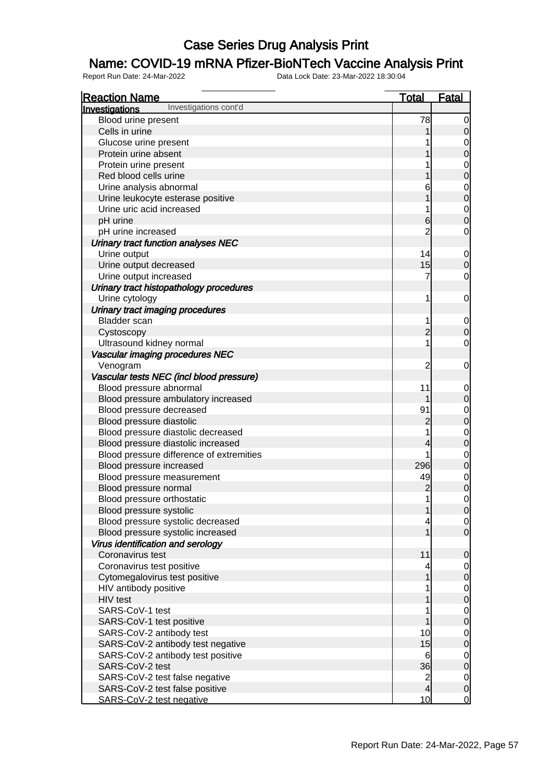### Name: COVID-19 mRNA Pfizer-BioNTech Vaccine Analysis Print

| <b>Reaction Name</b>                     | <b>Total</b>   | <b>Fatal</b>                         |
|------------------------------------------|----------------|--------------------------------------|
| Investigations cont'd<br>Investigations  |                |                                      |
| Blood urine present                      | 78             | $\overline{0}$                       |
| Cells in urine                           |                | $\mathbf 0$                          |
| Glucose urine present                    |                |                                      |
| Protein urine absent                     |                | $\begin{matrix}0\\0\end{matrix}$     |
| Protein urine present                    |                |                                      |
| Red blood cells urine                    |                | $\begin{matrix}0\\0\end{matrix}$     |
| Urine analysis abnormal                  | 6              |                                      |
| Urine leukocyte esterase positive        |                | $\begin{matrix}0\\0\end{matrix}$     |
| Urine uric acid increased                | 1              |                                      |
| pH urine                                 | $6 \,$         | $\begin{matrix}0\\0\end{matrix}$     |
| pH urine increased                       | $\overline{2}$ | $\mathbf 0$                          |
| Urinary tract function analyses NEC      |                |                                      |
| Urine output                             | 14             |                                      |
| Urine output decreased                   | 15             | $\begin{matrix} 0 \\ 0 \end{matrix}$ |
| Urine output increased                   | 7              | $\mathbf 0$                          |
| Urinary tract histopathology procedures  |                |                                      |
| Urine cytology                           | 1              | $\mathbf 0$                          |
| Urinary tract imaging procedures         |                |                                      |
| <b>Bladder</b> scan                      | 1              |                                      |
|                                          | $\overline{c}$ | $\begin{matrix} 0 \\ 0 \end{matrix}$ |
| Cystoscopy                               | 1              |                                      |
| Ultrasound kidney normal                 |                | $\mathbf 0$                          |
| Vascular imaging procedures NEC          |                |                                      |
| Venogram                                 | $\overline{2}$ | $\mathbf 0$                          |
| Vascular tests NEC (incl blood pressure) |                |                                      |
| Blood pressure abnormal                  | 11             | $0\atop 0$                           |
| Blood pressure ambulatory increased      |                |                                      |
| Blood pressure decreased                 | 91             | $\begin{matrix}0\\0\end{matrix}$     |
| Blood pressure diastolic                 | $\overline{c}$ |                                      |
| Blood pressure diastolic decreased       | 1              | $\begin{matrix}0\\0\end{matrix}$     |
| Blood pressure diastolic increased       | 4              |                                      |
| Blood pressure difference of extremities |                | $\begin{matrix}0\\0\end{matrix}$     |
| Blood pressure increased                 | 296            |                                      |
| Blood pressure measurement               | 49             | $0$ 0                                |
| Blood pressure normal                    | $\overline{c}$ |                                      |
| Blood pressure orthostatic               | 1              | $\overline{0}$                       |
| Blood pressure systolic                  | 1              | $\overline{0}$                       |
| Blood pressure systolic decreased        | 4              | $\begin{matrix} 0 \\ 0 \end{matrix}$ |
| Blood pressure systolic increased        | 1              |                                      |
| Virus identification and serology        |                |                                      |
| Coronavirus test                         | 11             | $\mathbf 0$                          |
| Coronavirus test positive                |                | $\begin{matrix} 0 \\ 0 \end{matrix}$ |
| Cytomegalovirus test positive            | 1              |                                      |
| HIV antibody positive                    | 1              | $\begin{matrix} 0 \\ 0 \end{matrix}$ |
| HIV test                                 |                |                                      |
| SARS-CoV-1 test                          | 1              | $\begin{matrix} 0 \\ 0 \end{matrix}$ |
| SARS-CoV-1 test positive                 |                |                                      |
| SARS-CoV-2 antibody test                 | 10             |                                      |
| SARS-CoV-2 antibody test negative        | 15             | $\begin{matrix} 0 \\ 0 \end{matrix}$ |
| SARS-CoV-2 antibody test positive        | 6              |                                      |
| SARS-CoV-2 test                          | 36             | $\begin{matrix} 0 \\ 0 \end{matrix}$ |
| SARS-CoV-2 test false negative           | $\overline{2}$ |                                      |
| SARS-CoV-2 test false positive           | $\overline{4}$ | $\begin{matrix} 0 \\ 0 \end{matrix}$ |
| SARS-CoV-2 test negative                 | 10             | $\overline{0}$                       |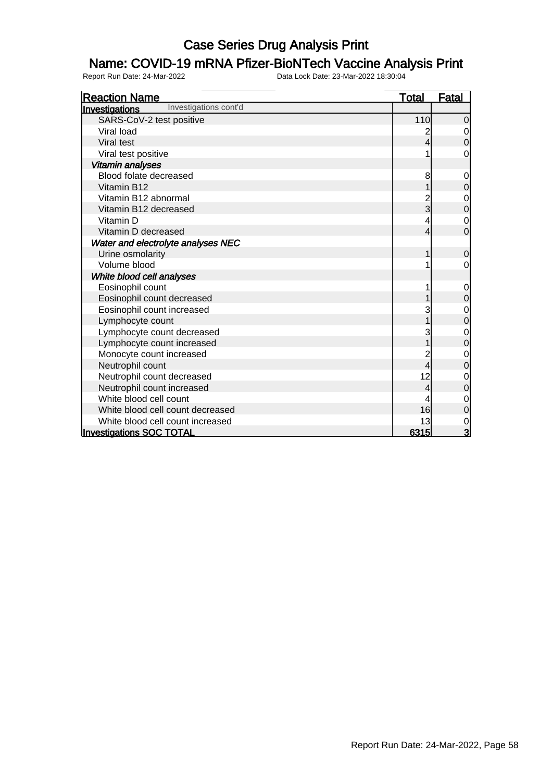### Name: COVID-19 mRNA Pfizer-BioNTech Vaccine Analysis Print

| <b>Reaction Name</b>                           | <u>Total</u> | <b>Fatal</b>   |
|------------------------------------------------|--------------|----------------|
| Investigations cont'd<br><b>Investigations</b> |              |                |
| SARS-CoV-2 test positive                       | 110          | $\overline{0}$ |
| Viral load                                     | 2            | 0              |
| Viral test                                     | 4            | 0              |
| Viral test positive                            |              | 0              |
| Vitamin analyses                               |              |                |
| Blood folate decreased                         | 8            | 0              |
| Vitamin B12                                    |              | 0              |
| Vitamin B12 abnormal                           |              | 0              |
| Vitamin B12 decreased                          | 3            | $\mathbf 0$    |
| Vitamin D                                      |              | 0              |
| Vitamin D decreased                            | 4            | $\overline{0}$ |
| Water and electrolyte analyses NEC             |              |                |
| Urine osmolarity                               |              | 0              |
| Volume blood                                   |              | 0              |
| White blood cell analyses                      |              |                |
| Eosinophil count                               |              | $\mathbf 0$    |
| Eosinophil count decreased                     |              | 0              |
| Eosinophil count increased                     |              | 0              |
| Lymphocyte count                               |              | 0              |
| Lymphocyte count decreased                     |              | 0              |
| Lymphocyte count increased                     |              | 0              |
| Monocyte count increased                       |              | 0              |
| Neutrophil count                               | 4            | 0              |
| Neutrophil count decreased                     | 12           | 0              |
| Neutrophil count increased                     | 4            | 0              |
| White blood cell count                         |              | 0              |
| White blood cell count decreased               | 16           | 0              |
| White blood cell count increased               | 13           | 0              |
| <b>Investigations SOC TOTAL</b>                | 6315         | 3              |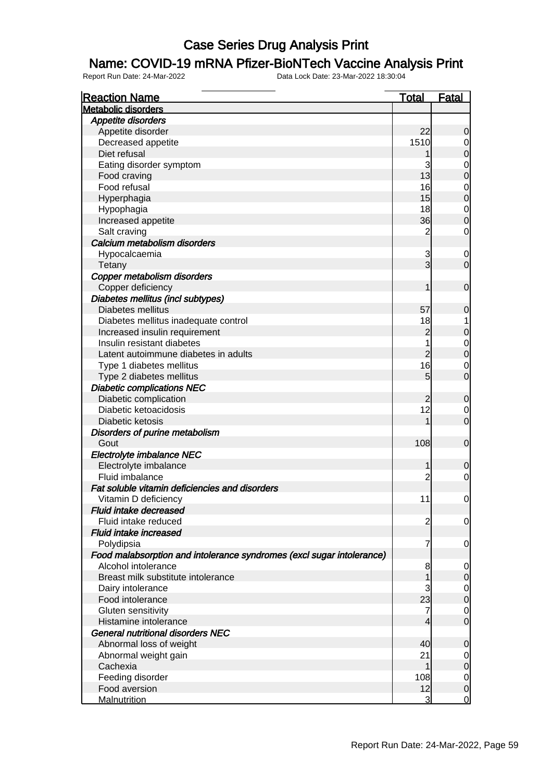### Name: COVID-19 mRNA Pfizer-BioNTech Vaccine Analysis Print

| <b>Reaction Name</b>                                                  | <b>Total</b>         | Fatal                                |
|-----------------------------------------------------------------------|----------------------|--------------------------------------|
| <b>Metabolic disorders</b>                                            |                      |                                      |
| Appetite disorders                                                    |                      |                                      |
| Appetite disorder                                                     | 22                   | $\mathbf 0$                          |
| Decreased appetite                                                    | 1510                 | $\overline{0}$                       |
| Diet refusal                                                          |                      | $\mathbf 0$                          |
| Eating disorder symptom                                               | 3                    |                                      |
| Food craving                                                          | 13                   | $\begin{matrix}0\\0\end{matrix}$     |
| Food refusal                                                          | 16                   |                                      |
| Hyperphagia                                                           | 15                   | $\begin{matrix}0\\0\end{matrix}$     |
| Hypophagia                                                            | 18                   |                                      |
| Increased appetite                                                    | 36                   | $\begin{matrix} 0 \\ 0 \end{matrix}$ |
| Salt craving                                                          | $\overline{c}$       | $\mathbf 0$                          |
| Calcium metabolism disorders                                          |                      |                                      |
| Hypocalcaemia                                                         | 3                    | $\mathbf 0$                          |
| Tetany                                                                | $\overline{3}$       | $\overline{O}$                       |
| Copper metabolism disorders                                           |                      |                                      |
| Copper deficiency                                                     | 1                    | $\boldsymbol{0}$                     |
| Diabetes mellitus (incl subtypes)                                     |                      |                                      |
| Diabetes mellitus                                                     | 57                   | $\mathbf 0$                          |
| Diabetes mellitus inadequate control                                  | 18                   | 1                                    |
| Increased insulin requirement                                         | $\overline{c}$       | $\mathbf 0$                          |
| Insulin resistant diabetes                                            | 1                    |                                      |
| Latent autoimmune diabetes in adults                                  | $\overline{c}$       | $\begin{matrix}0\\0\end{matrix}$     |
| Type 1 diabetes mellitus                                              | 16                   | $\mathbf 0$                          |
| Type 2 diabetes mellitus                                              | 5                    | $\overline{0}$                       |
| <b>Diabetic complications NEC</b>                                     |                      |                                      |
|                                                                       |                      |                                      |
| Diabetic complication<br>Diabetic ketoacidosis                        | $\overline{c}$<br>12 | $\mathbf 0$                          |
| Diabetic ketosis                                                      | 1                    | $\overline{0}$<br>$\mathbf 0$        |
|                                                                       |                      |                                      |
| Disorders of purine metabolism                                        |                      |                                      |
| Gout                                                                  | 108                  | $\mathbf 0$                          |
| Electrolyte imbalance NEC                                             |                      |                                      |
| Electrolyte imbalance                                                 | 1                    | $\mathbf 0$                          |
| Fluid imbalance                                                       | 2                    | $\mathbf 0$                          |
| Fat soluble vitamin deficiencies and disorders                        |                      |                                      |
| Vitamin D deficiency                                                  | 11                   | $\mathbf 0$                          |
| <b>Fluid intake decreased</b>                                         |                      |                                      |
| Fluid intake reduced                                                  | $\overline{c}$       | $\overline{0}$                       |
| <b>Fluid intake increased</b>                                         |                      |                                      |
| Polydipsia                                                            | 7                    | $\overline{0}$                       |
| Food malabsorption and intolerance syndromes (excl sugar intolerance) |                      |                                      |
| Alcohol intolerance                                                   | 8                    | $\mathbf 0$                          |
| Breast milk substitute intolerance                                    | 1                    | $\mathbf 0$                          |
| Dairy intolerance                                                     | 3                    | $\begin{matrix}0\\0\end{matrix}$     |
| Food intolerance                                                      | 23                   |                                      |
| Gluten sensitivity                                                    | 7                    | $\mathbf 0$                          |
| Histamine intolerance                                                 | 4                    | $\overline{0}$                       |
| <b>General nutritional disorders NEC</b>                              |                      |                                      |
| Abnormal loss of weight                                               | 40                   | $\mathbf 0$                          |
| Abnormal weight gain                                                  | 21                   | $\mathbf 0$                          |
| Cachexia                                                              | 1                    | $\mathbf 0$                          |
| Feeding disorder                                                      | 108                  | $\mathbf 0$                          |
| Food aversion                                                         | 12                   | $\mathbf 0$                          |
| <b>Malnutrition</b>                                                   | 3                    | $\overline{0}$                       |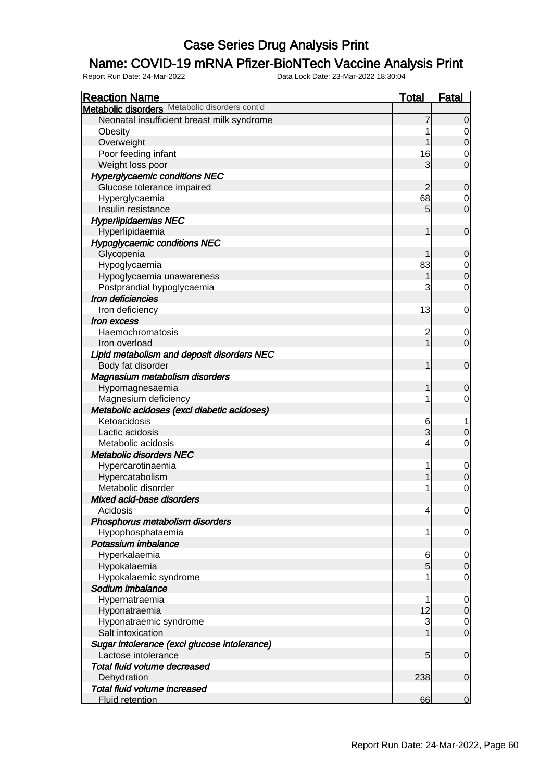### Name: COVID-19 mRNA Pfizer-BioNTech Vaccine Analysis Print

| <b>Reaction Name</b>                           | <b>Total</b>    | <b>Fatal</b>     |
|------------------------------------------------|-----------------|------------------|
| Metabolic disorders Metabolic disorders cont'd |                 |                  |
| Neonatal insufficient breast milk syndrome     | 7               | $\overline{0}$   |
| Obesity                                        |                 | 0                |
| Overweight                                     | 1               | $\mathbf 0$      |
| Poor feeding infant                            | 16              | $\mathbf 0$      |
| Weight loss poor                               | 3               | $\mathbf 0$      |
| <b>Hyperglycaemic conditions NEC</b>           |                 |                  |
| Glucose tolerance impaired                     | 2               | $\mathbf 0$      |
| Hyperglycaemia                                 | 68              | $\mathbf 0$      |
| Insulin resistance                             | 5               | $\mathbf 0$      |
| <b>Hyperlipidaemias NEC</b>                    |                 |                  |
| Hyperlipidaemia                                | 1               | $\mathbf 0$      |
| <b>Hypoglycaemic conditions NEC</b>            |                 |                  |
| Glycopenia                                     |                 | $\mathbf 0$      |
| Hypoglycaemia                                  | 83              | $\mathbf 0$      |
| Hypoglycaemia unawareness                      | 1               | $\overline{0}$   |
| Postprandial hypoglycaemia                     | 3               | $\mathbf 0$      |
| Iron deficiencies                              |                 |                  |
| Iron deficiency                                | 13              | $\mathbf 0$      |
| <i><b>Iron excess</b></i>                      |                 |                  |
| Haemochromatosis                               | $\overline{c}$  | $\mathbf 0$      |
| Iron overload                                  | $\overline{1}$  | $\overline{0}$   |
| Lipid metabolism and deposit disorders NEC     |                 |                  |
| Body fat disorder                              | 1               | $\mathbf 0$      |
| Magnesium metabolism disorders                 |                 |                  |
| Hypomagnesaemia                                | 1               | 0                |
| Magnesium deficiency                           | 1               | $\mathbf 0$      |
| Metabolic acidoses (excl diabetic acidoses)    |                 |                  |
| Ketoacidosis                                   | 6               |                  |
| Lactic acidosis                                | 3               | $\boldsymbol{0}$ |
| Metabolic acidosis                             | 4               | $\mathbf 0$      |
| <b>Metabolic disorders NEC</b>                 |                 |                  |
| Hypercarotinaemia                              | 1               | $\mathbf 0$      |
| Hypercatabolism                                | 1               | $\mathbf 0$      |
| Metabolic disorder                             | 1               | $\mathbf 0$      |
| Mixed acid-base disorders                      |                 |                  |
| Acidosis                                       | $\overline{4}$  | 0                |
| Phosphorus metabolism disorders                |                 |                  |
| Hypophosphataemia                              | 1               | $\overline{0}$   |
| Potassium imbalance                            |                 |                  |
| Hyperkalaemia                                  | 6               | $\mathbf 0$      |
| Hypokalaemia                                   | $\overline{5}$  | $\mathbf 0$      |
| Hypokalaemic syndrome                          | 1               | $\mathbf 0$      |
| Sodium imbalance                               |                 |                  |
| Hypernatraemia                                 | 1               | $\mathbf 0$      |
| Hyponatraemia                                  | 12              | $\mathbf 0$      |
| Hyponatraemic syndrome                         | 3               | $\overline{0}$   |
| Salt intoxication                              | 1               | $\mathbf 0$      |
| Sugar intolerance (excl glucose intolerance)   |                 |                  |
| Lactose intolerance                            | $5\overline{)}$ | $\boldsymbol{0}$ |
| Total fluid volume decreased                   |                 |                  |
| Dehydration                                    | 238             | $\boldsymbol{0}$ |
| Total fluid volume increased                   |                 |                  |
| <b>Fluid retention</b>                         | 66              | $\mathbf 0$      |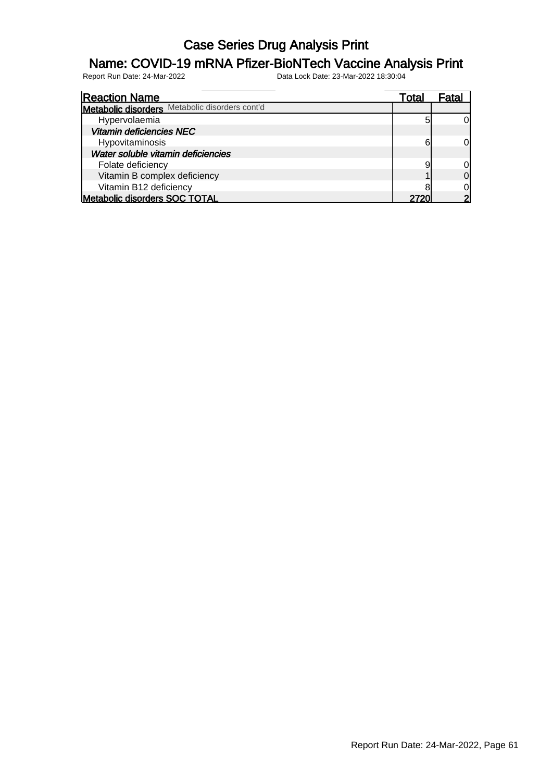### Name: COVID-19 mRNA Pfizer-BioNTech Vaccine Analysis Print

| <b>Reaction Name</b>                           | Total |    |
|------------------------------------------------|-------|----|
| Metabolic disorders Metabolic disorders cont'd |       |    |
| Hypervolaemia                                  | 5     |    |
| Vitamin deficiencies NEC                       |       |    |
| Hypovitaminosis                                | 6     | OI |
| Water soluble vitamin deficiencies             |       |    |
| Folate deficiency                              | g     |    |
| Vitamin B complex deficiency                   |       | ΩI |
| Vitamin B12 deficiency                         |       |    |
| Metabolic disorders SOC TOTAL                  | 2720  |    |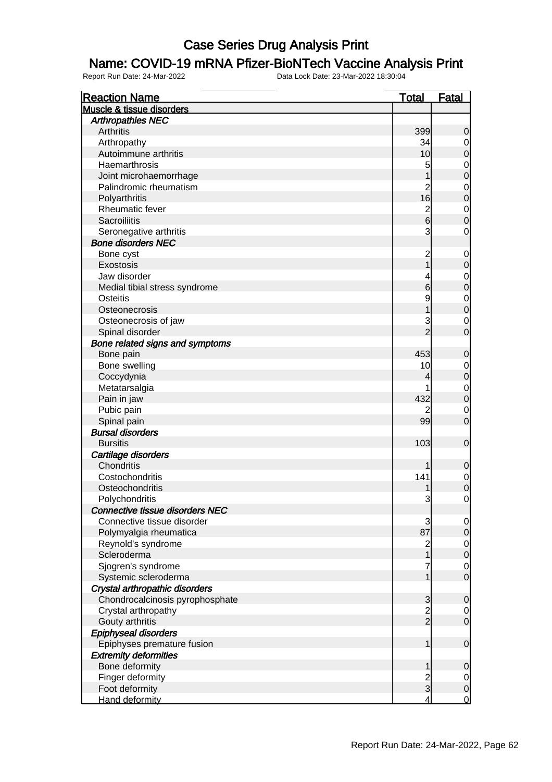#### Name: COVID-19 mRNA Pfizer-BioNTech Vaccine Analysis Print

| <b>Reaction Name</b>                   | <u>Total</u>            | <b>Fatal</b>                     |
|----------------------------------------|-------------------------|----------------------------------|
| Muscle & tissue disorders              |                         |                                  |
| <b>Arthropathies NEC</b>               |                         |                                  |
| <b>Arthritis</b>                       | 399                     | 0                                |
| Arthropathy                            | 34                      | $\overline{0}$                   |
| Autoimmune arthritis                   | 10                      | $\overline{0}$                   |
| Haemarthrosis                          | 5                       | $\mathbf{0}$                     |
| Joint microhaemorrhage                 | 1                       | $\overline{0}$                   |
| Palindromic rheumatism                 | $\overline{c}$          | $\mathbf{0}$                     |
| Polyarthritis                          | 16                      | $\overline{0}$                   |
| Rheumatic fever                        | $\overline{c}$          |                                  |
| <b>Sacroiliitis</b>                    | $6\overline{6}$         | $\begin{matrix}0\\0\end{matrix}$ |
| Seronegative arthritis                 | 3                       | $\mathbf 0$                      |
| <b>Bone disorders NEC</b>              |                         |                                  |
| Bone cyst                              | $\overline{c}$          | $\mathbf 0$                      |
| Exostosis                              | 1                       | $\mathbf 0$                      |
| Jaw disorder                           | 4                       | $\mathbf{0}$                     |
| Medial tibial stress syndrome          | 6                       | $\overline{0}$                   |
| <b>Osteitis</b>                        | 9                       |                                  |
| Osteonecrosis                          | 1                       | $\begin{matrix}0\\0\end{matrix}$ |
| Osteonecrosis of jaw                   | 3                       |                                  |
| Spinal disorder                        | $\overline{2}$          | $\mathbf 0$<br>$\overline{0}$    |
|                                        |                         |                                  |
| Bone related signs and symptoms        |                         |                                  |
| Bone pain                              | 453                     | $\mathbf 0$                      |
| Bone swelling                          | 10                      | $\boldsymbol{0}$                 |
| Coccydynia                             | 4                       | $\overline{0}$                   |
| Metatarsalgia                          |                         | $\begin{matrix}0\\0\end{matrix}$ |
| Pain in jaw                            | 432                     |                                  |
| Pubic pain                             | 2                       | $\mathbf 0$                      |
| Spinal pain                            | 99                      | $\overline{0}$                   |
| <b>Bursal disorders</b>                |                         |                                  |
| <b>Bursitis</b>                        | 103                     | $\mathbf 0$                      |
| Cartilage disorders                    |                         |                                  |
| Chondritis                             |                         | 0                                |
| Costochondritis                        | 141                     | $\mathbf{0}$                     |
| Osteochondritis                        |                         | $\overline{0}$                   |
| Polychondritis                         | 3                       | $\mathbf 0$                      |
| <b>Connective tissue disorders NEC</b> |                         |                                  |
| Connective tissue disorder             | 3                       | $\overline{0}$                   |
| Polymyalgia rheumatica                 | 87                      | $\overline{0}$                   |
| Reynold's syndrome                     | $\overline{\mathbf{c}}$ | $\mathbf 0$                      |
| Scleroderma                            | 1                       | $\overline{0}$                   |
| Sjogren's syndrome                     | 7                       | $\mathbf 0$                      |
| Systemic scleroderma                   | 1                       | $\overline{0}$                   |
| Crystal arthropathic disorders         |                         |                                  |
| Chondrocalcinosis pyrophosphate        | 3                       | 0                                |
| Crystal arthropathy                    | $\frac{2}{2}$           | $\mathbf 0$                      |
| Gouty arthritis                        |                         | $\overline{0}$                   |
| Epiphyseal disorders                   |                         |                                  |
| Epiphyses premature fusion             | 1                       | $\boldsymbol{0}$                 |
| <b>Extremity deformities</b>           |                         |                                  |
| Bone deformity                         | 1                       | 0                                |
| Finger deformity                       |                         | $\overline{0}$                   |
| Foot deformity                         | $\frac{2}{3}$           | $\mathbf 0$                      |
| Hand deformity                         | $\overline{4}$          | $\mathbf 0$                      |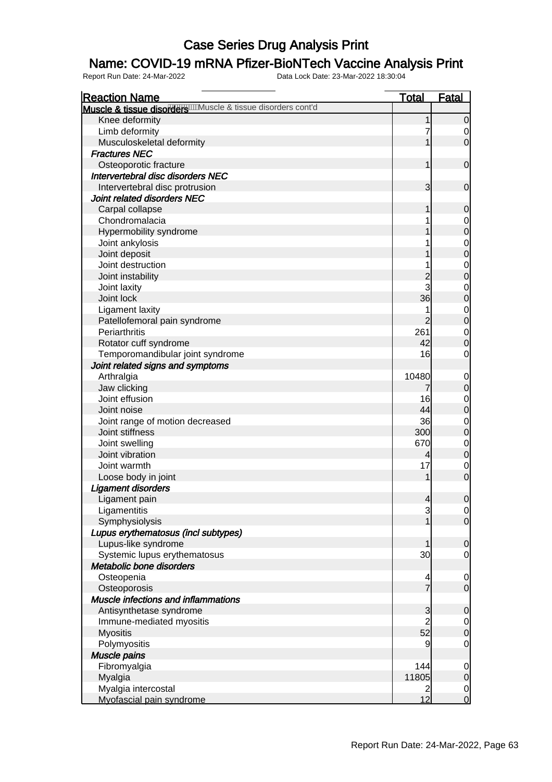### Name: COVID-19 mRNA Pfizer-BioNTech Vaccine Analysis Print

| <b>Reaction Name</b>                                         | <b>Total</b>        | Fatal                                |
|--------------------------------------------------------------|---------------------|--------------------------------------|
| Muscle & tissue disorders Manuscle & tissue disorders cont'd |                     |                                      |
| Knee deformity                                               | 1                   | $\mathbf 0$                          |
| Limb deformity                                               | 7                   | 0                                    |
| Musculoskeletal deformity                                    | $\mathbf 1$         | $\overline{O}$                       |
| <b>Fractures NEC</b>                                         |                     |                                      |
| Osteoporotic fracture                                        | 1                   | $\boldsymbol{0}$                     |
| Intervertebral disc disorders NEC                            |                     |                                      |
| Intervertebral disc protrusion                               | 3                   | $\mathbf 0$                          |
| Joint related disorders NEC                                  |                     |                                      |
| Carpal collapse                                              | 1                   | $\mathbf 0$                          |
| Chondromalacia                                               |                     | $\mathbf 0$                          |
| Hypermobility syndrome                                       |                     | $\overline{0}$                       |
| Joint ankylosis                                              |                     |                                      |
| Joint deposit                                                |                     | $0$<br>0                             |
| Joint destruction                                            |                     | $\mathbf{0}$                         |
| Joint instability                                            | $\overline{c}$      | $\mathbf{0}$                         |
| Joint laxity                                                 | 3                   | $\mathbf{0}$                         |
| Joint lock                                                   | 36                  | $\overline{0}$                       |
| Ligament laxity                                              | 1                   |                                      |
| Patellofemoral pain syndrome                                 | $\overline{2}$      | $\begin{matrix} 0 \\ 0 \end{matrix}$ |
| Periarthritis                                                | 261                 | $\mathbf 0$                          |
| Rotator cuff syndrome                                        | 42                  | $\mathbf 0$                          |
| Temporomandibular joint syndrome                             | 16                  | 0                                    |
| Joint related signs and symptoms                             |                     |                                      |
| Arthralgia                                                   | 10480               | $\mathbf 0$                          |
| Jaw clicking                                                 | 7                   | $\pmb{0}$                            |
| Joint effusion                                               | 16                  |                                      |
| Joint noise                                                  | 44                  | $\mathbf 0$<br>$\pmb{0}$             |
| Joint range of motion decreased                              | 36                  |                                      |
| Joint stiffness                                              | 300                 | $\mathbf 0$<br>$\boldsymbol{0}$      |
| Joint swelling                                               | 670                 | $\overline{0}$                       |
| Joint vibration                                              | 4                   | $\overline{0}$                       |
| Joint warmth                                                 | 17                  |                                      |
|                                                              | 1                   | $\mathbf 0$<br>$\mathbf 0$           |
| Loose body in joint                                          |                     |                                      |
| <b>Ligament disorders</b>                                    |                     |                                      |
| Ligament pain<br>Ligamentitis                                | $\overline{4}$      | $\boldsymbol{0}$                     |
|                                                              | 3<br>$\mathbf 1$    | 0 <br>$\overline{0}$                 |
| Symphysiolysis                                               |                     |                                      |
| Lupus erythematosus (incl subtypes)                          |                     |                                      |
| Lupus-like syndrome                                          | 1                   | $\boldsymbol{0}$                     |
| Systemic lupus erythematosus<br>Metabolic bone disorders     | 30                  | $\mathbf 0$                          |
|                                                              |                     |                                      |
| Osteopenia                                                   | 4<br>$\overline{7}$ | $\mathbf 0$                          |
| Osteoporosis                                                 |                     | $\mathbf 0$                          |
| Muscle infections and inflammations                          |                     |                                      |
| Antisynthetase syndrome                                      | 3                   | $\mathbf 0$                          |
| Immune-mediated myositis                                     | $\overline{2}$      | $\overline{0}$                       |
| <b>Myositis</b>                                              | 52                  | $\overline{0}$                       |
| Polymyositis                                                 | 9                   | $\mathbf 0$                          |
| Muscle pains                                                 |                     |                                      |
| Fibromyalgia                                                 | 144                 | $\mathbf 0$                          |
| Myalgia                                                      | 11805               | $\boldsymbol{0}$                     |
| Myalgia intercostal                                          | 2                   | $\begin{matrix} 0 \\ 0 \end{matrix}$ |
| Myofascial pain syndrome                                     | 12                  |                                      |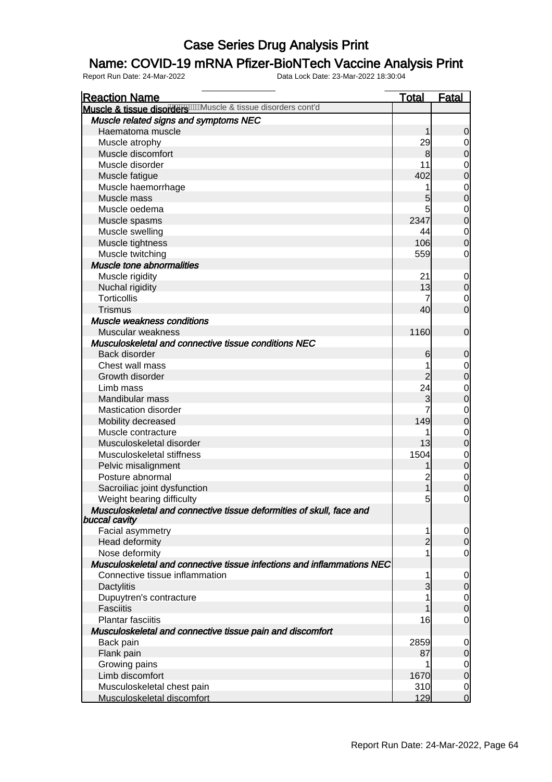### Name: COVID-19 mRNA Pfizer-BioNTech Vaccine Analysis Print

| <b>Reaction Name</b>                                                                  | <u>Total</u>   | <b>Fatal</b>                         |
|---------------------------------------------------------------------------------------|----------------|--------------------------------------|
| Muscle & tissue disorders Muscle & tissue disorders cont'd                            |                |                                      |
| Muscle related signs and symptoms NEC                                                 |                |                                      |
| Haematoma muscle                                                                      | 1              | $\mathbf 0$                          |
| Muscle atrophy                                                                        | 29             | $\begin{matrix} 0 \\ 0 \end{matrix}$ |
| Muscle discomfort                                                                     | 8              |                                      |
| Muscle disorder                                                                       | 11             | $\begin{matrix} 0 \\ 0 \end{matrix}$ |
| Muscle fatigue                                                                        | 402            |                                      |
| Muscle haemorrhage                                                                    | 1              |                                      |
| Muscle mass                                                                           | 5              | $\begin{matrix}0\\0\end{matrix}$     |
| Muscle oedema                                                                         | 5              | $\begin{matrix}0\\0\end{matrix}$     |
| Muscle spasms                                                                         | 2347           |                                      |
| Muscle swelling                                                                       | 44             | $\begin{matrix} 0 \\ 0 \end{matrix}$ |
| Muscle tightness                                                                      | 106            |                                      |
| Muscle twitching                                                                      | 559            | $\mathbf 0$                          |
| Muscle tone abnormalities                                                             |                |                                      |
| Muscle rigidity                                                                       | 21             |                                      |
| Nuchal rigidity                                                                       | 13             | $0$ 0                                |
| <b>Torticollis</b>                                                                    | 7              | $\begin{matrix} 0 \\ 0 \end{matrix}$ |
| <b>Trismus</b>                                                                        | 40             |                                      |
| Muscle weakness conditions                                                            |                |                                      |
| Muscular weakness                                                                     | 1160           | $\mathbf 0$                          |
| Musculoskeletal and connective tissue conditions NEC                                  |                |                                      |
| Back disorder                                                                         | 6              | $\mathbf 0$                          |
| Chest wall mass                                                                       | 1              |                                      |
| Growth disorder                                                                       |                | $0$<br>0                             |
| Limb mass                                                                             | 24             |                                      |
| Mandibular mass                                                                       | 3              | $\begin{matrix}0\\0\end{matrix}$     |
| <b>Mastication disorder</b>                                                           | 7              |                                      |
| Mobility decreased                                                                    | 149            | $\begin{matrix}0\\0\end{matrix}$     |
| Muscle contracture                                                                    | 1              |                                      |
| Musculoskeletal disorder                                                              | 13             | $\begin{matrix} 0 \\ 0 \end{matrix}$ |
| Musculoskeletal stiffness                                                             | 1504           | $\begin{matrix}0\\0\end{matrix}$     |
| Pelvic misalignment                                                                   | 1              |                                      |
| Posture abnormal                                                                      |                | $\begin{matrix}0\\0\end{matrix}$     |
| Sacroiliac joint dysfunction                                                          | 1              |                                      |
| Weight bearing difficulty                                                             | 5              | $\mathbf 0$                          |
| Musculoskeletal and connective tissue deformities of skull, face and<br>buccal cavity |                |                                      |
| Facial asymmetry                                                                      | 1              | $\overline{0}$                       |
| Head deformity                                                                        | $\overline{2}$ | $\overline{0}$                       |
| Nose deformity                                                                        |                | $\mathbf 0$                          |
| Musculoskeletal and connective tissue infections and inflammations NEC                |                |                                      |
| Connective tissue inflammation                                                        |                | $\overline{0}$                       |
| Dactylitis                                                                            | 3              | $\mathbf 0$                          |
| Dupuytren's contracture                                                               |                |                                      |
| <b>Fasciitis</b>                                                                      |                | $\begin{matrix} 0 \\ 0 \end{matrix}$ |
| <b>Plantar fasciitis</b>                                                              | 16             | $\mathbf 0$                          |
| Musculoskeletal and connective tissue pain and discomfort                             |                |                                      |
| Back pain                                                                             | 2859           | $\mathbf 0$                          |
| Flank pain                                                                            | 87             | $\mathbf 0$                          |
| Growing pains                                                                         |                | $\overline{0}$                       |
| Limb discomfort                                                                       | 1670           | $\overline{0}$                       |
| Musculoskeletal chest pain                                                            | 310            | $\overline{0}$                       |
| Musculoskeletal discomfort                                                            | 129            | $\overline{O}$                       |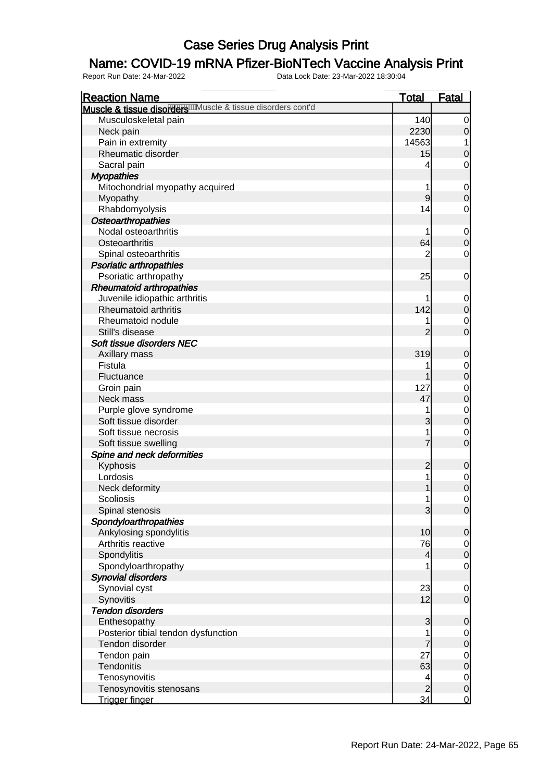### Name: COVID-19 mRNA Pfizer-BioNTech Vaccine Analysis Print

| <b>Reaction Name</b>                                       | <b>Total</b>             | <b>Fatal</b>                       |
|------------------------------------------------------------|--------------------------|------------------------------------|
| Muscle & tissue disordere Muscle & tissue disorders cont'd |                          |                                    |
| Musculoskeletal pain                                       | 140                      | $\overline{0}$                     |
| Neck pain                                                  | 2230                     | $\mathbf 0$                        |
| Pain in extremity                                          | 14563                    | 1                                  |
| Rheumatic disorder                                         | 15                       | $\mathbf 0$                        |
| Sacral pain                                                | 4                        | $\mathbf 0$                        |
| <b>Myopathies</b>                                          |                          |                                    |
| Mitochondrial myopathy acquired                            | 1                        | $\boldsymbol{0}$                   |
| Myopathy                                                   | 9                        | $\overline{0}$                     |
| Rhabdomyolysis                                             | 14                       | $\mathbf 0$                        |
| <b>Osteoarthropathies</b>                                  |                          |                                    |
| Nodal osteoarthritis                                       | 1                        | $\mathbf{0}$                       |
| Osteoarthritis                                             | 64                       | $\overline{0}$                     |
| Spinal osteoarthritis                                      | $\overline{2}$           | $\mathbf 0$                        |
| <b>Psoriatic arthropathies</b>                             |                          |                                    |
| Psoriatic arthropathy                                      | 25                       | $\mathbf 0$                        |
| <b>Rheumatoid arthropathies</b>                            |                          |                                    |
| Juvenile idiopathic arthritis                              |                          |                                    |
| Rheumatoid arthritis                                       | 142                      | $\boldsymbol{0}$<br>$\overline{0}$ |
| Rheumatoid nodule                                          |                          |                                    |
|                                                            | 1                        | $\mathbf{0}$<br>$\overline{0}$     |
| Still's disease<br>Soft tissue disorders NEC               | $\overline{2}$           |                                    |
|                                                            |                          |                                    |
| Axillary mass                                              | 319                      | $\mathbf 0$                        |
| Fistula                                                    | 1                        | $\overline{0}$                     |
| Fluctuance                                                 | 1                        | $\overline{0}$                     |
| Groin pain                                                 | 127                      | $0$<br>0                           |
| Neck mass                                                  | 47                       |                                    |
| Purple glove syndrome                                      | 1                        | $0$<br>0                           |
| Soft tissue disorder                                       | 3                        |                                    |
| Soft tissue necrosis                                       | 1                        | $\mathbf 0$                        |
| Soft tissue swelling                                       | $\overline{7}$           | $\overline{0}$                     |
| Spine and neck deformities                                 |                          |                                    |
| Kyphosis                                                   | $\overline{c}$           | $\mathbf 0$                        |
| Lordosis                                                   | 1                        | $0$<br>0                           |
| Neck deformity                                             | 1                        |                                    |
| <b>Scoliosis</b>                                           | 1                        | $\mathbf 0$                        |
| Spinal stenosis                                            | $\overline{3}$           | 0                                  |
| Spondyloarthropathies                                      |                          |                                    |
| Ankylosing spondylitis                                     | 10                       | $\mathbf 0$                        |
| Arthritis reactive                                         | 76                       | $\overline{0}$                     |
| Spondylitis                                                | $\overline{4}$           | $\mathbf 0$                        |
| Spondyloarthropathy                                        | 1                        | $\mathbf 0$                        |
| <b>Synovial disorders</b>                                  |                          |                                    |
| Synovial cyst                                              | 23                       | $\mathbf 0$                        |
| Synovitis                                                  | 12                       | $\mathbf 0$                        |
| <b>Tendon disorders</b>                                    |                          |                                    |
| Enthesopathy                                               | 3                        | $\mathbf 0$                        |
| Posterior tibial tendon dysfunction                        | 1                        | $\overline{0}$                     |
| Tendon disorder                                            | 7                        | $\boldsymbol{0}$                   |
| Tendon pain                                                | 27                       | $\mathbf{0}$                       |
| Tendonitis                                                 | 63                       | $\overline{0}$                     |
| Tenosynovitis                                              | $\overline{\mathcal{A}}$ | $\overline{0}$                     |
| Tenosynovitis stenosans                                    | $\overline{2}$           | $\boldsymbol{0}$                   |
| Trigger finger                                             | $\overline{34}$          | $\overline{0}$                     |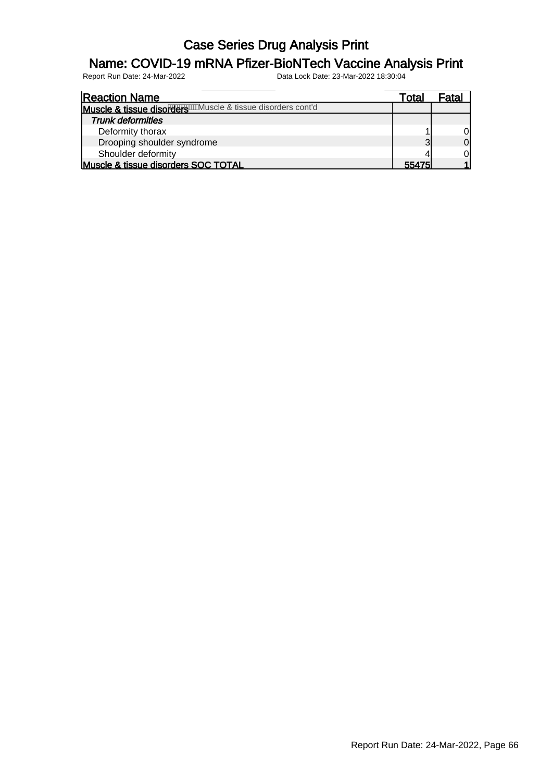### Name: COVID-19 mRNA Pfizer-BioNTech Vaccine Analysis Print

| <b>Reaction Name</b>                                           | Total | Fatal |
|----------------------------------------------------------------|-------|-------|
| Muscle & tissue disorders will uscle & tissue disorders cont'd |       |       |
| <b>Trunk deformities</b>                                       |       |       |
| Deformity thorax                                               |       | ΟI    |
| Drooping shoulder syndrome                                     | 2.    | Οl    |
| Shoulder deformity                                             |       | ΩI    |
| Muscle & tissue disorders SOC TOTAL                            | 55475 |       |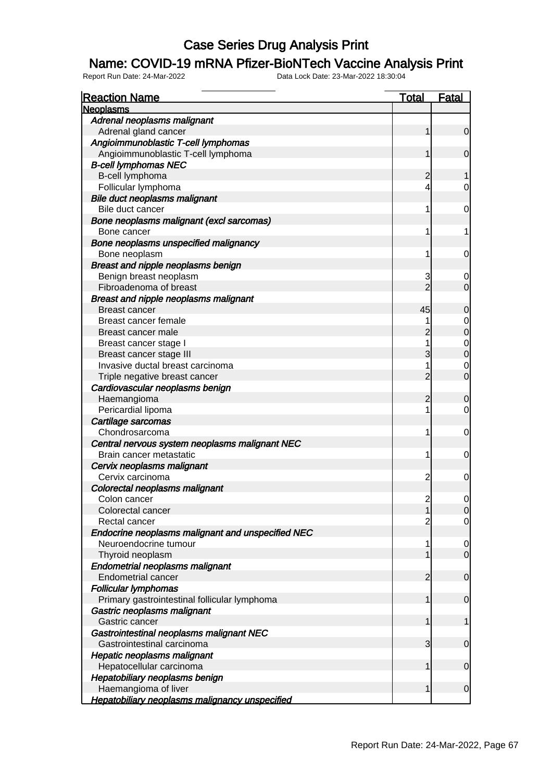#### Name: COVID-19 mRNA Pfizer-BioNTech Vaccine Analysis Print

| <b>Reaction Name</b>                                  | <b>Total</b>   | <b>Fatal</b>                         |
|-------------------------------------------------------|----------------|--------------------------------------|
| <b>Neoplasms</b>                                      |                |                                      |
| Adrenal neoplasms malignant                           |                |                                      |
| Adrenal gland cancer                                  | 1              | $\mathbf 0$                          |
| Angioimmunoblastic T-cell lymphomas                   |                |                                      |
| Angioimmunoblastic T-cell lymphoma                    | 1              | $\mathbf 0$                          |
| <b>B-cell lymphomas NEC</b>                           |                |                                      |
| B-cell lymphoma                                       | $\overline{c}$ |                                      |
| Follicular lymphoma                                   | 4              | 0                                    |
| Bile duct neoplasms malignant                         |                |                                      |
| Bile duct cancer                                      | 1              | $\mathbf 0$                          |
| Bone neoplasms malignant (excl sarcomas)              |                |                                      |
| Bone cancer                                           | 1              | 1                                    |
| Bone neoplasms unspecified malignancy                 |                |                                      |
| Bone neoplasm                                         | 1              | $\mathbf 0$                          |
| Breast and nipple neoplasms benign                    |                |                                      |
| Benign breast neoplasm                                | 3              | 0                                    |
| Fibroadenoma of breast                                | $\overline{2}$ | $\overline{0}$                       |
| <b>Breast and nipple neoplasms malignant</b>          |                |                                      |
| Breast cancer                                         | 45             | $\mathbf 0$                          |
| Breast cancer female                                  |                |                                      |
| Breast cancer male                                    | $\overline{2}$ | $0$ 0                                |
| Breast cancer stage I                                 | 1              |                                      |
| Breast cancer stage III                               | 3              | $\begin{matrix}0\\0\end{matrix}$     |
| Invasive ductal breast carcinoma                      | 1              |                                      |
| Triple negative breast cancer                         | $\overline{2}$ | $\begin{matrix} 0 \\ 0 \end{matrix}$ |
| Cardiovascular neoplasms benign                       |                |                                      |
| Haemangioma                                           | $\overline{c}$ | $\mathbf 0$                          |
| Pericardial lipoma                                    | 1              | $\overline{0}$                       |
| Cartilage sarcomas                                    |                |                                      |
| Chondrosarcoma                                        | 1              | $\mathbf 0$                          |
| Central nervous system neoplasms malignant NEC        |                |                                      |
| Brain cancer metastatic                               | 1              | $\mathbf 0$                          |
| Cervix neoplasms malignant                            |                |                                      |
| Cervix carcinoma                                      | $\overline{c}$ | $\mathbf 0$                          |
| Colorectal neoplasms malignant                        |                |                                      |
| Colon cancer                                          | $\overline{2}$ | $\mathbf 0$                          |
| Colorectal cancer                                     | 1              | 0                                    |
| Rectal cancer                                         | $\overline{2}$ | $\overline{0}$                       |
| Endocrine neoplasms malignant and unspecified NEC     |                |                                      |
| Neuroendocrine tumour                                 | 1              | $\mathbf 0$                          |
| Thyroid neoplasm                                      | 1              | $\mathbf 0$                          |
| <b>Endometrial neoplasms malignant</b>                |                |                                      |
| <b>Endometrial cancer</b>                             | $\overline{c}$ | $\mathbf 0$                          |
| <b>Follicular lymphomas</b>                           |                |                                      |
| Primary gastrointestinal follicular lymphoma          | 1              | $\mathbf 0$                          |
| Gastric neoplasms malignant                           |                |                                      |
| Gastric cancer                                        | 1              | 1                                    |
| Gastrointestinal neoplasms malignant NEC              |                |                                      |
| Gastrointestinal carcinoma                            | 3              | $\mathbf 0$                          |
| <b>Hepatic neoplasms malignant</b>                    |                |                                      |
| Hepatocellular carcinoma                              | 1              | $\mathbf 0$                          |
| Hepatobiliary neoplasms benign                        |                |                                      |
| Haemangioma of liver                                  | 1              | $\mathbf 0$                          |
| <b>Hepatobiliary neoplasms malignancy unspecified</b> |                |                                      |
|                                                       |                |                                      |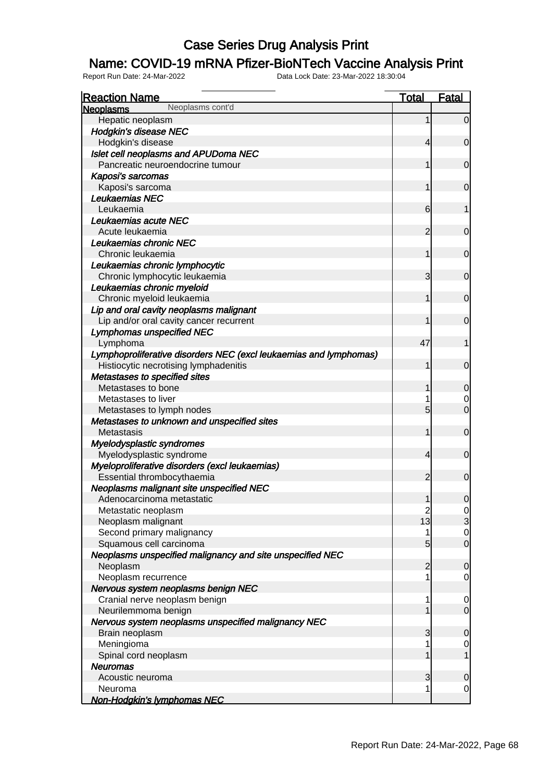### Name: COVID-19 mRNA Pfizer-BioNTech Vaccine Analysis Print

| <b>Reaction Name</b>                                              | <b>Total</b>                           | <b>Fatal</b>                         |
|-------------------------------------------------------------------|----------------------------------------|--------------------------------------|
| Neoplasms cont'd<br><b>Neoplasms</b>                              |                                        |                                      |
| Hepatic neoplasm                                                  |                                        | $\overline{0}$                       |
| <b>Hodgkin's disease NEC</b>                                      |                                        |                                      |
| Hodgkin's disease                                                 | 4                                      | $\overline{0}$                       |
| Islet cell neoplasms and APUDoma NEC                              |                                        |                                      |
| Pancreatic neuroendocrine tumour                                  |                                        | $\mathbf 0$                          |
| Kaposi's sarcomas                                                 |                                        |                                      |
| Kaposi's sarcoma                                                  |                                        | $\mathbf 0$                          |
| Leukaemias NEC                                                    |                                        |                                      |
| Leukaemia                                                         | 6                                      | 1                                    |
| Leukaemias acute NEC                                              |                                        |                                      |
| Acute leukaemia                                                   | $\overline{2}$                         | $\mathbf 0$                          |
| Leukaemias chronic NEC                                            |                                        |                                      |
| Chronic leukaemia                                                 | 1                                      | $\mathbf 0$                          |
| Leukaemias chronic lymphocytic                                    |                                        |                                      |
| Chronic lymphocytic leukaemia                                     | 3                                      | $\mathbf 0$                          |
| Leukaemias chronic myeloid                                        |                                        |                                      |
| Chronic myeloid leukaemia                                         | 1                                      | $\mathbf 0$                          |
| Lip and oral cavity neoplasms malignant                           |                                        |                                      |
| Lip and/or oral cavity cancer recurrent                           | 1                                      | $\mathbf 0$                          |
| <b>Lymphomas unspecified NEC</b>                                  |                                        |                                      |
| Lymphoma                                                          | 47                                     | 1                                    |
| Lymphoproliferative disorders NEC (excl leukaemias and lymphomas) |                                        |                                      |
| Histiocytic necrotising lymphadenitis                             | 1                                      | $\overline{0}$                       |
| Metastases to specified sites                                     |                                        |                                      |
| Metastases to bone                                                |                                        | $\mathbf 0$                          |
| Metastases to liver                                               |                                        | 0                                    |
| Metastases to lymph nodes                                         | 5                                      | $\overline{O}$                       |
| Metastases to unknown and unspecified sites                       |                                        |                                      |
| Metastasis                                                        | 1                                      | $\mathbf 0$                          |
| Myelodysplastic syndromes                                         |                                        |                                      |
| Myelodysplastic syndrome                                          | 4                                      | $\mathbf 0$                          |
| Myeloproliferative disorders (excl leukaemias)                    |                                        |                                      |
| Essential thrombocythaemia                                        | $\overline{2}$                         | $\overline{0}$                       |
| Neoplasms malignant site unspecified NEC                          |                                        |                                      |
| Adenocarcinoma metastatic                                         | 1                                      | $\overline{0}$                       |
| Metastatic neoplasm                                               |                                        |                                      |
| Neoplasm malignant                                                | $\begin{array}{c} 2 \\ 13 \end{array}$ | $\frac{0}{3}$                        |
| Second primary malignancy                                         | 1                                      |                                      |
| Squamous cell carcinoma                                           | $5\overline{)}$                        | $\begin{matrix} 0 \\ 0 \end{matrix}$ |
| Neoplasms unspecified malignancy and site unspecified NEC         |                                        |                                      |
| Neoplasm                                                          | $\overline{2}$                         | $\mathbf 0$                          |
| Neoplasm recurrence                                               |                                        | $\overline{0}$                       |
| Nervous system neoplasms benign NEC                               |                                        |                                      |
| Cranial nerve neoplasm benign                                     |                                        | $\overline{0}$                       |
| Neurilemmoma benign                                               |                                        | $\mathbf 0$                          |
| Nervous system neoplasms unspecified malignancy NEC               |                                        |                                      |
| Brain neoplasm                                                    | 3                                      | $\mathbf 0$                          |
| Meningioma                                                        |                                        | $\overline{0}$                       |
| Spinal cord neoplasm                                              |                                        | $\mathbf 1$                          |
| <b>Neuromas</b>                                                   |                                        |                                      |
| Acoustic neuroma                                                  | 3                                      | $\mathbf 0$                          |
| Neuroma                                                           | 1                                      | $\overline{0}$                       |
| Non-Hodgkin's lymphomas NEC                                       |                                        |                                      |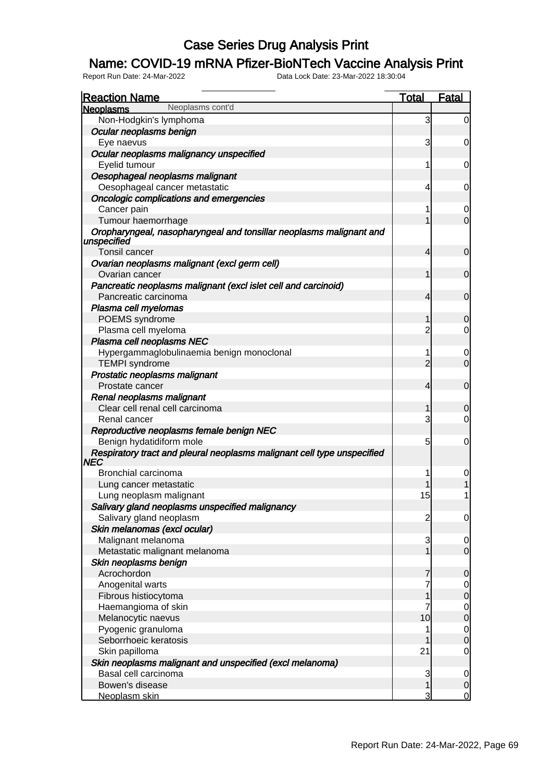### Name: COVID-19 mRNA Pfizer-BioNTech Vaccine Analysis Print

| <b>Reaction Name</b>                                                               | <b>Total</b>   | <b>Fatal</b>                         |
|------------------------------------------------------------------------------------|----------------|--------------------------------------|
| Neoplasms cont'd<br><b>Neoplasms</b>                                               |                |                                      |
| Non-Hodgkin's lymphoma                                                             | 3              | $\overline{0}$                       |
| Ocular neoplasms benign                                                            |                |                                      |
| Eye naevus                                                                         | 3              | 0                                    |
| Ocular neoplasms malignancy unspecified                                            |                |                                      |
| Eyelid tumour                                                                      | 1              | 0                                    |
| Oesophageal neoplasms malignant                                                    |                |                                      |
| Oesophageal cancer metastatic                                                      | 4              | 0                                    |
| Oncologic complications and emergencies                                            |                |                                      |
| Cancer pain                                                                        | 1              | 0                                    |
| Tumour haemorrhage                                                                 | 1              | $\overline{0}$                       |
| Oropharyngeal, nasopharyngeal and tonsillar neoplasms malignant and<br>unspecified |                |                                      |
| Tonsil cancer                                                                      | 4              | $\mathbf 0$                          |
| Ovarian neoplasms malignant (excl germ cell)<br>Ovarian cancer                     | 1              | $\overline{0}$                       |
| Pancreatic neoplasms malignant (excl islet cell and carcinoid)                     |                |                                      |
| Pancreatic carcinoma                                                               | 4              | $\overline{0}$                       |
| Plasma cell myelomas                                                               |                |                                      |
| POEMS syndrome                                                                     |                | 0                                    |
| Plasma cell myeloma                                                                | $\overline{c}$ | $\overline{0}$                       |
| Plasma cell neoplasms NEC                                                          |                |                                      |
| Hypergammaglobulinaemia benign monoclonal                                          | 1              | 0                                    |
| <b>TEMPI</b> syndrome                                                              | $\overline{2}$ | $\mathbf 0$                          |
| Prostatic neoplasms malignant                                                      |                |                                      |
| Prostate cancer                                                                    | 4              | $\overline{0}$                       |
| Renal neoplasms malignant                                                          |                |                                      |
| Clear cell renal cell carcinoma                                                    |                | 0                                    |
| Renal cancer                                                                       | 3              | $\overline{0}$                       |
| Reproductive neoplasms female benign NEC<br>Benign hydatidiform mole               | 5              | 0                                    |
| Respiratory tract and pleural neoplasms malignant cell type unspecified            |                |                                      |
| NEC                                                                                |                |                                      |
| Bronchial carcinoma                                                                |                |                                      |
| Lung cancer metastatic                                                             |                |                                      |
| Lung neoplasm malignant                                                            | 15             |                                      |
| Salivary gland neoplasms unspecified malignancy                                    |                |                                      |
| Salivary gland neoplasm                                                            | $\overline{c}$ | $\overline{0}$                       |
| Skin melanomas (excl ocular)                                                       |                |                                      |
| Malignant melanoma                                                                 | 3              | $\mathbf 0$                          |
| Metastatic malignant melanoma                                                      | 1              | $\overline{0}$                       |
| Skin neoplasms benign                                                              |                |                                      |
| Acrochordon                                                                        | 7              | $\overline{0}$                       |
| Anogenital warts                                                                   |                | $0\atop 0$                           |
| Fibrous histiocytoma                                                               | 1              |                                      |
| Haemangioma of skin                                                                |                | $\begin{matrix} 0 \\ 0 \end{matrix}$ |
| Melanocytic naevus                                                                 | 10             |                                      |
| Pyogenic granuloma                                                                 |                | $\begin{matrix} 0 \\ 0 \end{matrix}$ |
| Seborrhoeic keratosis                                                              |                |                                      |
| Skin papilloma                                                                     | 21             | $\mathbf 0$                          |
| Skin neoplasms malignant and unspecified (excl melanoma)                           |                |                                      |
| Basal cell carcinoma                                                               | 3              | $\mathbf 0$                          |
| Bowen's disease                                                                    | 1              | $\overline{0}$                       |
| Neoplasm skin                                                                      | 3              | $\overline{0}$                       |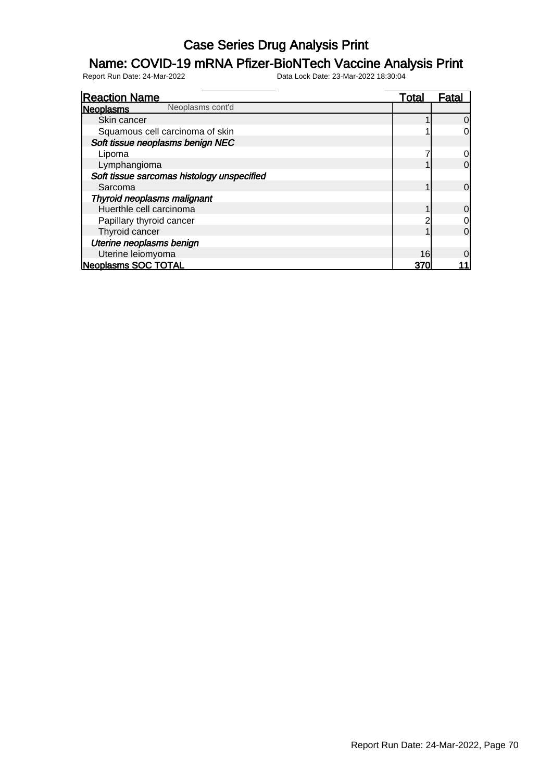#### Name: COVID-19 mRNA Pfizer-BioNTech Vaccine Analysis Print

| <b>Reaction Name</b>                       | <u>Total</u> | Fata           |
|--------------------------------------------|--------------|----------------|
| Neoplasms cont'd<br><b>Neoplasms</b>       |              |                |
| Skin cancer                                |              | 0              |
| Squamous cell carcinoma of skin            |              | 0              |
| Soft tissue neoplasms benign NEC           |              |                |
| Lipoma                                     |              |                |
| Lymphangioma                               |              | 0              |
| Soft tissue sarcomas histology unspecified |              |                |
| Sarcoma                                    |              | $\overline{0}$ |
| Thyroid neoplasms malignant                |              |                |
| Huerthle cell carcinoma                    |              | 0              |
| Papillary thyroid cancer                   |              |                |
| Thyroid cancer                             |              | 0              |
| Uterine neoplasms benign                   |              |                |
| Uterine leiomyoma                          | 16           |                |
| Neoplasms SOC TOTAL                        | 370          |                |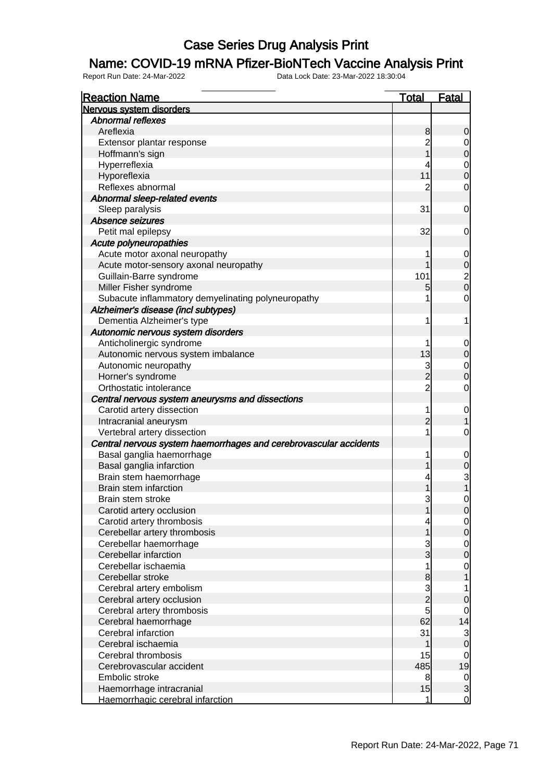#### Name: COVID-19 mRNA Pfizer-BioNTech Vaccine Analysis Print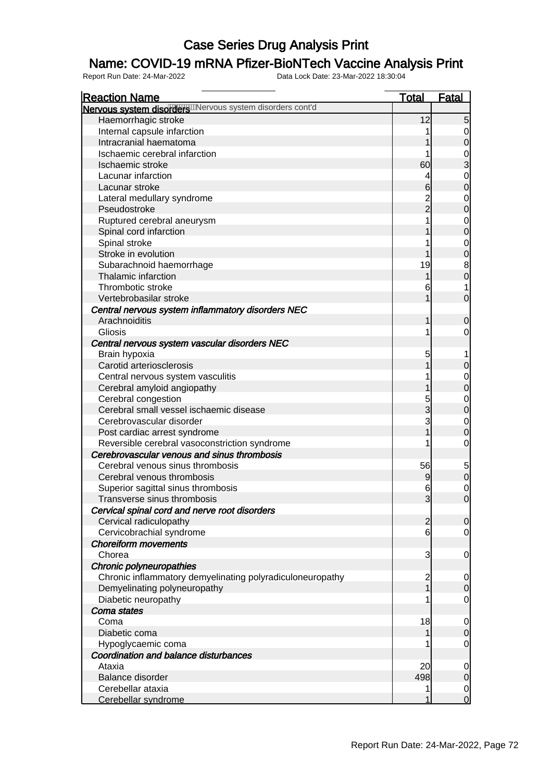### Name: COVID-19 mRNA Pfizer-BioNTech Vaccine Analysis Print

| <b>Reaction Name</b>                                      | <b>Total</b>            | <b>Fatal</b>   |
|-----------------------------------------------------------|-------------------------|----------------|
| Nervous system disorders Mervous system disorders cont'd  |                         |                |
| Haemorrhagic stroke                                       | 12                      | $\overline{5}$ |
| Internal capsule infarction                               | 1                       | $\overline{0}$ |
| Intracranial haematoma                                    |                         | $\mathbf 0$    |
| Ischaemic cerebral infarction                             | 1                       |                |
| Ischaemic stroke                                          | 60                      | $\frac{0}{3}$  |
| Lacunar infarction                                        | 4                       | $\mathbf 0$    |
| Lacunar stroke                                            | $6\phantom{.}6$         | $\overline{0}$ |
| Lateral medullary syndrome                                |                         | $\mathbf 0$    |
| Pseudostroke                                              | $\frac{2}{2}$           | $\overline{0}$ |
| Ruptured cerebral aneurysm                                | 1                       | $\overline{0}$ |
| Spinal cord infarction                                    |                         | $\overline{0}$ |
| Spinal stroke                                             | 1                       | $\mathbf 0$    |
| Stroke in evolution                                       | 1                       | $\overline{0}$ |
| Subarachnoid haemorrhage                                  | 19                      | 8              |
| Thalamic infarction                                       | 1                       | $\pmb{0}$      |
| Thrombotic stroke                                         | 6                       | 1              |
| Vertebrobasilar stroke                                    | 1                       | $\mathbf 0$    |
| Central nervous system inflammatory disorders NEC         |                         |                |
| Arachnoiditis                                             | 1                       | $\mathbf 0$    |
| Gliosis                                                   | 1                       | $\mathbf 0$    |
| Central nervous system vascular disorders NEC             |                         |                |
| Brain hypoxia                                             | 5                       |                |
| Carotid arteriosclerosis                                  | 1                       | $\mathbf 0$    |
| Central nervous system vasculitis                         | 1                       | $\mathbf 0$    |
| Cerebral amyloid angiopathy                               | 1                       | $\overline{0}$ |
| Cerebral congestion                                       |                         | $\mathbf 0$    |
| Cerebral small vessel ischaemic disease                   | 5<br>3                  | $\overline{0}$ |
| Cerebrovascular disorder                                  | 3                       | $\mathbf 0$    |
| Post cardiac arrest syndrome                              | $\overline{1}$          | $\mathbf 0$    |
| Reversible cerebral vasoconstriction syndrome             | 1                       | $\mathbf 0$    |
| Cerebrovascular venous and sinus thrombosis               |                         |                |
| Cerebral venous sinus thrombosis                          | 56                      |                |
| Cerebral venous thrombosis                                | 9                       | $\frac{5}{0}$  |
| Superior sagittal sinus thrombosis                        | 6                       | $\mathbf 0$    |
| Transverse sinus thrombosis                               | $\overline{3}$          | $\mathbf 0$    |
| Cervical spinal cord and nerve root disorders             |                         |                |
| Cervical radiculopathy                                    | $\overline{2}$          | $\overline{0}$ |
| Cervicobrachial syndrome                                  | 6                       | $\mathbf 0$    |
| <b>Choreiform movements</b>                               |                         |                |
| Chorea                                                    | 3                       | $\mathbf 0$    |
| Chronic polyneuropathies                                  |                         |                |
| Chronic inflammatory demyelinating polyradiculoneuropathy | $\overline{\mathbf{c}}$ | $\mathbf 0$    |
| Demyelinating polyneuropathy                              | $\overline{1}$          | $\mathbf 0$    |
| Diabetic neuropathy                                       |                         | $\mathbf 0$    |
| Coma states                                               |                         |                |
| Coma                                                      | 18                      | $\mathbf 0$    |
| Diabetic coma                                             | 1                       | $\mathbf 0$    |
| Hypoglycaemic coma                                        |                         | $\mathbf 0$    |
| Coordination and balance disturbances                     |                         |                |
| Ataxia                                                    | 20                      | $\mathbf 0$    |
| Balance disorder                                          | 498                     | $\mathbf 0$    |
| Cerebellar ataxia                                         | 1                       | $\overline{0}$ |
| Cerebellar syndrome                                       | 1                       | $\overline{0}$ |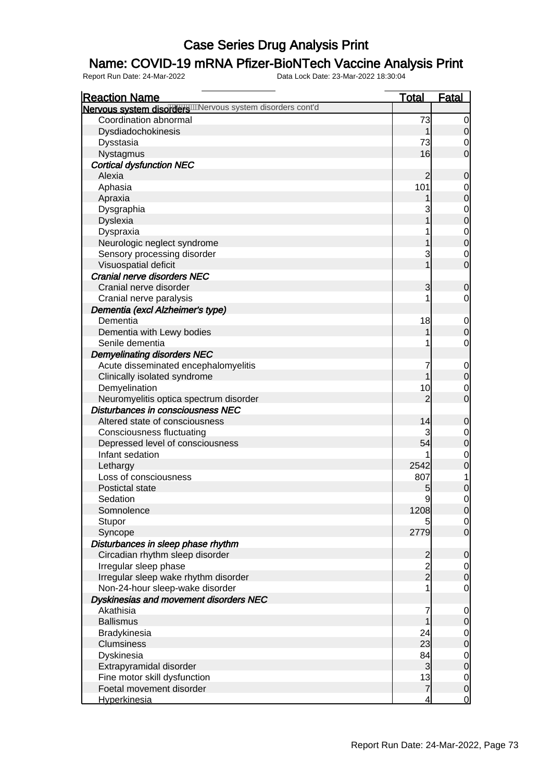### Name: COVID-19 mRNA Pfizer-BioNTech Vaccine Analysis Print

| $\overline{0}$                       |
|--------------------------------------|
|                                      |
|                                      |
| $\mathbf 0$                          |
| $\mathbf 0$                          |
| $\overline{0}$                       |
|                                      |
| 0                                    |
| $\mathbf 0$                          |
| $\overline{0}$                       |
|                                      |
| $\begin{matrix}0\\0\end{matrix}$     |
|                                      |
| $\begin{matrix}0\\0\end{matrix}$     |
| $\mathbf 0$                          |
| $\overline{0}$                       |
|                                      |
| 0                                    |
| 0                                    |
|                                      |
| $\mathbf 0$                          |
| $\overline{0}$                       |
| $\mathbf 0$                          |
|                                      |
| $\mathbf 0$                          |
| $\mathbf 0$                          |
| $\mathbf 0$                          |
| $\overline{0}$                       |
|                                      |
| 0                                    |
| $\mathbf 0$                          |
| $\overline{0}$                       |
| $\mathbf 0$                          |
| $\overline{0}$                       |
| 1                                    |
| $\boldsymbol{0}$                     |
| $\mathbf 0$                          |
| $\Omega$                             |
| $\overline{0}$                       |
| $\overline{O}$                       |
|                                      |
| $\overline{0}$                       |
| $\overline{0}$                       |
| $\overline{0}$                       |
| $\mathbf 0$                          |
|                                      |
| $\mathbf 0$                          |
| $\mathbf 0$                          |
|                                      |
| $\begin{matrix} 0 \\ 0 \end{matrix}$ |
|                                      |
| $\mathbf 0$<br>$\overline{0}$        |
|                                      |
| $\mathbf 0$<br>$\overline{0}$        |
| $\overline{0}$                       |
|                                      |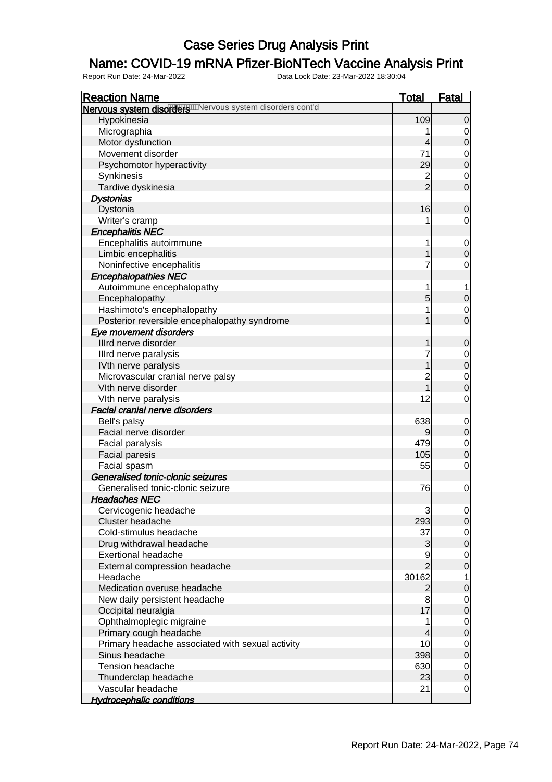### Name: COVID-19 mRNA Pfizer-BioNTech Vaccine Analysis Print

| <b>Reaction Name</b>                                  | <u>Total</u>   | <u>Fatal</u>                         |
|-------------------------------------------------------|----------------|--------------------------------------|
| Nervous system disordere many system disorders cont'd |                |                                      |
| Hypokinesia                                           | 109            | $\Omega$                             |
| Micrographia                                          | 1              | 0                                    |
| Motor dysfunction                                     | 4              | $\mathbf 0$                          |
| Movement disorder                                     | 71             | $\begin{matrix}0\\0\end{matrix}$     |
| Psychomotor hyperactivity                             | 29             |                                      |
| Synkinesis                                            | $\frac{2}{2}$  | $\mathbf 0$                          |
| Tardive dyskinesia                                    |                | $\overline{0}$                       |
| <b>Dystonias</b>                                      |                |                                      |
| Dystonia                                              | 16             | 0                                    |
| Writer's cramp                                        | 1              | 0                                    |
| <b>Encephalitis NEC</b>                               |                |                                      |
| Encephalitis autoimmune                               | 1              | $\mathbf 0$                          |
| Limbic encephalitis                                   | 1              | $\overline{0}$                       |
| Noninfective encephalitis                             | 7              | 0                                    |
| <b>Encephalopathies NEC</b>                           |                |                                      |
| Autoimmune encephalopathy                             | 1              | 1                                    |
| Encephalopathy                                        | 5              | $\mathbf 0$                          |
| Hashimoto's encephalopathy                            | 1              | $\mathbf 0$                          |
| Posterior reversible encephalopathy syndrome          | 1              | $\overline{0}$                       |
| Eye movement disorders                                |                |                                      |
| Illrd nerve disorder                                  | 1              | 0                                    |
| Illrd nerve paralysis                                 | 7              |                                      |
| IVth nerve paralysis                                  |                | $0\atop 0$                           |
| Microvascular cranial nerve palsy                     | $\overline{c}$ |                                      |
| VIth nerve disorder                                   | 1              | $\begin{matrix}0\\0\end{matrix}$     |
| VIth nerve paralysis                                  | 12             | $\mathbf 0$                          |
| <b>Facial cranial nerve disorders</b>                 |                |                                      |
| Bell's palsy                                          | 638            | $\mathbf 0$                          |
| Facial nerve disorder                                 | 9              | $\overline{0}$                       |
| Facial paralysis                                      | 479            |                                      |
| Facial paresis                                        | 105            | $\begin{matrix} 0 \\ 0 \end{matrix}$ |
| Facial spasm                                          | 55             | $\mathbf 0$                          |
| Generalised tonic-clonic seizures                     |                |                                      |
| Generalised tonic-clonic seizure                      | 76             | $\mathbf 0$                          |
| <b>Headaches NEC</b>                                  |                |                                      |
| Cervicogenic headache                                 | 3              | $\overline{0}$                       |
| Cluster headache                                      | 293            | $\overline{0}$                       |
| Cold-stimulus headache                                | 37             |                                      |
| Drug withdrawal headache                              | 3              | $\begin{matrix} 0 \\ 0 \end{matrix}$ |
| <b>Exertional headache</b>                            | $\overline{9}$ |                                      |
| External compression headache                         | $\overline{2}$ | $\begin{matrix} 0 \\ 0 \end{matrix}$ |
| Headache                                              | 30162          | $\mathbf 1$                          |
| Medication overuse headache                           | $\mathbf{2}$   | $\boldsymbol{0}$                     |
| New daily persistent headache                         | 8              |                                      |
| Occipital neuralgia                                   | 17             | $\begin{matrix} 0 \\ 0 \end{matrix}$ |
| Ophthalmoplegic migraine                              | 1              |                                      |
| Primary cough headache                                | 4              | $\begin{matrix} 0 \\ 0 \end{matrix}$ |
| Primary headache associated with sexual activity      | 10             |                                      |
| Sinus headache                                        | 398            | $\begin{matrix} 0 \\ 0 \end{matrix}$ |
| <b>Tension headache</b>                               | 630            | $\mathbf 0$                          |
| Thunderclap headache                                  | 23             | $\overline{0}$                       |
| Vascular headache                                     | 21             | $\mathbf 0$                          |
| <b>Hydrocephalic conditions</b>                       |                |                                      |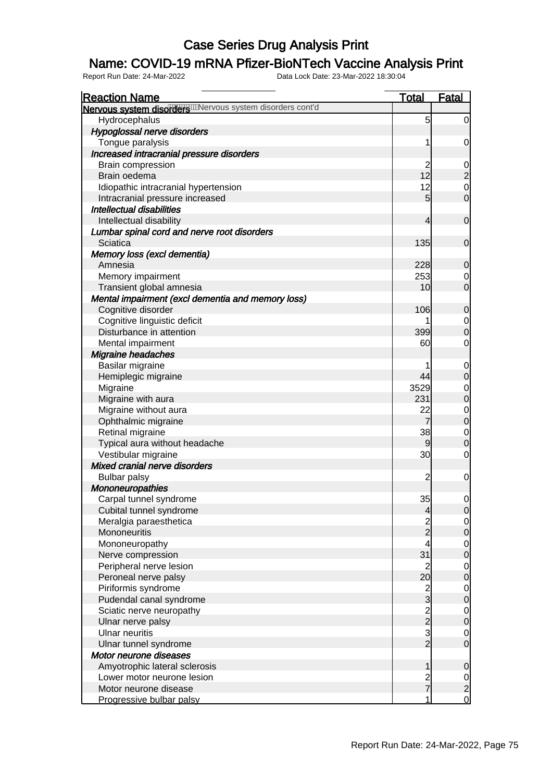### Name: COVID-19 mRNA Pfizer-BioNTech Vaccine Analysis Print

| <b>Reaction Name</b>                                  | <b>Total</b>                    | <b>Fatal</b>                              |
|-------------------------------------------------------|---------------------------------|-------------------------------------------|
| Nervous system disordere many system disorders cont'd |                                 |                                           |
| Hydrocephalus                                         | 5                               | $\mathbf 0$                               |
| Hypoglossal nerve disorders                           |                                 |                                           |
| Tongue paralysis                                      | 1                               | $\overline{0}$                            |
| Increased intracranial pressure disorders             |                                 |                                           |
| Brain compression                                     | $\overline{c}$                  |                                           |
| Brain oedema                                          | 12                              | 0<br>0<br>0<br>0                          |
| Idiopathic intracranial hypertension                  | 12                              |                                           |
| Intracranial pressure increased                       | 5                               |                                           |
| <b>Intellectual disabilities</b>                      |                                 |                                           |
| Intellectual disability                               | 4                               | $\mathbf 0$                               |
| Lumbar spinal cord and nerve root disorders           |                                 |                                           |
| Sciatica                                              | 135                             | $\mathbf 0$                               |
| Memory loss (excl dementia)                           |                                 |                                           |
| Amnesia                                               | 228                             | $\mathbf 0$                               |
| Memory impairment                                     | 253                             |                                           |
| Transient global amnesia                              | 10                              | $\begin{matrix} 0 \\ 0 \end{matrix}$      |
| Mental impairment (excl dementia and memory loss)     |                                 |                                           |
| Cognitive disorder                                    | 106                             |                                           |
|                                                       |                                 | $\mathbf 0$                               |
| Cognitive linguistic deficit                          |                                 | $\begin{matrix} 0 \\ 0 \end{matrix}$      |
| Disturbance in attention                              | 399                             |                                           |
| Mental impairment                                     | 60                              | $\mathbf 0$                               |
| <b>Migraine headaches</b>                             |                                 |                                           |
| Basilar migraine                                      |                                 | $0\atop 0$                                |
| Hemiplegic migraine                                   | 44                              |                                           |
| Migraine                                              | 3529                            | $0$<br>0                                  |
| Migraine with aura                                    | 231                             |                                           |
| Migraine without aura                                 | 22                              | $\begin{matrix}0\\0\end{matrix}$          |
| Ophthalmic migraine                                   | $\overline{7}$                  |                                           |
| Retinal migraine                                      | 38                              | $\begin{matrix}0\\0\end{matrix}$          |
| Typical aura without headache                         | 9                               |                                           |
| Vestibular migraine                                   | 30                              | $\mathbf 0$                               |
| Mixed cranial nerve disorders                         |                                 |                                           |
| <b>Bulbar palsy</b>                                   | $\overline{c}$                  | $\mathbf 0$                               |
| <b>Mononeuropathies</b>                               |                                 |                                           |
| Carpal tunnel syndrome                                | 35                              | $\mathbf 0$                               |
| Cubital tunnel syndrome                               | $\overline{\mathbf{r}}$         | $\overline{0}$                            |
| Meralgia paraesthetica                                | $\frac{2}{2}$                   | $\begin{matrix} 0 \\ 0 \end{matrix}$      |
| Mononeuritis                                          |                                 |                                           |
| Mononeuropathy                                        | 4                               | $\begin{matrix}0\\0\end{matrix}$          |
| Nerve compression                                     | 31                              |                                           |
| Peripheral nerve lesion                               | $\overline{c}$                  | $\begin{matrix}0\\0\end{matrix}$          |
| Peroneal nerve palsy                                  | 20                              |                                           |
| Piriformis syndrome                                   |                                 | $\begin{matrix}0\\0\end{matrix}$          |
| Pudendal canal syndrome                               | 2<br>3<br>2<br>3<br>2<br>3<br>2 |                                           |
| Sciatic nerve neuropathy                              |                                 | $\begin{matrix}0\\0\end{matrix}$          |
| Ulnar nerve palsy                                     |                                 |                                           |
| <b>Ulnar neuritis</b>                                 |                                 |                                           |
| Ulnar tunnel syndrome                                 |                                 | $\begin{matrix} 0 \\ 0 \end{matrix}$      |
| Motor neurone diseases                                |                                 |                                           |
| Amyotrophic lateral sclerosis                         | 1                               | $\mathbf 0$                               |
| Lower motor neurone lesion                            |                                 |                                           |
| Motor neurone disease                                 | $\frac{2}{7}$                   |                                           |
| Progressive bulbar palsy                              | 1                               | $\begin{matrix} 0 \\ 2 \\ 0 \end{matrix}$ |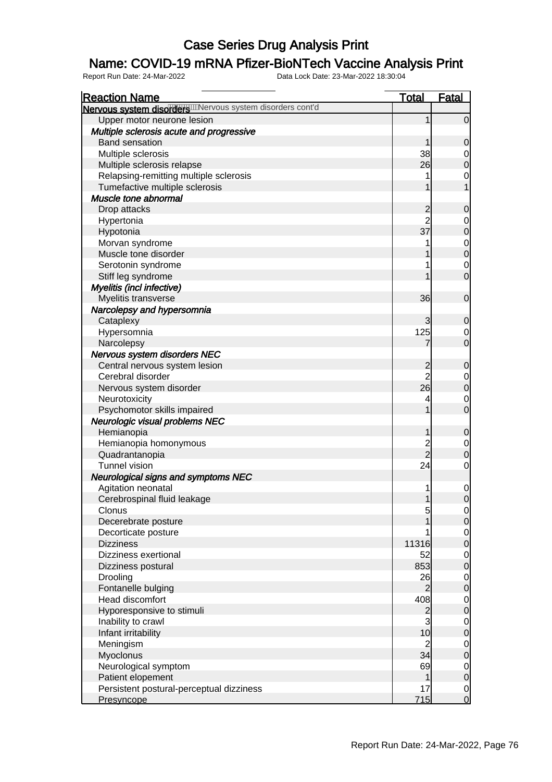### Name: COVID-19 mRNA Pfizer-BioNTech Vaccine Analysis Print

| <b>Reaction Name</b>                                          | <u>Total</u>   | <u>Fatal</u>                         |
|---------------------------------------------------------------|----------------|--------------------------------------|
| Nervous system disorders Will provide system disorders cont'd |                |                                      |
| Upper motor neurone lesion                                    | 1              | $\overline{0}$                       |
| Multiple sclerosis acute and progressive                      |                |                                      |
| <b>Band sensation</b>                                         | 1              | $\mathbf 0$                          |
| Multiple sclerosis                                            | 38             | $\overline{0}$                       |
| Multiple sclerosis relapse                                    | 26             | $\overline{0}$                       |
| Relapsing-remitting multiple sclerosis                        | 1              | $\mathbf 0$                          |
| Tumefactive multiple sclerosis                                | 1              | $\overline{1}$                       |
| Muscle tone abnormal                                          |                |                                      |
| Drop attacks                                                  |                | $\mathbf 0$                          |
| Hypertonia                                                    | 2<br>2         |                                      |
| Hypotonia                                                     | 37             | $0\atop 0$                           |
| Morvan syndrome                                               | 1              |                                      |
| Muscle tone disorder                                          | 1              | $0$ 0                                |
| Serotonin syndrome                                            | 1              | $\overline{0}$                       |
| Stiff leg syndrome                                            | 1              | $\overline{0}$                       |
| Myelitis (incl infective)                                     |                |                                      |
| Myelitis transverse                                           | 36             | $\boldsymbol{0}$                     |
| Narcolepsy and hypersomnia                                    |                |                                      |
| Cataplexy                                                     | 3              | $\mathbf 0$                          |
| Hypersomnia                                                   | 125            | $\overline{0}$                       |
| Narcolepsy                                                    | 7              | $\mathbf 0$                          |
| Nervous system disorders NEC                                  |                |                                      |
| Central nervous system lesion                                 |                | $\mathbf 0$                          |
| Cerebral disorder                                             | 2<br>2         |                                      |
| Nervous system disorder                                       | 26             | $0\atop 0$                           |
| Neurotoxicity                                                 | 4              | $\mathbf{0}$                         |
| Psychomotor skills impaired                                   | 1              | $\overline{0}$                       |
| Neurologic visual problems NEC                                |                |                                      |
| Hemianopia                                                    | 1              | $\mathbf 0$                          |
| Hemianopia homonymous                                         |                | $\mathbf{0}$                         |
| Quadrantanopia                                                | 2<br>2         | $\overline{0}$                       |
| <b>Tunnel vision</b>                                          | 24             | $\overline{O}$                       |
| <b>Neurological signs and symptoms NEC</b>                    |                |                                      |
| Agitation neonatal                                            | 1              | $\mathbf{0}$                         |
| Cerebrospinal fluid leakage                                   | $\mathbf{1}$   | $\overline{0}$                       |
| Clonus                                                        | 5              | $\Omega$                             |
| Decerebrate posture                                           | 1              | $\overline{0}$                       |
| Decorticate posture                                           |                |                                      |
| <b>Dizziness</b>                                              | 11316          | $\begin{matrix} 0 \\ 0 \end{matrix}$ |
| Dizziness exertional                                          | 52             |                                      |
| Dizziness postural                                            | 853            | $\begin{matrix} 0 \\ 0 \end{matrix}$ |
| Drooling                                                      | 26             | $\overline{0}$                       |
| Fontanelle bulging                                            | $\overline{2}$ | $\overline{0}$                       |
| <b>Head discomfort</b>                                        | 408            | $\mathbf{0}$                         |
| Hyporesponsive to stimuli                                     |                | $\overline{0}$                       |
| Inability to crawl                                            | $\frac{2}{3}$  |                                      |
| Infant irritability                                           | 10             | $0$<br>0                             |
| Meningism                                                     | $\overline{c}$ | $\overline{0}$                       |
| Myoclonus                                                     | 34             | $\overline{0}$                       |
| Neurological symptom                                          | 69             |                                      |
| Patient elopement                                             | 1              | $\begin{matrix} 0 \\ 0 \end{matrix}$ |
| Persistent postural-perceptual dizziness                      | 17             |                                      |
| Presyncope                                                    | 715            | $\begin{matrix}0\\0\end{matrix}$     |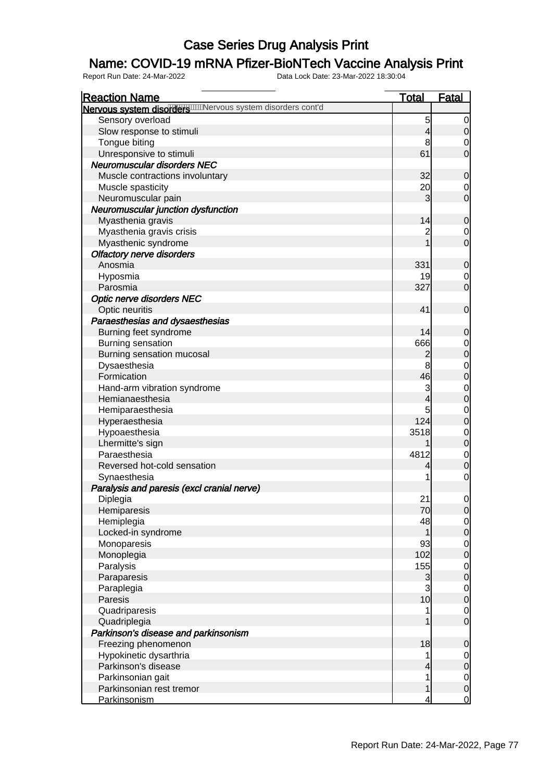### Name: COVID-19 mRNA Pfizer-BioNTech Vaccine Analysis Print

| <b>Reaction Name</b>                                          | <b>Total</b>   | <b>Fatal</b>                           |
|---------------------------------------------------------------|----------------|----------------------------------------|
| Nervous system disorders Will Nervous system disorders cont'd |                |                                        |
| Sensory overload                                              | 5              | $\overline{0}$                         |
| Slow response to stimuli                                      | 4              | $\mathbf 0$                            |
| Tongue biting                                                 | 8              | $\mathbf 0$                            |
| Unresponsive to stimuli                                       | 61             | $\overline{0}$                         |
| <b>Neuromuscular disorders NEC</b>                            |                |                                        |
| Muscle contractions involuntary                               | 32             | $\mathbf 0$                            |
| Muscle spasticity                                             | 20             | $\overline{0}$                         |
| Neuromuscular pain                                            | 3              | $\mathbf 0$                            |
| Neuromuscular junction dysfunction                            |                |                                        |
| Myasthenia gravis                                             | 14             | $\mathbf 0$                            |
| Myasthenia gravis crisis                                      | $\overline{c}$ | $\overline{0}$                         |
| Myasthenic syndrome                                           | 1              | $\overline{0}$                         |
| <b>Olfactory nerve disorders</b>                              |                |                                        |
| Anosmia                                                       | 331            | $\mathbf 0$                            |
| Hyposmia                                                      | 19             | $\overline{0}$                         |
| Parosmia                                                      | 327            | $\overline{0}$                         |
|                                                               |                |                                        |
| <b>Optic nerve disorders NEC</b>                              | 41             | $\boldsymbol{0}$                       |
| Optic neuritis<br>Paraesthesias and dysaesthesias             |                |                                        |
|                                                               | 14             |                                        |
| Burning feet syndrome                                         |                | $\mathbf 0$                            |
| Burning sensation                                             | 666            | $0\atop 0$                             |
| Burning sensation mucosal                                     | $\overline{c}$ |                                        |
| Dysaesthesia                                                  | 8              | $\begin{matrix}0\\0\end{matrix}$       |
| Formication                                                   | 46             |                                        |
| Hand-arm vibration syndrome                                   | 3              | $\begin{matrix}0\\0\end{matrix}$       |
| Hemianaesthesia                                               | 4              |                                        |
| Hemiparaesthesia                                              | 5              | $\begin{matrix}0\\0\end{matrix}$       |
| Hyperaesthesia                                                | 124            |                                        |
| Hypoaesthesia                                                 | 3518           | $\begin{matrix}0\\0\end{matrix}$       |
| Lhermitte's sign                                              |                |                                        |
| Paraesthesia                                                  | 4812           | $\begin{matrix}0\\0\end{matrix}$       |
| Reversed hot-cold sensation                                   | 4              |                                        |
| Synaesthesia                                                  | 1              | $\mathbf 0$                            |
| Paralysis and paresis (excl cranial nerve)                    |                |                                        |
| Diplegia                                                      | 21             | $\mathbf 0$                            |
| Hemiparesis                                                   | 70             | 0                                      |
| Hemiplegia                                                    | 48             | $\begin{bmatrix} 0 \\ 0 \end{bmatrix}$ |
| Locked-in syndrome                                            | 1              |                                        |
| Monoparesis                                                   | 93             | $\begin{matrix} 0 \\ 0 \end{matrix}$   |
| Monoplegia                                                    | 102            |                                        |
| Paralysis                                                     | 155            | $\begin{matrix} 0 \\ 0 \end{matrix}$   |
| Paraparesis                                                   | 3              |                                        |
| Paraplegia                                                    | 3              | $\begin{matrix} 0 \\ 0 \end{matrix}$   |
| Paresis                                                       | 10             |                                        |
| Quadriparesis                                                 | 1              | $\begin{matrix} 0 \\ 0 \end{matrix}$   |
| Quadriplegia                                                  | 1              |                                        |
| Parkinson's disease and parkinsonism                          |                |                                        |
| Freezing phenomenon                                           | 18             | $\mathbf 0$                            |
| Hypokinetic dysarthria                                        | 1              |                                        |
| Parkinson's disease                                           | 4              | $\begin{matrix} 0 \\ 0 \end{matrix}$   |
| Parkinsonian gait                                             | 1              |                                        |
| Parkinsonian rest tremor                                      | 1              | $\begin{matrix}0\\0\end{matrix}$       |
| Parkinsonism                                                  | 4              | <u>0</u>                               |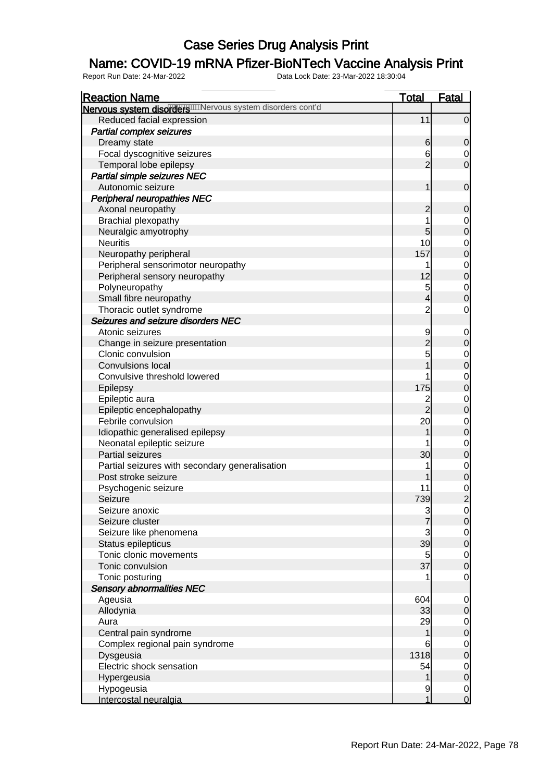### Name: COVID-19 mRNA Pfizer-BioNTech Vaccine Analysis Print

| <b>Reaction Name</b>                                         | <b>Total</b>   | <b>Fatal</b>                         |
|--------------------------------------------------------------|----------------|--------------------------------------|
| Nervous system disorders with ervous system disorders cont'd |                |                                      |
| Reduced facial expression                                    | 11             | $\overline{0}$                       |
| <b>Partial complex seizures</b>                              |                |                                      |
| Dreamy state                                                 | 6              | $\mathbf 0$                          |
| Focal dyscognitive seizures                                  | 6              | $\overline{0}$                       |
| Temporal lobe epilepsy                                       | $\overline{2}$ | $\mathbf 0$                          |
| Partial simple seizures NEC                                  |                |                                      |
| Autonomic seizure                                            | 1              | $\boldsymbol{0}$                     |
| <b>Peripheral neuropathies NEC</b>                           |                |                                      |
| Axonal neuropathy                                            | $\overline{c}$ | $\mathbf 0$                          |
| Brachial plexopathy                                          | 1              | $\mathbf{0}$                         |
| Neuralgic amyotrophy                                         | 5              | $\overline{0}$                       |
| <b>Neuritis</b>                                              | 10             |                                      |
| Neuropathy peripheral                                        | 157            | $0\atop 0$                           |
| Peripheral sensorimotor neuropathy                           | 1              |                                      |
| Peripheral sensory neuropathy                                | 12             | $0$<br>0                             |
| Polyneuropathy                                               | 5              |                                      |
| Small fibre neuropathy                                       | $\overline{4}$ | $\begin{matrix} 0 \\ 0 \end{matrix}$ |
| Thoracic outlet syndrome                                     | $\overline{c}$ | $\mathbf 0$                          |
| Seizures and seizure disorders NEC                           |                |                                      |
| Atonic seizures                                              | 9              | $\mathbf 0$                          |
| Change in seizure presentation                               | $\overline{2}$ | $\boldsymbol{0}$                     |
| Clonic convulsion                                            | 5              |                                      |
| <b>Convulsions local</b>                                     | 1              | $\begin{matrix} 0 \\ 0 \end{matrix}$ |
| Convulsive threshold lowered                                 | 1              |                                      |
| Epilepsy                                                     | 175            | $0$<br>0                             |
| Epileptic aura                                               |                |                                      |
| Epileptic encephalopathy                                     | $\frac{2}{2}$  | $\begin{matrix}0\\0\end{matrix}$     |
| Febrile convulsion                                           | 20             |                                      |
| Idiopathic generalised epilepsy                              | 1              | $0$<br>0                             |
| Neonatal epileptic seizure                                   |                |                                      |
| Partial seizures                                             | 30             | $0$<br>0                             |
| Partial seizures with secondary generalisation               | 1              |                                      |
| Post stroke seizure                                          |                | $\begin{matrix} 0 \\ 0 \end{matrix}$ |
| Psychogenic seizure                                          | 11             |                                      |
| Seizure                                                      | 739            | $\frac{0}{2}$                        |
| Seizure anoxic                                               |                | 0                                    |
| Seizure cluster                                              | $\frac{3}{7}$  | $\overline{0}$                       |
| Seizure like phenomena                                       |                |                                      |
| Status epilepticus                                           | $\frac{3}{39}$ | $\begin{matrix} 0 \\ 0 \end{matrix}$ |
| Tonic clonic movements                                       | 5              |                                      |
| Tonic convulsion                                             | 37             | $\begin{matrix}0\\0\end{matrix}$     |
| Tonic posturing                                              | 1              | $\mathbf 0$                          |
| <b>Sensory abnormalities NEC</b>                             |                |                                      |
| Ageusia                                                      | 604            | $\mathbf 0$                          |
| Allodynia                                                    | 33             | $\pmb{0}$                            |
| Aura                                                         | 29             | $\mathbf 0$                          |
| Central pain syndrome                                        | 1              | $\overline{0}$                       |
| Complex regional pain syndrome                               | 6              | $\mathbf 0$                          |
| Dysgeusia                                                    | 1318           | $\overline{0}$                       |
| Electric shock sensation                                     | 54             | $\mathbf 0$                          |
| Hypergeusia                                                  | 1              | $\overline{0}$                       |
| Hypogeusia                                                   | 9              | $\overline{0}$                       |
| Intercostal neuralgia                                        | 1              | $\overline{O}$                       |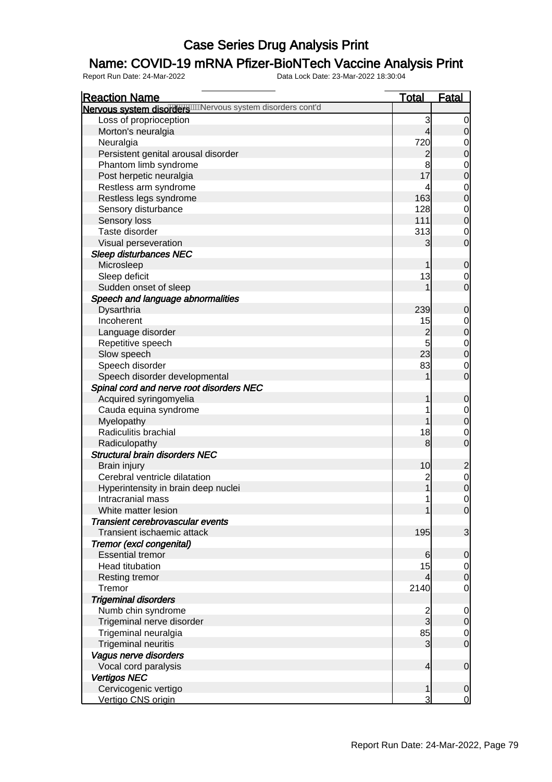### Name: COVID-19 mRNA Pfizer-BioNTech Vaccine Analysis Print

| <b>Total</b><br><b>Reaction Name</b><br><b>Fatal</b><br>Nervous system disorder will revous system disorders cont'd<br>Loss of proprioception<br>3<br>$\overline{0}$<br>Morton's neuralgia<br>$\overline{4}$<br>$\overline{0}$<br>720<br>Neuralgia<br>$\overline{0}$<br>$\mathbf 0$<br>Persistent genital arousal disorder<br>$\overline{c}$<br>8<br>Phantom limb syndrome<br>$0$<br>0<br>17<br>Post herpetic neuralgia<br>Restless arm syndrome<br>$0$<br>0<br>4<br>163<br>Restless legs syndrome<br>Sensory disturbance<br>128<br>$0$<br>0<br>111<br>Sensory loss<br>Taste disorder<br>313<br>$\mathbf 0$<br>$\mathbf 0$<br>Visual perseveration<br>3<br><b>Sleep disturbances NEC</b><br>Microsleep<br>$\mathbf 0$<br>1<br>Sleep deficit<br>13<br>$\overline{0}$<br>$\overline{0}$<br>Sudden onset of sleep<br>1<br>Speech and language abnormalities<br>Dysarthria<br>239<br>$\mathbf 0$<br>Incoherent<br>15<br>$\begin{matrix}0\\0\end{matrix}$<br>$\overline{c}$<br>Language disorder<br>5<br>Repetitive speech<br>$\begin{matrix} 0 \\ 0 \end{matrix}$<br>23<br>Slow speech<br>83<br>Speech disorder<br>$\overline{0}$<br>$\mathbf 0$<br>Speech disorder developmental<br>1<br>Spinal cord and nerve root disorders NEC<br>Acquired syringomyelia<br>$\mathbf 0$<br>1<br>Cauda equina syndrome<br>1<br>$\mathbf{0}$<br>$\overline{0}$<br>Myelopathy<br>1 |
|-----------------------------------------------------------------------------------------------------------------------------------------------------------------------------------------------------------------------------------------------------------------------------------------------------------------------------------------------------------------------------------------------------------------------------------------------------------------------------------------------------------------------------------------------------------------------------------------------------------------------------------------------------------------------------------------------------------------------------------------------------------------------------------------------------------------------------------------------------------------------------------------------------------------------------------------------------------------------------------------------------------------------------------------------------------------------------------------------------------------------------------------------------------------------------------------------------------------------------------------------------------------------------------------------------------------------------------------------------------------|
|                                                                                                                                                                                                                                                                                                                                                                                                                                                                                                                                                                                                                                                                                                                                                                                                                                                                                                                                                                                                                                                                                                                                                                                                                                                                                                                                                                 |
|                                                                                                                                                                                                                                                                                                                                                                                                                                                                                                                                                                                                                                                                                                                                                                                                                                                                                                                                                                                                                                                                                                                                                                                                                                                                                                                                                                 |
|                                                                                                                                                                                                                                                                                                                                                                                                                                                                                                                                                                                                                                                                                                                                                                                                                                                                                                                                                                                                                                                                                                                                                                                                                                                                                                                                                                 |
|                                                                                                                                                                                                                                                                                                                                                                                                                                                                                                                                                                                                                                                                                                                                                                                                                                                                                                                                                                                                                                                                                                                                                                                                                                                                                                                                                                 |
|                                                                                                                                                                                                                                                                                                                                                                                                                                                                                                                                                                                                                                                                                                                                                                                                                                                                                                                                                                                                                                                                                                                                                                                                                                                                                                                                                                 |
|                                                                                                                                                                                                                                                                                                                                                                                                                                                                                                                                                                                                                                                                                                                                                                                                                                                                                                                                                                                                                                                                                                                                                                                                                                                                                                                                                                 |
|                                                                                                                                                                                                                                                                                                                                                                                                                                                                                                                                                                                                                                                                                                                                                                                                                                                                                                                                                                                                                                                                                                                                                                                                                                                                                                                                                                 |
|                                                                                                                                                                                                                                                                                                                                                                                                                                                                                                                                                                                                                                                                                                                                                                                                                                                                                                                                                                                                                                                                                                                                                                                                                                                                                                                                                                 |
|                                                                                                                                                                                                                                                                                                                                                                                                                                                                                                                                                                                                                                                                                                                                                                                                                                                                                                                                                                                                                                                                                                                                                                                                                                                                                                                                                                 |
|                                                                                                                                                                                                                                                                                                                                                                                                                                                                                                                                                                                                                                                                                                                                                                                                                                                                                                                                                                                                                                                                                                                                                                                                                                                                                                                                                                 |
|                                                                                                                                                                                                                                                                                                                                                                                                                                                                                                                                                                                                                                                                                                                                                                                                                                                                                                                                                                                                                                                                                                                                                                                                                                                                                                                                                                 |
|                                                                                                                                                                                                                                                                                                                                                                                                                                                                                                                                                                                                                                                                                                                                                                                                                                                                                                                                                                                                                                                                                                                                                                                                                                                                                                                                                                 |
|                                                                                                                                                                                                                                                                                                                                                                                                                                                                                                                                                                                                                                                                                                                                                                                                                                                                                                                                                                                                                                                                                                                                                                                                                                                                                                                                                                 |
|                                                                                                                                                                                                                                                                                                                                                                                                                                                                                                                                                                                                                                                                                                                                                                                                                                                                                                                                                                                                                                                                                                                                                                                                                                                                                                                                                                 |
|                                                                                                                                                                                                                                                                                                                                                                                                                                                                                                                                                                                                                                                                                                                                                                                                                                                                                                                                                                                                                                                                                                                                                                                                                                                                                                                                                                 |
|                                                                                                                                                                                                                                                                                                                                                                                                                                                                                                                                                                                                                                                                                                                                                                                                                                                                                                                                                                                                                                                                                                                                                                                                                                                                                                                                                                 |
|                                                                                                                                                                                                                                                                                                                                                                                                                                                                                                                                                                                                                                                                                                                                                                                                                                                                                                                                                                                                                                                                                                                                                                                                                                                                                                                                                                 |
|                                                                                                                                                                                                                                                                                                                                                                                                                                                                                                                                                                                                                                                                                                                                                                                                                                                                                                                                                                                                                                                                                                                                                                                                                                                                                                                                                                 |
|                                                                                                                                                                                                                                                                                                                                                                                                                                                                                                                                                                                                                                                                                                                                                                                                                                                                                                                                                                                                                                                                                                                                                                                                                                                                                                                                                                 |
|                                                                                                                                                                                                                                                                                                                                                                                                                                                                                                                                                                                                                                                                                                                                                                                                                                                                                                                                                                                                                                                                                                                                                                                                                                                                                                                                                                 |
|                                                                                                                                                                                                                                                                                                                                                                                                                                                                                                                                                                                                                                                                                                                                                                                                                                                                                                                                                                                                                                                                                                                                                                                                                                                                                                                                                                 |
|                                                                                                                                                                                                                                                                                                                                                                                                                                                                                                                                                                                                                                                                                                                                                                                                                                                                                                                                                                                                                                                                                                                                                                                                                                                                                                                                                                 |
|                                                                                                                                                                                                                                                                                                                                                                                                                                                                                                                                                                                                                                                                                                                                                                                                                                                                                                                                                                                                                                                                                                                                                                                                                                                                                                                                                                 |
|                                                                                                                                                                                                                                                                                                                                                                                                                                                                                                                                                                                                                                                                                                                                                                                                                                                                                                                                                                                                                                                                                                                                                                                                                                                                                                                                                                 |
|                                                                                                                                                                                                                                                                                                                                                                                                                                                                                                                                                                                                                                                                                                                                                                                                                                                                                                                                                                                                                                                                                                                                                                                                                                                                                                                                                                 |
|                                                                                                                                                                                                                                                                                                                                                                                                                                                                                                                                                                                                                                                                                                                                                                                                                                                                                                                                                                                                                                                                                                                                                                                                                                                                                                                                                                 |
|                                                                                                                                                                                                                                                                                                                                                                                                                                                                                                                                                                                                                                                                                                                                                                                                                                                                                                                                                                                                                                                                                                                                                                                                                                                                                                                                                                 |
|                                                                                                                                                                                                                                                                                                                                                                                                                                                                                                                                                                                                                                                                                                                                                                                                                                                                                                                                                                                                                                                                                                                                                                                                                                                                                                                                                                 |
|                                                                                                                                                                                                                                                                                                                                                                                                                                                                                                                                                                                                                                                                                                                                                                                                                                                                                                                                                                                                                                                                                                                                                                                                                                                                                                                                                                 |
|                                                                                                                                                                                                                                                                                                                                                                                                                                                                                                                                                                                                                                                                                                                                                                                                                                                                                                                                                                                                                                                                                                                                                                                                                                                                                                                                                                 |
| Radiculitis brachial<br>18<br>$\mathbf 0$                                                                                                                                                                                                                                                                                                                                                                                                                                                                                                                                                                                                                                                                                                                                                                                                                                                                                                                                                                                                                                                                                                                                                                                                                                                                                                                       |
| $\overline{0}$<br>Radiculopathy<br>8                                                                                                                                                                                                                                                                                                                                                                                                                                                                                                                                                                                                                                                                                                                                                                                                                                                                                                                                                                                                                                                                                                                                                                                                                                                                                                                            |
| <b>Structural brain disorders NEC</b>                                                                                                                                                                                                                                                                                                                                                                                                                                                                                                                                                                                                                                                                                                                                                                                                                                                                                                                                                                                                                                                                                                                                                                                                                                                                                                                           |
| 10<br>$\overline{\mathbf{c}}$<br>Brain injury                                                                                                                                                                                                                                                                                                                                                                                                                                                                                                                                                                                                                                                                                                                                                                                                                                                                                                                                                                                                                                                                                                                                                                                                                                                                                                                   |
| $\begin{matrix}0\\0\end{matrix}$<br>Cerebral ventricle dilatation<br>$\overline{\mathbf{c}}$                                                                                                                                                                                                                                                                                                                                                                                                                                                                                                                                                                                                                                                                                                                                                                                                                                                                                                                                                                                                                                                                                                                                                                                                                                                                    |
| $\overline{1}$<br>Hyperintensity in brain deep nuclei                                                                                                                                                                                                                                                                                                                                                                                                                                                                                                                                                                                                                                                                                                                                                                                                                                                                                                                                                                                                                                                                                                                                                                                                                                                                                                           |
| $\overline{0}$<br>Intracranial mass<br>1                                                                                                                                                                                                                                                                                                                                                                                                                                                                                                                                                                                                                                                                                                                                                                                                                                                                                                                                                                                                                                                                                                                                                                                                                                                                                                                        |
| White matter lesion<br>1<br>$\overline{0}$                                                                                                                                                                                                                                                                                                                                                                                                                                                                                                                                                                                                                                                                                                                                                                                                                                                                                                                                                                                                                                                                                                                                                                                                                                                                                                                      |
| Transient cerebrovascular events                                                                                                                                                                                                                                                                                                                                                                                                                                                                                                                                                                                                                                                                                                                                                                                                                                                                                                                                                                                                                                                                                                                                                                                                                                                                                                                                |
| 3<br>195<br>Transient ischaemic attack                                                                                                                                                                                                                                                                                                                                                                                                                                                                                                                                                                                                                                                                                                                                                                                                                                                                                                                                                                                                                                                                                                                                                                                                                                                                                                                          |
| Tremor (excl congenital)                                                                                                                                                                                                                                                                                                                                                                                                                                                                                                                                                                                                                                                                                                                                                                                                                                                                                                                                                                                                                                                                                                                                                                                                                                                                                                                                        |
| <b>Essential tremor</b><br>6<br>$\mathbf 0$                                                                                                                                                                                                                                                                                                                                                                                                                                                                                                                                                                                                                                                                                                                                                                                                                                                                                                                                                                                                                                                                                                                                                                                                                                                                                                                     |
| 15<br><b>Head titubation</b><br>$\overline{0}$                                                                                                                                                                                                                                                                                                                                                                                                                                                                                                                                                                                                                                                                                                                                                                                                                                                                                                                                                                                                                                                                                                                                                                                                                                                                                                                  |
| $\mathbf 0$<br>$\overline{4}$<br><b>Resting tremor</b>                                                                                                                                                                                                                                                                                                                                                                                                                                                                                                                                                                                                                                                                                                                                                                                                                                                                                                                                                                                                                                                                                                                                                                                                                                                                                                          |
| 2140<br>$\mathbf 0$<br>Tremor                                                                                                                                                                                                                                                                                                                                                                                                                                                                                                                                                                                                                                                                                                                                                                                                                                                                                                                                                                                                                                                                                                                                                                                                                                                                                                                                   |
| <b>Trigeminal disorders</b>                                                                                                                                                                                                                                                                                                                                                                                                                                                                                                                                                                                                                                                                                                                                                                                                                                                                                                                                                                                                                                                                                                                                                                                                                                                                                                                                     |
| Numb chin syndrome<br>$\overline{0}$                                                                                                                                                                                                                                                                                                                                                                                                                                                                                                                                                                                                                                                                                                                                                                                                                                                                                                                                                                                                                                                                                                                                                                                                                                                                                                                            |
| $\frac{2}{3}$<br>Trigeminal nerve disorder<br>$\pmb{0}$                                                                                                                                                                                                                                                                                                                                                                                                                                                                                                                                                                                                                                                                                                                                                                                                                                                                                                                                                                                                                                                                                                                                                                                                                                                                                                         |
| 85<br>Trigeminal neuralgia<br>$\overline{0}$                                                                                                                                                                                                                                                                                                                                                                                                                                                                                                                                                                                                                                                                                                                                                                                                                                                                                                                                                                                                                                                                                                                                                                                                                                                                                                                    |
| $\mathbf 0$<br><b>Trigeminal neuritis</b><br>3                                                                                                                                                                                                                                                                                                                                                                                                                                                                                                                                                                                                                                                                                                                                                                                                                                                                                                                                                                                                                                                                                                                                                                                                                                                                                                                  |
| Vagus nerve disorders                                                                                                                                                                                                                                                                                                                                                                                                                                                                                                                                                                                                                                                                                                                                                                                                                                                                                                                                                                                                                                                                                                                                                                                                                                                                                                                                           |
| Vocal cord paralysis<br>$\mathbf 0$<br>$\overline{4}$                                                                                                                                                                                                                                                                                                                                                                                                                                                                                                                                                                                                                                                                                                                                                                                                                                                                                                                                                                                                                                                                                                                                                                                                                                                                                                           |
| <b>Vertigos NEC</b>                                                                                                                                                                                                                                                                                                                                                                                                                                                                                                                                                                                                                                                                                                                                                                                                                                                                                                                                                                                                                                                                                                                                                                                                                                                                                                                                             |
| Cervicogenic vertigo<br>$\mathbf{1}$<br>$\mathbf 0$                                                                                                                                                                                                                                                                                                                                                                                                                                                                                                                                                                                                                                                                                                                                                                                                                                                                                                                                                                                                                                                                                                                                                                                                                                                                                                             |
| 3<br>$\overline{0}$<br>Vertigo CNS origin                                                                                                                                                                                                                                                                                                                                                                                                                                                                                                                                                                                                                                                                                                                                                                                                                                                                                                                                                                                                                                                                                                                                                                                                                                                                                                                       |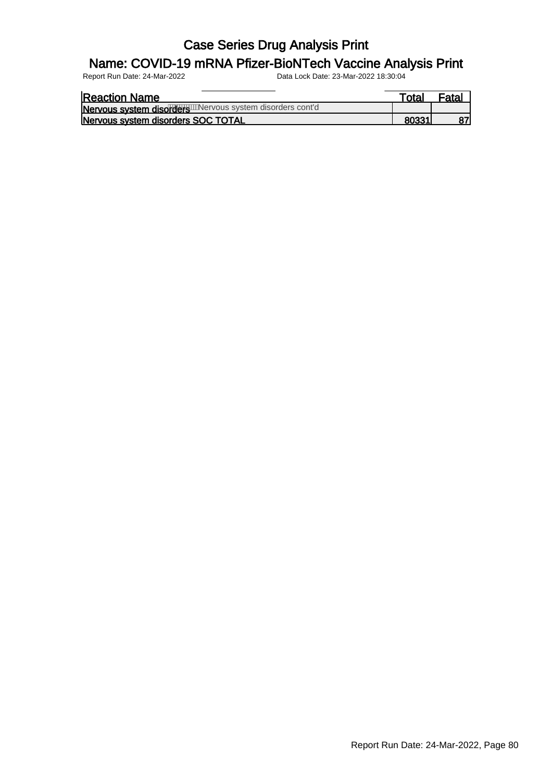### Name: COVID-19 mRNA Pfizer-BioNTech Vaccine Analysis Print

| <b>Reaction Name</b>                                      | Total |  |
|-----------------------------------------------------------|-------|--|
| Nervous system disorder watervous system disorders cont'd |       |  |
| Nervous system disorders SOC TOTAL                        |       |  |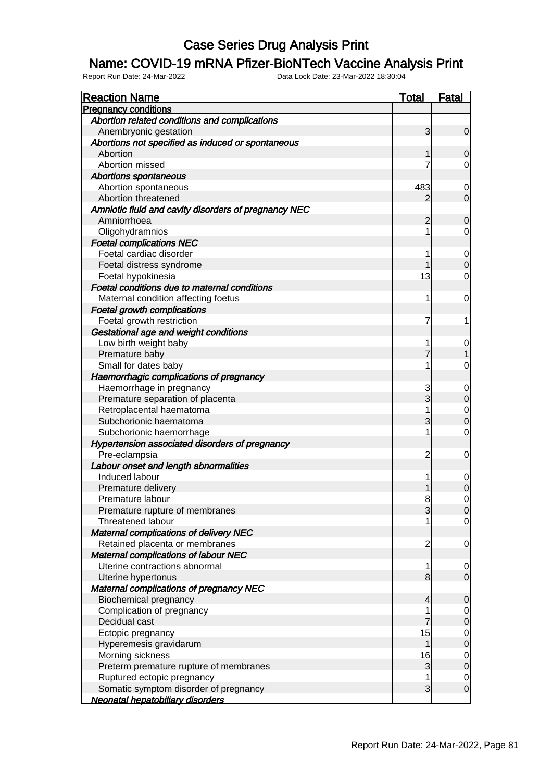#### Name: COVID-19 mRNA Pfizer-BioNTech Vaccine Analysis Print

| <b>Reaction Name</b>                                 | <b>Total</b>        | <b>Fatal</b>                         |
|------------------------------------------------------|---------------------|--------------------------------------|
| <b>Pregnancy conditions</b>                          |                     |                                      |
| Abortion related conditions and complications        |                     |                                      |
| Anembryonic gestation                                | 3                   | $\mathbf 0$                          |
| Abortions not specified as induced or spontaneous    |                     |                                      |
| Abortion                                             |                     | $\mathbf 0$                          |
| Abortion missed                                      | 7                   | $\overline{0}$                       |
| <b>Abortions spontaneous</b>                         |                     |                                      |
| Abortion spontaneous                                 | 483                 | 0                                    |
| Abortion threatened                                  | 2                   | $\overline{O}$                       |
| Amniotic fluid and cavity disorders of pregnancy NEC |                     |                                      |
| Amniorrhoea                                          | $\overline{c}$      | $\mathbf 0$                          |
| Oligohydramnios                                      | 1                   | $\mathbf 0$                          |
| <b>Foetal complications NEC</b>                      |                     |                                      |
| Foetal cardiac disorder                              |                     | $\overline{0}$                       |
| Foetal distress syndrome                             |                     | $\overline{0}$                       |
| Foetal hypokinesia                                   | 13                  | $\mathbf 0$                          |
| Foetal conditions due to maternal conditions         |                     |                                      |
| Maternal condition affecting foetus                  | 1                   | $\mathbf 0$                          |
| <b>Foetal growth complications</b>                   |                     |                                      |
| Foetal growth restriction                            | 7                   | 1                                    |
| Gestational age and weight conditions                |                     |                                      |
| Low birth weight baby                                | 1                   | $\mathbf 0$                          |
| Premature baby                                       | 7                   |                                      |
| Small for dates baby                                 | 1                   | $\mathbf 0$                          |
| Haemorrhagic complications of pregnancy              |                     |                                      |
| Haemorrhage in pregnancy                             | 3                   | $\mathbf 0$                          |
| Premature separation of placenta                     | 3                   | $\overline{0}$                       |
| Retroplacental haematoma                             | 1                   |                                      |
| Subchorionic haematoma                               | 3                   | $\begin{matrix}0\\0\end{matrix}$     |
| Subchorionic haemorrhage                             | 1                   | $\mathbf 0$                          |
| Hypertension associated disorders of pregnancy       |                     |                                      |
| Pre-eclampsia                                        | $\overline{c}$      | $\mathbf 0$                          |
| Labour onset and length abnormalities                |                     |                                      |
| Induced labour                                       | 1                   |                                      |
| Premature delivery                                   |                     | $\begin{matrix} 0 \\ 0 \end{matrix}$ |
| Premature labour                                     | 8                   | $\overline{0}$                       |
| Premature rupture of membranes                       | 3                   | $\overline{0}$                       |
| Threatened labour                                    |                     | $\overline{0}$                       |
| <b>Maternal complications of delivery NEC</b>        |                     |                                      |
| Retained placenta or membranes                       | $\overline{c}$      | $\overline{0}$                       |
| <b>Maternal complications of labour NEC</b>          |                     |                                      |
| Uterine contractions abnormal                        | 1                   | $\overline{0}$                       |
| Uterine hypertonus                                   | 8                   | $\overline{0}$                       |
| <b>Maternal complications of pregnancy NEC</b>       |                     |                                      |
| Biochemical pregnancy                                | 4                   | $\mathbf 0$                          |
| Complication of pregnancy                            | 1                   |                                      |
| Decidual cast                                        | $\overline{7}$      | $\begin{matrix} 0 \\ 0 \end{matrix}$ |
|                                                      |                     |                                      |
| Ectopic pregnancy                                    | 15<br>1             | $\begin{matrix} 0 \\ 0 \end{matrix}$ |
| Hyperemesis gravidarum                               |                     |                                      |
| Morning sickness                                     | 16                  | $\begin{matrix} 0 \\ 0 \end{matrix}$ |
| Preterm premature rupture of membranes               | 3                   |                                      |
| Ruptured ectopic pregnancy                           | 1<br>$\overline{3}$ | $\begin{matrix} 0 \\ 0 \end{matrix}$ |
| Somatic symptom disorder of pregnancy                |                     |                                      |
| Neonatal hepatobiliary disorders                     |                     |                                      |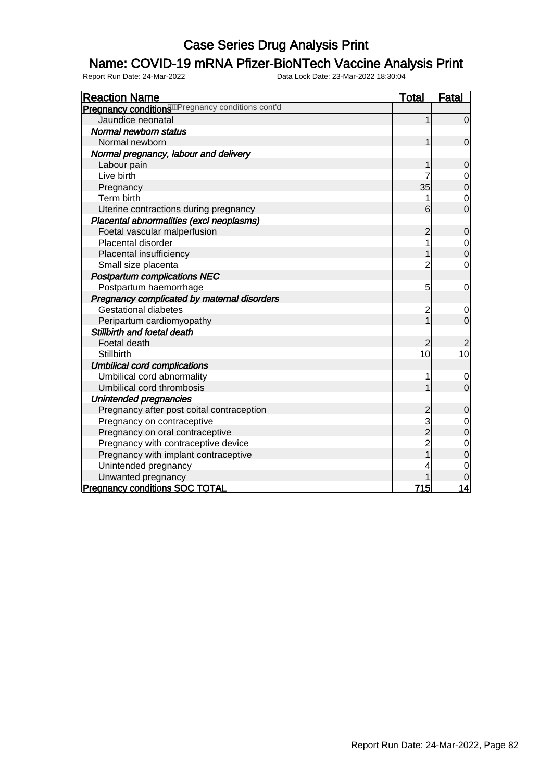### Name: COVID-19 mRNA Pfizer-BioNTech Vaccine Analysis Print

| <b>Reaction Name</b>                                            | <u>Total</u>   | <b>Fatal</b>                     |
|-----------------------------------------------------------------|----------------|----------------------------------|
| Pregnancy conditions <sup>600</sup> Pregnancy conditions cont'd |                |                                  |
| Jaundice neonatal                                               | 1              | $\overline{0}$                   |
| Normal newborn status                                           |                |                                  |
| Normal newborn                                                  | 1              | $\mathbf 0$                      |
| Normal pregnancy, labour and delivery                           |                |                                  |
| Labour pain                                                     |                | $\overline{0}$                   |
| Live birth                                                      | 7              | 0                                |
| Pregnancy                                                       | 35             | $\overline{0}$                   |
| Term birth                                                      | 1              | $\mathbf 0$                      |
| Uterine contractions during pregnancy                           | 6              | $\overline{0}$                   |
| Placental abnormalities (excl neoplasms)                        |                |                                  |
| Foetal vascular malperfusion                                    | 2              | 0                                |
| Placental disorder                                              | 1              | $\mathbf 0$                      |
| Placental insufficiency                                         | 1              | $\overline{0}$                   |
| Small size placenta                                             | $\overline{2}$ | 0                                |
| <b>Postpartum complications NEC</b>                             |                |                                  |
| Postpartum haemorrhage                                          | 5              | $\mathbf 0$                      |
| Pregnancy complicated by maternal disorders                     |                |                                  |
| <b>Gestational diabetes</b>                                     | $\overline{c}$ | $\mathbf 0$                      |
| Peripartum cardiomyopathy                                       | $\overline{1}$ | $\overline{0}$                   |
| Stillbirth and foetal death                                     |                |                                  |
| Foetal death                                                    | $\overline{2}$ | $\overline{2}$                   |
| <b>Stillbirth</b>                                               | 10             | 10                               |
| <b>Umbilical cord complications</b>                             |                |                                  |
| Umbilical cord abnormality                                      |                | $\mathbf 0$                      |
| Umbilical cord thrombosis                                       | 1              | $\overline{0}$                   |
| Unintended pregnancies                                          |                |                                  |
| Pregnancy after post coital contraception                       | $\overline{c}$ | $\mathbf 0$                      |
| Pregnancy on contraceptive                                      | 3<br>2         | $\begin{matrix}0\\0\end{matrix}$ |
| Pregnancy on oral contraceptive                                 |                |                                  |
| Pregnancy with contraceptive device                             | 2<br>1         | $\mathbf{0}$                     |
| Pregnancy with implant contraceptive                            |                | 0                                |
| Unintended pregnancy                                            | 4              | 0                                |
| Unwanted pregnancy                                              |                |                                  |
| <b>Pregnancy conditions SOC TOTAL</b>                           | 715            | 14                               |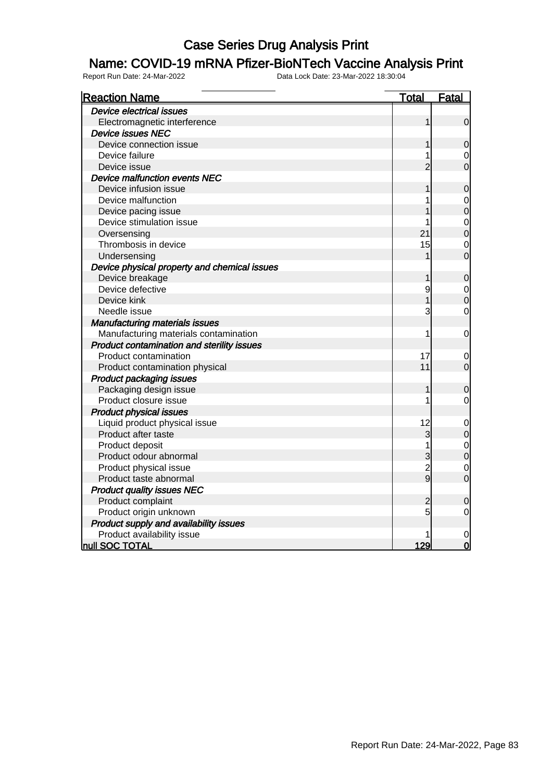#### Name: COVID-19 mRNA Pfizer-BioNTech Vaccine Analysis Print

| <b>Reaction Name</b>                         | <u>Total</u>   | <u>Fatal</u>                         |
|----------------------------------------------|----------------|--------------------------------------|
| <b>Device electrical issues</b>              |                |                                      |
| Electromagnetic interference                 | 1              | $\mathbf 0$                          |
| <b>Device issues NEC</b>                     |                |                                      |
| Device connection issue                      |                | $\overline{0}$                       |
| Device failure                               |                | $\mathbf 0$                          |
| Device issue                                 | $\overline{2}$ | $\overline{0}$                       |
| Device malfunction events NEC                |                |                                      |
| Device infusion issue                        |                | $\mathbf 0$                          |
| Device malfunction                           |                | $\mathbf 0$                          |
| Device pacing issue                          |                | $\overline{0}$                       |
| Device stimulation issue                     |                |                                      |
| Oversensing                                  | 21             | $\begin{matrix} 0 \\ 0 \end{matrix}$ |
| Thrombosis in device                         | 15             | $\mathbf 0$                          |
| Undersensing                                 |                | $\overline{0}$                       |
| Device physical property and chemical issues |                |                                      |
| Device breakage                              | 1              | $\mathbf 0$                          |
| Device defective                             | 9              | $\mathbf 0$                          |
| Device kink                                  |                | $\overline{0}$                       |
| Needle issue                                 | 3              | $\mathbf 0$                          |
| <b>Manufacturing materials issues</b>        |                |                                      |
| Manufacturing materials contamination        | 1              | $\mathbf 0$                          |
| Product contamination and sterility issues   |                |                                      |
| Product contamination                        | 17             | 0                                    |
| Product contamination physical               | 11             | $\overline{0}$                       |
| <b>Product packaging issues</b>              |                |                                      |
| Packaging design issue                       | 1              | $\mathbf 0$                          |
| Product closure issue                        | 1              | 0                                    |
| <b>Product physical issues</b>               |                |                                      |
| Liquid product physical issue                | 12             | $\mathbf 0$                          |
| Product after taste                          | 3              | $\mathbf 0$                          |
| Product deposit                              | 1              | $\mathbf{0}$                         |
| Product odour abnormal                       | 3              | $\overline{0}$                       |
| Product physical issue                       | $\frac{2}{9}$  | $\mathbf 0$                          |
| Product taste abnormal                       |                | $\overline{0}$                       |
| <b>Product quality issues NEC</b>            |                |                                      |
| Product complaint                            | 2              | $\mathbf 0$                          |
| Product origin unknown                       | 5              | $\mathbf 0$                          |
| Product supply and availability issues       |                |                                      |
| Product availability issue                   |                | $\overline{0}$                       |
| null SOC TOTAL                               | 129            | $\overline{0}$                       |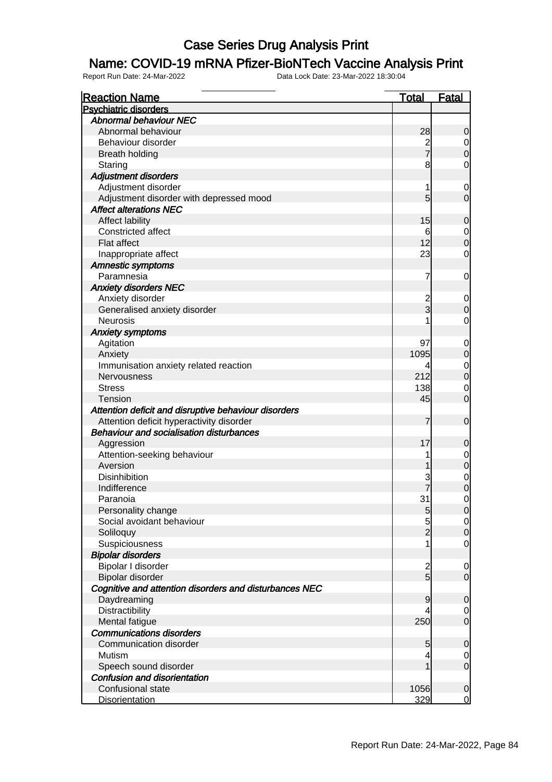### Name: COVID-19 mRNA Pfizer-BioNTech Vaccine Analysis Print

| <b>Reaction Name</b>                                   | <u>Total</u>   | <b>Fatal</b>                         |
|--------------------------------------------------------|----------------|--------------------------------------|
| <b>Psychiatric disorders</b>                           |                |                                      |
| <b>Abnormal behaviour NEC</b>                          |                |                                      |
| Abnormal behaviour                                     | 28             | $\mathbf 0$                          |
| Behaviour disorder                                     | $\frac{2}{7}$  |                                      |
| <b>Breath holding</b>                                  |                | $\begin{matrix} 0 \\ 0 \end{matrix}$ |
| Staring                                                | 8              | 0                                    |
| <b>Adjustment disorders</b>                            |                |                                      |
| Adjustment disorder                                    | 1              | $\mathbf 0$                          |
| Adjustment disorder with depressed mood                | 5              | $\overline{0}$                       |
| <b>Affect alterations NEC</b>                          |                |                                      |
| Affect lability                                        | 15             | $\mathbf 0$                          |
| Constricted affect                                     | 6              |                                      |
| Flat affect                                            | 12             | $\begin{matrix} 0 \\ 0 \end{matrix}$ |
| Inappropriate affect                                   | 23             | 0                                    |
| <b>Amnestic symptoms</b>                               |                |                                      |
| Paramnesia                                             | 7              | $\mathbf 0$                          |
| <b>Anxiety disorders NEC</b>                           |                |                                      |
| Anxiety disorder                                       | $\overline{c}$ |                                      |
| Generalised anxiety disorder                           | $\overline{3}$ | $\boldsymbol{0}$<br>$\mathbf 0$      |
| <b>Neurosis</b>                                        | 1              | 0                                    |
|                                                        |                |                                      |
| <b>Anxiety symptoms</b>                                |                |                                      |
| Agitation                                              | 97             | $\mathbf 0$                          |
| Anxiety                                                | 1095           | $\mathbf 0$                          |
| Immunisation anxiety related reaction                  | 4              | $\begin{matrix} 0 \\ 0 \end{matrix}$ |
| Nervousness                                            | 212            |                                      |
| <b>Stress</b>                                          | 138            | $\mathbf 0$                          |
| <b>Tension</b>                                         | 45             | $\overline{0}$                       |
| Attention deficit and disruptive behaviour disorders   |                |                                      |
| Attention deficit hyperactivity disorder               | 7              | $\mathbf 0$                          |
| <b>Behaviour and socialisation disturbances</b>        |                |                                      |
| Aggression                                             | 17             | $\mathbf 0$                          |
| Attention-seeking behaviour                            | 1              | $0$ 0                                |
| Aversion                                               | 1              |                                      |
| Disinhibition                                          | 3              | $\begin{matrix} 0 \\ 0 \end{matrix}$ |
| Indifference                                           |                |                                      |
| Paranoia                                               | 31             | $\mathbf 0$                          |
| Personality change                                     | $\overline{5}$ | 0                                    |
| Social avoidant behaviour                              | $\overline{5}$ | $\Omega$                             |
| Soliloquy                                              | $\overline{2}$ | $\mathbf 0$                          |
| Suspiciousness                                         | 1              | $\mathbf 0$                          |
| <b>Bipolar disorders</b>                               |                |                                      |
| Bipolar I disorder                                     | $\overline{c}$ | $\mathbf 0$                          |
| Bipolar disorder                                       | $\overline{5}$ | $\overline{O}$                       |
| Cognitive and attention disorders and disturbances NEC |                |                                      |
| Daydreaming                                            | 9              | $\mathbf 0$                          |
| Distractibility                                        | 4              | $\overline{0}$                       |
| Mental fatigue                                         | 250            | $\overline{O}$                       |
| <b>Communications disorders</b>                        |                |                                      |
| Communication disorder                                 | 5              | $\mathbf 0$                          |
| Mutism                                                 | 4              | $\overline{0}$                       |
| Speech sound disorder                                  | $\overline{1}$ | $\mathbf 0$                          |
| Confusion and disorientation                           |                |                                      |
| Confusional state                                      | 1056           | $\mathbf 0$                          |
| <b>Disorientation</b>                                  | 329            | $\overline{0}$                       |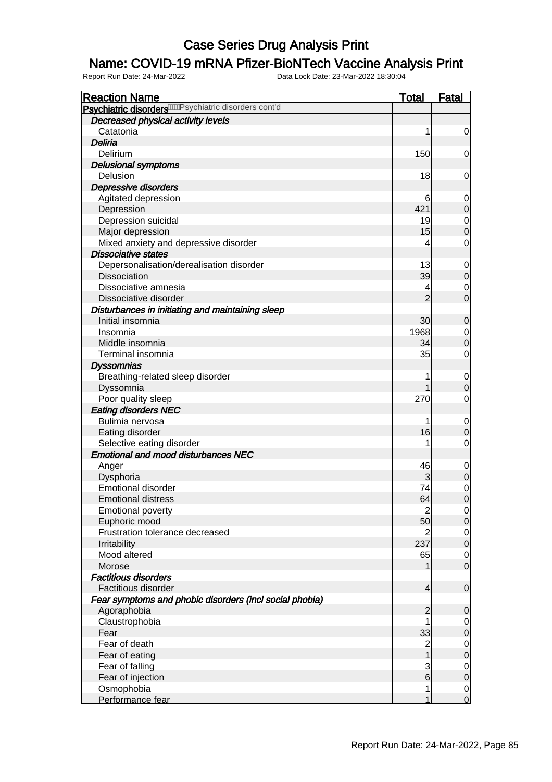### Name: COVID-19 mRNA Pfizer-BioNTech Vaccine Analysis Print

| <b>Reaction Name</b>                                                 | <b>Total</b>                          | <b>Fatal</b>                         |
|----------------------------------------------------------------------|---------------------------------------|--------------------------------------|
| Psychiatric disorders <sup>/////</sup> /Psychiatric disorders cont'd |                                       |                                      |
| Decreased physical activity levels                                   |                                       |                                      |
| Catatonia                                                            | 1                                     | $\overline{0}$                       |
| Deliria                                                              |                                       |                                      |
| Delirium                                                             | 150                                   | $\overline{0}$                       |
| <b>Delusional symptoms</b>                                           |                                       |                                      |
| Delusion                                                             | 18                                    | $\mathbf 0$                          |
| Depressive disorders                                                 |                                       |                                      |
| Agitated depression                                                  | 6                                     | $\boldsymbol{0}$                     |
| Depression                                                           | 421                                   | $\overline{0}$                       |
| Depression suicidal                                                  | 19                                    | $\begin{matrix}0\\0\end{matrix}$     |
| Major depression                                                     | 15                                    |                                      |
| Mixed anxiety and depressive disorder                                | 4                                     | $\mathbf 0$                          |
| <b>Dissociative states</b>                                           |                                       |                                      |
| Depersonalisation/derealisation disorder                             | 13                                    | $\mathbf{0}$                         |
| <b>Dissociation</b>                                                  | 39                                    | $\mathbf 0$                          |
| Dissociative amnesia                                                 | 4                                     | $\begin{matrix} 0 \\ 0 \end{matrix}$ |
| Dissociative disorder                                                | $\overline{2}$                        |                                      |
| Disturbances in initiating and maintaining sleep                     |                                       |                                      |
| Initial insomnia                                                     | 30                                    | $\mathbf 0$                          |
| Insomnia                                                             | 1968                                  |                                      |
| Middle insomnia                                                      | 34                                    | $\begin{matrix} 0 \\ 0 \end{matrix}$ |
| Terminal insomnia                                                    | 35                                    | $\mathbf 0$                          |
| <b>Dyssomnias</b>                                                    |                                       |                                      |
| Breathing-related sleep disorder                                     | 1                                     | $\mathbf{0}$                         |
| Dyssomnia                                                            |                                       | $\mathbf 0$                          |
| Poor quality sleep                                                   | 270                                   | $\mathbf 0$                          |
| <b>Eating disorders NEC</b>                                          |                                       |                                      |
| Bulimia nervosa                                                      |                                       | $\boldsymbol{0}$                     |
| Eating disorder                                                      | 16                                    | $\mathbf 0$                          |
| Selective eating disorder                                            |                                       | $\mathbf 0$                          |
| <b>Emotional and mood disturbances NEC</b>                           |                                       |                                      |
| Anger                                                                | 46                                    |                                      |
| Dysphoria                                                            | 3                                     | $\begin{matrix} 0 \\ 0 \end{matrix}$ |
| <b>Emotional disorder</b>                                            | 74                                    | $\begin{matrix} 0 \\ 0 \end{matrix}$ |
| <b>Emotional distress</b>                                            | 64                                    |                                      |
| <b>Emotional poverty</b>                                             | $\overline{c}$                        | $\Omega$                             |
| Euphoric mood                                                        | 50                                    | $\overline{0}$                       |
| Frustration tolerance decreased                                      |                                       |                                      |
| Irritability                                                         | 237                                   | $\begin{matrix} 0 \\ 0 \end{matrix}$ |
| Mood altered                                                         | 65                                    |                                      |
| Morose                                                               |                                       | $\begin{matrix} 0 \\ 0 \end{matrix}$ |
| <b>Factitious disorders</b>                                          |                                       |                                      |
| Factitious disorder                                                  | $\overline{\mathcal{L}}$              | $\mathbf 0$                          |
| Fear symptoms and phobic disorders (incl social phobia)              |                                       |                                      |
| Agoraphobia                                                          | $\overline{c}$                        | $\mathbf 0$                          |
| Claustrophobia                                                       | 1                                     | $\begin{matrix} 0 \\ 0 \end{matrix}$ |
| Fear                                                                 | 33                                    |                                      |
| Fear of death                                                        | $\begin{array}{c} 2 \\ 1 \end{array}$ |                                      |
| Fear of eating                                                       |                                       | $\begin{matrix} 0 \\ 0 \end{matrix}$ |
| Fear of falling                                                      | $\mathbf{3}$                          |                                      |
| Fear of injection                                                    | $\overline{6}$                        | $\begin{matrix} 0 \\ 0 \end{matrix}$ |
| Osmophobia                                                           | 1                                     | $\frac{0}{0}$                        |
| Performance fear                                                     | 1                                     |                                      |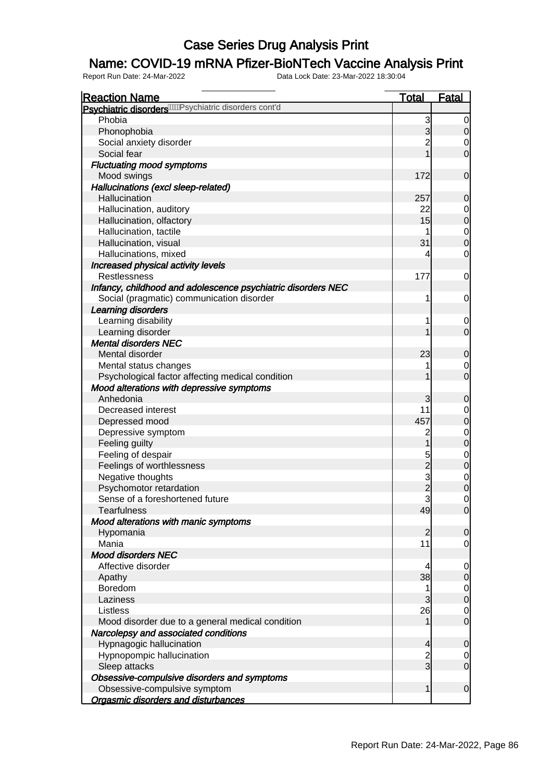### Name: COVID-19 mRNA Pfizer-BioNTech Vaccine Analysis Print

| <b>Reaction Name</b>                                                  | <b>Total</b>                     | <b>Fatal</b>                         |
|-----------------------------------------------------------------------|----------------------------------|--------------------------------------|
| Psychiatric disorders <sup>/////</sup> //Psychiatric disorders cont'd |                                  |                                      |
| Phobia                                                                | 3                                | 0                                    |
| Phonophobia                                                           | 3                                | $\overline{0}$                       |
| Social anxiety disorder                                               | $\overline{2}$                   | $\overline{0}$                       |
| Social fear                                                           | 1                                | $\mathbf 0$                          |
| <b>Fluctuating mood symptoms</b>                                      |                                  |                                      |
| Mood swings                                                           | 172                              | $\boldsymbol{0}$                     |
| Hallucinations (excl sleep-related)                                   |                                  |                                      |
| Hallucination                                                         | 257                              | $\mathbf 0$                          |
| Hallucination, auditory                                               | 22                               | $\overline{0}$                       |
| Hallucination, olfactory                                              | 15                               | $\overline{0}$                       |
| Hallucination, tactile                                                | 1                                |                                      |
| Hallucination, visual                                                 | 31                               | $\begin{matrix}0\\0\end{matrix}$     |
| Hallucinations, mixed                                                 | 4                                | $\mathbf 0$                          |
| Increased physical activity levels                                    |                                  |                                      |
| <b>Restlessness</b>                                                   | 177                              | $\mathbf 0$                          |
| Infancy, childhood and adolescence psychiatric disorders NEC          |                                  |                                      |
| Social (pragmatic) communication disorder                             | 1                                | $\mathbf 0$                          |
| Learning disorders                                                    |                                  |                                      |
| Learning disability                                                   | 1                                | $\mathbf 0$                          |
| Learning disorder                                                     | 1                                | $\overline{0}$                       |
| <b>Mental disorders NEC</b>                                           |                                  |                                      |
| Mental disorder                                                       | 23                               | $\mathbf 0$                          |
| Mental status changes                                                 | 1                                | $\mathbf 0$                          |
| Psychological factor affecting medical condition                      | 1                                | $\overline{0}$                       |
| Mood alterations with depressive symptoms                             |                                  |                                      |
| Anhedonia                                                             | 3                                | $\mathbf 0$                          |
| Decreased interest                                                    | 11                               | $\overline{0}$                       |
| Depressed mood                                                        | 457                              | $\mathbf 0$                          |
| Depressive symptom                                                    | 2                                |                                      |
| Feeling guilty                                                        | $\overline{1}$                   | $0$<br>0                             |
| Feeling of despair                                                    |                                  |                                      |
| Feelings of worthlessness                                             | 5 k 3 k 3                        | $\begin{matrix} 0 \\ 0 \end{matrix}$ |
| Negative thoughts                                                     |                                  |                                      |
| Psychomotor retardation                                               |                                  | $0$<br>0                             |
| Sense of a foreshortened future                                       |                                  | $\mathbf 0$                          |
| <b>Tearfulness</b>                                                    | 49                               | 0                                    |
| Mood alterations with manic symptoms                                  |                                  |                                      |
| Hypomania                                                             | $\mathbf{2}$                     | $\mathbf 0$                          |
| Mania                                                                 | 11                               | $\mathbf 0$                          |
| <b>Mood disorders NEC</b>                                             |                                  |                                      |
| Affective disorder                                                    | 4                                | $\mathbf 0$                          |
| Apathy                                                                | 38                               | $\pmb{0}$                            |
| Boredom                                                               | 1                                | $\mathbf 0$                          |
| Laziness                                                              | 3                                | $\mathbf 0$                          |
| Listless                                                              | 26                               | $\mathbf 0$                          |
| Mood disorder due to a general medical condition                      | 1                                | $\mathbf 0$                          |
| Narcolepsy and associated conditions                                  |                                  |                                      |
|                                                                       |                                  |                                      |
| Hypnagogic hallucination                                              | $\overline{4}$                   | $\mathbf 0$                          |
| Hypnopompic hallucination                                             | $\overline{c}$<br>$\overline{3}$ | $\overline{0}$<br>$\mathbf 0$        |
| Sleep attacks                                                         |                                  |                                      |
| Obsessive-compulsive disorders and symptoms                           |                                  |                                      |
| Obsessive-compulsive symptom                                          | $\mathbf{1}$                     | $\boldsymbol{0}$                     |
| <b>Orgasmic disorders and disturbances</b>                            |                                  |                                      |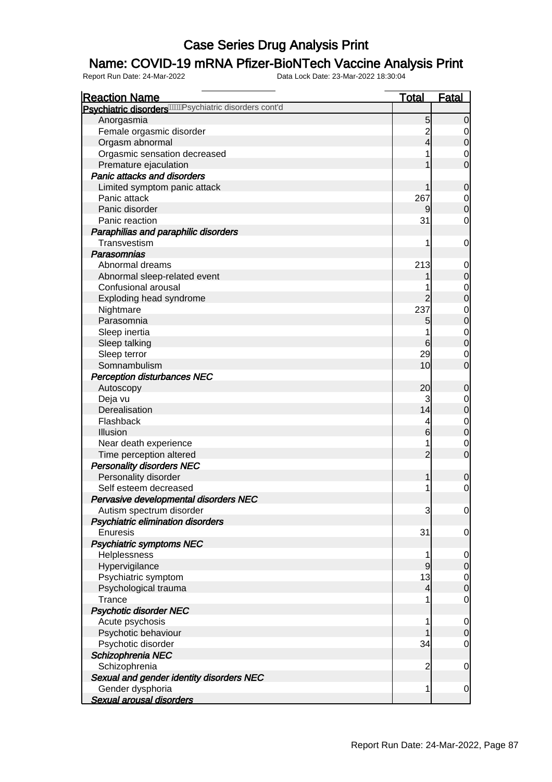### Name: COVID-19 mRNA Pfizer-BioNTech Vaccine Analysis Print

| <b>Reaction Name</b>                                                   | <b>Total</b>   | <b>Fatal</b>                         |
|------------------------------------------------------------------------|----------------|--------------------------------------|
| Psychiatric disorders <sup>//////</sup> // sychiatric disorders cont'd |                |                                      |
| Anorgasmia                                                             | 5              | $\overline{0}$                       |
| Female orgasmic disorder                                               | $\overline{c}$ | $\overline{0}$                       |
| Orgasm abnormal                                                        | 4              | $\pmb{0}$                            |
| Orgasmic sensation decreased                                           |                | $\mathbf 0$                          |
| Premature ejaculation                                                  |                | $\overline{0}$                       |
| Panic attacks and disorders                                            |                |                                      |
| Limited symptom panic attack                                           |                | $\mathbf 0$                          |
| Panic attack                                                           | 267            | $\mathbf 0$                          |
| Panic disorder                                                         |                | $\mathbf 0$                          |
| Panic reaction                                                         | 31             | $\mathbf 0$                          |
| Paraphilias and paraphilic disorders                                   |                |                                      |
| Transvestism                                                           | 1              | $\mathbf 0$                          |
| Parasomnias                                                            |                |                                      |
| Abnormal dreams                                                        | 213            |                                      |
| Abnormal sleep-related event                                           |                | 0<br>$\boldsymbol{0}$                |
| Confusional arousal                                                    |                |                                      |
|                                                                        |                | $\begin{matrix} 0 \\ 0 \end{matrix}$ |
| Exploding head syndrome                                                | 2              |                                      |
| Nightmare                                                              | 237            | $\begin{matrix}0\\0\end{matrix}$     |
| Parasomnia                                                             | 5              |                                      |
| Sleep inertia                                                          |                | $\begin{matrix} 0 \\ 0 \end{matrix}$ |
| Sleep talking                                                          | 6              |                                      |
| Sleep terror                                                           | 29             | $\mathbf 0$                          |
| Somnambulism                                                           | 10             | $\mathbf 0$                          |
| <b>Perception disturbances NEC</b>                                     |                |                                      |
| Autoscopy                                                              | 20             | $\mathbf 0$                          |
| Deja vu                                                                | 3              | $\mathbf 0$                          |
| Derealisation                                                          | 14             | $\boldsymbol{0}$                     |
| Flashback                                                              | 4              | $\mathbf{0}$                         |
| Illusion                                                               | 6              | $\overline{0}$                       |
| Near death experience                                                  | 1              | $\mathbf 0$                          |
| Time perception altered                                                | $\overline{2}$ | $\mathbf 0$                          |
| <b>Personality disorders NEC</b>                                       |                |                                      |
| Personality disorder                                                   | 1              | $\mathbf 0$                          |
| Self esteem decreased                                                  |                | $\mathbf 0$                          |
| Pervasive developmental disorders NEC                                  |                |                                      |
| Autism spectrum disorder                                               | 3              | $\overline{0}$                       |
| Psychiatric elimination disorders                                      |                |                                      |
| Enuresis                                                               | 31             | $\mathbf 0$                          |
| <b>Psychiatric symptoms NEC</b>                                        |                |                                      |
| Helplessness                                                           | 1              | $\overline{0}$                       |
| Hypervigilance                                                         | 9              | $\pmb{0}$                            |
| Psychiatric symptom                                                    | 13             | $\overline{0}$                       |
| Psychological trauma                                                   | 4              | $\overline{0}$                       |
| <b>Trance</b>                                                          |                | $\mathbf 0$                          |
| <b>Psychotic disorder NEC</b>                                          |                |                                      |
| Acute psychosis                                                        | 1              | $\mathbf 0$                          |
| Psychotic behaviour                                                    |                | $\mathbf 0$                          |
| Psychotic disorder                                                     | 34             | $\mathbf 0$                          |
| Schizophrenia NEC                                                      |                |                                      |
| Schizophrenia                                                          | $\overline{c}$ | $\mathbf 0$                          |
| Sexual and gender identity disorders NEC                               |                |                                      |
| Gender dysphoria                                                       | 1              | $\overline{0}$                       |
| Sexual arousal disorders                                               |                |                                      |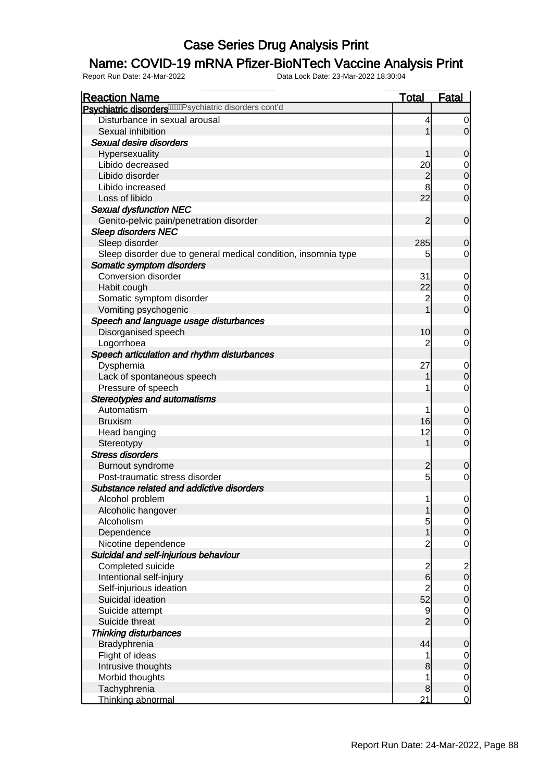### Name: COVID-19 mRNA Pfizer-BioNTech Vaccine Analysis Print

| <b>Reaction Name</b>                                                   | <b>Total</b>   | Fatal                                 |
|------------------------------------------------------------------------|----------------|---------------------------------------|
| Psychiatric disorders <sup>//////</sup> // sychiatric disorders cont'd |                |                                       |
| Disturbance in sexual arousal                                          | 4              | 0                                     |
| Sexual inhibition                                                      | 1              | $\overline{0}$                        |
| Sexual desire disorders                                                |                |                                       |
| Hypersexuality                                                         | 1              | $\mathbf 0$                           |
| Libido decreased                                                       | 20             | $\overline{0}$                        |
| Libido disorder                                                        | $\overline{c}$ | $\overline{0}$                        |
| Libido increased                                                       | 8              | $\overline{0}$                        |
| Loss of libido                                                         | 22             | $\mathbf 0$                           |
| <b>Sexual dysfunction NEC</b>                                          |                |                                       |
| Genito-pelvic pain/penetration disorder                                | $\overline{2}$ | $\boldsymbol{0}$                      |
| <b>Sleep disorders NEC</b>                                             |                |                                       |
| Sleep disorder                                                         | 285            | $\mathbf 0$                           |
| Sleep disorder due to general medical condition, insomnia type         | 5              | $\overline{0}$                        |
| Somatic symptom disorders                                              |                |                                       |
| Conversion disorder                                                    | 31             | $\mathbf 0$                           |
| Habit cough                                                            | 22             | $\pmb{0}$                             |
|                                                                        | $\overline{c}$ |                                       |
| Somatic symptom disorder                                               | 1              | $\overline{0}$<br>$\overline{0}$      |
| Vomiting psychogenic                                                   |                |                                       |
| Speech and language usage disturbances                                 |                |                                       |
| Disorganised speech                                                    | 10             | $\mathbf 0$                           |
| Logorrhoea                                                             | 2              | $\overline{0}$                        |
| Speech articulation and rhythm disturbances                            |                |                                       |
| Dysphemia                                                              | 27             | $\mathbf 0$                           |
| Lack of spontaneous speech                                             |                | $\mathbf 0$                           |
| Pressure of speech                                                     | 1              | $\mathbf 0$                           |
| <b>Stereotypies and automatisms</b>                                    |                |                                       |
| Automatism                                                             | 1              | $\mathbf 0$                           |
| <b>Bruxism</b>                                                         | 16             | $\pmb{0}$                             |
| Head banging                                                           | 12             | $\mathbf 0$                           |
| Stereotypy                                                             | 1              | $\overline{O}$                        |
| <b>Stress disorders</b>                                                |                |                                       |
| Burnout syndrome                                                       | $\overline{c}$ | $\mathbf 0$                           |
| Post-traumatic stress disorder                                         | $\overline{5}$ | $\mathbf 0$                           |
| Substance related and addictive disorders                              |                |                                       |
| Alcohol problem                                                        | 1              | $\mathbf 0$                           |
| Alcoholic hangover                                                     | $\mathbf{1}$   | 0                                     |
| Alcoholism                                                             | 5              | $\frac{0}{0}$                         |
| Dependence                                                             | $\overline{1}$ |                                       |
| Nicotine dependence                                                    | $\overline{c}$ | $\mathbf 0$                           |
| Suicidal and self-injurious behaviour                                  |                |                                       |
| Completed suicide                                                      | $\frac{2}{6}$  |                                       |
| Intentional self-injury                                                |                | $\begin{array}{c} 2 \\ 0 \end{array}$ |
| Self-injurious ideation                                                | $\overline{c}$ | $\begin{matrix} 0 \\ 0 \end{matrix}$  |
| Suicidal ideation                                                      | 52             |                                       |
| Suicide attempt                                                        | 9              |                                       |
| Suicide threat                                                         | $\overline{2}$ | $\begin{matrix} 0 \\ 0 \end{matrix}$  |
| <b>Thinking disturbances</b>                                           |                |                                       |
| Bradyphrenia                                                           | 44             | $\boldsymbol{0}$                      |
| Flight of ideas                                                        | 1              | $\overline{0}$                        |
| Intrusive thoughts                                                     | 8              | $\overline{0}$                        |
| Morbid thoughts                                                        | 1              |                                       |
| Tachyphrenia                                                           | 8              | $0$ 0                                 |
| Thinking abnormal                                                      | 21             | $\overline{0}$                        |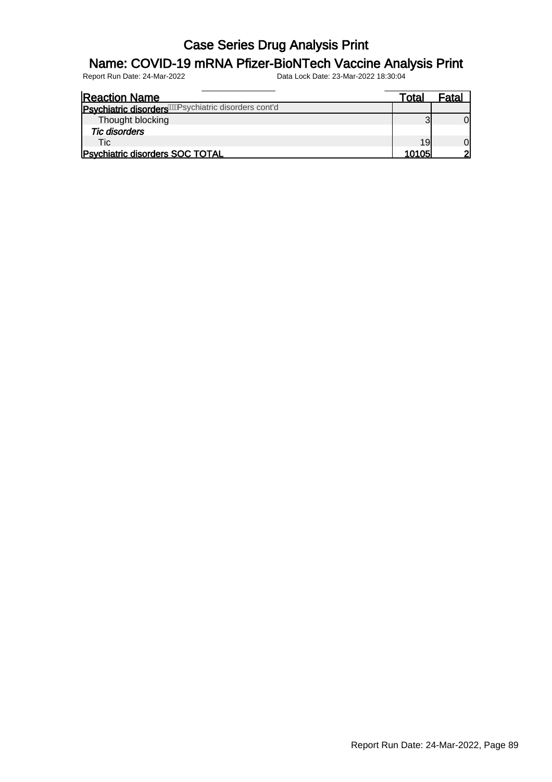### Name: COVID-19 mRNA Pfizer-BioNTech Vaccine Analysis Print

| <b>Reaction Name</b>                                             | Total | Fata. |
|------------------------------------------------------------------|-------|-------|
| Psychiatric disorders <sup>WWR</sup> sychiatric disorders cont'd |       |       |
| Thought blocking                                                 |       |       |
| <b>Tic disorders</b>                                             |       |       |
| Tic.                                                             | 19    |       |
| Psychiatric disorders SOC TOTAL                                  | 10105 | ⌒     |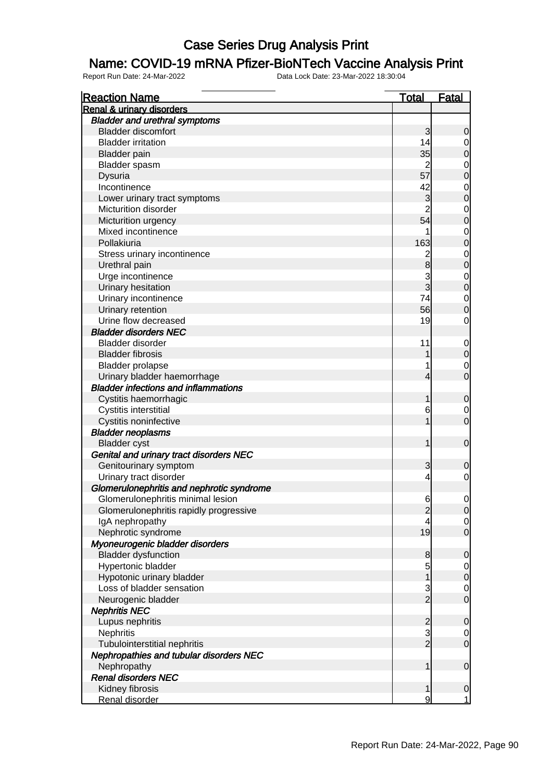#### Name: COVID-19 mRNA Pfizer-BioNTech Vaccine Analysis Print

| <b>Reaction Name</b>                        | <b>Total</b>   | <b>Fatal</b>                         |
|---------------------------------------------|----------------|--------------------------------------|
| <b>Renal &amp; urinary disorders</b>        |                |                                      |
| <b>Bladder and urethral symptoms</b>        |                |                                      |
| <b>Bladder discomfort</b>                   | $\overline{3}$ | $\mathbf 0$                          |
| <b>Bladder irritation</b>                   | 14             | $\overline{0}$                       |
| <b>Bladder</b> pain                         | 35             | $\mathbf 0$                          |
| Bladder spasm                               | $\overline{2}$ |                                      |
| <b>Dysuria</b>                              | 57             | $\begin{matrix}0\\0\end{matrix}$     |
| Incontinence                                | 42             |                                      |
| Lower urinary tract symptoms                | 3              | $\begin{matrix}0\\0\end{matrix}$     |
| Micturition disorder                        | $\overline{2}$ |                                      |
| Micturition urgency                         | 54             | $\begin{matrix}0\\0\end{matrix}$     |
| Mixed incontinence                          | 1              |                                      |
| Pollakiuria                                 | 163            | $\begin{matrix}0\\0\end{matrix}$     |
| Stress urinary incontinence                 | $\overline{c}$ |                                      |
| Urethral pain                               | 8              | $\begin{matrix}0\\0\end{matrix}$     |
| Urge incontinence                           |                |                                      |
| Urinary hesitation                          | $\frac{3}{3}$  | $\begin{matrix} 0 \\ 0 \end{matrix}$ |
| Urinary incontinence                        | 74             |                                      |
| Urinary retention                           | 56             | $\begin{matrix}0\\0\end{matrix}$     |
| Urine flow decreased                        | 19             | $\mathbf 0$                          |
| <b>Bladder disorders NEC</b>                |                |                                      |
|                                             |                |                                      |
| Bladder disorder                            | 11             | $\mathbf{0}$                         |
| <b>Bladder fibrosis</b>                     | 1              | $\overline{0}$                       |
| <b>Bladder prolapse</b>                     | 1              | $\begin{matrix}0\\0\end{matrix}$     |
| Urinary bladder haemorrhage                 | $\overline{4}$ |                                      |
| <b>Bladder infections and inflammations</b> |                |                                      |
| Cystitis haemorrhagic                       | 1              | $\mathbf 0$                          |
| Cystitis interstitial                       | 6              | $\begin{matrix}0\\0\end{matrix}$     |
| Cystitis noninfective                       | $\overline{1}$ |                                      |
| <b>Bladder neoplasms</b>                    |                |                                      |
| <b>Bladder</b> cyst                         | $\mathbf{1}$   | $\mathbf 0$                          |
| Genital and urinary tract disorders NEC     |                |                                      |
| Genitourinary symptom                       | 3              | $\mathbf 0$                          |
| Urinary tract disorder                      | 4              | $\mathbf 0$                          |
| Glomerulonephritis and nephrotic syndrome   |                |                                      |
| Glomerulonephritis minimal lesion           | 6              | $\mathbf 0$                          |
| Glomerulonephritis rapidly progressive      | $\mathbf{2}$   | 0                                    |
| IgA nephropathy                             | 4              | $\overline{0}$                       |
| Nephrotic syndrome                          | 19             | $\overline{0}$                       |
| Myoneurogenic bladder disorders             |                |                                      |
| <b>Bladder dysfunction</b>                  | $\bf{8}$       | $\mathbf 0$                          |
| Hypertonic bladder                          | $\overline{5}$ | $\mathbf{0}$                         |
| Hypotonic urinary bladder                   | $\mathbf{1}$   | $\overline{0}$                       |
| Loss of bladder sensation                   | $\frac{3}{2}$  | $\begin{matrix} 0 \\ 0 \end{matrix}$ |
| Neurogenic bladder                          |                |                                      |
| <b>Nephritis NEC</b>                        |                |                                      |
| Lupus nephritis                             |                | $\mathbf 0$                          |
| <b>Nephritis</b>                            | $\frac{2}{2}$  | $\mathbf{0}$                         |
| Tubulointerstitial nephritis                |                | $\mathbf 0$                          |
| Nephropathies and tubular disorders NEC     |                |                                      |
| Nephropathy                                 | $\mathbf{1}$   | $\mathbf 0$                          |
| <b>Renal disorders NEC</b>                  |                |                                      |
| Kidney fibrosis                             | $\mathbf{1}$   | $\mathbf 0$                          |
| Renal disorder                              | 9              | $\mathbf 1$                          |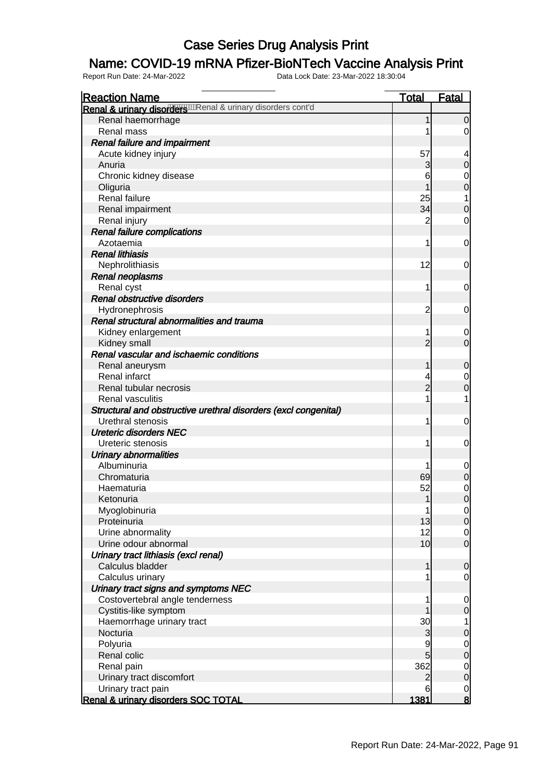### Name: COVID-19 mRNA Pfizer-BioNTech Vaccine Analysis Print

| <b>Reaction Name</b>                                            | <b>Total</b>   | <b>Fatal</b>                         |
|-----------------------------------------------------------------|----------------|--------------------------------------|
| Renal & urinary disorders mal & urinary disorders cont'd        |                |                                      |
| Renal haemorrhage                                               | 1              | $\mathbf 0$                          |
| Renal mass                                                      |                | 0                                    |
| <b>Renal failure and impairment</b>                             |                |                                      |
| Acute kidney injury                                             | 57             |                                      |
| Anuria                                                          | 3              | $\mathbf 0$                          |
| Chronic kidney disease                                          | 6              | $\mathbf 0$                          |
| Oliguria                                                        | 1              | $\mathbf 0$                          |
| Renal failure                                                   | 25             | 1                                    |
| Renal impairment                                                | 34             | $\mathbf 0$                          |
| Renal injury                                                    | 2              | $\overline{0}$                       |
| Renal failure complications                                     |                |                                      |
| Azotaemia                                                       | 1              | $\mathbf 0$                          |
| <b>Renal lithiasis</b>                                          |                |                                      |
| Nephrolithiasis                                                 | 12             | 0                                    |
| <b>Renal neoplasms</b>                                          |                |                                      |
| Renal cyst                                                      | 1              | 0                                    |
| Renal obstructive disorders                                     |                |                                      |
| Hydronephrosis                                                  | $\overline{2}$ | 0                                    |
| Renal structural abnormalities and trauma                       |                |                                      |
| Kidney enlargement                                              | 1              | $\mathbf 0$                          |
| Kidney small                                                    | $\overline{2}$ | $\overline{0}$                       |
| Renal vascular and ischaemic conditions                         |                |                                      |
| Renal aneurysm                                                  | 1              | $\mathbf 0$                          |
| Renal infarct                                                   | 4              | $\mathbf 0$                          |
| Renal tubular necrosis                                          | $\overline{2}$ | $\mathbf 0$                          |
| Renal vasculitis                                                |                | 1                                    |
| Structural and obstructive urethral disorders (excl congenital) |                |                                      |
| Urethral stenosis                                               | 1              | $\mathbf 0$                          |
| <b>Ureteric disorders NEC</b>                                   |                |                                      |
| Ureteric stenosis                                               | 1              | $\mathbf 0$                          |
| <b>Urinary abnormalities</b>                                    |                |                                      |
| Albuminuria                                                     |                | $\mathbf 0$                          |
| Chromaturia                                                     | 69             | $\boldsymbol{0}$                     |
| Haematuria                                                      | 52             | $\mathbf{0}$                         |
| Ketonuria                                                       | $\mathbf{1}$   | $\overline{0}$                       |
| Myoglobinuria                                                   | $\mathbf{1}$   | $\Omega$                             |
| Proteinuria                                                     | 13             | $\overline{0}$                       |
| Urine abnormality                                               | 12             |                                      |
| Urine odour abnormal                                            | 10             | $\begin{matrix} 0 \\ 0 \end{matrix}$ |
| Urinary tract lithiasis (excl renal)                            |                |                                      |
| Calculus bladder                                                | 1              | $\mathbf 0$                          |
| Calculus urinary                                                |                | $\mathbf 0$                          |
| Urinary tract signs and symptoms NEC                            |                |                                      |
| Costovertebral angle tenderness                                 | 1              | $\mathbf 0$                          |
| Cystitis-like symptom                                           | 1              | $\boldsymbol{0}$                     |
| Haemorrhage urinary tract                                       | 30             | 1                                    |
| Nocturia                                                        | 3              | $\pmb{0}$                            |
| Polyuria                                                        | 9              |                                      |
| Renal colic                                                     | $\overline{5}$ | $\begin{matrix} 0 \\ 0 \end{matrix}$ |
| Renal pain                                                      | 362            |                                      |
| Urinary tract discomfort                                        | $\mathbf{2}$   | $\begin{matrix} 0 \\ 0 \end{matrix}$ |
| Urinary tract pain                                              | 6              |                                      |
| Renal & urinary disorders SOC TOTAL                             | 1381           | $\frac{0}{8}$                        |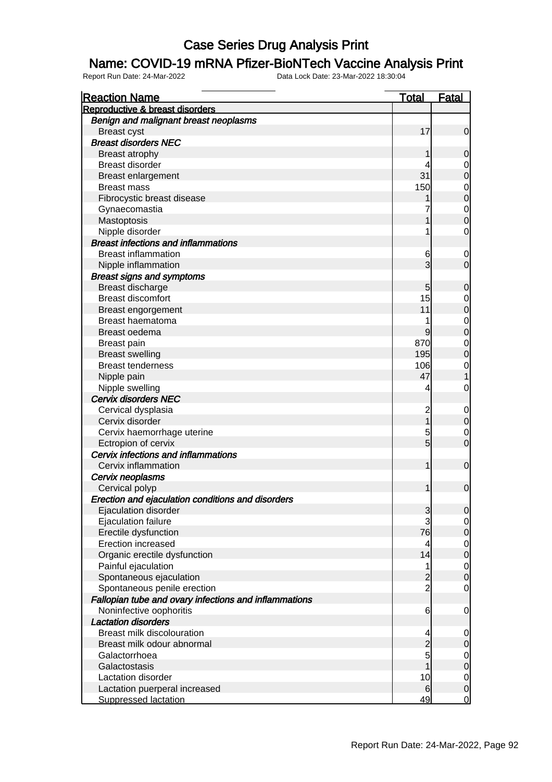#### Name: COVID-19 mRNA Pfizer-BioNTech Vaccine Analysis Print

| <b>Reaction Name</b>                                       | <b>Total</b>   | <b>Fatal</b>   |
|------------------------------------------------------------|----------------|----------------|
| Reproductive & breast disorders                            |                |                |
| Benign and malignant breast neoplasms                      |                |                |
| <b>Breast cyst</b>                                         | 17             | 0              |
| <b>Breast disorders NEC</b>                                |                |                |
| <b>Breast atrophy</b>                                      |                | 0              |
| <b>Breast disorder</b>                                     | 4              | 0              |
| Breast enlargement                                         | 31             | 0              |
| <b>Breast mass</b>                                         | 150            | $\mathbf 0$    |
| Fibrocystic breast disease                                 |                | 0              |
| Gynaecomastia                                              |                | $\mathbf 0$    |
| Mastoptosis                                                |                | 0              |
| Nipple disorder                                            | 1              | 0              |
| <b>Breast infections and inflammations</b>                 |                |                |
| <b>Breast inflammation</b>                                 | 6              | 0              |
| Nipple inflammation                                        | 3              | 0              |
| <b>Breast signs and symptoms</b>                           |                |                |
| Breast discharge                                           | 5              | 0              |
| <b>Breast discomfort</b>                                   | 15             | 0              |
| Breast engorgement                                         | 11             | 0              |
| Breast haematoma                                           |                | 0              |
| Breast oedema                                              | 9              | 0              |
| <b>Breast pain</b>                                         | 870            | 0              |
| <b>Breast swelling</b>                                     | 195            | 0              |
| <b>Breast tenderness</b>                                   | 106            |                |
|                                                            | 47             | 0              |
| Nipple pain                                                | 4              |                |
| Nipple swelling<br>Cervix disorders NEC                    |                | 0              |
|                                                            |                |                |
| Cervical dysplasia<br>Cervix disorder                      | $\overline{c}$ | $\mathbf 0$    |
|                                                            |                | 0              |
| Cervix haemorrhage uterine                                 | 5<br>5         | 0              |
| Ectropion of cervix<br>Cervix infections and inflammations |                | $\mathbf 0$    |
| Cervix inflammation                                        | 1              |                |
|                                                            |                | $\mathbf 0$    |
| Cervix neoplasms                                           |                |                |
| Cervical polyp                                             | 1              | $\mathbf 0$    |
| Erection and ejaculation conditions and disorders          |                |                |
| Ejaculation disorder                                       | 3<br>3         | $\overline{0}$ |
| Ejaculation failure                                        |                | $\overline{0}$ |
| Erectile dysfunction                                       | 76             | 0              |
| <b>Erection increased</b>                                  | 4              | $\mathbf 0$    |
| Organic erectile dysfunction                               | 14             | 0              |
| Painful ejaculation                                        | 1              | $\mathbf 0$    |
| Spontaneous ejaculation                                    | $\overline{c}$ | $\mathbf 0$    |
| Spontaneous penile erection                                | $\overline{2}$ | 0              |
| Fallopian tube and ovary infections and inflammations      |                |                |
| Noninfective oophoritis                                    | 6              | $\mathbf 0$    |
| <b>Lactation disorders</b>                                 |                |                |
| <b>Breast milk discolouration</b>                          | 4              | $\overline{0}$ |
| Breast milk odour abnormal                                 | $\overline{2}$ | 0              |
| Galactorrhoea                                              | 5              | $\mathbf 0$    |
| Galactostasis                                              |                | 0              |
| Lactation disorder                                         | 10             | $\overline{0}$ |
| Lactation puerperal increased                              | 6              | $\mathbf 0$    |
| <b>Suppressed lactation</b>                                | 49             | $\overline{0}$ |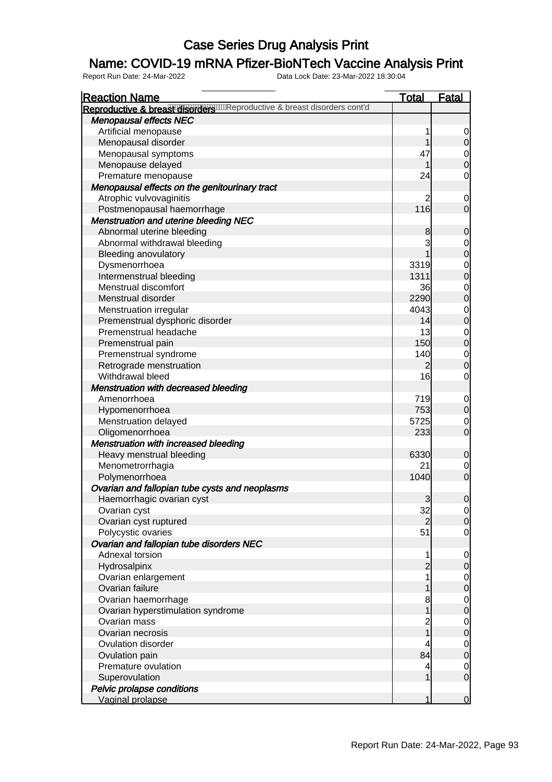### Name: COVID-19 mRNA Pfizer-BioNTech Vaccine Analysis Print

| Reproductive & breas wiser with eproductive & breast disorders cont'd<br><b>Menopausal effects NEC</b><br>Artificial menopause<br>1<br>Menopausal disorder<br>1<br>47<br>Menopausal symptoms<br>Menopause delayed<br>1<br>24<br>Premature menopause<br>Menopausal effects on the genitourinary tract<br>Atrophic vulvovaginitis<br>2<br>116<br>Postmenopausal haemorrhage<br><b>Menstruation and uterine bleeding NEC</b><br>Abnormal uterine bleeding<br>8<br>3<br>Abnormal withdrawal bleeding<br><b>Bleeding anovulatory</b><br>Dysmenorrhoea<br>3319<br>Intermenstrual bleeding<br>1311<br>Menstrual discomfort<br>36<br>2290<br>Menstrual disorder<br>4043<br>Menstruation irregular<br>Premenstrual dysphoric disorder<br>14<br>Premenstrual headache<br>13<br>Premenstrual pain<br>150<br>140<br>Premenstrual syndrome<br>Retrograde menstruation<br>16<br>Withdrawal bleed<br>Menstruation with decreased bleeding<br>719<br>Amenorrhoea<br>753<br>Hypomenorrhoea<br>Menstruation delayed<br>5725<br>Oligomenorrhoea<br>233<br><b>Menstruation with increased bleeding</b> | <b>Reaction Name</b> | <u>Total</u> | <b>Fatal</b>                         |
|------------------------------------------------------------------------------------------------------------------------------------------------------------------------------------------------------------------------------------------------------------------------------------------------------------------------------------------------------------------------------------------------------------------------------------------------------------------------------------------------------------------------------------------------------------------------------------------------------------------------------------------------------------------------------------------------------------------------------------------------------------------------------------------------------------------------------------------------------------------------------------------------------------------------------------------------------------------------------------------------------------------------------------------------------------------------------------|----------------------|--------------|--------------------------------------|
|                                                                                                                                                                                                                                                                                                                                                                                                                                                                                                                                                                                                                                                                                                                                                                                                                                                                                                                                                                                                                                                                                    |                      |              |                                      |
|                                                                                                                                                                                                                                                                                                                                                                                                                                                                                                                                                                                                                                                                                                                                                                                                                                                                                                                                                                                                                                                                                    |                      |              |                                      |
|                                                                                                                                                                                                                                                                                                                                                                                                                                                                                                                                                                                                                                                                                                                                                                                                                                                                                                                                                                                                                                                                                    |                      |              |                                      |
|                                                                                                                                                                                                                                                                                                                                                                                                                                                                                                                                                                                                                                                                                                                                                                                                                                                                                                                                                                                                                                                                                    |                      |              | $\begin{matrix} 0 \\ 0 \end{matrix}$ |
|                                                                                                                                                                                                                                                                                                                                                                                                                                                                                                                                                                                                                                                                                                                                                                                                                                                                                                                                                                                                                                                                                    |                      |              |                                      |
|                                                                                                                                                                                                                                                                                                                                                                                                                                                                                                                                                                                                                                                                                                                                                                                                                                                                                                                                                                                                                                                                                    |                      |              | $\begin{matrix} 0 \\ 0 \end{matrix}$ |
|                                                                                                                                                                                                                                                                                                                                                                                                                                                                                                                                                                                                                                                                                                                                                                                                                                                                                                                                                                                                                                                                                    |                      |              | $\mathbf 0$                          |
|                                                                                                                                                                                                                                                                                                                                                                                                                                                                                                                                                                                                                                                                                                                                                                                                                                                                                                                                                                                                                                                                                    |                      |              |                                      |
|                                                                                                                                                                                                                                                                                                                                                                                                                                                                                                                                                                                                                                                                                                                                                                                                                                                                                                                                                                                                                                                                                    |                      |              | $\mathbf 0$                          |
|                                                                                                                                                                                                                                                                                                                                                                                                                                                                                                                                                                                                                                                                                                                                                                                                                                                                                                                                                                                                                                                                                    |                      |              | $\overline{0}$                       |
|                                                                                                                                                                                                                                                                                                                                                                                                                                                                                                                                                                                                                                                                                                                                                                                                                                                                                                                                                                                                                                                                                    |                      |              |                                      |
|                                                                                                                                                                                                                                                                                                                                                                                                                                                                                                                                                                                                                                                                                                                                                                                                                                                                                                                                                                                                                                                                                    |                      |              | $\mathbf 0$                          |
|                                                                                                                                                                                                                                                                                                                                                                                                                                                                                                                                                                                                                                                                                                                                                                                                                                                                                                                                                                                                                                                                                    |                      |              |                                      |
|                                                                                                                                                                                                                                                                                                                                                                                                                                                                                                                                                                                                                                                                                                                                                                                                                                                                                                                                                                                                                                                                                    |                      |              | $\begin{matrix}0\\0\end{matrix}$     |
|                                                                                                                                                                                                                                                                                                                                                                                                                                                                                                                                                                                                                                                                                                                                                                                                                                                                                                                                                                                                                                                                                    |                      |              |                                      |
|                                                                                                                                                                                                                                                                                                                                                                                                                                                                                                                                                                                                                                                                                                                                                                                                                                                                                                                                                                                                                                                                                    |                      |              | $\begin{matrix}0\\0\end{matrix}$     |
|                                                                                                                                                                                                                                                                                                                                                                                                                                                                                                                                                                                                                                                                                                                                                                                                                                                                                                                                                                                                                                                                                    |                      |              |                                      |
|                                                                                                                                                                                                                                                                                                                                                                                                                                                                                                                                                                                                                                                                                                                                                                                                                                                                                                                                                                                                                                                                                    |                      |              | $\begin{matrix}0\\0\end{matrix}$     |
|                                                                                                                                                                                                                                                                                                                                                                                                                                                                                                                                                                                                                                                                                                                                                                                                                                                                                                                                                                                                                                                                                    |                      |              |                                      |
|                                                                                                                                                                                                                                                                                                                                                                                                                                                                                                                                                                                                                                                                                                                                                                                                                                                                                                                                                                                                                                                                                    |                      |              | $\begin{matrix}0\\0\end{matrix}$     |
|                                                                                                                                                                                                                                                                                                                                                                                                                                                                                                                                                                                                                                                                                                                                                                                                                                                                                                                                                                                                                                                                                    |                      |              |                                      |
|                                                                                                                                                                                                                                                                                                                                                                                                                                                                                                                                                                                                                                                                                                                                                                                                                                                                                                                                                                                                                                                                                    |                      |              | $\begin{matrix}0\\0\end{matrix}$     |
|                                                                                                                                                                                                                                                                                                                                                                                                                                                                                                                                                                                                                                                                                                                                                                                                                                                                                                                                                                                                                                                                                    |                      |              |                                      |
|                                                                                                                                                                                                                                                                                                                                                                                                                                                                                                                                                                                                                                                                                                                                                                                                                                                                                                                                                                                                                                                                                    |                      |              | $\begin{matrix}0\\0\end{matrix}$     |
|                                                                                                                                                                                                                                                                                                                                                                                                                                                                                                                                                                                                                                                                                                                                                                                                                                                                                                                                                                                                                                                                                    |                      |              |                                      |
|                                                                                                                                                                                                                                                                                                                                                                                                                                                                                                                                                                                                                                                                                                                                                                                                                                                                                                                                                                                                                                                                                    |                      |              | $\mathbf 0$                          |
|                                                                                                                                                                                                                                                                                                                                                                                                                                                                                                                                                                                                                                                                                                                                                                                                                                                                                                                                                                                                                                                                                    |                      |              |                                      |
|                                                                                                                                                                                                                                                                                                                                                                                                                                                                                                                                                                                                                                                                                                                                                                                                                                                                                                                                                                                                                                                                                    |                      |              | $0\atop 0$                           |
|                                                                                                                                                                                                                                                                                                                                                                                                                                                                                                                                                                                                                                                                                                                                                                                                                                                                                                                                                                                                                                                                                    |                      |              |                                      |
|                                                                                                                                                                                                                                                                                                                                                                                                                                                                                                                                                                                                                                                                                                                                                                                                                                                                                                                                                                                                                                                                                    |                      |              | $\begin{matrix} 0 \\ 0 \end{matrix}$ |
|                                                                                                                                                                                                                                                                                                                                                                                                                                                                                                                                                                                                                                                                                                                                                                                                                                                                                                                                                                                                                                                                                    |                      |              |                                      |
|                                                                                                                                                                                                                                                                                                                                                                                                                                                                                                                                                                                                                                                                                                                                                                                                                                                                                                                                                                                                                                                                                    |                      |              |                                      |
| Heavy menstrual bleeding<br>6330                                                                                                                                                                                                                                                                                                                                                                                                                                                                                                                                                                                                                                                                                                                                                                                                                                                                                                                                                                                                                                                   |                      |              | $\mathbf 0$                          |
| 21<br>Menometrorrhagia                                                                                                                                                                                                                                                                                                                                                                                                                                                                                                                                                                                                                                                                                                                                                                                                                                                                                                                                                                                                                                                             |                      |              | $\begin{matrix} 0 \\ 0 \end{matrix}$ |
| 1040<br>Polymenorrhoea                                                                                                                                                                                                                                                                                                                                                                                                                                                                                                                                                                                                                                                                                                                                                                                                                                                                                                                                                                                                                                                             |                      |              |                                      |
| Ovarian and fallopian tube cysts and neoplasms                                                                                                                                                                                                                                                                                                                                                                                                                                                                                                                                                                                                                                                                                                                                                                                                                                                                                                                                                                                                                                     |                      |              |                                      |
| $\overline{3}$<br>Haemorrhagic ovarian cyst                                                                                                                                                                                                                                                                                                                                                                                                                                                                                                                                                                                                                                                                                                                                                                                                                                                                                                                                                                                                                                        |                      |              | $\mathbf 0$                          |
| 32<br>Ovarian cyst                                                                                                                                                                                                                                                                                                                                                                                                                                                                                                                                                                                                                                                                                                                                                                                                                                                                                                                                                                                                                                                                 |                      |              | $\Omega$                             |
| Ovarian cyst ruptured<br>$\overline{2}$                                                                                                                                                                                                                                                                                                                                                                                                                                                                                                                                                                                                                                                                                                                                                                                                                                                                                                                                                                                                                                            |                      |              | $\overline{0}$                       |
| 51<br>Polycystic ovaries                                                                                                                                                                                                                                                                                                                                                                                                                                                                                                                                                                                                                                                                                                                                                                                                                                                                                                                                                                                                                                                           |                      |              | $\overline{O}$                       |
| Ovarian and fallopian tube disorders NEC                                                                                                                                                                                                                                                                                                                                                                                                                                                                                                                                                                                                                                                                                                                                                                                                                                                                                                                                                                                                                                           |                      |              |                                      |
| Adnexal torsion<br>1                                                                                                                                                                                                                                                                                                                                                                                                                                                                                                                                                                                                                                                                                                                                                                                                                                                                                                                                                                                                                                                               |                      |              | $\overline{0}$                       |
| $\overline{c}$<br>Hydrosalpinx                                                                                                                                                                                                                                                                                                                                                                                                                                                                                                                                                                                                                                                                                                                                                                                                                                                                                                                                                                                                                                                     |                      |              | $\overline{0}$                       |
| 1<br>Ovarian enlargement                                                                                                                                                                                                                                                                                                                                                                                                                                                                                                                                                                                                                                                                                                                                                                                                                                                                                                                                                                                                                                                           |                      |              |                                      |
| Ovarian failure<br>1                                                                                                                                                                                                                                                                                                                                                                                                                                                                                                                                                                                                                                                                                                                                                                                                                                                                                                                                                                                                                                                               |                      |              | $0$<br>0                             |
| Ovarian haemorrhage<br>8                                                                                                                                                                                                                                                                                                                                                                                                                                                                                                                                                                                                                                                                                                                                                                                                                                                                                                                                                                                                                                                           |                      |              |                                      |
| 1<br>Ovarian hyperstimulation syndrome                                                                                                                                                                                                                                                                                                                                                                                                                                                                                                                                                                                                                                                                                                                                                                                                                                                                                                                                                                                                                                             |                      |              | $\begin{matrix} 0 \\ 0 \end{matrix}$ |
| $\overline{2}$<br>Ovarian mass                                                                                                                                                                                                                                                                                                                                                                                                                                                                                                                                                                                                                                                                                                                                                                                                                                                                                                                                                                                                                                                     |                      |              |                                      |
| $\overline{1}$<br>Ovarian necrosis                                                                                                                                                                                                                                                                                                                                                                                                                                                                                                                                                                                                                                                                                                                                                                                                                                                                                                                                                                                                                                                 |                      |              | $\begin{matrix} 0 \\ 0 \end{matrix}$ |
| Ovulation disorder                                                                                                                                                                                                                                                                                                                                                                                                                                                                                                                                                                                                                                                                                                                                                                                                                                                                                                                                                                                                                                                                 |                      |              |                                      |
| 84<br>Ovulation pain                                                                                                                                                                                                                                                                                                                                                                                                                                                                                                                                                                                                                                                                                                                                                                                                                                                                                                                                                                                                                                                               |                      |              | $\begin{matrix} 0 \\ 0 \end{matrix}$ |
| Premature ovulation<br>4                                                                                                                                                                                                                                                                                                                                                                                                                                                                                                                                                                                                                                                                                                                                                                                                                                                                                                                                                                                                                                                           |                      |              |                                      |
| 1<br>Superovulation                                                                                                                                                                                                                                                                                                                                                                                                                                                                                                                                                                                                                                                                                                                                                                                                                                                                                                                                                                                                                                                                |                      |              | $\begin{matrix} 0 \\ 0 \end{matrix}$ |
| Pelvic prolapse conditions                                                                                                                                                                                                                                                                                                                                                                                                                                                                                                                                                                                                                                                                                                                                                                                                                                                                                                                                                                                                                                                         |                      |              |                                      |
| Vaginal prolapse<br>1                                                                                                                                                                                                                                                                                                                                                                                                                                                                                                                                                                                                                                                                                                                                                                                                                                                                                                                                                                                                                                                              |                      |              | $\mathbf 0$                          |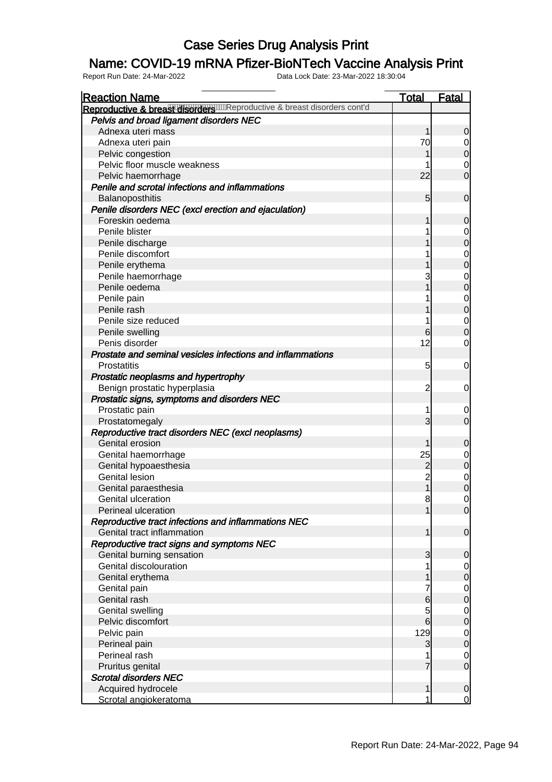### Name: COVID-19 mRNA Pfizer-BioNTech Vaccine Analysis Print

| <b>Reaction Name</b>                                                | <b>Total</b>   | <b>Fatal</b>                         |
|---------------------------------------------------------------------|----------------|--------------------------------------|
| Reproductive & breas Wischow Reproductive & breast disorders cont'd |                |                                      |
| Pelvis and broad ligament disorders NEC                             |                |                                      |
| Adnexa uteri mass                                                   | 1              | $\overline{0}$                       |
| Adnexa uteri pain                                                   | 70             | $\overline{0}$                       |
| Pelvic congestion                                                   |                | $\overline{0}$                       |
| Pelvic floor muscle weakness                                        |                | $\overline{0}$                       |
| Pelvic haemorrhage                                                  | 22             | $\overline{0}$                       |
| Penile and scrotal infections and inflammations                     |                |                                      |
| Balanoposthitis                                                     | 5              | $\mathbf 0$                          |
| Penile disorders NEC (excl erection and ejaculation)                |                |                                      |
| Foreskin oedema                                                     |                | $\mathbf 0$                          |
| Penile blister                                                      |                |                                      |
| Penile discharge                                                    |                | $0$ 0                                |
| Penile discomfort                                                   |                |                                      |
| Penile erythema                                                     |                | $\begin{matrix}0\\0\end{matrix}$     |
| Penile haemorrhage                                                  | 3              |                                      |
| Penile oedema                                                       |                | $\begin{matrix}0\\0\end{matrix}$     |
| Penile pain                                                         |                |                                      |
| Penile rash                                                         |                | $\begin{matrix} 0 \\ 0 \end{matrix}$ |
| Penile size reduced                                                 |                |                                      |
| Penile swelling                                                     | 6              | $\begin{matrix} 0 \\ 0 \end{matrix}$ |
| Penis disorder                                                      | 12             | $\mathbf 0$                          |
| Prostate and seminal vesicles infections and inflammations          |                |                                      |
| <b>Prostatitis</b>                                                  | 5              | $\mathbf 0$                          |
| Prostatic neoplasms and hypertrophy                                 |                |                                      |
| Benign prostatic hyperplasia                                        | $\overline{c}$ | $\mathbf 0$                          |
| Prostatic signs, symptoms and disorders NEC                         |                |                                      |
| Prostatic pain                                                      |                | $\mathbf 0$                          |
| Prostatomegaly                                                      | 3              | $\overline{O}$                       |
| Reproductive tract disorders NEC (excl neoplasms)                   |                |                                      |
| Genital erosion                                                     | 1              | $\mathbf 0$                          |
| Genital haemorrhage                                                 | 25             |                                      |
| Genital hypoaesthesia                                               | $\overline{c}$ | $\begin{matrix} 0 \\ 0 \end{matrix}$ |
| <b>Genital lesion</b>                                               | $\overline{c}$ |                                      |
| Genital paraesthesia                                                |                | $\begin{matrix}0\\0\end{matrix}$     |
| Genital ulceration                                                  | 8              | $\overline{0}$                       |
| Perineal ulceration                                                 | 1              | $\overline{0}$                       |
| Reproductive tract infections and inflammations NEC                 |                |                                      |
| Genital tract inflammation                                          | 1              | $\overline{0}$                       |
| Reproductive tract signs and symptoms NEC                           |                |                                      |
| Genital burning sensation                                           | 3              | $\overline{0}$                       |
| Genital discolouration                                              |                |                                      |
| Genital erythema                                                    |                | $\begin{matrix} 0 \\ 0 \end{matrix}$ |
| Genital pain                                                        |                |                                      |
| Genital rash                                                        | 6              | $\begin{matrix} 0 \\ 0 \end{matrix}$ |
| <b>Genital swelling</b>                                             | 5              |                                      |
| Pelvic discomfort                                                   | 6              | $\begin{matrix} 0 \\ 0 \end{matrix}$ |
| Pelvic pain                                                         | 129            |                                      |
| Perineal pain                                                       | 3              | $\begin{matrix} 0 \\ 0 \end{matrix}$ |
| Perineal rash                                                       |                | $\overline{0}$                       |
| Pruritus genital                                                    | 7              | $\overline{0}$                       |
| <b>Scrotal disorders NEC</b>                                        |                |                                      |
| Acquired hydrocele                                                  | 1              | $\overline{0}$                       |
| Scrotal angiokeratoma                                               | 1              | $\overline{0}$                       |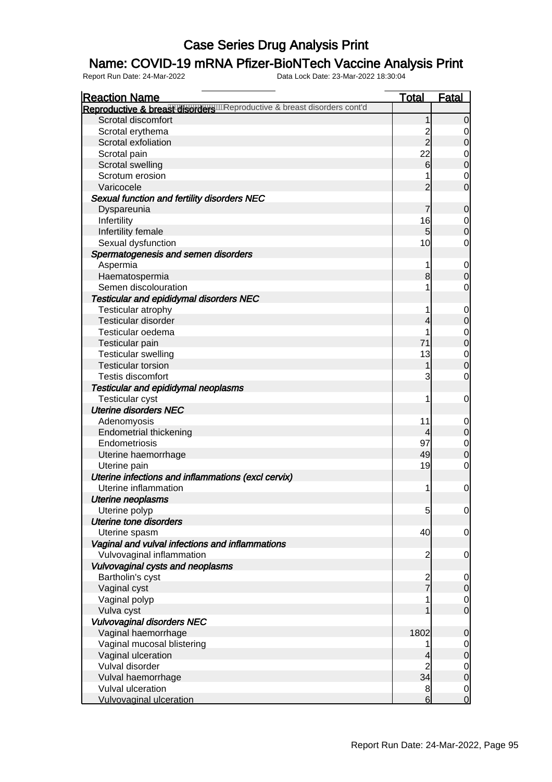### Name: COVID-19 mRNA Pfizer-BioNTech Vaccine Analysis Print

| <b>Reaction Name</b>                                                       | <b>Total</b>   | <b>Fatal</b>                         |
|----------------------------------------------------------------------------|----------------|--------------------------------------|
| Reproductive & breast disorders with eproductive & breast disorders cont'd |                |                                      |
| Scrotal discomfort                                                         | 1              | $\mathbf 0$                          |
| Scrotal erythema                                                           |                | 0                                    |
| Scrotal exfoliation                                                        | $\frac{2}{2}$  | $\mathbf 0$                          |
| Scrotal pain                                                               | 22             | $\mathbf 0$                          |
| Scrotal swelling                                                           | 6              | $\overline{0}$                       |
| Scrotum erosion                                                            |                | $\mathbf 0$                          |
| Varicocele                                                                 | $\overline{2}$ | $\overline{0}$                       |
| Sexual function and fertility disorders NEC                                |                |                                      |
| Dyspareunia                                                                | 7              | $\mathbf 0$                          |
| Infertility                                                                | 16             | $\overline{0}$                       |
| Infertility female                                                         | 5              | $\overline{0}$                       |
| Sexual dysfunction                                                         | 10             | $\mathbf 0$                          |
| Spermatogenesis and semen disorders                                        |                |                                      |
| Aspermia                                                                   | 1              | $\overline{0}$                       |
| Haematospermia                                                             | 8              | $\mathbf 0$                          |
| Semen discolouration                                                       | 1              | $\mathbf 0$                          |
| <b>Testicular and epididymal disorders NEC</b>                             |                |                                      |
| Testicular atrophy                                                         | 1              | $\overline{0}$                       |
| Testicular disorder                                                        | 4              | $\overline{0}$                       |
| Testicular oedema                                                          |                |                                      |
| <b>Testicular pain</b>                                                     | 71             | $0$<br>0                             |
| <b>Testicular swelling</b>                                                 | 13             | $\mathbf 0$                          |
| <b>Testicular torsion</b>                                                  | 1              | $\overline{0}$                       |
| <b>Testis discomfort</b>                                                   | 3              | $\mathbf 0$                          |
| Testicular and epididymal neoplasms                                        |                |                                      |
| <b>Testicular cyst</b>                                                     | 1              | $\mathbf 0$                          |
| <b>Uterine disorders NEC</b>                                               |                |                                      |
|                                                                            | 11             |                                      |
| Adenomyosis<br><b>Endometrial thickening</b>                               | 4              | $\overline{0}$<br>$\mathbf 0$        |
| Endometriosis                                                              | 97             |                                      |
|                                                                            | 49             | $\mathbf 0$<br>$\overline{0}$        |
| Uterine haemorrhage                                                        | 19             | $\mathbf 0$                          |
| Uterine pain                                                               |                |                                      |
| Uterine infections and inflammations (excl cervix)<br>Uterine inflammation |                |                                      |
|                                                                            | 1              | $\mathbf 0$                          |
| Uterine neoplasms                                                          |                |                                      |
| Uterine polyp                                                              | 5              | $\overline{0}$                       |
| Uterine tone disorders                                                     |                |                                      |
| Uterine spasm                                                              | 40             | $\overline{0}$                       |
| Vaginal and vulval infections and inflammations                            |                |                                      |
| Vulvovaginal inflammation                                                  | $\overline{c}$ | $\overline{0}$                       |
| Vulvovaginal cysts and neoplasms                                           |                |                                      |
| Bartholin's cyst                                                           | $\frac{2}{7}$  | $\overline{0}$                       |
| Vaginal cyst                                                               |                | $\mathbf 0$                          |
| Vaginal polyp                                                              | 1              | $\begin{matrix} 0 \\ 0 \end{matrix}$ |
| Vulva cyst                                                                 |                |                                      |
| <b>Vulvovaginal disorders NEC</b>                                          |                |                                      |
| Vaginal haemorrhage                                                        | 1802           | $\mathbf 0$                          |
| Vaginal mucosal blistering                                                 | 1              | $\overline{0}$                       |
| Vaginal ulceration                                                         | 4              | $\overline{0}$                       |
| Vulval disorder                                                            | $\overline{c}$ | $\begin{matrix} 0 \\ 0 \end{matrix}$ |
| Vulval haemorrhage                                                         | 34             |                                      |
| Vulval ulceration                                                          | 8              | $\overline{0}$                       |
| <b>Vulvovaginal ulceration</b>                                             | 6              | $\overline{O}$                       |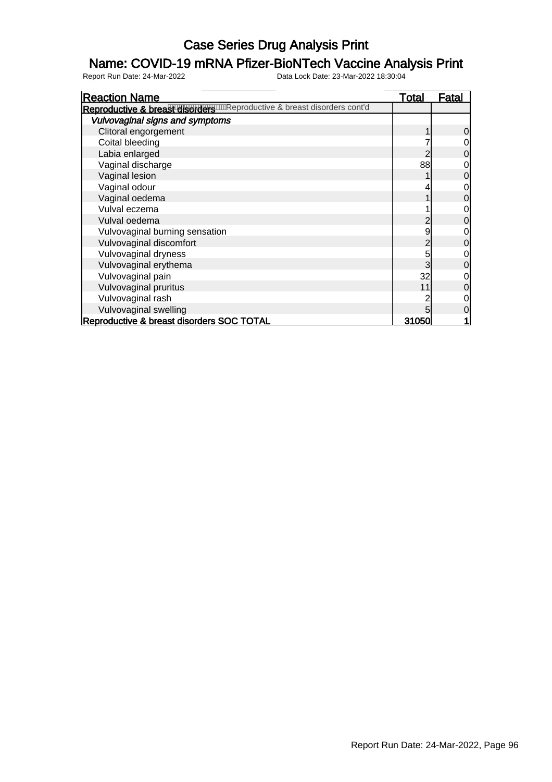### Name: COVID-19 mRNA Pfizer-BioNTech Vaccine Analysis Print

| <b>Reaction Name</b>                                                       | <b>Total</b> | Fatal |
|----------------------------------------------------------------------------|--------------|-------|
| Reproductive & breast disorders with eproductive & breast disorders cont'd |              |       |
| Vulvovaginal signs and symptoms                                            |              |       |
| Clitoral engorgement                                                       |              | 0     |
| Coital bleeding                                                            |              |       |
| Labia enlarged                                                             |              |       |
| Vaginal discharge                                                          | 88           |       |
| Vaginal lesion                                                             |              |       |
| Vaginal odour                                                              |              |       |
| Vaginal oedema                                                             |              |       |
| Vulval eczema                                                              |              |       |
| Vulval oedema                                                              |              |       |
| Vulvovaginal burning sensation                                             | 9            |       |
| Vulvovaginal discomfort                                                    |              | 0     |
| Vulvovaginal dryness                                                       | 5            |       |
| Vulvovaginal erythema                                                      | 3            | 0     |
| Vulvovaginal pain                                                          | 32           |       |
| Vulvovaginal pruritus                                                      | 11           |       |
| Vulvovaginal rash                                                          |              |       |
| Vulvovaginal swelling                                                      |              |       |
| Reproductive & breast disorders SOC TOTAL                                  | 31050        |       |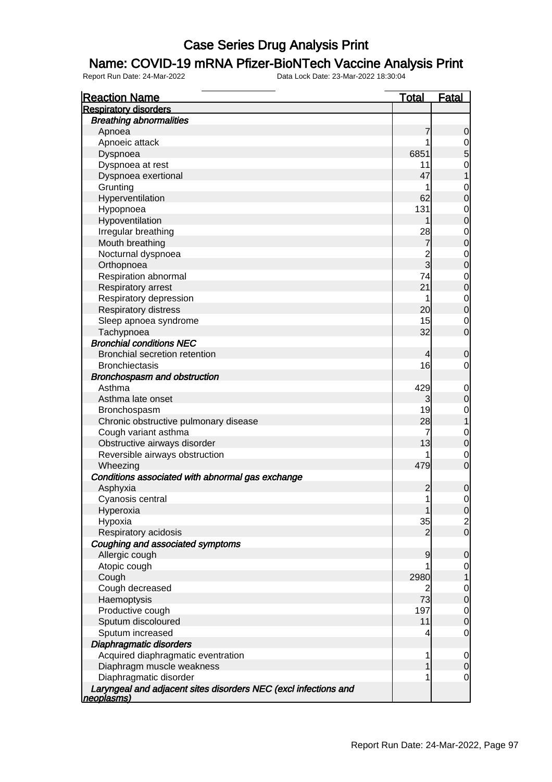#### Name: COVID-19 mRNA Pfizer-BioNTech Vaccine Analysis Print

| <b>Reaction Name</b>                                                          | <u>Total</u>   | <b>Fatal</b>                         |
|-------------------------------------------------------------------------------|----------------|--------------------------------------|
| <b>Respiratory disorders</b>                                                  |                |                                      |
| <b>Breathing abnormalities</b>                                                |                |                                      |
| Apnoea                                                                        | 7              | 0                                    |
| Apnoeic attack                                                                | 1              | $\mathbf 0$                          |
| Dyspnoea                                                                      | 6851           | 5                                    |
| Dyspnoea at rest                                                              | 11             | $\mathbf 0$                          |
| Dyspnoea exertional                                                           | 47             |                                      |
| Grunting                                                                      | 1              | $\mathbf 0$                          |
| Hyperventilation                                                              | 62             | $\overline{0}$                       |
| Hypopnoea                                                                     | 131            | $\mathbf 0$                          |
| Hypoventilation                                                               |                | $\overline{0}$                       |
| Irregular breathing                                                           | 28             |                                      |
| Mouth breathing                                                               | 7              | $\begin{matrix} 0 \\ 0 \end{matrix}$ |
| Nocturnal dyspnoea                                                            | $\overline{c}$ |                                      |
| Orthopnoea                                                                    | $\overline{3}$ | $\begin{matrix} 0 \\ 0 \end{matrix}$ |
| Respiration abnormal                                                          | 74             | $\mathbf 0$                          |
| Respiratory arrest                                                            | 21             | $\overline{0}$                       |
| Respiratory depression                                                        | 1              |                                      |
| <b>Respiratory distress</b>                                                   | 20             | $\begin{matrix} 0 \\ 0 \end{matrix}$ |
| Sleep apnoea syndrome                                                         | 15             | $\mathbf 0$                          |
| Tachypnoea                                                                    | 32             | $\overline{0}$                       |
| <b>Bronchial conditions NEC</b>                                               |                |                                      |
| <b>Bronchial secretion retention</b>                                          | 4              | 0                                    |
| <b>Bronchiectasis</b>                                                         | 16             | 0                                    |
| Bronchospasm and obstruction                                                  |                |                                      |
| Asthma                                                                        | 429            |                                      |
| Asthma late onset                                                             | 3              | $\mathbf{0}$<br>$\overline{0}$       |
| Bronchospasm                                                                  | 19             | $\mathbf 0$                          |
| Chronic obstructive pulmonary disease                                         | 28             | $\overline{1}$                       |
| Cough variant asthma                                                          | 7              |                                      |
| Obstructive airways disorder                                                  | 13             | $\mathbf 0$<br>$\overline{0}$        |
| Reversible airways obstruction                                                | 1              | $\mathbf 0$                          |
| Wheezing                                                                      | 479            | $\overline{0}$                       |
| Conditions associated with abnormal gas exchange                              |                |                                      |
| Asphyxia                                                                      | $\overline{c}$ | $\mathbf 0$                          |
|                                                                               | 1              | $\mathbf{0}$                         |
| Cyanosis central                                                              |                |                                      |
| Hyperoxia                                                                     | 35             | $\overline{0}$                       |
| Hypoxia                                                                       | 2              | $\frac{2}{0}$                        |
| Respiratory acidosis                                                          |                |                                      |
| Coughing and associated symptoms                                              |                |                                      |
| Allergic cough                                                                | 9              | 0                                    |
| Atopic cough                                                                  |                | $\mathbf 0$                          |
| Cough                                                                         | 2980           |                                      |
| Cough decreased                                                               | 2              | $\mathbf 0$                          |
| Haemoptysis                                                                   | 73             | $\mathbf 0$                          |
| Productive cough                                                              | 197            | $\mathbf 0$                          |
| Sputum discoloured                                                            | 11             | $\overline{0}$                       |
| Sputum increased                                                              | 4              | $\mathbf 0$                          |
| Diaphragmatic disorders                                                       |                |                                      |
| Acquired diaphragmatic eventration                                            | 1              | 0                                    |
| Diaphragm muscle weakness                                                     |                | 0                                    |
| Diaphragmatic disorder                                                        | 1              | 0                                    |
| Laryngeal and adjacent sites disorders NEC (excl infections and<br>neoplasms) |                |                                      |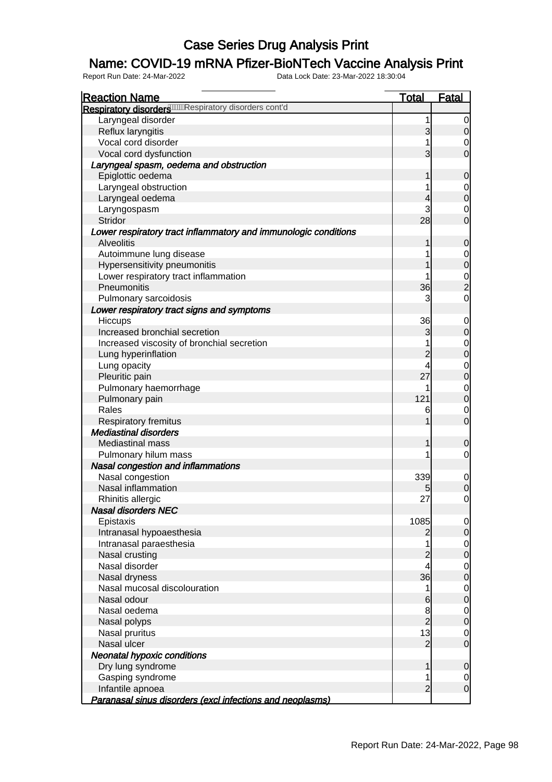### Name: COVID-19 mRNA Pfizer-BioNTech Vaccine Analysis Print

| <b>Reaction Name</b>                                            | <u>Total</u>   | <u>Fatal</u>   |
|-----------------------------------------------------------------|----------------|----------------|
| Respiratory disorders WWW Respiratory disorders cont'd          |                |                |
| Laryngeal disorder                                              | 1              | 0              |
| Reflux laryngitis                                               | 3              | $\overline{O}$ |
| Vocal cord disorder                                             |                | $\mathbf 0$    |
| Vocal cord dysfunction                                          | 3              | $\overline{0}$ |
| Laryngeal spasm, oedema and obstruction                         |                |                |
| Epiglottic oedema                                               |                | $\overline{0}$ |
| Laryngeal obstruction                                           |                | $\mathbf 0$    |
| Laryngeal oedema                                                | 4              | $\overline{0}$ |
| Laryngospasm                                                    | 3              | $\mathbf 0$    |
| Stridor                                                         | 28             | $\overline{O}$ |
| Lower respiratory tract inflammatory and immunologic conditions |                |                |
| <b>Alveolitis</b>                                               | 1              | $\overline{0}$ |
| Autoimmune lung disease                                         |                | $\mathbf 0$    |
| Hypersensitivity pneumonitis                                    |                | $\overline{0}$ |
| Lower respiratory tract inflammation                            |                | $\frac{0}{2}$  |
| Pneumonitis                                                     | 36             |                |
| Pulmonary sarcoidosis                                           | 3              | $\overline{0}$ |
| Lower respiratory tract signs and symptoms                      |                |                |
| <b>Hiccups</b>                                                  | 36             | $\overline{0}$ |
| Increased bronchial secretion                                   | 3              | $\overline{0}$ |
| Increased viscosity of bronchial secretion                      |                | $\mathbf 0$    |
| Lung hyperinflation                                             | $\overline{c}$ | $\overline{0}$ |
| Lung opacity                                                    | 4              | $\mathbf 0$    |
| Pleuritic pain                                                  | 27             | $\overline{0}$ |
| Pulmonary haemorrhage                                           |                | $\overline{O}$ |
| Pulmonary pain                                                  | 121            | $\overline{0}$ |
| Rales                                                           | 6              | $\mathbf 0$    |
| Respiratory fremitus                                            |                | $\overline{O}$ |
| <b>Mediastinal disorders</b>                                    |                |                |
| <b>Mediastinal mass</b>                                         |                | $\mathbf 0$    |
| Pulmonary hilum mass                                            |                | $\mathbf 0$    |
| Nasal congestion and inflammations                              |                |                |
| Nasal congestion                                                | 339            | $\mathbf 0$    |
| Nasal inflammation                                              | 5              | $\overline{0}$ |
| Rhinitis allergic                                               | 27             | $\overline{0}$ |
| <b>Nasal disorders NEC</b>                                      |                |                |
| Epistaxis                                                       | 1085           | $\overline{0}$ |
| Intranasal hypoaesthesia                                        | 2              | 0              |
| Intranasal paraesthesia                                         |                | $\overline{0}$ |
| Nasal crusting                                                  | $\overline{c}$ | $\overline{0}$ |
| Nasal disorder                                                  | 4              | $\mathbf 0$    |
| Nasal dryness                                                   | 36             | $\overline{0}$ |
| Nasal mucosal discolouration                                    |                | $\mathbf 0$    |
| Nasal odour                                                     | 6              | $\overline{0}$ |
| Nasal oedema                                                    | 8              | $\mathbf 0$    |
| Nasal polyps                                                    | $\overline{c}$ | $\overline{0}$ |
| Nasal pruritus                                                  | 13             | $\mathbf 0$    |
| Nasal ulcer                                                     | $\overline{2}$ | $\overline{0}$ |
| <b>Neonatal hypoxic conditions</b>                              |                |                |
| Dry lung syndrome                                               |                | $\overline{0}$ |
| Gasping syndrome                                                |                | 0              |
| Infantile apnoea                                                | $\overline{c}$ | $\overline{0}$ |
| Paranasal sinus disorders (excl infections and neoplasms)       |                |                |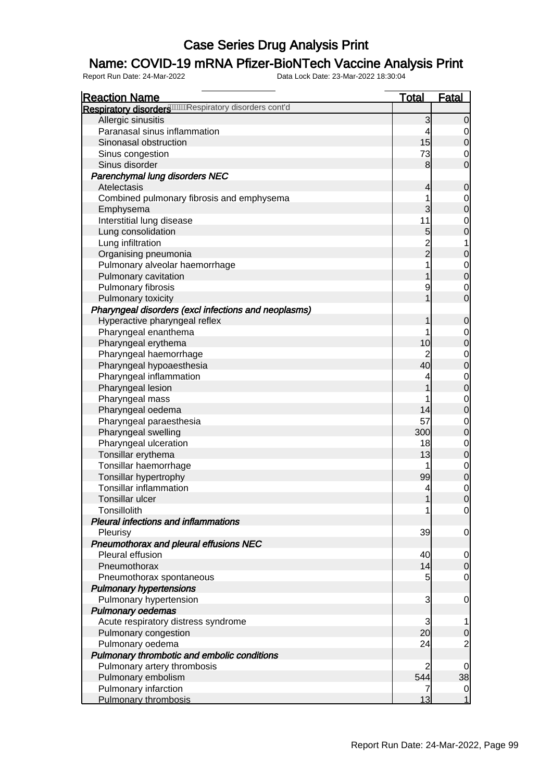### Name: COVID-19 mRNA Pfizer-BioNTech Vaccine Analysis Print

| <b>Reaction Name</b>                                         | <b>Total</b>  | <b>Fatal</b>   |
|--------------------------------------------------------------|---------------|----------------|
| Respiratory disorders <b>WWWRespiratory disorders</b> cont'd |               |                |
| Allergic sinusitis                                           | 3             | 0              |
| Paranasal sinus inflammation                                 |               |                |
| Sinonasal obstruction                                        | 15            | 0              |
| Sinus congestion                                             | 73            | 0              |
| Sinus disorder                                               | 8             | $\overline{0}$ |
| Parenchymal lung disorders NEC                               |               |                |
| Atelectasis                                                  | 4             | 0              |
| Combined pulmonary fibrosis and emphysema                    |               | 0              |
| Emphysema                                                    | 3             | $\overline{0}$ |
| Interstitial lung disease                                    | 11            | 0              |
| Lung consolidation                                           | 5             | $\overline{0}$ |
| Lung infiltration                                            |               |                |
| Organising pneumonia                                         | $\frac{2}{2}$ | 0              |
| Pulmonary alveolar haemorrhage                               |               | 0              |
| Pulmonary cavitation                                         |               | $\overline{0}$ |
| Pulmonary fibrosis                                           | 9             | 0              |
| Pulmonary toxicity                                           |               | $\overline{0}$ |
| Pharyngeal disorders (excl infections and neoplasms)         |               |                |
| Hyperactive pharyngeal reflex                                |               | 0              |
| Pharyngeal enanthema                                         |               | 0              |
| Pharyngeal erythema                                          | 10            | $\overline{0}$ |
| Pharyngeal haemorrhage                                       |               | 0              |
| Pharyngeal hypoaesthesia                                     | 40            | $\overline{0}$ |
| Pharyngeal inflammation                                      |               | 0              |
| Pharyngeal lesion                                            |               | $\mathbf 0$    |
| Pharyngeal mass                                              |               | 0              |
| Pharyngeal oedema                                            | 14            | $\mathbf 0$    |
| Pharyngeal paraesthesia                                      | 57            | 0              |
| Pharyngeal swelling                                          | 300           | $\overline{0}$ |
| Pharyngeal ulceration                                        | 18            | 0              |
| Tonsillar erythema                                           | 13            | $\mathbf 0$    |
| Tonsillar haemorrhage                                        |               | 0              |
| Tonsillar hypertrophy                                        | 99            | $\mathbf 0$    |
| <b>Tonsillar inflammation</b>                                | 4             | 0              |
| <b>Tonsillar ulcer</b>                                       | 1             | $\overline{0}$ |
| Tonsillolith                                                 |               | $\overline{0}$ |
| <b>Pleural infections and inflammations</b>                  |               |                |
| Pleurisy                                                     | 39            | $\overline{0}$ |
| Pneumothorax and pleural effusions NEC                       |               |                |
| Pleural effusion                                             | 40            | 0              |
| Pneumothorax                                                 | 14            | $\overline{0}$ |
| Pneumothorax spontaneous                                     | 5             | 0              |
| <b>Pulmonary hypertensions</b>                               |               |                |
| Pulmonary hypertension                                       | 3             | 0              |
| <b>Pulmonary oedemas</b>                                     |               |                |
| Acute respiratory distress syndrome                          | 3             |                |
| Pulmonary congestion                                         | 20            | 0              |
| Pulmonary oedema                                             | 24            |                |
| Pulmonary thrombotic and embolic conditions                  |               |                |
| Pulmonary artery thrombosis                                  |               | 0              |
| Pulmonary embolism                                           | 544           | 38             |
| Pulmonary infarction                                         |               | $\mathbf 0$    |
| Pulmonary thrombosis                                         | 13            | 1              |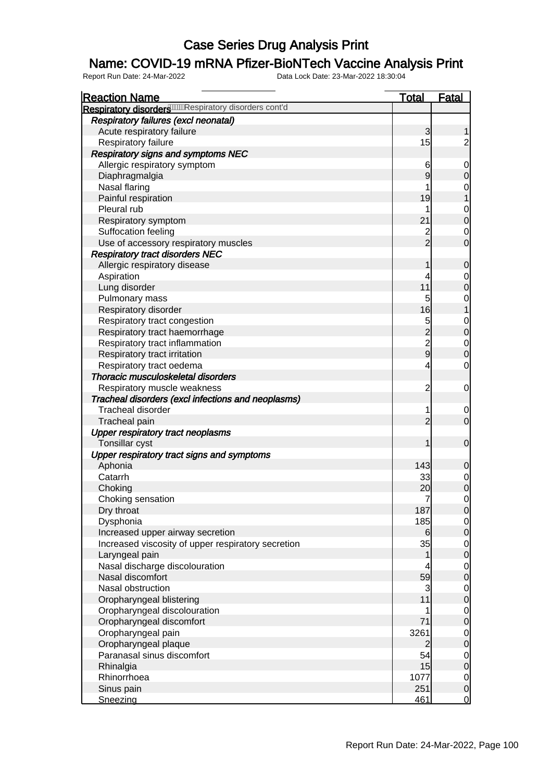### Name: COVID-19 mRNA Pfizer-BioNTech Vaccine Analysis Print

| <b>Reaction Name</b>                                   | <b>Total</b>     | <b>Fatal</b>     |
|--------------------------------------------------------|------------------|------------------|
| Respiratory disorders WWW Respiratory disorders cont'd |                  |                  |
| <b>Respiratory failures (excl neonatal)</b>            |                  |                  |
| Acute respiratory failure                              | 3                | 1                |
| Respiratory failure                                    | 15               | $\overline{2}$   |
| <b>Respiratory signs and symptoms NEC</b>              |                  |                  |
| Allergic respiratory symptom                           | 6                | $\mathbf 0$      |
| Diaphragmalgia                                         | $\overline{9}$   | $\mathbf 0$      |
| Nasal flaring                                          | 1                | 0                |
| Painful respiration                                    | 19               | 1                |
| Pleural rub                                            |                  | $\mathbf 0$      |
| Respiratory symptom                                    | 21               | $\overline{0}$   |
| Suffocation feeling                                    | $\overline{c}$   | $\mathbf 0$      |
| Use of accessory respiratory muscles                   | $\overline{2}$   | $\overline{0}$   |
| <b>Respiratory tract disorders NEC</b>                 |                  |                  |
| Allergic respiratory disease                           | 1                | $\mathbf 0$      |
| Aspiration                                             | 4                | $\mathbf 0$      |
| Lung disorder                                          | 11               | $\overline{0}$   |
|                                                        | 5                |                  |
| Pulmonary mass                                         |                  | 0                |
| Respiratory disorder                                   | 16               | $\mathbf{1}$     |
| Respiratory tract congestion                           |                  | $\mathbf 0$      |
| Respiratory tract haemorrhage                          | 5<br>2<br>2<br>9 | $\overline{0}$   |
| Respiratory tract inflammation                         |                  | $\mathbf 0$      |
| Respiratory tract irritation                           |                  | $\overline{0}$   |
| Respiratory tract oedema                               | 4                | $\mathbf 0$      |
| Thoracic musculoskeletal disorders                     |                  |                  |
| Respiratory muscle weakness                            | $\overline{c}$   | $\mathbf 0$      |
| Tracheal disorders (excl infections and neoplasms)     |                  |                  |
| <b>Tracheal disorder</b>                               | 1                | $\mathbf 0$      |
| Tracheal pain                                          | $\overline{c}$   | $\overline{O}$   |
| <b>Upper respiratory tract neoplasms</b>               |                  |                  |
| Tonsillar cyst                                         | 1                | $\boldsymbol{0}$ |
| Upper respiratory tract signs and symptoms             |                  |                  |
| Aphonia                                                | 143              | $\mathbf 0$      |
| Catarrh                                                | 33               | $\overline{0}$   |
| Choking                                                | 20               | $\overline{0}$   |
| Choking sensation                                      | 7                | $\mathbf 0$      |
| Dry throat                                             | 187              | 0                |
| Dysphonia                                              | 185              | $\overline{0}$   |
| Increased upper airway secretion                       | 6                | $\mathbf 0$      |
| Increased viscosity of upper respiratory secretion     | 35               | $\overline{O}$   |
| Laryngeal pain                                         | 1                | $\overline{0}$   |
| Nasal discharge discolouration                         |                  | $\overline{O}$   |
| Nasal discomfort                                       | 59               | $\overline{0}$   |
| Nasal obstruction                                      | 3                | $\overline{O}$   |
| Oropharyngeal blistering                               | 11               | $\mathbf 0$      |
| Oropharyngeal discolouration                           | 1                | $\overline{0}$   |
| Oropharyngeal discomfort                               | 71               | $\overline{0}$   |
| Oropharyngeal pain                                     | 3261             | $\mathbf 0$      |
| Oropharyngeal plaque                                   | $\overline{2}$   | $\mathbf 0$      |
| Paranasal sinus discomfort                             | 54               | $\overline{0}$   |
| Rhinalgia                                              | 15               | $\mathbf 0$      |
| Rhinorrhoea                                            | 1077             | $\overline{0}$   |
| Sinus pain                                             | 251              | $\mathbf 0$      |
| Sneezing                                               | 461              | $\overline{0}$   |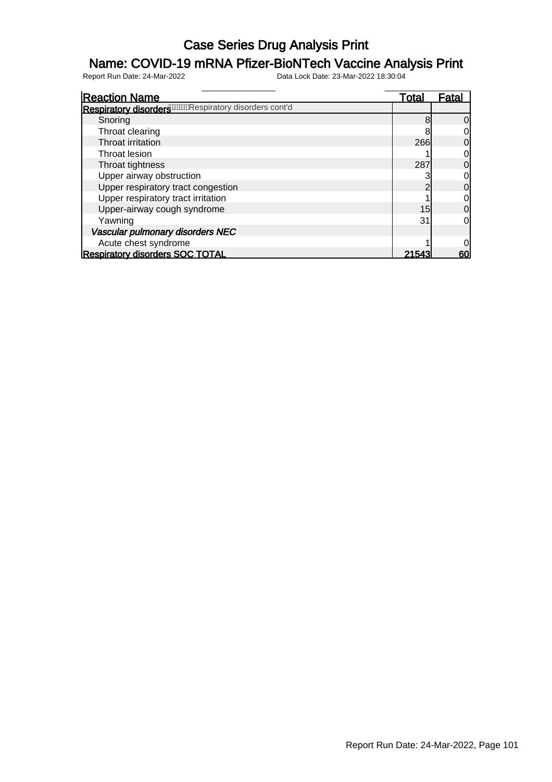### Name: COVID-19 mRNA Pfizer-BioNTech Vaccine Analysis Print

| <b>Reaction Name</b>                                                  | <u>Total</u> | Fatal |
|-----------------------------------------------------------------------|--------------|-------|
| Respiratory disorders <sup>0000000</sup> Respiratory disorders cont'd |              |       |
| Snoring                                                               |              | 0     |
| Throat clearing                                                       |              |       |
| Throat irritation                                                     | 266          | 0     |
| Throat lesion                                                         |              | 0     |
| Throat tightness                                                      | 287          | 0     |
| Upper airway obstruction                                              |              | 0     |
| Upper respiratory tract congestion                                    |              | 0     |
| Upper respiratory tract irritation                                    |              | 0     |
| Upper-airway cough syndrome                                           | 15           | 0     |
| Yawning                                                               | 31           | 0     |
| Vascular pulmonary disorders NEC                                      |              |       |
| Acute chest syndrome                                                  |              |       |
| <b>Respiratory disorders SOC TOTAL</b>                                | 21543        | 60    |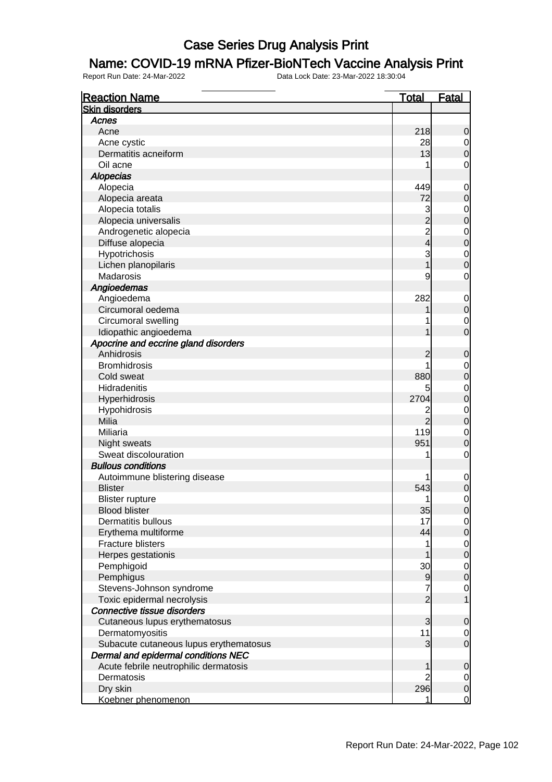#### Name: COVID-19 mRNA Pfizer-BioNTech Vaccine Analysis Print

| <b>Reaction Name</b>                   | <u>Total</u>   | <b>Fatal</b>                         |
|----------------------------------------|----------------|--------------------------------------|
| <b>Skin disorders</b>                  |                |                                      |
| Acnes                                  |                |                                      |
| Acne                                   | 218            | $\mathbf 0$                          |
| Acne cystic                            | 28             | $\begin{matrix} 0 \\ 0 \end{matrix}$ |
| Dermatitis acneiform                   | 13             |                                      |
| Oil acne                               | 1              | 0                                    |
| <b>Alopecias</b>                       |                |                                      |
| Alopecia                               | 449            | $\mathbf 0$                          |
| Alopecia areata                        | 72             | $\overline{0}$                       |
| Alopecia totalis                       | 3              |                                      |
| Alopecia universalis                   | $\overline{2}$ | $\begin{matrix} 0 \\ 0 \end{matrix}$ |
| Androgenetic alopecia                  | 2<br>4         | $\begin{matrix} 0 \\ 0 \end{matrix}$ |
| Diffuse alopecia                       |                |                                      |
| Hypotrichosis                          | 3              | $\begin{matrix}0\\0\end{matrix}$     |
| Lichen planopilaris                    |                |                                      |
| Madarosis                              | 9              | 0                                    |
| Angioedemas                            |                |                                      |
| Angioedema                             | 282            | $\mathbf 0$                          |
| Circumoral oedema                      |                | $\overline{0}$                       |
| Circumoral swelling                    |                | $\mathbf 0$                          |
| Idiopathic angioedema                  |                | $\overline{0}$                       |
| Apocrine and eccrine gland disorders   |                |                                      |
| Anhidrosis                             | 2              | $\mathbf 0$                          |
| <b>Bromhidrosis</b>                    | 1              |                                      |
| Cold sweat                             | 880            | $\begin{matrix} 0 \\ 0 \end{matrix}$ |
| Hidradenitis                           | 5              |                                      |
| Hyperhidrosis                          | 2704           | $\begin{matrix} 0 \\ 0 \end{matrix}$ |
| Hypohidrosis                           |                |                                      |
| Milia                                  | $\overline{2}$ | $\begin{matrix} 0 \\ 0 \end{matrix}$ |
| Miliaria                               | 119            | $\begin{matrix}0\\0\end{matrix}$     |
| Night sweats                           | 951            |                                      |
| Sweat discolouration                   | 1              | $\mathbf 0$                          |
| <b>Bullous conditions</b>              |                |                                      |
| Autoimmune blistering disease          |                | $\mathbf 0$                          |
| <b>Blister</b>                         | 543            | $\overline{0}$                       |
| <b>Blister rupture</b>                 | 1              | $\mathbf 0$                          |
| <b>Blood blister</b>                   | 35             | 0                                    |
| Dermatitis bullous                     | 17             | $\begin{matrix} 0 \\ 0 \end{matrix}$ |
| Erythema multiforme                    | 44             |                                      |
| <b>Fracture blisters</b>               | 1              | $\begin{matrix} 0 \\ 0 \end{matrix}$ |
| Herpes gestationis                     |                |                                      |
| Pemphigoid                             | 30             | $\begin{matrix} 0 \\ 0 \end{matrix}$ |
| Pemphigus                              | 9              |                                      |
| Stevens-Johnson syndrome               | 7              | $\mathbf{0}$                         |
| Toxic epidermal necrolysis             | $\overline{2}$ | 1                                    |
| Connective tissue disorders            |                |                                      |
| Cutaneous lupus erythematosus          | 3              | $\mathbf 0$                          |
| Dermatomyositis                        | 11             | $\begin{matrix} 0 \\ 0 \end{matrix}$ |
| Subacute cutaneous lupus erythematosus | 3              |                                      |
| Dermal and epidermal conditions NEC    |                |                                      |
| Acute febrile neutrophilic dermatosis  |                | $\mathbf 0$                          |
| Dermatosis                             |                | $\overline{0}$                       |
| Dry skin                               | 296            | $\overline{0}$                       |
| Koebner phenomenon                     |                | $\overline{0}$                       |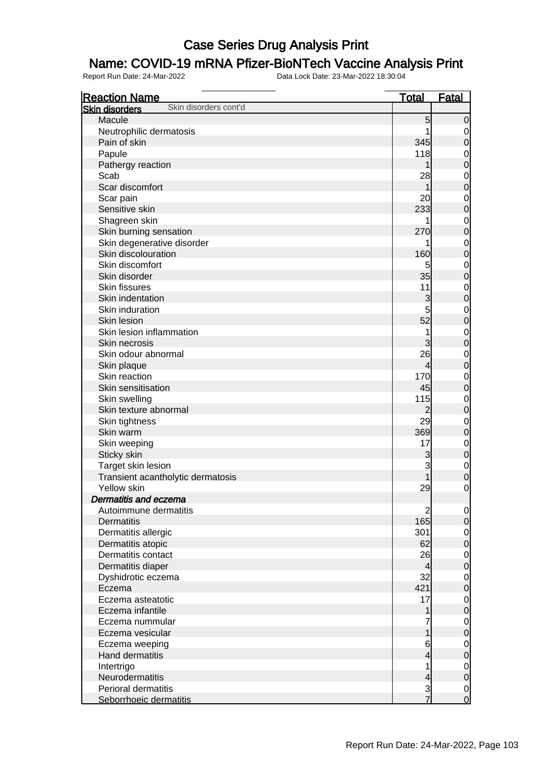### Name: COVID-19 mRNA Pfizer-BioNTech Vaccine Analysis Print

| <b>Reaction Name</b>                           | <b>Total</b>             | <u>Fatal</u>                     |
|------------------------------------------------|--------------------------|----------------------------------|
| Skin disorders cont'd<br><b>Skin disorders</b> |                          |                                  |
| Macule                                         | 5                        | $\overline{0}$                   |
| Neutrophilic dermatosis                        |                          | $\overline{0}$                   |
| Pain of skin                                   | 345                      | $\overline{0}$                   |
| Papule                                         | 118                      | $\overline{0}$                   |
| Pathergy reaction                              |                          | $\overline{0}$                   |
| Scab                                           | 28                       |                                  |
| Scar discomfort                                | 1                        | $\begin{matrix}0\\0\end{matrix}$ |
| Scar pain                                      | 20                       |                                  |
| Sensitive skin                                 | 233                      | $\begin{matrix}0\\0\end{matrix}$ |
| Shagreen skin                                  |                          |                                  |
| Skin burning sensation                         | 270                      | $\begin{matrix}0\\0\end{matrix}$ |
| Skin degenerative disorder                     |                          |                                  |
| Skin discolouration                            | 160                      | $0\atop 0$                       |
| Skin discomfort                                | 5                        |                                  |
| Skin disorder                                  | 35                       | $0\atop 0$                       |
| Skin fissures                                  | 11                       |                                  |
| Skin indentation                               | 3                        | $\begin{matrix}0\\0\end{matrix}$ |
| Skin induration                                | 5                        |                                  |
| Skin lesion                                    | 52                       | $\begin{matrix}0\\0\end{matrix}$ |
| Skin lesion inflammation                       | 1                        |                                  |
| Skin necrosis                                  | 3                        | $\begin{matrix}0\\0\end{matrix}$ |
| Skin odour abnormal                            | 26                       |                                  |
| Skin plaque                                    | 4                        | $\begin{matrix}0\\0\end{matrix}$ |
| Skin reaction                                  | 170                      |                                  |
| Skin sensitisation                             | 45                       | $\begin{matrix}0\\0\end{matrix}$ |
| Skin swelling                                  | 115                      | $\mathbf{0}$                     |
| Skin texture abnormal                          | 2                        | $\overline{0}$                   |
| Skin tightness                                 | 29                       | $\overline{0}$                   |
| Skin warm                                      | 369                      | $\overline{0}$                   |
| Skin weeping                                   | 17                       | $\overline{0}$                   |
| Sticky skin                                    | 3                        | $\mathbf 0$                      |
| Target skin lesion                             | 3                        | $\overline{0}$                   |
| Transient acantholytic dermatosis              |                          | $\overline{0}$                   |
| Yellow skin                                    | 29                       | $\mathbf 0$                      |
| <b>Dermatitis and eczema</b>                   |                          |                                  |
| Autoimmune dermatitis                          | $\overline{c}$           | $\overline{0}$                   |
| Dermatitis                                     | 165                      | 0                                |
| Dermatitis allergic                            | 301                      | $\overline{0}$                   |
| Dermatitis atopic                              | 62                       | $\mathbf 0$                      |
| Dermatitis contact                             | 26                       | $\overline{0}$                   |
| Dermatitis diaper                              | $\overline{\mathcal{L}}$ | $\mathbf 0$                      |
| Dyshidrotic eczema                             | 32                       | $\overline{0}$                   |
| Eczema                                         | 421                      | $\mathbf 0$                      |
| Eczema asteatotic                              | 17                       | $\overline{0}$                   |
| Eczema infantile                               | 1                        | $\mathbf 0$                      |
| Eczema nummular                                | 7                        | $\overline{0}$                   |
| Eczema vesicular                               | 1                        | $\mathbf 0$                      |
| Eczema weeping                                 | 6                        |                                  |
| Hand dermatitis                                | 4                        | $\overline{0}$<br>$\mathbf 0$    |
| Intertrigo                                     | 1                        | $\overline{0}$                   |
| Neurodermatitis                                | 4                        | $\mathbf 0$                      |
| Perioral dermatitis                            |                          | $\overline{0}$                   |
| Seborrhoeic dermatitis                         | $\frac{3}{7}$            | $\overline{0}$                   |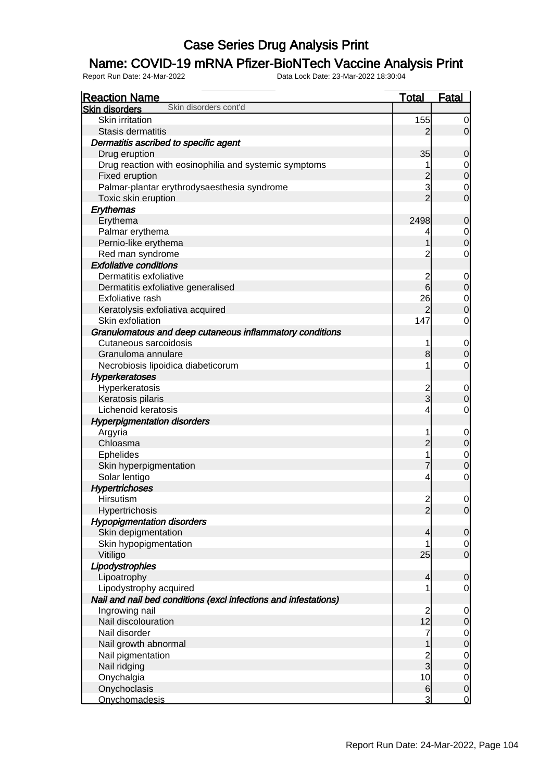### Name: COVID-19 mRNA Pfizer-BioNTech Vaccine Analysis Print

| <b>Skin disorders</b><br>Skin irritation<br>155<br>2<br>Stasis dermatitis<br>Dermatitis ascribed to specific agent<br>35<br>Drug eruption<br>$\mathbf 0$<br>Drug reaction with eosinophilia and systemic symptoms<br>$\overline{0}$<br>$\overline{0}$<br>$\overline{c}$<br>Fixed eruption<br>3<br>Palmar-plantar erythrodysaesthesia syndrome<br>$\overline{0}$<br>$\overline{0}$<br>$\overline{2}$<br>Toxic skin eruption<br>Erythemas<br>Erythema<br>2498<br>$\mathbf 0$<br>Palmar erythema<br>$\begin{matrix} 0 \\ 0 \end{matrix}$<br>4<br>Pernio-like erythema<br>Red man syndrome<br>$\mathbf 0$<br>2<br><b>Exfoliative conditions</b><br>Dermatitis exfoliative<br>$\overline{0}$<br>$\overline{0}$<br>6<br>Dermatitis exfoliative generalised<br>26<br>$\overline{0}$<br>Exfoliative rash<br>$\overline{0}$<br>Keratolysis exfoliativa acquired<br>2<br>Skin exfoliation<br>$\mathbf 0$<br>147<br>Granulomatous and deep cutaneous inflammatory conditions<br>Cutaneous sarcoidosis<br>$\overline{0}$<br>$\mathbf 0$<br>8<br>Granuloma annulare<br>$\mathbf 0$<br>Necrobiosis lipoidica diabeticorum<br>1<br><b>Hyperkeratoses</b><br>Hyperkeratosis<br>$\frac{2}{3}$<br>$\overline{0}$<br>$\mathbf 0$<br>Keratosis pilaris<br>Lichenoid keratosis<br>$\mathbf 0$<br>4<br><b>Hyperpigmentation disorders</b><br>Argyria<br>$\mathbf 0$<br>$\overline{0}$<br>$\overline{2}$<br>Chloasma<br>$\begin{matrix} 0 \\ 0 \end{matrix}$<br><b>Ephelides</b><br>7<br>Skin hyperpigmentation<br>$\overline{O}$<br>Solar lentigo<br>4<br><b>Hypertrichoses</b><br>Hirsutism<br>$\mathbf{2}$<br>$\overline{0}$<br>$\overline{2}$<br> 0 <br>Hypertrichosis<br><b>Hypopigmentation disorders</b><br>Skin depigmentation<br>$\overline{0}$<br>4<br>Skin hypopigmentation<br>$\overline{0}$<br>$\overline{O}$<br>25<br>Vitiligo<br>Lipodystrophies<br>$\mathbf 0$<br>Lipoatrophy<br>4<br>Lipodystrophy acquired<br>0<br>Nail and nail bed conditions (excl infections and infestations)<br>$\begin{array}{c} 2 \\ 12 \end{array}$<br>Ingrowing nail<br>$\overline{0}$<br>$\overline{0}$<br>Nail discolouration<br>Nail disorder<br>7<br>$\begin{matrix} 0 \\ 0 \end{matrix}$<br>Nail growth abnormal<br>$\frac{0}{0}$<br>$\frac{2}{3}$<br>Nail pigmentation<br>Nail ridging<br>10<br>$\overline{0}$<br>Onychalgia<br>$\overline{0}$<br>Onychoclasis<br>6 | <b>Reaction Name</b>  | <b>Total</b> | Fatal          |
|------------------------------------------------------------------------------------------------------------------------------------------------------------------------------------------------------------------------------------------------------------------------------------------------------------------------------------------------------------------------------------------------------------------------------------------------------------------------------------------------------------------------------------------------------------------------------------------------------------------------------------------------------------------------------------------------------------------------------------------------------------------------------------------------------------------------------------------------------------------------------------------------------------------------------------------------------------------------------------------------------------------------------------------------------------------------------------------------------------------------------------------------------------------------------------------------------------------------------------------------------------------------------------------------------------------------------------------------------------------------------------------------------------------------------------------------------------------------------------------------------------------------------------------------------------------------------------------------------------------------------------------------------------------------------------------------------------------------------------------------------------------------------------------------------------------------------------------------------------------------------------------------------------------------------------------------------------------------------------------------------------------------------------------------------------------------------------------------------------------------------------------------------------------------------------------------------------------------------------------------------------------------------------------------------------------------------------------------|-----------------------|--------------|----------------|
|                                                                                                                                                                                                                                                                                                                                                                                                                                                                                                                                                                                                                                                                                                                                                                                                                                                                                                                                                                                                                                                                                                                                                                                                                                                                                                                                                                                                                                                                                                                                                                                                                                                                                                                                                                                                                                                                                                                                                                                                                                                                                                                                                                                                                                                                                                                                                | Skin disorders cont'd |              |                |
|                                                                                                                                                                                                                                                                                                                                                                                                                                                                                                                                                                                                                                                                                                                                                                                                                                                                                                                                                                                                                                                                                                                                                                                                                                                                                                                                                                                                                                                                                                                                                                                                                                                                                                                                                                                                                                                                                                                                                                                                                                                                                                                                                                                                                                                                                                                                                |                       |              | $\overline{0}$ |
|                                                                                                                                                                                                                                                                                                                                                                                                                                                                                                                                                                                                                                                                                                                                                                                                                                                                                                                                                                                                                                                                                                                                                                                                                                                                                                                                                                                                                                                                                                                                                                                                                                                                                                                                                                                                                                                                                                                                                                                                                                                                                                                                                                                                                                                                                                                                                |                       |              | $\overline{O}$ |
|                                                                                                                                                                                                                                                                                                                                                                                                                                                                                                                                                                                                                                                                                                                                                                                                                                                                                                                                                                                                                                                                                                                                                                                                                                                                                                                                                                                                                                                                                                                                                                                                                                                                                                                                                                                                                                                                                                                                                                                                                                                                                                                                                                                                                                                                                                                                                |                       |              |                |
|                                                                                                                                                                                                                                                                                                                                                                                                                                                                                                                                                                                                                                                                                                                                                                                                                                                                                                                                                                                                                                                                                                                                                                                                                                                                                                                                                                                                                                                                                                                                                                                                                                                                                                                                                                                                                                                                                                                                                                                                                                                                                                                                                                                                                                                                                                                                                |                       |              |                |
|                                                                                                                                                                                                                                                                                                                                                                                                                                                                                                                                                                                                                                                                                                                                                                                                                                                                                                                                                                                                                                                                                                                                                                                                                                                                                                                                                                                                                                                                                                                                                                                                                                                                                                                                                                                                                                                                                                                                                                                                                                                                                                                                                                                                                                                                                                                                                |                       |              |                |
|                                                                                                                                                                                                                                                                                                                                                                                                                                                                                                                                                                                                                                                                                                                                                                                                                                                                                                                                                                                                                                                                                                                                                                                                                                                                                                                                                                                                                                                                                                                                                                                                                                                                                                                                                                                                                                                                                                                                                                                                                                                                                                                                                                                                                                                                                                                                                |                       |              |                |
|                                                                                                                                                                                                                                                                                                                                                                                                                                                                                                                                                                                                                                                                                                                                                                                                                                                                                                                                                                                                                                                                                                                                                                                                                                                                                                                                                                                                                                                                                                                                                                                                                                                                                                                                                                                                                                                                                                                                                                                                                                                                                                                                                                                                                                                                                                                                                |                       |              |                |
|                                                                                                                                                                                                                                                                                                                                                                                                                                                                                                                                                                                                                                                                                                                                                                                                                                                                                                                                                                                                                                                                                                                                                                                                                                                                                                                                                                                                                                                                                                                                                                                                                                                                                                                                                                                                                                                                                                                                                                                                                                                                                                                                                                                                                                                                                                                                                |                       |              |                |
|                                                                                                                                                                                                                                                                                                                                                                                                                                                                                                                                                                                                                                                                                                                                                                                                                                                                                                                                                                                                                                                                                                                                                                                                                                                                                                                                                                                                                                                                                                                                                                                                                                                                                                                                                                                                                                                                                                                                                                                                                                                                                                                                                                                                                                                                                                                                                |                       |              |                |
|                                                                                                                                                                                                                                                                                                                                                                                                                                                                                                                                                                                                                                                                                                                                                                                                                                                                                                                                                                                                                                                                                                                                                                                                                                                                                                                                                                                                                                                                                                                                                                                                                                                                                                                                                                                                                                                                                                                                                                                                                                                                                                                                                                                                                                                                                                                                                |                       |              |                |
|                                                                                                                                                                                                                                                                                                                                                                                                                                                                                                                                                                                                                                                                                                                                                                                                                                                                                                                                                                                                                                                                                                                                                                                                                                                                                                                                                                                                                                                                                                                                                                                                                                                                                                                                                                                                                                                                                                                                                                                                                                                                                                                                                                                                                                                                                                                                                |                       |              |                |
|                                                                                                                                                                                                                                                                                                                                                                                                                                                                                                                                                                                                                                                                                                                                                                                                                                                                                                                                                                                                                                                                                                                                                                                                                                                                                                                                                                                                                                                                                                                                                                                                                                                                                                                                                                                                                                                                                                                                                                                                                                                                                                                                                                                                                                                                                                                                                |                       |              |                |
|                                                                                                                                                                                                                                                                                                                                                                                                                                                                                                                                                                                                                                                                                                                                                                                                                                                                                                                                                                                                                                                                                                                                                                                                                                                                                                                                                                                                                                                                                                                                                                                                                                                                                                                                                                                                                                                                                                                                                                                                                                                                                                                                                                                                                                                                                                                                                |                       |              |                |
|                                                                                                                                                                                                                                                                                                                                                                                                                                                                                                                                                                                                                                                                                                                                                                                                                                                                                                                                                                                                                                                                                                                                                                                                                                                                                                                                                                                                                                                                                                                                                                                                                                                                                                                                                                                                                                                                                                                                                                                                                                                                                                                                                                                                                                                                                                                                                |                       |              |                |
|                                                                                                                                                                                                                                                                                                                                                                                                                                                                                                                                                                                                                                                                                                                                                                                                                                                                                                                                                                                                                                                                                                                                                                                                                                                                                                                                                                                                                                                                                                                                                                                                                                                                                                                                                                                                                                                                                                                                                                                                                                                                                                                                                                                                                                                                                                                                                |                       |              |                |
|                                                                                                                                                                                                                                                                                                                                                                                                                                                                                                                                                                                                                                                                                                                                                                                                                                                                                                                                                                                                                                                                                                                                                                                                                                                                                                                                                                                                                                                                                                                                                                                                                                                                                                                                                                                                                                                                                                                                                                                                                                                                                                                                                                                                                                                                                                                                                |                       |              |                |
|                                                                                                                                                                                                                                                                                                                                                                                                                                                                                                                                                                                                                                                                                                                                                                                                                                                                                                                                                                                                                                                                                                                                                                                                                                                                                                                                                                                                                                                                                                                                                                                                                                                                                                                                                                                                                                                                                                                                                                                                                                                                                                                                                                                                                                                                                                                                                |                       |              |                |
|                                                                                                                                                                                                                                                                                                                                                                                                                                                                                                                                                                                                                                                                                                                                                                                                                                                                                                                                                                                                                                                                                                                                                                                                                                                                                                                                                                                                                                                                                                                                                                                                                                                                                                                                                                                                                                                                                                                                                                                                                                                                                                                                                                                                                                                                                                                                                |                       |              |                |
|                                                                                                                                                                                                                                                                                                                                                                                                                                                                                                                                                                                                                                                                                                                                                                                                                                                                                                                                                                                                                                                                                                                                                                                                                                                                                                                                                                                                                                                                                                                                                                                                                                                                                                                                                                                                                                                                                                                                                                                                                                                                                                                                                                                                                                                                                                                                                |                       |              |                |
|                                                                                                                                                                                                                                                                                                                                                                                                                                                                                                                                                                                                                                                                                                                                                                                                                                                                                                                                                                                                                                                                                                                                                                                                                                                                                                                                                                                                                                                                                                                                                                                                                                                                                                                                                                                                                                                                                                                                                                                                                                                                                                                                                                                                                                                                                                                                                |                       |              |                |
|                                                                                                                                                                                                                                                                                                                                                                                                                                                                                                                                                                                                                                                                                                                                                                                                                                                                                                                                                                                                                                                                                                                                                                                                                                                                                                                                                                                                                                                                                                                                                                                                                                                                                                                                                                                                                                                                                                                                                                                                                                                                                                                                                                                                                                                                                                                                                |                       |              |                |
|                                                                                                                                                                                                                                                                                                                                                                                                                                                                                                                                                                                                                                                                                                                                                                                                                                                                                                                                                                                                                                                                                                                                                                                                                                                                                                                                                                                                                                                                                                                                                                                                                                                                                                                                                                                                                                                                                                                                                                                                                                                                                                                                                                                                                                                                                                                                                |                       |              |                |
|                                                                                                                                                                                                                                                                                                                                                                                                                                                                                                                                                                                                                                                                                                                                                                                                                                                                                                                                                                                                                                                                                                                                                                                                                                                                                                                                                                                                                                                                                                                                                                                                                                                                                                                                                                                                                                                                                                                                                                                                                                                                                                                                                                                                                                                                                                                                                |                       |              |                |
|                                                                                                                                                                                                                                                                                                                                                                                                                                                                                                                                                                                                                                                                                                                                                                                                                                                                                                                                                                                                                                                                                                                                                                                                                                                                                                                                                                                                                                                                                                                                                                                                                                                                                                                                                                                                                                                                                                                                                                                                                                                                                                                                                                                                                                                                                                                                                |                       |              |                |
|                                                                                                                                                                                                                                                                                                                                                                                                                                                                                                                                                                                                                                                                                                                                                                                                                                                                                                                                                                                                                                                                                                                                                                                                                                                                                                                                                                                                                                                                                                                                                                                                                                                                                                                                                                                                                                                                                                                                                                                                                                                                                                                                                                                                                                                                                                                                                |                       |              |                |
|                                                                                                                                                                                                                                                                                                                                                                                                                                                                                                                                                                                                                                                                                                                                                                                                                                                                                                                                                                                                                                                                                                                                                                                                                                                                                                                                                                                                                                                                                                                                                                                                                                                                                                                                                                                                                                                                                                                                                                                                                                                                                                                                                                                                                                                                                                                                                |                       |              |                |
|                                                                                                                                                                                                                                                                                                                                                                                                                                                                                                                                                                                                                                                                                                                                                                                                                                                                                                                                                                                                                                                                                                                                                                                                                                                                                                                                                                                                                                                                                                                                                                                                                                                                                                                                                                                                                                                                                                                                                                                                                                                                                                                                                                                                                                                                                                                                                |                       |              |                |
|                                                                                                                                                                                                                                                                                                                                                                                                                                                                                                                                                                                                                                                                                                                                                                                                                                                                                                                                                                                                                                                                                                                                                                                                                                                                                                                                                                                                                                                                                                                                                                                                                                                                                                                                                                                                                                                                                                                                                                                                                                                                                                                                                                                                                                                                                                                                                |                       |              |                |
|                                                                                                                                                                                                                                                                                                                                                                                                                                                                                                                                                                                                                                                                                                                                                                                                                                                                                                                                                                                                                                                                                                                                                                                                                                                                                                                                                                                                                                                                                                                                                                                                                                                                                                                                                                                                                                                                                                                                                                                                                                                                                                                                                                                                                                                                                                                                                |                       |              |                |
|                                                                                                                                                                                                                                                                                                                                                                                                                                                                                                                                                                                                                                                                                                                                                                                                                                                                                                                                                                                                                                                                                                                                                                                                                                                                                                                                                                                                                                                                                                                                                                                                                                                                                                                                                                                                                                                                                                                                                                                                                                                                                                                                                                                                                                                                                                                                                |                       |              |                |
|                                                                                                                                                                                                                                                                                                                                                                                                                                                                                                                                                                                                                                                                                                                                                                                                                                                                                                                                                                                                                                                                                                                                                                                                                                                                                                                                                                                                                                                                                                                                                                                                                                                                                                                                                                                                                                                                                                                                                                                                                                                                                                                                                                                                                                                                                                                                                |                       |              |                |
|                                                                                                                                                                                                                                                                                                                                                                                                                                                                                                                                                                                                                                                                                                                                                                                                                                                                                                                                                                                                                                                                                                                                                                                                                                                                                                                                                                                                                                                                                                                                                                                                                                                                                                                                                                                                                                                                                                                                                                                                                                                                                                                                                                                                                                                                                                                                                |                       |              |                |
|                                                                                                                                                                                                                                                                                                                                                                                                                                                                                                                                                                                                                                                                                                                                                                                                                                                                                                                                                                                                                                                                                                                                                                                                                                                                                                                                                                                                                                                                                                                                                                                                                                                                                                                                                                                                                                                                                                                                                                                                                                                                                                                                                                                                                                                                                                                                                |                       |              |                |
|                                                                                                                                                                                                                                                                                                                                                                                                                                                                                                                                                                                                                                                                                                                                                                                                                                                                                                                                                                                                                                                                                                                                                                                                                                                                                                                                                                                                                                                                                                                                                                                                                                                                                                                                                                                                                                                                                                                                                                                                                                                                                                                                                                                                                                                                                                                                                |                       |              |                |
|                                                                                                                                                                                                                                                                                                                                                                                                                                                                                                                                                                                                                                                                                                                                                                                                                                                                                                                                                                                                                                                                                                                                                                                                                                                                                                                                                                                                                                                                                                                                                                                                                                                                                                                                                                                                                                                                                                                                                                                                                                                                                                                                                                                                                                                                                                                                                |                       |              |                |
|                                                                                                                                                                                                                                                                                                                                                                                                                                                                                                                                                                                                                                                                                                                                                                                                                                                                                                                                                                                                                                                                                                                                                                                                                                                                                                                                                                                                                                                                                                                                                                                                                                                                                                                                                                                                                                                                                                                                                                                                                                                                                                                                                                                                                                                                                                                                                |                       |              |                |
|                                                                                                                                                                                                                                                                                                                                                                                                                                                                                                                                                                                                                                                                                                                                                                                                                                                                                                                                                                                                                                                                                                                                                                                                                                                                                                                                                                                                                                                                                                                                                                                                                                                                                                                                                                                                                                                                                                                                                                                                                                                                                                                                                                                                                                                                                                                                                |                       |              |                |
|                                                                                                                                                                                                                                                                                                                                                                                                                                                                                                                                                                                                                                                                                                                                                                                                                                                                                                                                                                                                                                                                                                                                                                                                                                                                                                                                                                                                                                                                                                                                                                                                                                                                                                                                                                                                                                                                                                                                                                                                                                                                                                                                                                                                                                                                                                                                                |                       |              |                |
|                                                                                                                                                                                                                                                                                                                                                                                                                                                                                                                                                                                                                                                                                                                                                                                                                                                                                                                                                                                                                                                                                                                                                                                                                                                                                                                                                                                                                                                                                                                                                                                                                                                                                                                                                                                                                                                                                                                                                                                                                                                                                                                                                                                                                                                                                                                                                |                       |              |                |
|                                                                                                                                                                                                                                                                                                                                                                                                                                                                                                                                                                                                                                                                                                                                                                                                                                                                                                                                                                                                                                                                                                                                                                                                                                                                                                                                                                                                                                                                                                                                                                                                                                                                                                                                                                                                                                                                                                                                                                                                                                                                                                                                                                                                                                                                                                                                                |                       |              |                |
|                                                                                                                                                                                                                                                                                                                                                                                                                                                                                                                                                                                                                                                                                                                                                                                                                                                                                                                                                                                                                                                                                                                                                                                                                                                                                                                                                                                                                                                                                                                                                                                                                                                                                                                                                                                                                                                                                                                                                                                                                                                                                                                                                                                                                                                                                                                                                |                       |              |                |
|                                                                                                                                                                                                                                                                                                                                                                                                                                                                                                                                                                                                                                                                                                                                                                                                                                                                                                                                                                                                                                                                                                                                                                                                                                                                                                                                                                                                                                                                                                                                                                                                                                                                                                                                                                                                                                                                                                                                                                                                                                                                                                                                                                                                                                                                                                                                                |                       |              |                |
|                                                                                                                                                                                                                                                                                                                                                                                                                                                                                                                                                                                                                                                                                                                                                                                                                                                                                                                                                                                                                                                                                                                                                                                                                                                                                                                                                                                                                                                                                                                                                                                                                                                                                                                                                                                                                                                                                                                                                                                                                                                                                                                                                                                                                                                                                                                                                |                       |              |                |
|                                                                                                                                                                                                                                                                                                                                                                                                                                                                                                                                                                                                                                                                                                                                                                                                                                                                                                                                                                                                                                                                                                                                                                                                                                                                                                                                                                                                                                                                                                                                                                                                                                                                                                                                                                                                                                                                                                                                                                                                                                                                                                                                                                                                                                                                                                                                                |                       |              |                |
|                                                                                                                                                                                                                                                                                                                                                                                                                                                                                                                                                                                                                                                                                                                                                                                                                                                                                                                                                                                                                                                                                                                                                                                                                                                                                                                                                                                                                                                                                                                                                                                                                                                                                                                                                                                                                                                                                                                                                                                                                                                                                                                                                                                                                                                                                                                                                |                       |              |                |
|                                                                                                                                                                                                                                                                                                                                                                                                                                                                                                                                                                                                                                                                                                                                                                                                                                                                                                                                                                                                                                                                                                                                                                                                                                                                                                                                                                                                                                                                                                                                                                                                                                                                                                                                                                                                                                                                                                                                                                                                                                                                                                                                                                                                                                                                                                                                                |                       |              |                |
|                                                                                                                                                                                                                                                                                                                                                                                                                                                                                                                                                                                                                                                                                                                                                                                                                                                                                                                                                                                                                                                                                                                                                                                                                                                                                                                                                                                                                                                                                                                                                                                                                                                                                                                                                                                                                                                                                                                                                                                                                                                                                                                                                                                                                                                                                                                                                |                       |              |                |
|                                                                                                                                                                                                                                                                                                                                                                                                                                                                                                                                                                                                                                                                                                                                                                                                                                                                                                                                                                                                                                                                                                                                                                                                                                                                                                                                                                                                                                                                                                                                                                                                                                                                                                                                                                                                                                                                                                                                                                                                                                                                                                                                                                                                                                                                                                                                                |                       |              |                |
|                                                                                                                                                                                                                                                                                                                                                                                                                                                                                                                                                                                                                                                                                                                                                                                                                                                                                                                                                                                                                                                                                                                                                                                                                                                                                                                                                                                                                                                                                                                                                                                                                                                                                                                                                                                                                                                                                                                                                                                                                                                                                                                                                                                                                                                                                                                                                |                       |              |                |
|                                                                                                                                                                                                                                                                                                                                                                                                                                                                                                                                                                                                                                                                                                                                                                                                                                                                                                                                                                                                                                                                                                                                                                                                                                                                                                                                                                                                                                                                                                                                                                                                                                                                                                                                                                                                                                                                                                                                                                                                                                                                                                                                                                                                                                                                                                                                                |                       |              |                |
|                                                                                                                                                                                                                                                                                                                                                                                                                                                                                                                                                                                                                                                                                                                                                                                                                                                                                                                                                                                                                                                                                                                                                                                                                                                                                                                                                                                                                                                                                                                                                                                                                                                                                                                                                                                                                                                                                                                                                                                                                                                                                                                                                                                                                                                                                                                                                |                       |              |                |
|                                                                                                                                                                                                                                                                                                                                                                                                                                                                                                                                                                                                                                                                                                                                                                                                                                                                                                                                                                                                                                                                                                                                                                                                                                                                                                                                                                                                                                                                                                                                                                                                                                                                                                                                                                                                                                                                                                                                                                                                                                                                                                                                                                                                                                                                                                                                                |                       |              |                |
|                                                                                                                                                                                                                                                                                                                                                                                                                                                                                                                                                                                                                                                                                                                                                                                                                                                                                                                                                                                                                                                                                                                                                                                                                                                                                                                                                                                                                                                                                                                                                                                                                                                                                                                                                                                                                                                                                                                                                                                                                                                                                                                                                                                                                                                                                                                                                | Onychomadesis         | 3            | <u>0</u>       |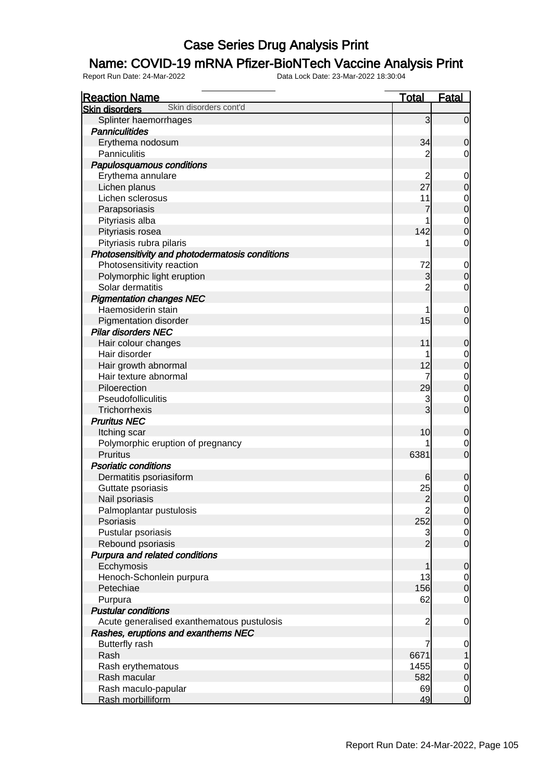### Name: COVID-19 mRNA Pfizer-BioNTech Vaccine Analysis Print

| <b>Reaction Name</b>                            | <u>Total</u>            | <u>Fatal</u>                         |
|-------------------------------------------------|-------------------------|--------------------------------------|
| Skin disorders cont'd<br><b>Skin disorders</b>  |                         |                                      |
| Splinter haemorrhages                           | $\mathbf{3}$            | $\overline{0}$                       |
| <b>Panniculitides</b>                           |                         |                                      |
| Erythema nodosum                                | 34                      | $\mathbf 0$                          |
| <b>Panniculitis</b>                             | 2                       | $\mathbf 0$                          |
| Papulosquamous conditions                       |                         |                                      |
| Erythema annulare                               | $\overline{c}$          | $\mathbf 0$                          |
| Lichen planus                                   | 27                      | $\overline{0}$                       |
| Lichen sclerosus                                | 11                      |                                      |
| Parapsoriasis                                   | $\overline{7}$          | $0$ 0                                |
| Pityriasis alba                                 | 1                       |                                      |
| Pityriasis rosea                                | 142                     | $\begin{matrix} 0 \\ 0 \end{matrix}$ |
| Pityriasis rubra pilaris                        | 1                       | $\mathbf 0$                          |
| Photosensitivity and photodermatosis conditions |                         |                                      |
| Photosensitivity reaction                       | 72                      | $\boldsymbol{0}$                     |
| Polymorphic light eruption                      | 3                       | $\mathbf 0$                          |
| Solar dermatitis                                | $\overline{2}$          | $\mathbf 0$                          |
| <b>Pigmentation changes NEC</b>                 |                         |                                      |
| Haemosiderin stain                              | 1                       | $\mathbf 0$                          |
| Pigmentation disorder                           | 15                      | $\overline{0}$                       |
| <b>Pilar disorders NEC</b>                      |                         |                                      |
| Hair colour changes                             | 11                      | $\mathbf 0$                          |
| Hair disorder                                   | 1                       |                                      |
| Hair growth abnormal                            | 12                      | $0\atop 0$                           |
| Hair texture abnormal                           | $\overline{7}$          |                                      |
| Piloerection                                    | 29                      | $0$<br>0                             |
| Pseudofolliculitis                              | 3                       | $\overline{0}$                       |
| Trichorrhexis                                   | 3                       | $\mathbf 0$                          |
| <b>Pruritus NEC</b>                             |                         |                                      |
| Itching scar                                    | 10                      | $\mathbf 0$                          |
| Polymorphic eruption of pregnancy               |                         | $\overline{0}$                       |
| <b>Pruritus</b>                                 | 6381                    | $\overline{0}$                       |
| <b>Psoriatic conditions</b>                     |                         |                                      |
| Dermatitis psoriasiform                         | 6                       | $\mathbf 0$                          |
| Guttate psoriasis                               | 25                      |                                      |
| Nail psoriasis                                  | $\overline{c}$          | $\begin{matrix} 0 \\ 0 \end{matrix}$ |
| Palmoplantar pustulosis                         | $\overline{\mathbf{c}}$ | $\Omega$                             |
| Psoriasis                                       | 252                     | 0                                    |
| Pustular psoriasis                              | 3                       | $\overline{0}$                       |
| Rebound psoriasis                               | $\overline{2}$          | $\overline{0}$                       |
| Purpura and related conditions                  |                         |                                      |
| Ecchymosis                                      | 1                       | $\mathbf 0$                          |
| Henoch-Schonlein purpura                        | 13                      | $\overline{0}$                       |
| Petechiae                                       | 156                     | $\overline{0}$                       |
| Purpura                                         | 62                      | $\mathbf 0$                          |
| <b>Pustular conditions</b>                      |                         |                                      |
| Acute generalised exanthematous pustulosis      | $\overline{c}$          | $\overline{0}$                       |
| Rashes, eruptions and exanthems NEC             |                         |                                      |
| <b>Butterfly rash</b>                           | $\overline{7}$          | $\boldsymbol{0}$                     |
| Rash                                            | 6671                    | 1                                    |
| Rash erythematous                               | 1455                    | $\overline{0}$                       |
| Rash macular                                    | 582                     | $\mathbf 0$                          |
| Rash maculo-papular                             | 69                      |                                      |
| Rash morbilliform                               | 49                      | $\begin{matrix} 0 \\ 0 \end{matrix}$ |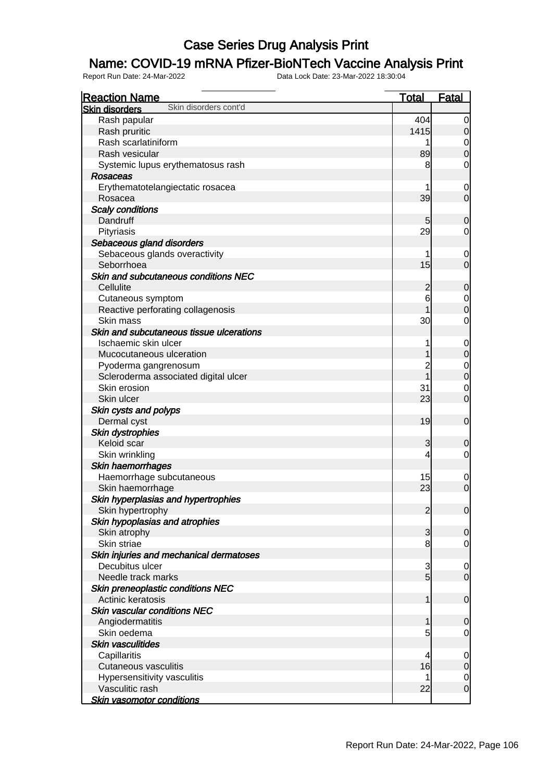### Name: COVID-19 mRNA Pfizer-BioNTech Vaccine Analysis Print

| <b>Reaction Name</b>                                         | <b>Total</b>   | <b>Fatal</b>                   |
|--------------------------------------------------------------|----------------|--------------------------------|
| Skin disorders cont'd<br><b>Skin disorders</b>               |                |                                |
| Rash papular                                                 | 404            | $\overline{0}$                 |
| Rash pruritic                                                | 1415           | $\overline{0}$                 |
| Rash scarlatiniform                                          | 1              | $\overline{0}$                 |
| Rash vesicular                                               | 89             | $\overline{0}$                 |
| Systemic lupus erythematosus rash                            | 8              | $\mathbf 0$                    |
| <b>Rosaceas</b>                                              |                |                                |
| Erythematotelangiectatic rosacea                             |                | $\mathbf 0$                    |
| Rosacea                                                      | 39             | $\overline{0}$                 |
| <b>Scaly conditions</b>                                      |                |                                |
| Dandruff                                                     | 5              | $\mathbf 0$                    |
| Pityriasis                                                   | 29             | $\mathbf 0$                    |
| Sebaceous gland disorders                                    |                |                                |
| Sebaceous glands overactivity                                | 1              | $\mathbf 0$                    |
| Seborrhoea                                                   | 15             | $\mathbf 0$                    |
| Skin and subcutaneous conditions NEC                         |                |                                |
| Cellulite                                                    | $\overline{c}$ | $\mathbf 0$                    |
| Cutaneous symptom                                            | 6              | $\mathbf{0}$                   |
| Reactive perforating collagenosis                            | 1              | $\overline{0}$                 |
| Skin mass                                                    | 30             | $\mathbf 0$                    |
| Skin and subcutaneous tissue ulcerations                     |                |                                |
| Ischaemic skin ulcer                                         | 1              |                                |
| Mucocutaneous ulceration                                     | 1              | $\mathbf{0}$<br>$\overline{0}$ |
|                                                              | $\overline{2}$ |                                |
| Pyoderma gangrenosum<br>Scleroderma associated digital ulcer | $\overline{1}$ | $0$<br>0                       |
| Skin erosion                                                 | 31             |                                |
| Skin ulcer                                                   | 23             | $\mathbf 0$<br>$\overline{0}$  |
|                                                              |                |                                |
| Skin cysts and polyps                                        | 19             |                                |
| Dermal cyst                                                  |                | $\boldsymbol{0}$               |
| Skin dystrophies                                             |                |                                |
| Keloid scar                                                  | 3              | $\mathbf 0$                    |
| Skin wrinkling                                               | 4              | $\mathbf 0$                    |
| Skin haemorrhages                                            |                |                                |
| Haemorrhage subcutaneous                                     | 15             | $\mathbf 0$                    |
| Skin haemorrhage                                             | 23             | $\overline{0}$                 |
| Skin hyperplasias and hypertrophies                          |                |                                |
| Skin hypertrophy                                             | $\overline{2}$ | 0                              |
| Skin hypoplasias and atrophies                               |                |                                |
| Skin atrophy                                                 | 3              | $\mathbf 0$                    |
| Skin striae                                                  | 8              | $\mathbf 0$                    |
| Skin injuries and mechanical dermatoses                      |                |                                |
| Decubitus ulcer                                              | 3              | $\mathbf 0$                    |
| Needle track marks                                           | $\overline{5}$ | $\overline{0}$                 |
| Skin preneoplastic conditions NEC                            |                |                                |
| Actinic keratosis                                            | 1              | $\boldsymbol{0}$               |
| <b>Skin vascular conditions NEC</b>                          |                |                                |
| Angiodermatitis                                              | 1              | $\mathbf 0$                    |
| Skin oedema                                                  | 5              | $\mathbf 0$                    |
| <b>Skin vasculitides</b>                                     |                |                                |
| Capillaritis                                                 | 4              | $\mathbf 0$                    |
| <b>Cutaneous vasculitis</b>                                  | 16             | $\mathbf 0$                    |
| Hypersensitivity vasculitis                                  | 1              | $\overline{0}$                 |
| Vasculitic rash                                              | 22             | $\mathbf 0$                    |
| <b>Skin vasomotor conditions</b>                             |                |                                |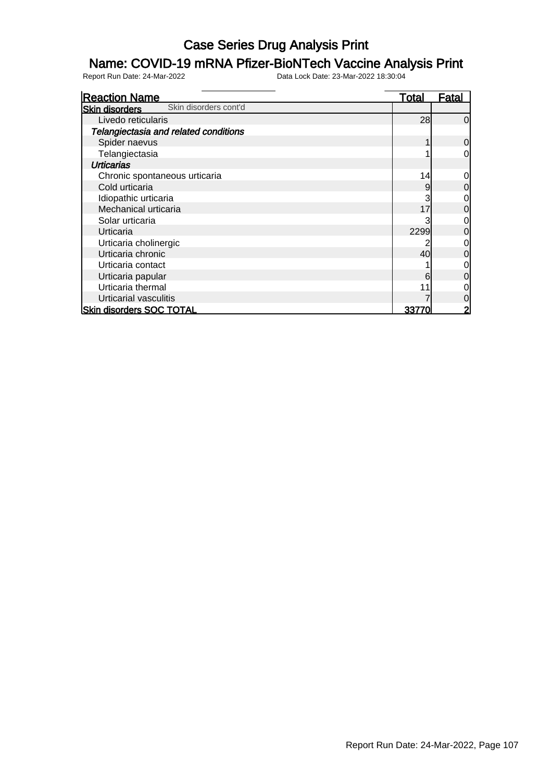### Name: COVID-19 mRNA Pfizer-BioNTech Vaccine Analysis Print

| <b>Reaction Name</b>                           | <u>Total</u> | <b>Fatal</b>   |
|------------------------------------------------|--------------|----------------|
| Skin disorders cont'd<br><b>Skin disorders</b> |              |                |
| Livedo reticularis                             | 28           | 0              |
| Telangiectasia and related conditions          |              |                |
| Spider naevus                                  |              | 0              |
| Telangiectasia                                 |              | 0              |
| Urticarias                                     |              |                |
| Chronic spontaneous urticaria                  | 14           | 0              |
| Cold urticaria                                 | 9            | 0              |
| Idiopathic urticaria                           |              | 0              |
| Mechanical urticaria                           | 17           | 0              |
| Solar urticaria                                |              | 0              |
| Urticaria                                      | 2299         | 0              |
| Urticaria cholinergic                          |              | 0              |
| Urticaria chronic                              | 40           | 0              |
| Urticaria contact                              |              | 0              |
| Urticaria papular                              | 6            | 0              |
| Urticaria thermal                              |              |                |
| Urticarial vasculitis                          |              | 0              |
| <b>Skin disorders SOC TOTAL</b>                | 3377         | $\overline{2}$ |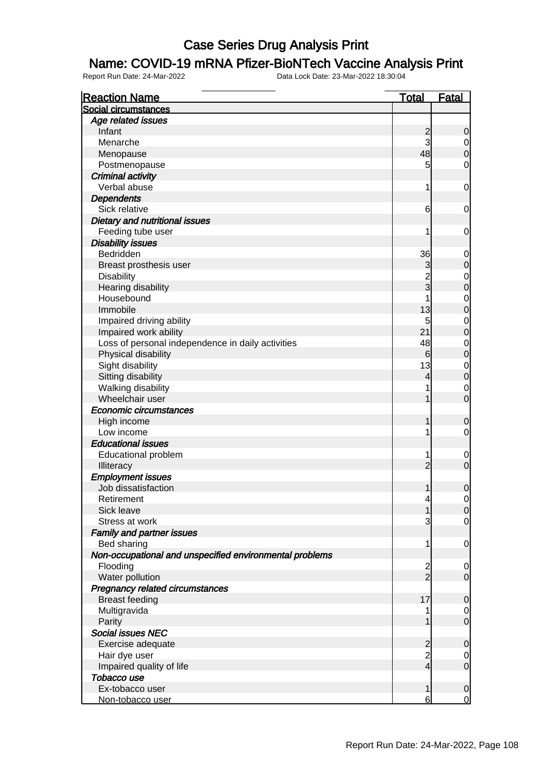#### Name: COVID-19 mRNA Pfizer-BioNTech Vaccine Analysis Print

| <b>Reaction Name</b>                                    | <b>Total</b>   | <b>Fatal</b>                         |
|---------------------------------------------------------|----------------|--------------------------------------|
| Social circumstances                                    |                |                                      |
| Age related issues                                      |                |                                      |
| Infant                                                  | $\frac{2}{3}$  | $\mathbf 0$                          |
| Menarche                                                |                | $\begin{matrix} 0 \\ 0 \end{matrix}$ |
| Menopause                                               | 48             |                                      |
| Postmenopause                                           | 5              | $\mathbf 0$                          |
| Criminal activity                                       |                |                                      |
| Verbal abuse                                            | 1              | $\mathbf 0$                          |
| <b>Dependents</b>                                       |                |                                      |
| Sick relative                                           | 6              | $\mathbf 0$                          |
| <b>Dietary and nutritional issues</b>                   |                |                                      |
| Feeding tube user                                       | 1              | $\mathbf 0$                          |
| <b>Disability issues</b>                                |                |                                      |
| Bedridden                                               | 36             |                                      |
| Breast prosthesis user                                  | 3              | $0\atop 0$                           |
| <b>Disability</b>                                       | $\overline{2}$ | $\begin{matrix}0\\0\end{matrix}$     |
| Hearing disability                                      | $_3^-$         |                                      |
| Housebound                                              |                | $\begin{matrix}0\\0\end{matrix}$     |
| Immobile                                                | 13             |                                      |
| Impaired driving ability                                | 5              | $\begin{matrix}0\\0\end{matrix}$     |
| Impaired work ability                                   | 21             |                                      |
| Loss of personal independence in daily activities       | 48             | $\begin{matrix}0\\0\end{matrix}$     |
| Physical disability                                     | 6              |                                      |
| Sight disability                                        | 13             | $\begin{matrix}0\\0\end{matrix}$     |
| Sitting disability                                      | 4              |                                      |
| Walking disability                                      | 1              | $\begin{matrix} 0 \\ 0 \end{matrix}$ |
| Wheelchair user                                         | 1              |                                      |
| Economic circumstances                                  |                |                                      |
| High income                                             | 1              | $\boldsymbol{0}$                     |
| Low income                                              | 1              | $\mathbf 0$                          |
| <b>Educational issues</b>                               |                |                                      |
| Educational problem                                     | 1              | $\begin{matrix} 0 \\ 0 \end{matrix}$ |
| Illiteracy                                              | $\overline{2}$ |                                      |
| <b>Employment issues</b>                                |                |                                      |
| Job dissatisfaction                                     | 1              | $\mathbf 0$                          |
| Retirement                                              | 4              | $\mathbf 0$                          |
| Sick leave                                              | 1              | 0                                    |
| Stress at work                                          | 3              | $\overline{0}$                       |
| <b>Family and partner issues</b>                        |                |                                      |
| Bed sharing                                             | 1              | $\mathbf 0$                          |
| Non-occupational and unspecified environmental problems |                |                                      |
| Flooding                                                | $\frac{2}{2}$  | $\mathbf 0$                          |
| Water pollution                                         |                | $\mathbf 0$                          |
| Pregnancy related circumstances                         |                |                                      |
| <b>Breast feeding</b>                                   | 17             | $\pmb{0}$                            |
| Multigravida                                            |                | $\begin{matrix} 0 \\ 0 \end{matrix}$ |
| Parity                                                  | 1              |                                      |
| <b>Social issues NEC</b>                                |                |                                      |
| Exercise adequate                                       | $\frac{2}{2}$  | $\pmb{0}$                            |
| Hair dye user                                           |                | $\begin{matrix} 0 \\ 0 \end{matrix}$ |
| Impaired quality of life                                | $\overline{4}$ |                                      |
| Tobacco use                                             |                |                                      |
| Ex-tobacco user                                         | 1              | $\mathbf 0$                          |
| Non-tobacco user                                        | 6              | $\overline{0}$                       |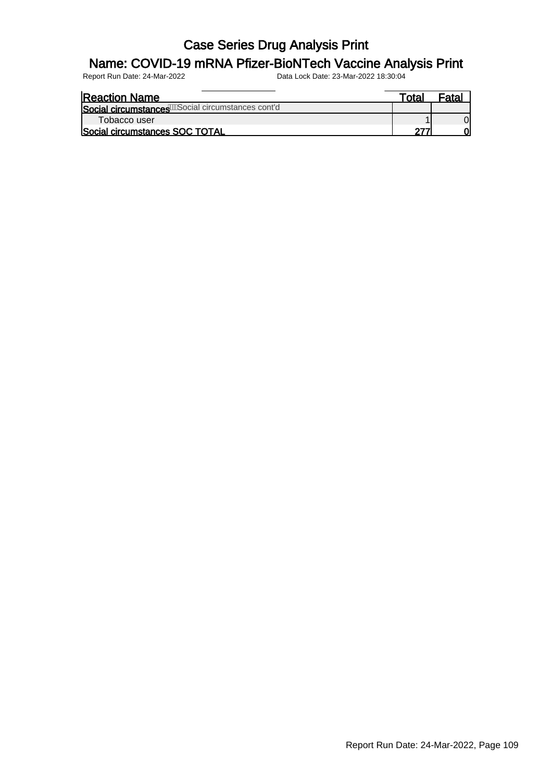#### Name: COVID-19 mRNA Pfizer-BioNTech Vaccine Analysis Print

| <b>Reaction Name</b>                                | ™ota⊦ |  |
|-----------------------------------------------------|-------|--|
| Social circumstances We Social circumstances cont'd |       |  |
| Tobacco user                                        |       |  |
| Social circumstances SOC TOTAL                      |       |  |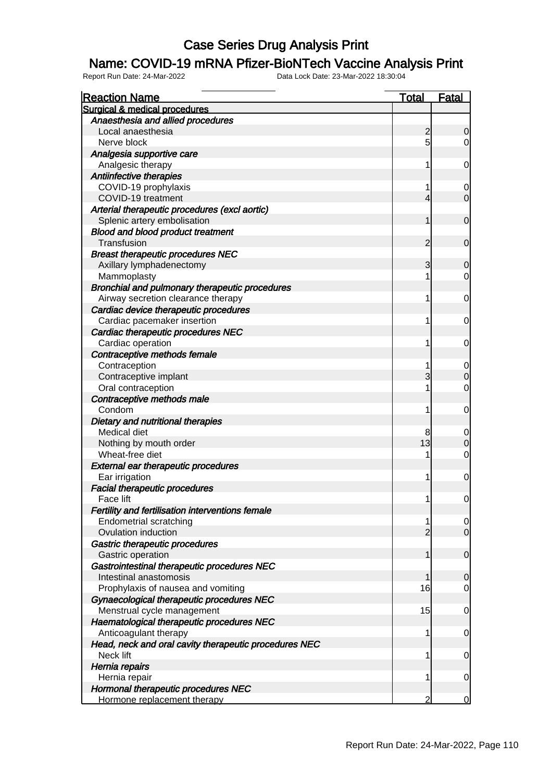#### Name: COVID-19 mRNA Pfizer-BioNTech Vaccine Analysis Print

| <b>Reaction Name</b>                                  | Total          | <b>Fatal</b>   |
|-------------------------------------------------------|----------------|----------------|
| Surgical & medical procedures                         |                |                |
| Anaesthesia and allied procedures                     |                |                |
| Local anaesthesia                                     | $\overline{c}$ | 0              |
| Nerve block                                           | 5              | $\overline{0}$ |
| Analgesia supportive care                             |                |                |
| Analgesic therapy                                     | 1              | 0              |
| Antiinfective therapies                               |                |                |
| COVID-19 prophylaxis                                  | 1              | $\mathbf 0$    |
| COVID-19 treatment                                    | 4              | $\overline{0}$ |
| Arterial therapeutic procedures (excl aortic)         |                |                |
| Splenic artery embolisation                           | 1              | $\mathbf 0$    |
| <b>Blood and blood product treatment</b>              |                |                |
| Transfusion                                           | $\overline{c}$ | $\mathbf 0$    |
| <b>Breast therapeutic procedures NEC</b>              |                |                |
| Axillary lymphadenectomy                              | 3              | 0              |
| Mammoplasty                                           | 1              | $\overline{0}$ |
| Bronchial and pulmonary therapeutic procedures        |                |                |
| Airway secretion clearance therapy                    | 1              | 0              |
| Cardiac device therapeutic procedures                 |                |                |
| Cardiac pacemaker insertion                           | 1              | 0              |
| Cardiac therapeutic procedures NEC                    |                |                |
| Cardiac operation                                     | 1              | 0              |
| Contraceptive methods female                          |                |                |
| Contraception                                         | 1              | $\mathbf 0$    |
| Contraceptive implant                                 | 3              | $\overline{0}$ |
| Oral contraception                                    | 1              | $\mathbf 0$    |
| Contraceptive methods male                            |                |                |
| Condom                                                | 1              | $\mathbf 0$    |
| Dietary and nutritional therapies                     |                |                |
| Medical diet                                          | 8              | $\mathbf 0$    |
| Nothing by mouth order                                | 13             | $\overline{0}$ |
| Wheat-free diet                                       | 1              | $\mathbf 0$    |
| <b>External ear therapeutic procedures</b>            |                |                |
| Ear irrigation                                        | 1              | $\mathbf 0$    |
| <b>Facial therapeutic procedures</b>                  |                |                |
| Face lift                                             | 1              | $\mathbf 0$    |
| Fertility and fertilisation interventions female      |                |                |
| <b>Endometrial scratching</b>                         | 1              | $\frac{0}{0}$  |
| Ovulation induction                                   | $\overline{2}$ |                |
| Gastric therapeutic procedures                        |                |                |
| Gastric operation                                     | 1              | $\overline{0}$ |
| Gastrointestinal therapeutic procedures NEC           |                |                |
| Intestinal anastomosis                                | 1              | $\mathbf 0$    |
| Prophylaxis of nausea and vomiting                    | 16             | $\mathbf 0$    |
| Gynaecological therapeutic procedures NEC             |                |                |
| Menstrual cycle management                            | 15             | $\overline{0}$ |
| Haematological therapeutic procedures NEC             |                |                |
| Anticoagulant therapy                                 | 1              | $\overline{0}$ |
| Head, neck and oral cavity therapeutic procedures NEC |                |                |
| Neck lift                                             | 1              | $\overline{0}$ |
| Hernia repairs                                        |                |                |
| Hernia repair                                         | 1              | $\overline{0}$ |
| Hormonal therapeutic procedures NEC                   |                |                |
| Hormone replacement therapy                           | 2              | $\overline{0}$ |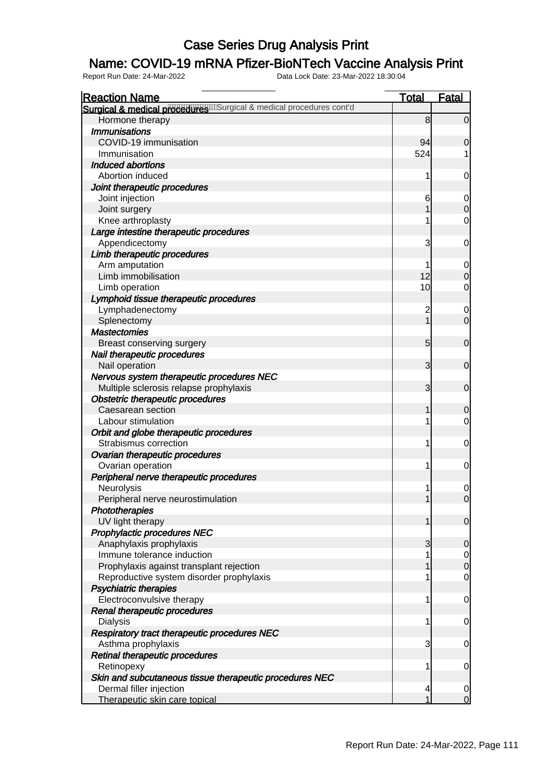#### Name: COVID-19 mRNA Pfizer-BioNTech Vaccine Analysis Print

| <b>Reaction Name</b>                                                    | <b>Total</b>   | <b>Fatal</b>                  |
|-------------------------------------------------------------------------|----------------|-------------------------------|
| Surgical & medical proceedures will argical & medical procedures cont'd |                |                               |
| Hormone therapy                                                         | 8              | $\overline{0}$                |
| <b>Immunisations</b>                                                    |                |                               |
| COVID-19 immunisation                                                   | 94             | 0                             |
| Immunisation                                                            | 524            | 1                             |
| <b>Induced abortions</b>                                                |                |                               |
| Abortion induced                                                        | 1              | $\mathbf 0$                   |
| Joint therapeutic procedures                                            |                |                               |
| Joint injection                                                         | 6              | $\mathbf 0$                   |
| Joint surgery                                                           |                | $\mathbf 0$                   |
| Knee arthroplasty                                                       | 1              | $\mathbf 0$                   |
| Large intestine therapeutic procedures                                  |                |                               |
| Appendicectomy                                                          | 3              | $\mathbf 0$                   |
| Limb therapeutic procedures                                             |                |                               |
| Arm amputation                                                          |                | $\mathbf 0$                   |
| Limb immobilisation                                                     | 12             | $\mathbf 0$                   |
| Limb operation                                                          | 10             | 0                             |
| Lymphoid tissue therapeutic procedures                                  |                |                               |
| Lymphadenectomy                                                         | $\overline{c}$ | $\mathbf 0$                   |
| Splenectomy                                                             | 1              | $\mathbf 0$                   |
| <b>Mastectomies</b>                                                     |                |                               |
| <b>Breast conserving surgery</b>                                        | 5              | $\mathbf 0$                   |
| Nail therapeutic procedures                                             |                |                               |
| Nail operation                                                          | 3              | $\mathbf 0$                   |
| Nervous system therapeutic procedures NEC                               |                |                               |
| Multiple sclerosis relapse prophylaxis                                  | 3              | $\mathbf 0$                   |
| <b>Obstetric therapeutic procedures</b>                                 |                |                               |
| Caesarean section                                                       | 1              | $\mathbf 0$                   |
| Labour stimulation                                                      | 1              | 0                             |
| Orbit and globe therapeutic procedures                                  |                |                               |
| Strabismus correction                                                   | 1              | $\mathbf 0$                   |
| Ovarian therapeutic procedures                                          |                |                               |
| Ovarian operation                                                       | 1              | $\mathbf 0$                   |
| Peripheral nerve therapeutic procedures                                 |                |                               |
| Neurolysis                                                              |                | $\mathbf{0}$                  |
| Peripheral nerve neurostimulation                                       | 1              | $\overline{0}$                |
| Phototherapies                                                          |                |                               |
| UV light therapy                                                        | 1              | $\mathbf 0$                   |
| Prophylactic procedures NEC                                             |                |                               |
| Anaphylaxis prophylaxis                                                 | 3              | $\mathbf 0$                   |
| Immune tolerance induction                                              | 1              | $\overline{0}$                |
| Prophylaxis against transplant rejection                                | 1              | $\overline{0}$                |
| Reproductive system disorder prophylaxis                                |                | $\mathbf 0$                   |
| <b>Psychiatric therapies</b>                                            |                |                               |
| Electroconvulsive therapy                                               | 1              | $\mathbf 0$                   |
| Renal therapeutic procedures                                            |                |                               |
| <b>Dialysis</b>                                                         | 1              | $\mathbf 0$                   |
| Respiratory tract therapeutic procedures NEC                            |                |                               |
| Asthma prophylaxis                                                      | 3              | $\mathbf 0$                   |
| Retinal therapeutic procedures                                          |                |                               |
| Retinopexy                                                              | 1              | $\mathbf 0$                   |
| Skin and subcutaneous tissue therapeutic procedures NEC                 |                |                               |
| Dermal filler injection                                                 | 4<br>1         | $\mathbf 0$<br>$\overline{0}$ |
| Therapeutic skin care topical                                           |                |                               |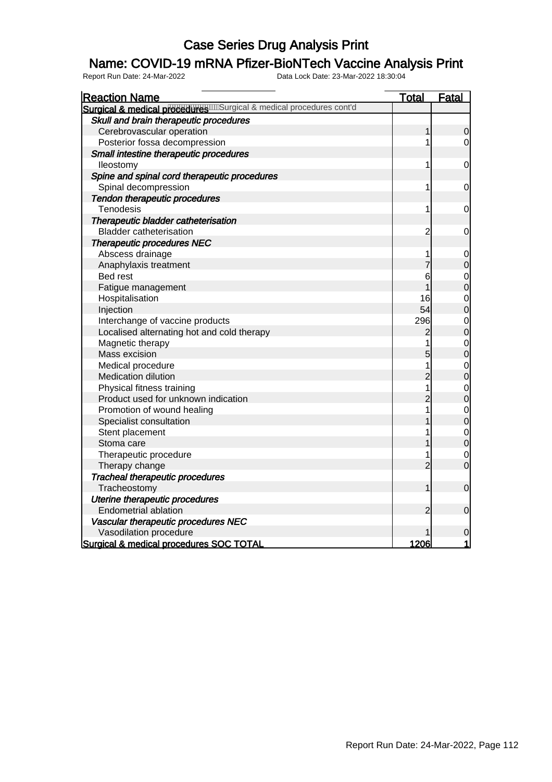#### Name: COVID-19 mRNA Pfizer-BioNTech Vaccine Analysis Print

| <b>Reaction Name</b>                                          | <b>Total</b>   | Fatal                            |
|---------------------------------------------------------------|----------------|----------------------------------|
| Surgical & medical procedures and a medical procedures cont'd |                |                                  |
| Skull and brain therapeutic procedures                        |                |                                  |
| Cerebrovascular operation                                     | 1              | 0                                |
| Posterior fossa decompression                                 | 1              | 0                                |
| Small intestine therapeutic procedures                        |                |                                  |
| lleostomy                                                     | 1              | 0                                |
| Spine and spinal cord therapeutic procedures                  |                |                                  |
| Spinal decompression                                          | 1              | $\mathbf 0$                      |
| Tendon therapeutic procedures                                 |                |                                  |
| Tenodesis                                                     | 1              | 0                                |
| Therapeutic bladder catheterisation                           |                |                                  |
| <b>Bladder catheterisation</b>                                | $\overline{c}$ | 0                                |
| <b>Therapeutic procedures NEC</b>                             |                |                                  |
| Abscess drainage                                              | 1              | $\mathbf 0$                      |
| Anaphylaxis treatment                                         | 7              | $\overline{0}$                   |
| <b>Bed rest</b>                                               | 6              |                                  |
| Fatigue management                                            | 1              | $\begin{matrix}0\\0\end{matrix}$ |
| Hospitalisation                                               | 16             |                                  |
| Injection                                                     | 54             | $\begin{matrix}0\\0\end{matrix}$ |
| Interchange of vaccine products                               | 296            |                                  |
| Localised alternating hot and cold therapy                    | 2              | $\begin{matrix}0\\0\end{matrix}$ |
| Magnetic therapy                                              | 1              | $\begin{matrix}0\\0\end{matrix}$ |
| Mass excision                                                 | 5              |                                  |
| Medical procedure                                             | 1              |                                  |
| Medication dilution                                           | $\overline{c}$ | $\begin{matrix}0\\0\end{matrix}$ |
| Physical fitness training                                     | $\overline{1}$ | $\begin{matrix}0\\0\end{matrix}$ |
| Product used for unknown indication                           | $\overline{2}$ |                                  |
| Promotion of wound healing                                    | 1              |                                  |
| Specialist consultation                                       | 1              | $0\atop 0$                       |
| Stent placement                                               | 1              | $\begin{matrix}0\\0\end{matrix}$ |
| Stoma care                                                    |                |                                  |
| Therapeutic procedure                                         | 1              | $\mathbf 0$                      |
| Therapy change                                                | $\overline{2}$ | $\overline{0}$                   |
| Tracheal therapeutic procedures                               |                |                                  |
| Tracheostomy                                                  | 1              | $\mathbf 0$                      |
| Uterine therapeutic procedures                                |                |                                  |
| <b>Endometrial ablation</b>                                   | 2              | $\boldsymbol{0}$                 |
| Vascular therapeutic procedures NEC                           |                |                                  |
| Vasodilation procedure                                        |                | $\mathbf 0$                      |
| Surgical & medical procedures SOC TOTAL                       | 1206           | 1                                |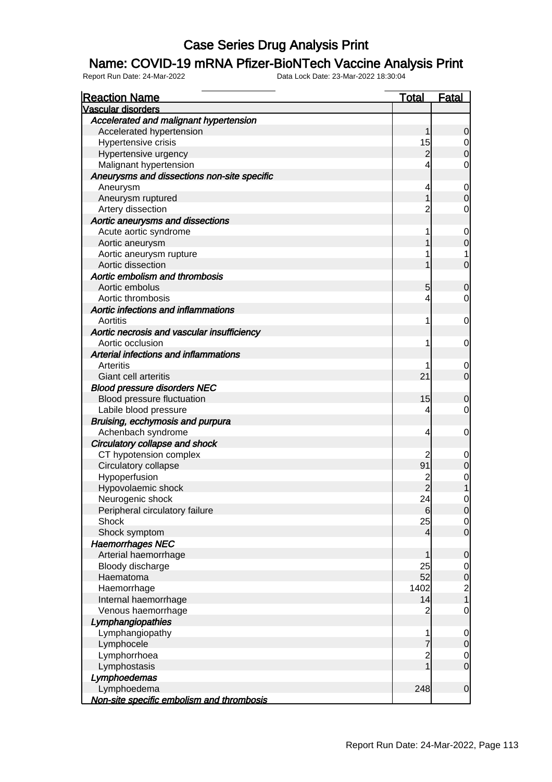#### Name: COVID-19 mRNA Pfizer-BioNTech Vaccine Analysis Print

| <b>Reaction Name</b>                        | <u>Total</u>   | Fatal                                 |
|---------------------------------------------|----------------|---------------------------------------|
| <b>Vascular disorders</b>                   |                |                                       |
| Accelerated and malignant hypertension      |                |                                       |
| Accelerated hypertension                    | 1              | $\mathbf 0$                           |
| Hypertensive crisis                         | 15             | $\overline{0}$                        |
| Hypertensive urgency                        | $\overline{c}$ | $\mathbf 0$                           |
| Malignant hypertension                      | 4              | $\mathbf 0$                           |
| Aneurysms and dissections non-site specific |                |                                       |
| Aneurysm                                    | 4              | $\mathbf 0$                           |
| Aneurysm ruptured                           | 1              | $\mathbf 0$                           |
| Artery dissection                           | $\overline{2}$ | $\mathbf 0$                           |
| Aortic aneurysms and dissections            |                |                                       |
| Acute aortic syndrome                       | 1              | $\mathbf 0$                           |
| Aortic aneurysm                             | 1              | $\mathbf 0$                           |
| Aortic aneurysm rupture                     | 1              | 1                                     |
| Aortic dissection                           | 1              | $\overline{0}$                        |
| Aortic embolism and thrombosis              |                |                                       |
| Aortic embolus                              | 5              | $\mathbf 0$                           |
| Aortic thrombosis                           | 4              | $\overline{0}$                        |
| Aortic infections and inflammations         |                |                                       |
| Aortitis                                    | 1              | $\mathbf 0$                           |
| Aortic necrosis and vascular insufficiency  |                |                                       |
| Aortic occlusion                            | 1              | $\mathbf 0$                           |
| Arterial infections and inflammations       |                |                                       |
| Arteritis                                   | 1              | $\mathbf 0$                           |
| Giant cell arteritis                        | 21             | $\overline{0}$                        |
| <b>Blood pressure disorders NEC</b>         |                |                                       |
| Blood pressure fluctuation                  | 15             | $\mathbf 0$                           |
| Labile blood pressure                       | 4              | $\overline{0}$                        |
| Bruising, ecchymosis and purpura            |                |                                       |
| Achenbach syndrome                          | 4              | $\mathbf 0$                           |
| Circulatory collapse and shock              |                |                                       |
| CT hypotension complex                      | 2              | $\mathbf 0$                           |
| Circulatory collapse                        | 91             | $\pmb{0}$                             |
| Hypoperfusion                               | $\overline{c}$ |                                       |
| Hypovolaemic shock                          | $\overline{2}$ | $\begin{matrix} 0 \\ 1 \end{matrix}$  |
| Neurogenic shock                            | 24             | $\mathbf 0$                           |
| Peripheral circulatory failure              | 6              | 0                                     |
| Shock                                       | 25             | $\overline{0}$                        |
| Shock symptom                               | $\overline{4}$ | $\overline{0}$                        |
| <b>Haemorrhages NEC</b>                     |                |                                       |
| Arterial haemorrhage                        | 1              | $\mathbf 0$                           |
| Bloody discharge                            | 25             | $\overline{0}$                        |
| Haematoma                                   | 52             | $\mathbf 0$                           |
| Haemorrhage                                 | 1402           | $\begin{array}{c} 2 \\ 1 \end{array}$ |
| Internal haemorrhage                        | 14             |                                       |
| Venous haemorrhage                          | $\overline{2}$ | $\overline{O}$                        |
| Lymphangiopathies                           |                |                                       |
| Lymphangiopathy                             | 1              | $\mathbf 0$                           |
| Lymphocele                                  | $\overline{7}$ | $\pmb{0}$                             |
| Lymphorrhoea                                | $\frac{2}{1}$  | $\overline{0}$                        |
| Lymphostasis                                |                | $\mathbf 0$                           |
| Lymphoedemas                                |                |                                       |
| Lymphoedema                                 | 248            | $\boldsymbol{0}$                      |
| Non-site specific embolism and thrombosis   |                |                                       |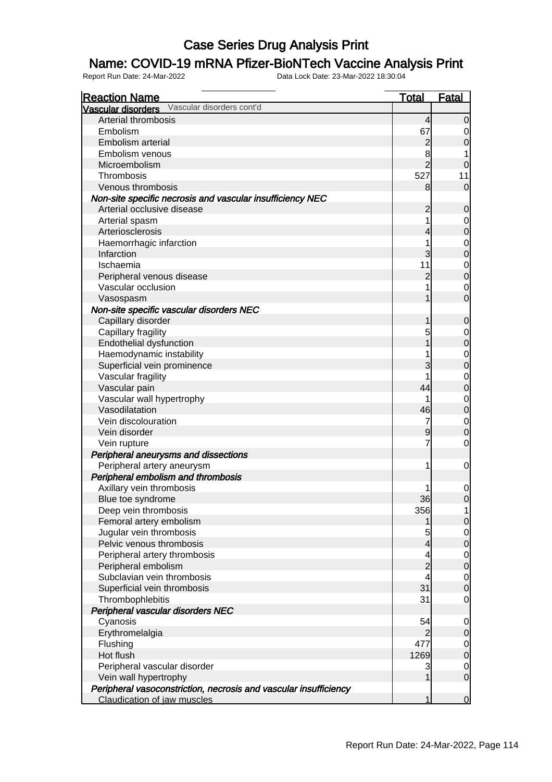#### Name: COVID-19 mRNA Pfizer-BioNTech Vaccine Analysis Print

| <b>Reaction Name</b>                                             | <u>Total</u>   | <b>Fatal</b>                         |
|------------------------------------------------------------------|----------------|--------------------------------------|
| Vascular disorders Vascular disorders cont'd                     |                |                                      |
| Arterial thrombosis                                              | 4              | $\overline{0}$                       |
| Embolism                                                         | 67             | $\overline{0}$                       |
| Embolism arterial                                                | $\overline{c}$ | $\mathbf 0$                          |
| Embolism venous                                                  | 8              |                                      |
| Microembolism                                                    | $\overline{2}$ | $\overline{0}$                       |
| Thrombosis                                                       | 527            | 11                                   |
| Venous thrombosis                                                | 8              | $\overline{0}$                       |
| Non-site specific necrosis and vascular insufficiency NEC        |                |                                      |
| Arterial occlusive disease                                       | $\overline{c}$ | $\mathbf 0$                          |
| Arterial spasm                                                   | 1              | $\begin{matrix} 0 \\ 0 \end{matrix}$ |
| Arteriosclerosis                                                 | 4              |                                      |
| Haemorrhagic infarction                                          | 1              |                                      |
| Infarction                                                       | 3              | $\begin{matrix} 0 \\ 0 \end{matrix}$ |
| Ischaemia                                                        | 11             |                                      |
| Peripheral venous disease                                        | $\overline{2}$ | $\begin{matrix}0\\0\end{matrix}$     |
| Vascular occlusion                                               | 1              |                                      |
| Vasospasm                                                        | 1              | $\begin{matrix} 0 \\ 0 \end{matrix}$ |
| Non-site specific vascular disorders NEC                         |                |                                      |
| Capillary disorder                                               | 1              | $\mathbf 0$                          |
| Capillary fragility                                              | 5              |                                      |
| Endothelial dysfunction                                          |                | $\begin{matrix} 0 \\ 0 \end{matrix}$ |
| Haemodynamic instability                                         |                |                                      |
| Superficial vein prominence                                      | 3              | $\begin{matrix} 0 \\ 0 \end{matrix}$ |
| Vascular fragility                                               |                |                                      |
| Vascular pain                                                    | 44             | $\begin{matrix}0\\0\end{matrix}$     |
| Vascular wall hypertrophy                                        | 1              |                                      |
| Vasodilatation                                                   | 46             | $\begin{matrix}0\\0\end{matrix}$     |
| Vein discolouration                                              | 7              |                                      |
| Vein disorder                                                    | 9              | $\begin{matrix} 0 \\ 0 \end{matrix}$ |
| Vein rupture                                                     | 7              | $\mathbf 0$                          |
| Peripheral aneurysms and dissections                             |                |                                      |
| Peripheral artery aneurysm                                       | 1              | $\mathbf 0$                          |
| Peripheral embolism and thrombosis                               |                |                                      |
| Axillary vein thrombosis                                         |                |                                      |
|                                                                  | 36             | $\begin{matrix} 0 \\ 0 \end{matrix}$ |
| Blue toe syndrome<br>Deep vein thrombosis                        | 356            |                                      |
|                                                                  |                | $\overline{0}$                       |
| Femoral artery embolism                                          |                |                                      |
| Jugular vein thrombosis                                          | 5              | $\begin{matrix} 0 \\ 0 \end{matrix}$ |
| Pelvic venous thrombosis                                         | 4              |                                      |
| Peripheral artery thrombosis                                     | 4              | $\begin{matrix} 0 \\ 0 \end{matrix}$ |
| Peripheral embolism                                              | $\overline{c}$ |                                      |
| Subclavian vein thrombosis                                       |                | $\begin{matrix} 0 \\ 0 \end{matrix}$ |
| Superficial vein thrombosis                                      | 31             |                                      |
| Thrombophlebitis                                                 | 31             | $\mathbf 0$                          |
| Peripheral vascular disorders NEC                                |                |                                      |
| Cyanosis                                                         | 54             | $\overline{0}$                       |
| Erythromelalgia                                                  |                | $\mathbf 0$                          |
| Flushing                                                         | 477            | $\begin{matrix} 0 \\ 0 \end{matrix}$ |
| Hot flush                                                        | 1269           |                                      |
| Peripheral vascular disorder                                     | 3              | $\begin{matrix} 0 \\ 0 \end{matrix}$ |
| Vein wall hypertrophy                                            | 1              |                                      |
| Peripheral vasoconstriction, necrosis and vascular insufficiency |                |                                      |
| Claudication of jaw muscles                                      | 1              | $\overline{0}$                       |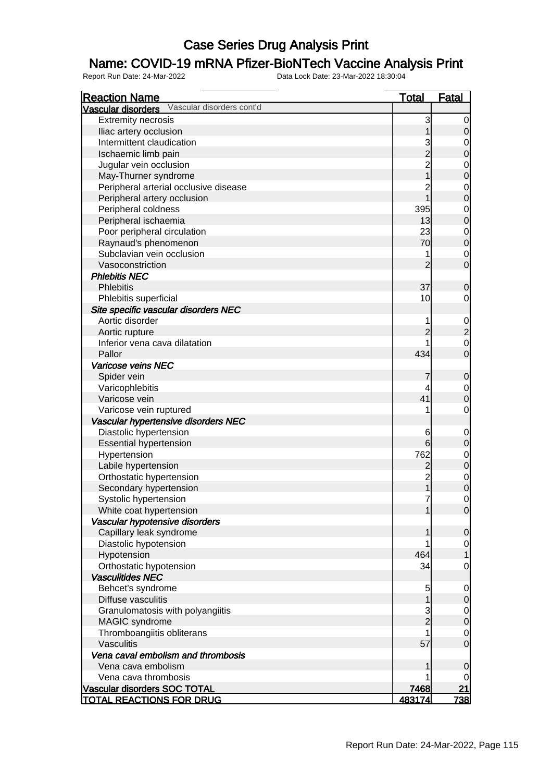#### Name: COVID-19 mRNA Pfizer-BioNTech Vaccine Analysis Print

| <b>Reaction Name</b>                            | <b>Total</b>                                    | <b>Fatal</b>                         |
|-------------------------------------------------|-------------------------------------------------|--------------------------------------|
| Vascular disorders Vascular disorders cont'd    |                                                 |                                      |
| <b>Extremity necrosis</b>                       | 3                                               | $\overline{0}$                       |
| Iliac artery occlusion                          | 1                                               | $\mathsf{O}\xspace$                  |
| Intermittent claudication                       |                                                 | $\overline{0}$                       |
| Ischaemic limb pain                             | $\begin{array}{c} 3 \\ 2 \\ 2 \\ 1 \end{array}$ | $\overline{0}$                       |
| Jugular vein occlusion                          |                                                 |                                      |
| May-Thurner syndrome                            |                                                 | $0\atop 0$                           |
| Peripheral arterial occlusive disease           | $\overline{2}$                                  |                                      |
| Peripheral artery occlusion                     | $\overline{1}$                                  | $0$<br>0                             |
| Peripheral coldness                             | 395                                             |                                      |
| Peripheral ischaemia                            | 13                                              | $0$<br>0                             |
| Poor peripheral circulation                     | 23                                              |                                      |
| Raynaud's phenomenon                            | 70                                              | $0$<br>0                             |
| Subclavian vein occlusion                       | 1                                               | $\overline{0}$                       |
| Vasoconstriction                                | $\overline{2}$                                  | $\mathbf 0$                          |
| <b>Phlebitis NEC</b>                            |                                                 |                                      |
| <b>Phlebitis</b>                                | 37                                              | $\mathbf 0$                          |
| Phlebitis superficial                           | 10                                              | $\mathbf 0$                          |
| Site specific vascular disorders NEC            |                                                 |                                      |
| Aortic disorder                                 | 1                                               |                                      |
|                                                 | $\overline{c}$                                  |                                      |
| Aortic rupture<br>Inferior vena cava dilatation | 1                                               | 0<br>0<br>0<br>0                     |
|                                                 |                                                 |                                      |
| Pallor                                          | 434                                             |                                      |
| Varicose veins NEC                              |                                                 |                                      |
| Spider vein                                     | 7                                               | $\mathbf 0$                          |
| Varicophlebitis                                 | 4                                               | $\overline{0}$                       |
| Varicose vein                                   | 41                                              | $\overline{0}$                       |
| Varicose vein ruptured                          | 1                                               | $\mathsf{O}\xspace$                  |
| Vascular hypertensive disorders NEC             |                                                 |                                      |
| Diastolic hypertension                          | 6                                               | $\boldsymbol{0}$                     |
| <b>Essential hypertension</b>                   | 6                                               | $\overline{0}$                       |
| Hypertension                                    | 762                                             | $\begin{matrix} 0 \\ 0 \end{matrix}$ |
| Labile hypertension                             | $\overline{c}$                                  |                                      |
| Orthostatic hypertension                        | $\overline{c}$                                  | $\begin{matrix}0\\0\end{matrix}$     |
| Secondary hypertension                          | $\overline{1}$                                  |                                      |
| Systolic hypertension                           | $\overline{7}$                                  | $\mathbf 0$                          |
| White coat hypertension                         | 1                                               | 0                                    |
| Vascular hypotensive disorders                  |                                                 |                                      |
| Capillary leak syndrome                         | 1                                               | $\mathbf 0$                          |
| Diastolic hypotension                           | 1                                               | $\mathbf 0$                          |
| Hypotension                                     | 464                                             | $\mathbf{1}$                         |
| Orthostatic hypotension                         | 34                                              | $\mathbf 0$                          |
| <b>Vasculitides NEC</b>                         |                                                 |                                      |
| Behcet's syndrome                               | 5                                               | $\mathbf 0$                          |
| Diffuse vasculitis                              | 1                                               | $\pmb{0}$                            |
| Granulomatosis with polyangiitis                |                                                 | $\overline{0}$                       |
| MAGIC syndrome                                  | $\frac{3}{2}$                                   | $\pmb{0}$                            |
| Thromboangiitis obliterans                      | 1                                               | $\mathbf 0$                          |
| Vasculitis                                      | 57                                              | $\overline{0}$                       |
| Vena caval embolism and thrombosis              |                                                 |                                      |
| Vena cava embolism                              | 1                                               | 0                                    |
| Vena cava thrombosis                            | 1                                               | 0                                    |
| Vascular disorders SOC TOTAL                    | 7468                                            | <u>21</u>                            |
| <b>TOTAL REACTIONS FOR DRUG</b>                 | <u>483174</u>                                   | <u>738 </u>                          |